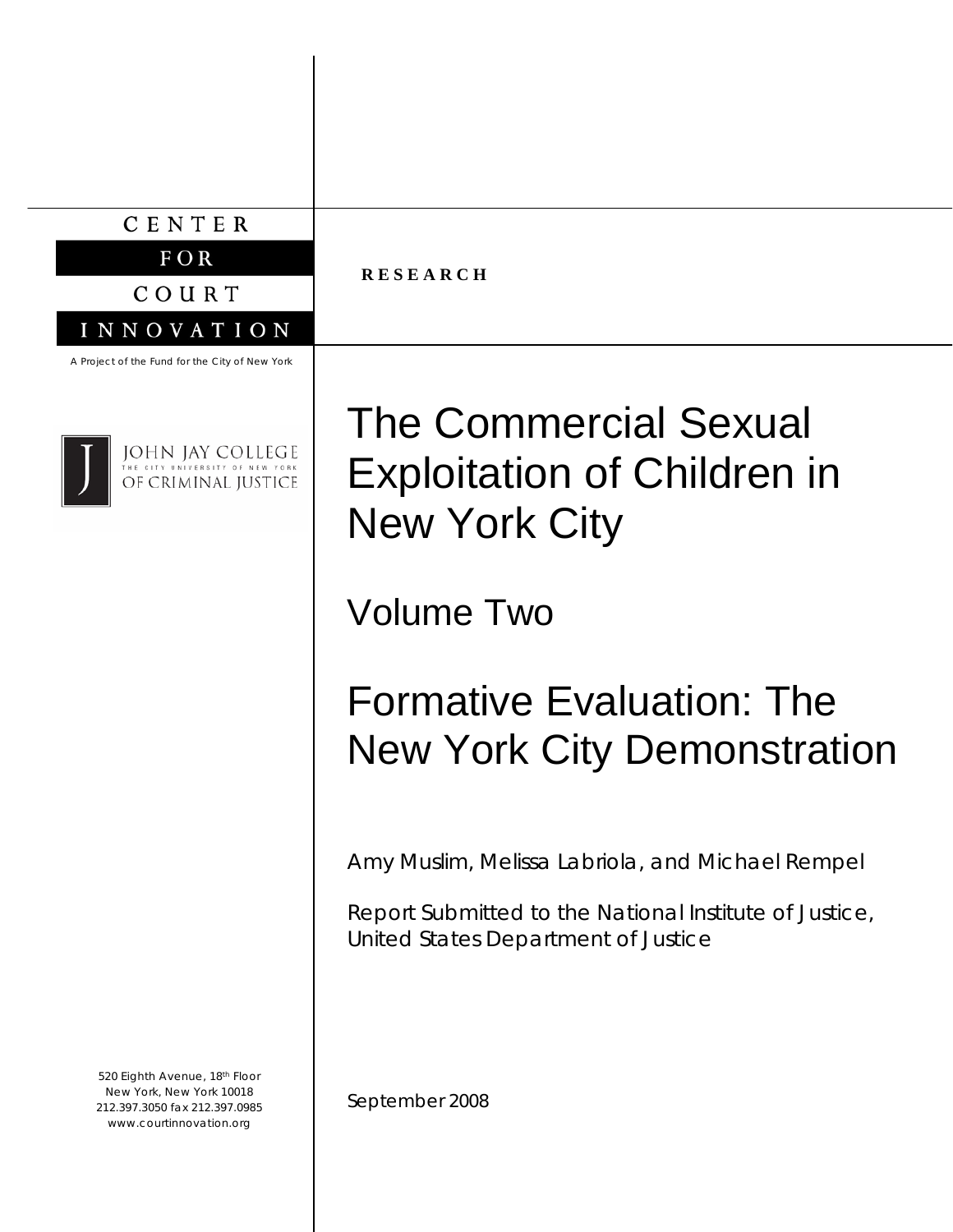### CENTER

 $FOR$ 

COURT

**R E S E A R C H** 

#### A Project of the Fund for the City of New York

INNOVATION



**JOHN JAY COLLEGE** OF CRIMINAL JUSTICE

520 Eighth Avenue, 18th Floor New York, New York 10018 212.397.3050 fax 212.397.0985 www.courtinnovation.org

The Commercial Sexual Exploitation of Children in New York City

Volume Two

# Formative Evaluation: The New York City Demonstration

Amy Muslim, Melissa Labriola, and Michael Rempel

Report Submitted to the National Institute of Justice, United States Department of Justice

September 2008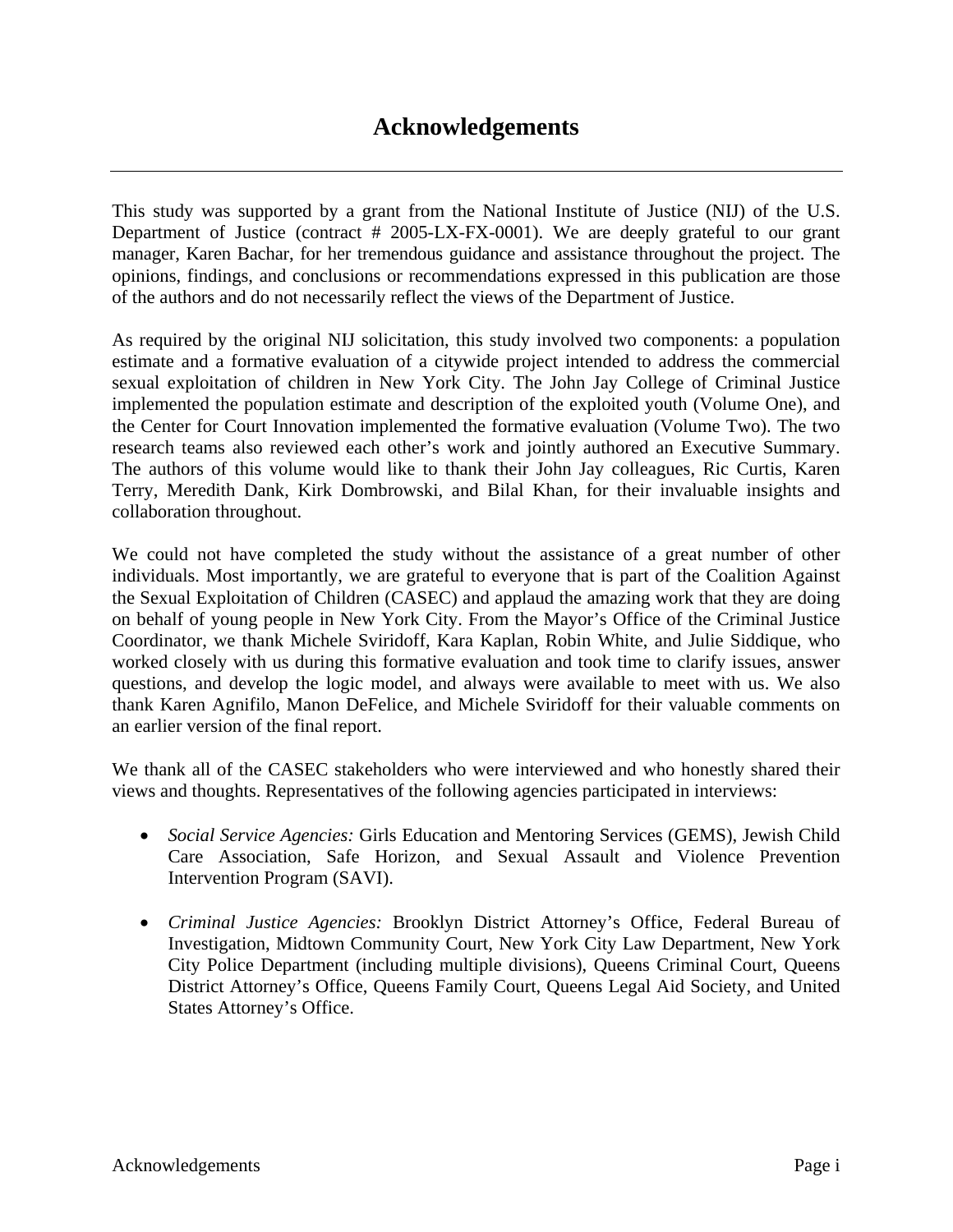### **Acknowledgements**

This study was supported by a grant from the National Institute of Justice (NIJ) of the U.S. Department of Justice (contract # 2005-LX-FX-0001). We are deeply grateful to our grant manager, Karen Bachar, for her tremendous guidance and assistance throughout the project. The opinions, findings, and conclusions or recommendations expressed in this publication are those of the authors and do not necessarily reflect the views of the Department of Justice.

As required by the original NIJ solicitation, this study involved two components: a population estimate and a formative evaluation of a citywide project intended to address the commercial sexual exploitation of children in New York City. The John Jay College of Criminal Justice implemented the population estimate and description of the exploited youth (Volume One), and the Center for Court Innovation implemented the formative evaluation (Volume Two). The two research teams also reviewed each other's work and jointly authored an Executive Summary. The authors of this volume would like to thank their John Jay colleagues, Ric Curtis, Karen Terry, Meredith Dank, Kirk Dombrowski, and Bilal Khan, for their invaluable insights and collaboration throughout.

We could not have completed the study without the assistance of a great number of other individuals. Most importantly, we are grateful to everyone that is part of the Coalition Against the Sexual Exploitation of Children (CASEC) and applaud the amazing work that they are doing on behalf of young people in New York City. From the Mayor's Office of the Criminal Justice Coordinator, we thank Michele Sviridoff, Kara Kaplan, Robin White, and Julie Siddique, who worked closely with us during this formative evaluation and took time to clarify issues, answer questions, and develop the logic model, and always were available to meet with us. We also thank Karen Agnifilo, Manon DeFelice, and Michele Sviridoff for their valuable comments on an earlier version of the final report.

We thank all of the CASEC stakeholders who were interviewed and who honestly shared their views and thoughts. Representatives of the following agencies participated in interviews:

- *Social Service Agencies:* Girls Education and Mentoring Services (GEMS), Jewish Child Care Association, Safe Horizon, and Sexual Assault and Violence Prevention Intervention Program (SAVI).
- *Criminal Justice Agencies:* Brooklyn District Attorney's Office, Federal Bureau of Investigation, Midtown Community Court, New York City Law Department, New York City Police Department (including multiple divisions), Queens Criminal Court, Queens District Attorney's Office, Queens Family Court, Queens Legal Aid Society, and United States Attorney's Office.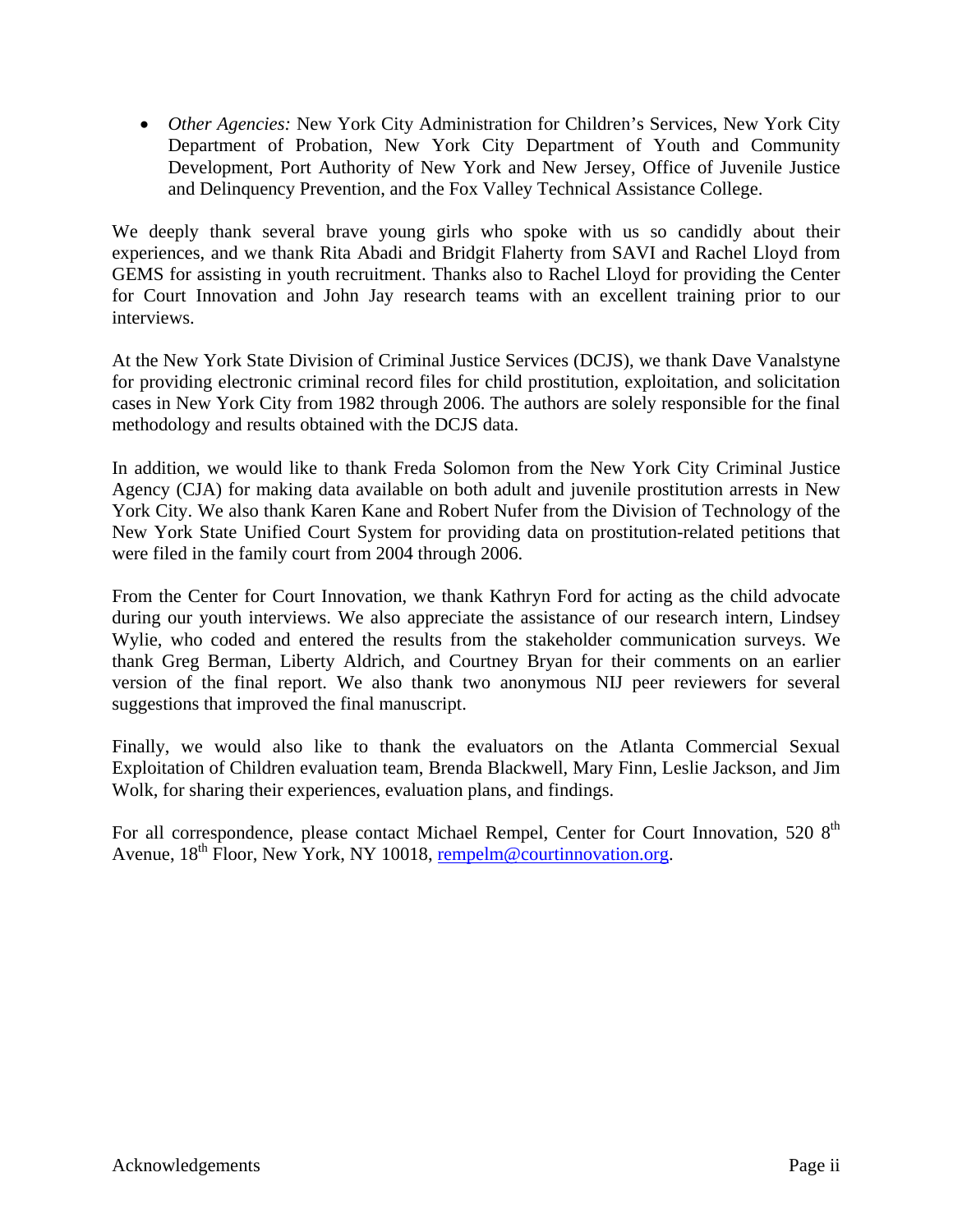• *Other Agencies:* New York City Administration for Children's Services, New York City Department of Probation, New York City Department of Youth and Community Development, Port Authority of New York and New Jersey, Office of Juvenile Justice and Delinquency Prevention, and the Fox Valley Technical Assistance College.

We deeply thank several brave young girls who spoke with us so candidly about their experiences, and we thank Rita Abadi and Bridgit Flaherty from SAVI and Rachel Lloyd from GEMS for assisting in youth recruitment. Thanks also to Rachel Lloyd for providing the Center for Court Innovation and John Jay research teams with an excellent training prior to our interviews.

At the New York State Division of Criminal Justice Services (DCJS), we thank Dave Vanalstyne for providing electronic criminal record files for child prostitution, exploitation, and solicitation cases in New York City from 1982 through 2006. The authors are solely responsible for the final methodology and results obtained with the DCJS data.

In addition, we would like to thank Freda Solomon from the New York City Criminal Justice Agency (CJA) for making data available on both adult and juvenile prostitution arrests in New York City. We also thank Karen Kane and Robert Nufer from the Division of Technology of the New York State Unified Court System for providing data on prostitution-related petitions that were filed in the family court from 2004 through 2006.

From the Center for Court Innovation, we thank Kathryn Ford for acting as the child advocate during our youth interviews. We also appreciate the assistance of our research intern, Lindsey Wylie, who coded and entered the results from the stakeholder communication surveys. We thank Greg Berman, Liberty Aldrich, and Courtney Bryan for their comments on an earlier version of the final report. We also thank two anonymous NIJ peer reviewers for several suggestions that improved the final manuscript.

Finally, we would also like to thank the evaluators on the Atlanta Commercial Sexual Exploitation of Children evaluation team, Brenda Blackwell, Mary Finn, Leslie Jackson, and Jim Wolk, for sharing their experiences, evaluation plans, and findings.

For all correspondence, please contact Michael Rempel, Center for Court Innovation, 520 8<sup>th</sup> Avenue, 18<sup>th</sup> Floor, New York, NY 10018, rempelm@courtinnovation.org.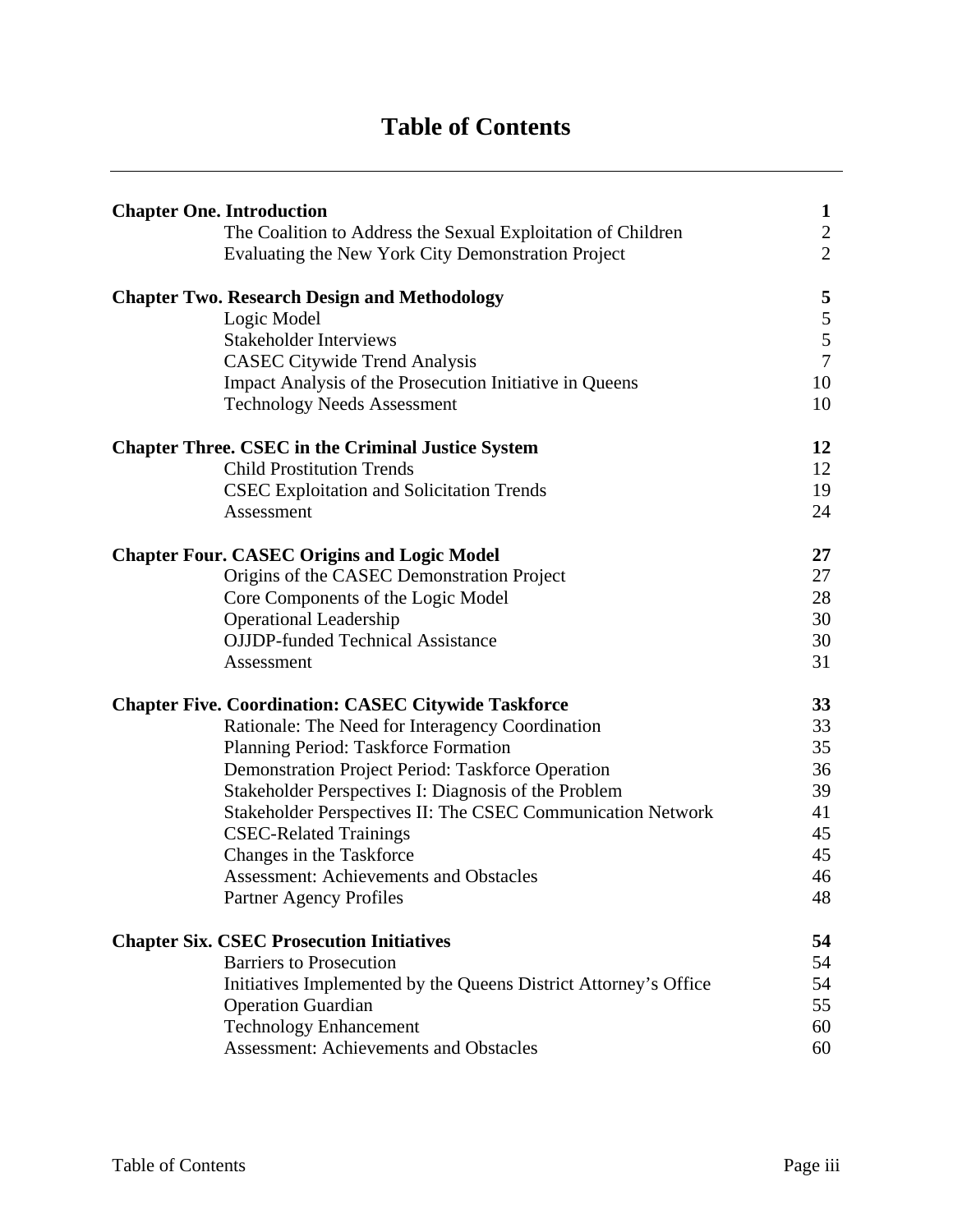# **Table of Contents**

| <b>Chapter One. Introduction</b>                                 | $\mathbf{1}$   |
|------------------------------------------------------------------|----------------|
| The Coalition to Address the Sexual Exploitation of Children     | $\sqrt{2}$     |
| Evaluating the New York City Demonstration Project               | $\overline{2}$ |
| <b>Chapter Two. Research Design and Methodology</b>              | 5              |
| Logic Model                                                      | $\frac{5}{5}$  |
| <b>Stakeholder Interviews</b>                                    |                |
| <b>CASEC Citywide Trend Analysis</b>                             | $\overline{7}$ |
| Impact Analysis of the Prosecution Initiative in Queens          | 10             |
| <b>Technology Needs Assessment</b>                               | 10             |
| <b>Chapter Three. CSEC in the Criminal Justice System</b>        | 12             |
| <b>Child Prostitution Trends</b>                                 | 12             |
| <b>CSEC Exploitation and Solicitation Trends</b>                 | 19             |
| Assessment                                                       | 24             |
| <b>Chapter Four. CASEC Origins and Logic Model</b>               | 27             |
| Origins of the CASEC Demonstration Project                       | 27             |
| Core Components of the Logic Model                               | 28             |
| <b>Operational Leadership</b>                                    | 30             |
| <b>OJJDP-funded Technical Assistance</b>                         | 30             |
| Assessment                                                       | 31             |
| <b>Chapter Five. Coordination: CASEC Citywide Taskforce</b>      | 33             |
| Rationale: The Need for Interagency Coordination                 | 33             |
| Planning Period: Taskforce Formation                             | 35             |
| Demonstration Project Period: Taskforce Operation                | 36             |
| Stakeholder Perspectives I: Diagnosis of the Problem             | 39             |
| Stakeholder Perspectives II: The CSEC Communication Network      | 41             |
| <b>CSEC-Related Trainings</b>                                    | 45             |
| Changes in the Taskforce                                         | 45             |
| <b>Assessment: Achievements and Obstacles</b>                    | 46             |
| Partner Agency Profiles                                          | 48             |
| <b>Chapter Six. CSEC Prosecution Initiatives</b>                 | 54             |
| <b>Barriers to Prosecution</b>                                   | 54             |
| Initiatives Implemented by the Queens District Attorney's Office | 54             |
| <b>Operation Guardian</b>                                        | 55             |
| <b>Technology Enhancement</b>                                    | 60             |
| <b>Assessment: Achievements and Obstacles</b>                    | 60             |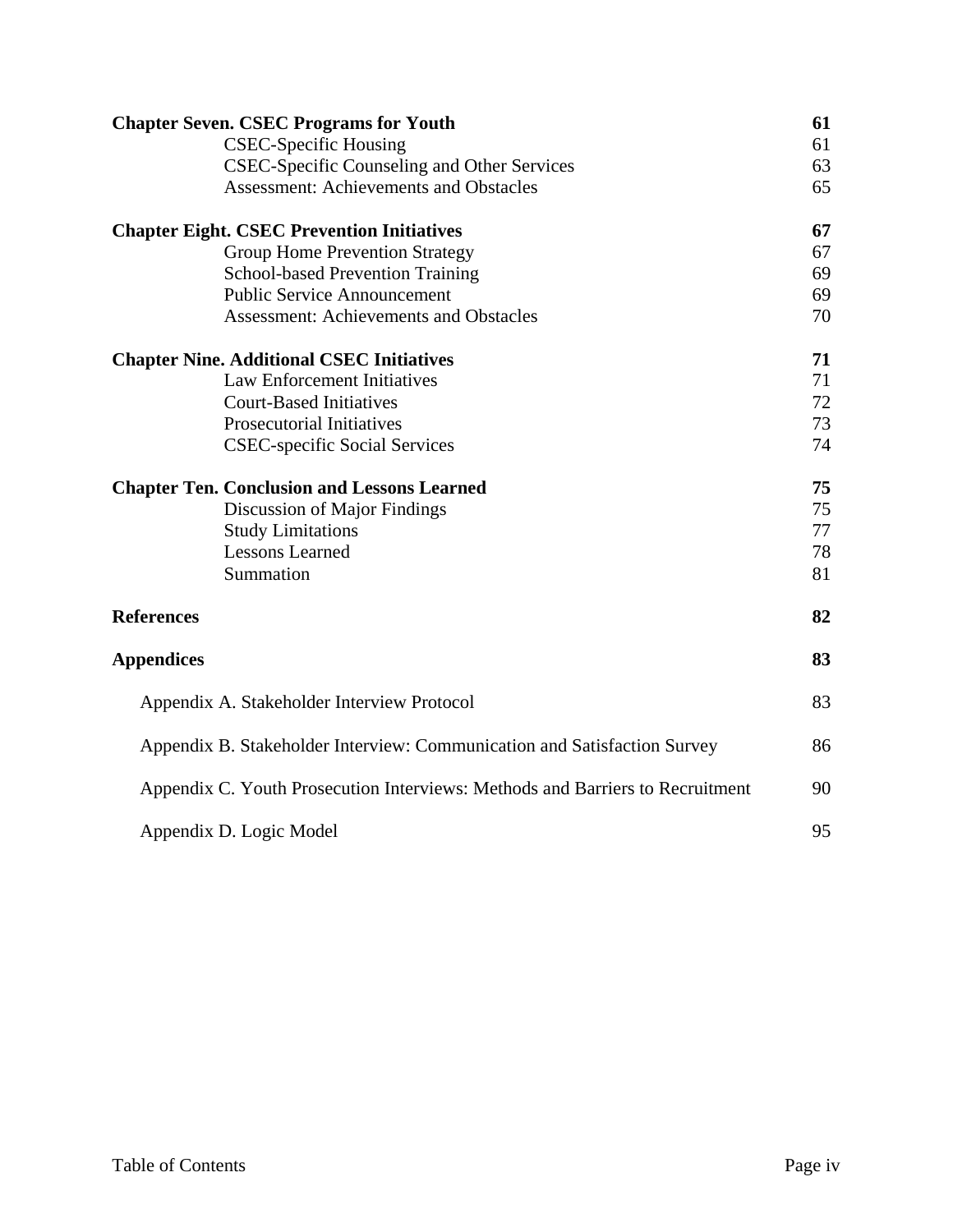| <b>Chapter Seven. CSEC Programs for Youth</b>                                 | 61 |
|-------------------------------------------------------------------------------|----|
| <b>CSEC-Specific Housing</b>                                                  | 61 |
| <b>CSEC-Specific Counseling and Other Services</b>                            | 63 |
| <b>Assessment: Achievements and Obstacles</b>                                 | 65 |
| <b>Chapter Eight. CSEC Prevention Initiatives</b>                             | 67 |
| <b>Group Home Prevention Strategy</b>                                         | 67 |
| <b>School-based Prevention Training</b>                                       | 69 |
| <b>Public Service Announcement</b>                                            | 69 |
| <b>Assessment: Achievements and Obstacles</b>                                 | 70 |
| <b>Chapter Nine. Additional CSEC Initiatives</b>                              | 71 |
| <b>Law Enforcement Initiatives</b>                                            | 71 |
| <b>Court-Based Initiatives</b>                                                | 72 |
| <b>Prosecutorial Initiatives</b>                                              | 73 |
| <b>CSEC-specific Social Services</b>                                          | 74 |
| <b>Chapter Ten. Conclusion and Lessons Learned</b>                            | 75 |
| Discussion of Major Findings                                                  | 75 |
| <b>Study Limitations</b>                                                      | 77 |
| <b>Lessons Learned</b>                                                        | 78 |
| Summation                                                                     | 81 |
| <b>References</b>                                                             | 82 |
| <b>Appendices</b>                                                             | 83 |
| Appendix A. Stakeholder Interview Protocol                                    | 83 |
| Appendix B. Stakeholder Interview: Communication and Satisfaction Survey      | 86 |
| Appendix C. Youth Prosecution Interviews: Methods and Barriers to Recruitment | 90 |
| Appendix D. Logic Model                                                       | 95 |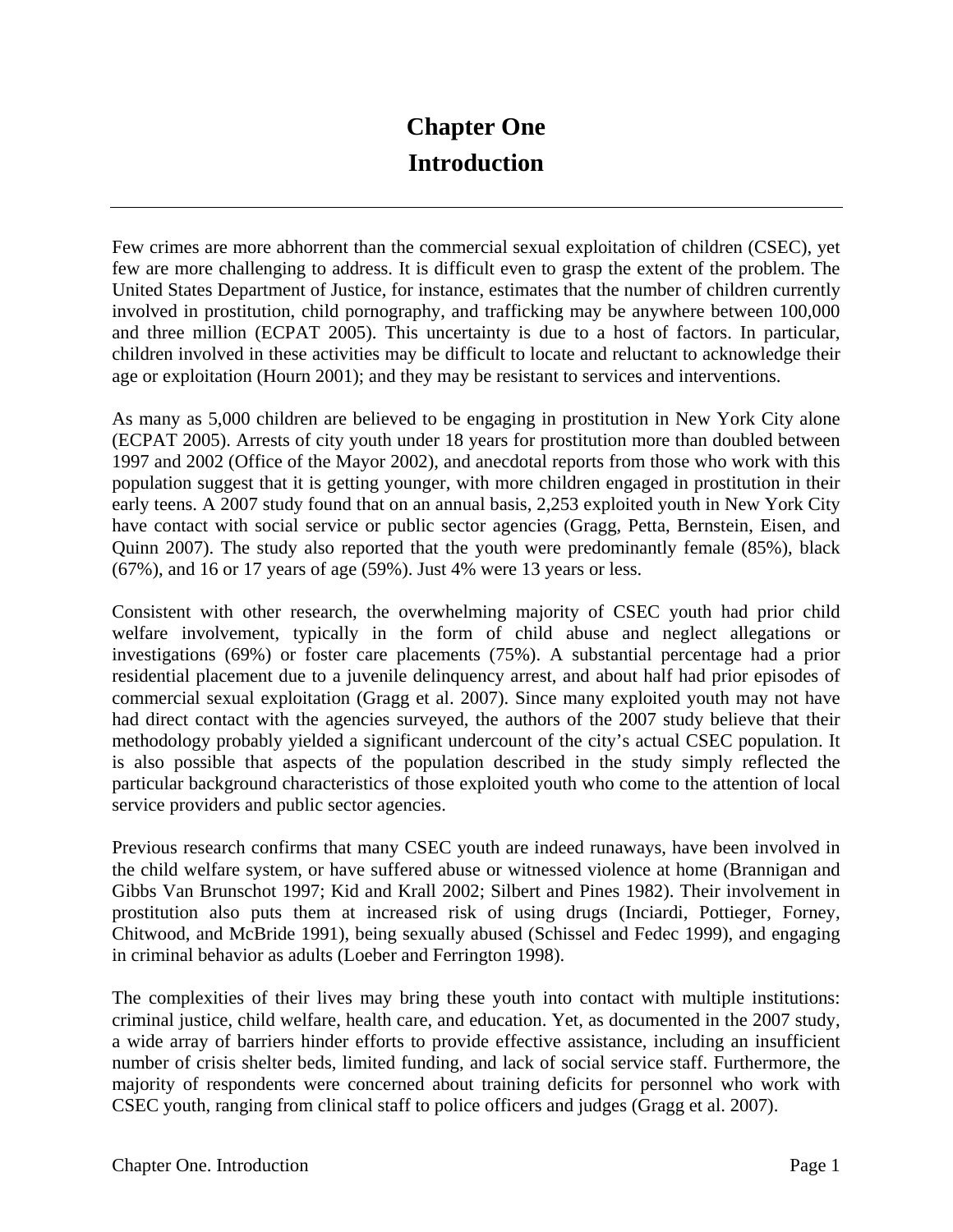## **Chapter One Introduction**

Few crimes are more abhorrent than the commercial sexual exploitation of children (CSEC), yet few are more challenging to address. It is difficult even to grasp the extent of the problem. The United States Department of Justice, for instance, estimates that the number of children currently involved in prostitution, child pornography, and trafficking may be anywhere between 100,000 and three million (ECPAT 2005). This uncertainty is due to a host of factors. In particular, children involved in these activities may be difficult to locate and reluctant to acknowledge their age or exploitation (Hourn 2001); and they may be resistant to services and interventions.

As many as 5,000 children are believed to be engaging in prostitution in New York City alone (ECPAT 2005). Arrests of city youth under 18 years for prostitution more than doubled between 1997 and 2002 (Office of the Mayor 2002), and anecdotal reports from those who work with this population suggest that it is getting younger, with more children engaged in prostitution in their early teens. A 2007 study found that on an annual basis, 2,253 exploited youth in New York City have contact with social service or public sector agencies (Gragg, Petta, Bernstein, Eisen, and Quinn 2007). The study also reported that the youth were predominantly female (85%), black (67%), and 16 or 17 years of age (59%). Just 4% were 13 years or less.

Consistent with other research, the overwhelming majority of CSEC youth had prior child welfare involvement, typically in the form of child abuse and neglect allegations or investigations (69%) or foster care placements (75%). A substantial percentage had a prior residential placement due to a juvenile delinquency arrest, and about half had prior episodes of commercial sexual exploitation (Gragg et al. 2007). Since many exploited youth may not have had direct contact with the agencies surveyed, the authors of the 2007 study believe that their methodology probably yielded a significant undercount of the city's actual CSEC population. It is also possible that aspects of the population described in the study simply reflected the particular background characteristics of those exploited youth who come to the attention of local service providers and public sector agencies.

Previous research confirms that many CSEC youth are indeed runaways, have been involved in the child welfare system, or have suffered abuse or witnessed violence at home (Brannigan and Gibbs Van Brunschot 1997; Kid and Krall 2002; Silbert and Pines 1982). Their involvement in prostitution also puts them at increased risk of using drugs (Inciardi, Pottieger, Forney, Chitwood, and McBride 1991), being sexually abused (Schissel and Fedec 1999), and engaging in criminal behavior as adults (Loeber and Ferrington 1998).

The complexities of their lives may bring these youth into contact with multiple institutions: criminal justice, child welfare, health care, and education. Yet, as documented in the 2007 study, a wide array of barriers hinder efforts to provide effective assistance, including an insufficient number of crisis shelter beds, limited funding, and lack of social service staff. Furthermore, the majority of respondents were concerned about training deficits for personnel who work with CSEC youth, ranging from clinical staff to police officers and judges (Gragg et al. 2007).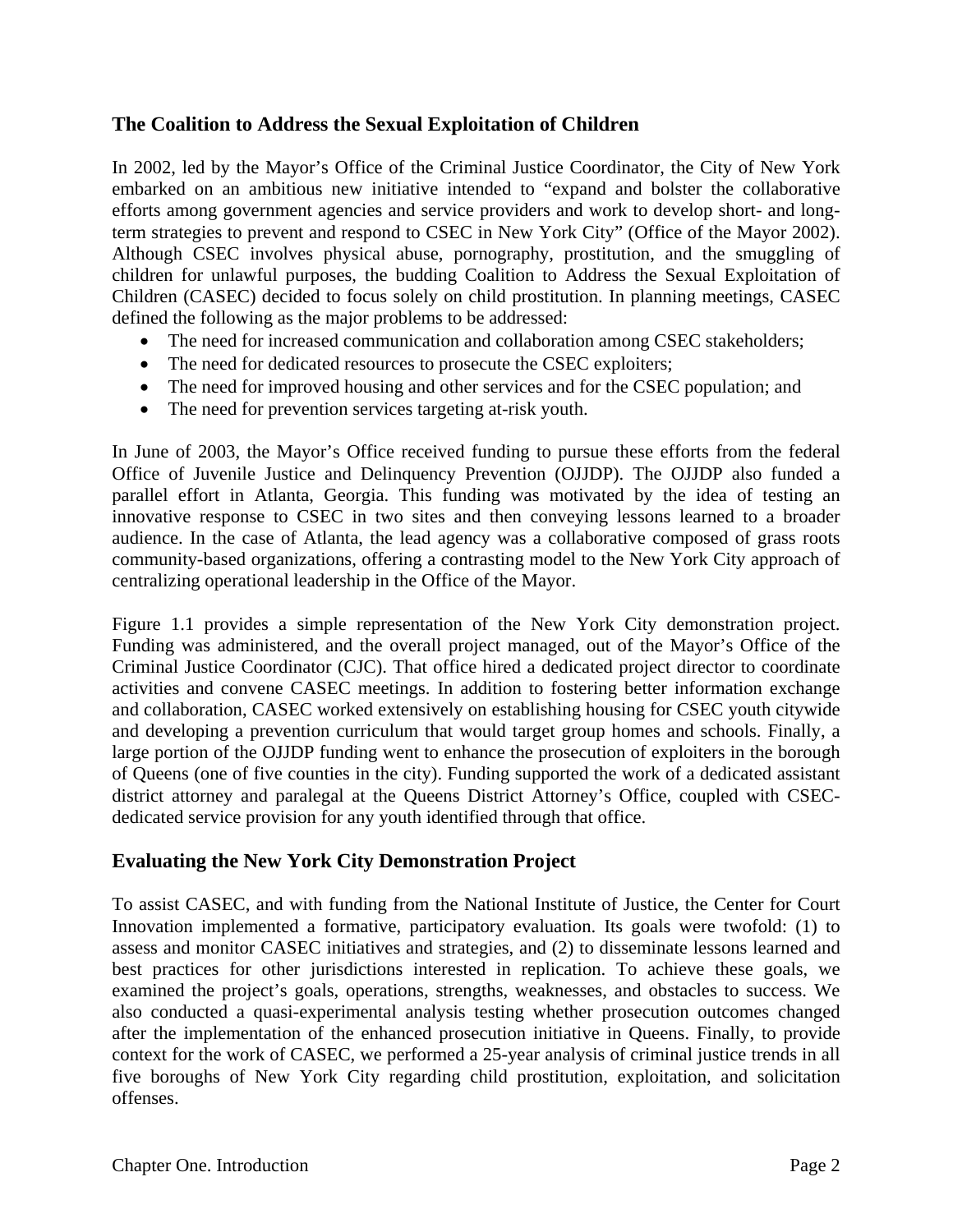#### **The Coalition to Address the Sexual Exploitation of Children**

In 2002, led by the Mayor's Office of the Criminal Justice Coordinator, the City of New York embarked on an ambitious new initiative intended to "expand and bolster the collaborative efforts among government agencies and service providers and work to develop short- and longterm strategies to prevent and respond to CSEC in New York City" (Office of the Mayor 2002). Although CSEC involves physical abuse, pornography, prostitution, and the smuggling of children for unlawful purposes, the budding Coalition to Address the Sexual Exploitation of Children (CASEC) decided to focus solely on child prostitution. In planning meetings, CASEC defined the following as the major problems to be addressed:

- The need for increased communication and collaboration among CSEC stakeholders;
- The need for dedicated resources to prosecute the CSEC exploiters;
- The need for improved housing and other services and for the CSEC population; and
- The need for prevention services targeting at-risk youth.

In June of 2003, the Mayor's Office received funding to pursue these efforts from the federal Office of Juvenile Justice and Delinquency Prevention (OJJDP). The OJJDP also funded a parallel effort in Atlanta, Georgia. This funding was motivated by the idea of testing an innovative response to CSEC in two sites and then conveying lessons learned to a broader audience. In the case of Atlanta, the lead agency was a collaborative composed of grass roots community-based organizations, offering a contrasting model to the New York City approach of centralizing operational leadership in the Office of the Mayor.

Figure 1.1 provides a simple representation of the New York City demonstration project. Funding was administered, and the overall project managed, out of the Mayor's Office of the Criminal Justice Coordinator (CJC). That office hired a dedicated project director to coordinate activities and convene CASEC meetings. In addition to fostering better information exchange and collaboration, CASEC worked extensively on establishing housing for CSEC youth citywide and developing a prevention curriculum that would target group homes and schools. Finally, a large portion of the OJJDP funding went to enhance the prosecution of exploiters in the borough of Queens (one of five counties in the city). Funding supported the work of a dedicated assistant district attorney and paralegal at the Queens District Attorney's Office, coupled with CSECdedicated service provision for any youth identified through that office.

#### **Evaluating the New York City Demonstration Project**

To assist CASEC, and with funding from the National Institute of Justice, the Center for Court Innovation implemented a formative, participatory evaluation. Its goals were twofold: (1) to assess and monitor CASEC initiatives and strategies, and (2) to disseminate lessons learned and best practices for other jurisdictions interested in replication. To achieve these goals, we examined the project's goals, operations, strengths, weaknesses, and obstacles to success. We also conducted a quasi-experimental analysis testing whether prosecution outcomes changed after the implementation of the enhanced prosecution initiative in Queens. Finally, to provide context for the work of CASEC, we performed a 25-year analysis of criminal justice trends in all five boroughs of New York City regarding child prostitution, exploitation, and solicitation offenses.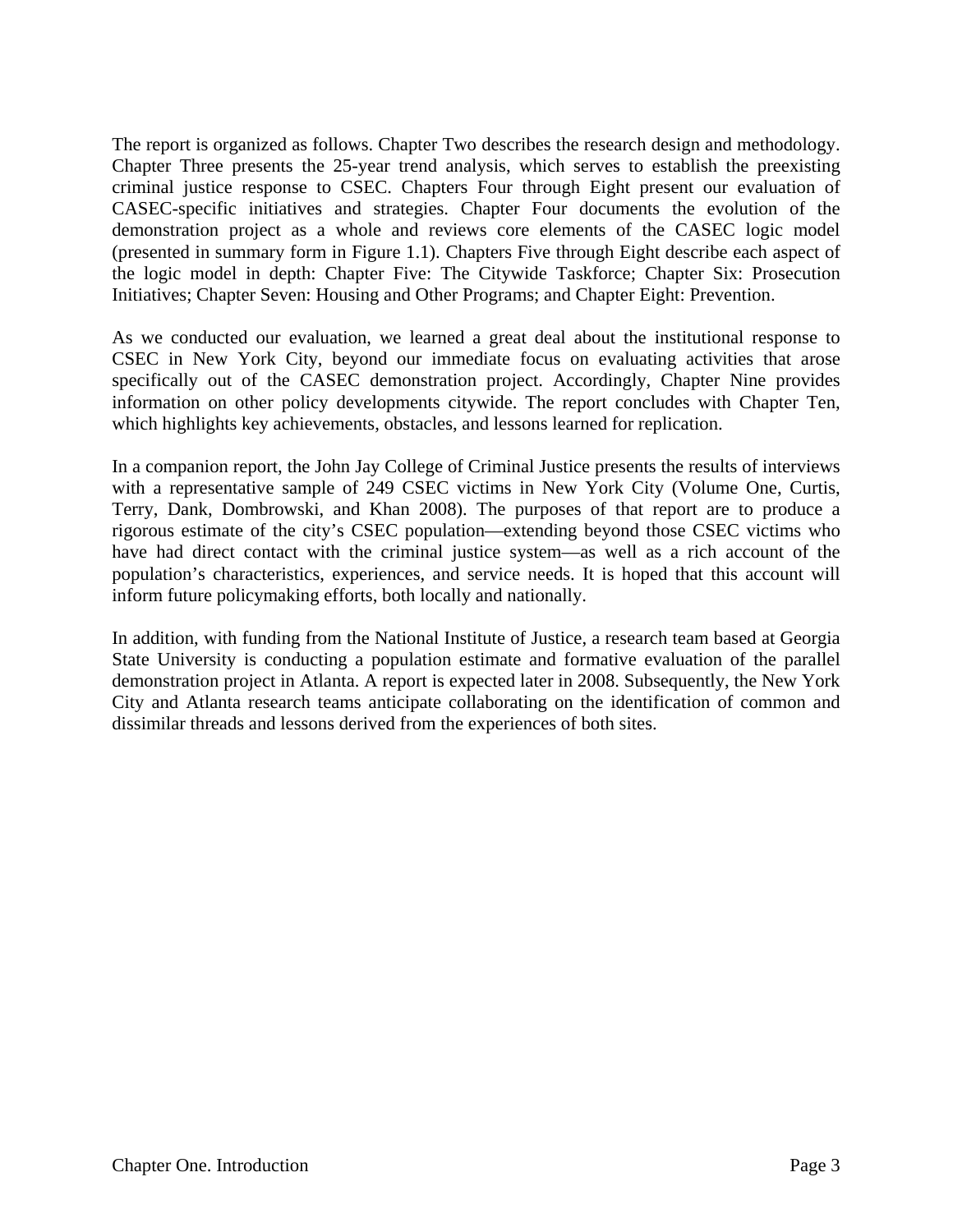The report is organized as follows. Chapter Two describes the research design and methodology. Chapter Three presents the 25-year trend analysis, which serves to establish the preexisting criminal justice response to CSEC. Chapters Four through Eight present our evaluation of CASEC-specific initiatives and strategies. Chapter Four documents the evolution of the demonstration project as a whole and reviews core elements of the CASEC logic model (presented in summary form in Figure 1.1). Chapters Five through Eight describe each aspect of the logic model in depth: Chapter Five: The Citywide Taskforce; Chapter Six: Prosecution Initiatives; Chapter Seven: Housing and Other Programs; and Chapter Eight: Prevention.

As we conducted our evaluation, we learned a great deal about the institutional response to CSEC in New York City, beyond our immediate focus on evaluating activities that arose specifically out of the CASEC demonstration project. Accordingly, Chapter Nine provides information on other policy developments citywide. The report concludes with Chapter Ten, which highlights key achievements, obstacles, and lessons learned for replication.

In a companion report, the John Jay College of Criminal Justice presents the results of interviews with a representative sample of 249 CSEC victims in New York City (Volume One, Curtis, Terry, Dank, Dombrowski, and Khan 2008). The purposes of that report are to produce a rigorous estimate of the city's CSEC population—extending beyond those CSEC victims who have had direct contact with the criminal justice system—as well as a rich account of the population's characteristics, experiences, and service needs. It is hoped that this account will inform future policymaking efforts, both locally and nationally.

In addition, with funding from the National Institute of Justice, a research team based at Georgia State University is conducting a population estimate and formative evaluation of the parallel demonstration project in Atlanta. A report is expected later in 2008. Subsequently, the New York City and Atlanta research teams anticipate collaborating on the identification of common and dissimilar threads and lessons derived from the experiences of both sites.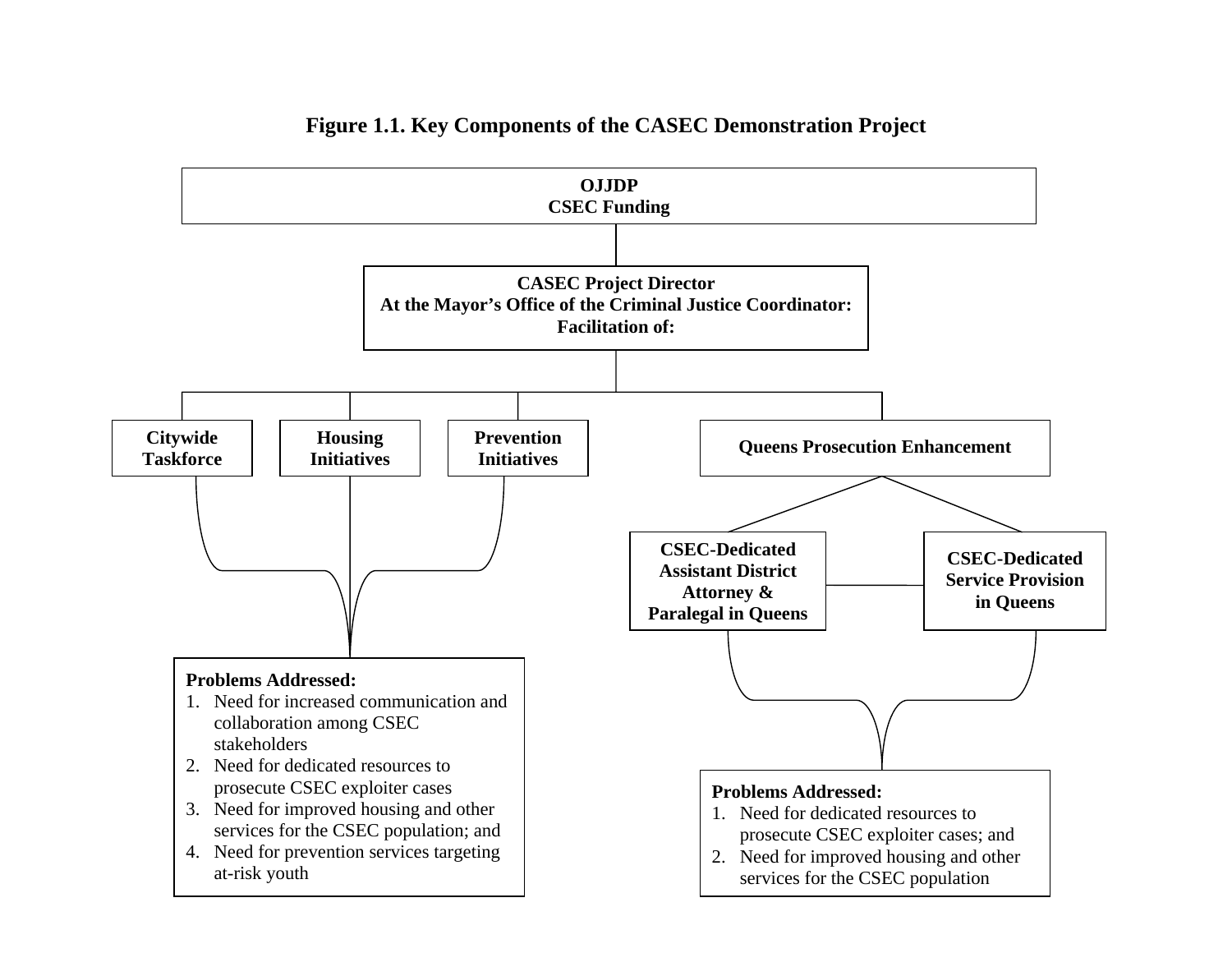

#### **Figure 1.1. Key Components of the CASEC Demonstration Project**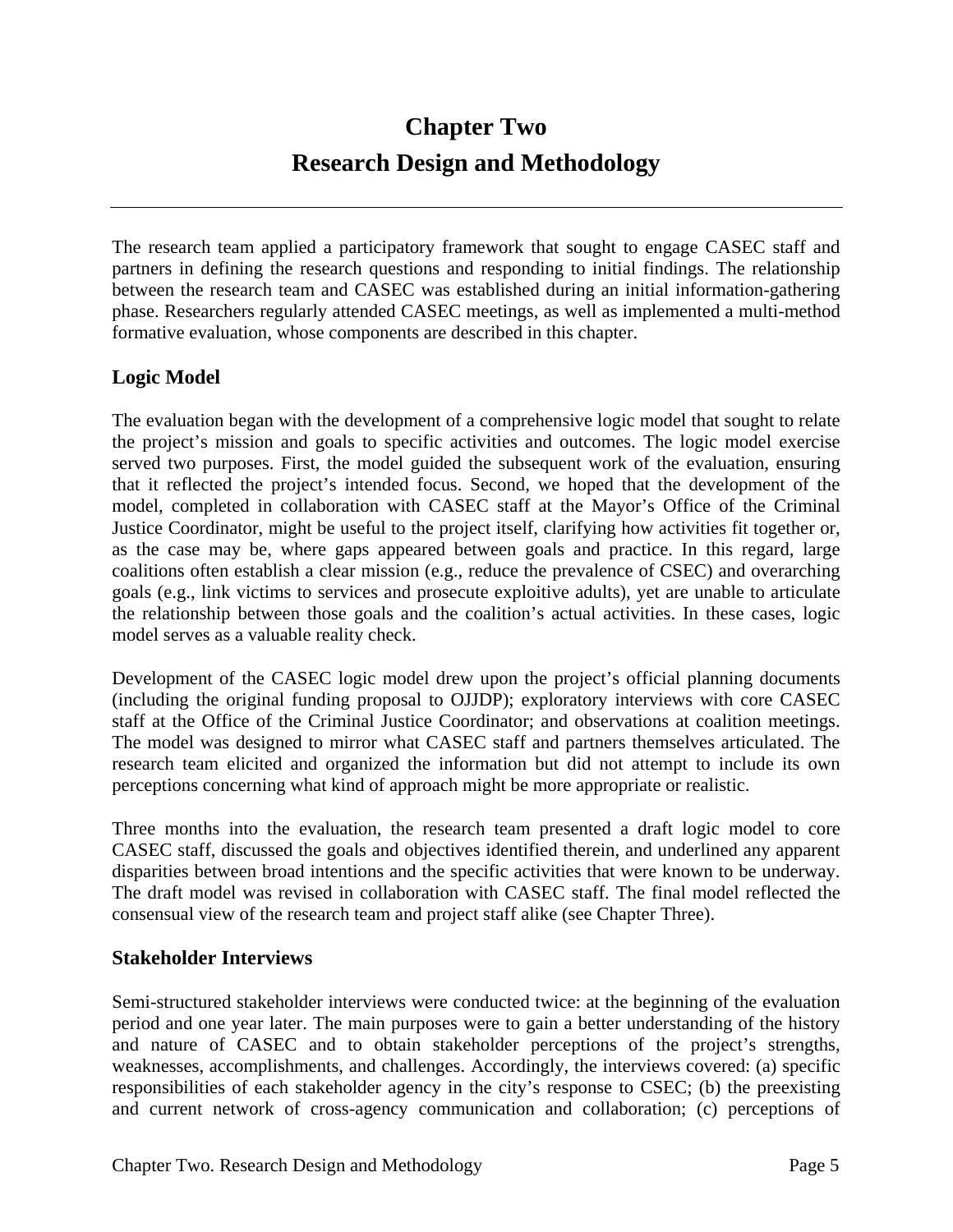# **Chapter Two Research Design and Methodology**

The research team applied a participatory framework that sought to engage CASEC staff and partners in defining the research questions and responding to initial findings. The relationship between the research team and CASEC was established during an initial information-gathering phase. Researchers regularly attended CASEC meetings, as well as implemented a multi-method formative evaluation, whose components are described in this chapter.

#### **Logic Model**

The evaluation began with the development of a comprehensive logic model that sought to relate the project's mission and goals to specific activities and outcomes. The logic model exercise served two purposes. First, the model guided the subsequent work of the evaluation, ensuring that it reflected the project's intended focus. Second, we hoped that the development of the model, completed in collaboration with CASEC staff at the Mayor's Office of the Criminal Justice Coordinator, might be useful to the project itself, clarifying how activities fit together or, as the case may be, where gaps appeared between goals and practice. In this regard, large coalitions often establish a clear mission (e.g., reduce the prevalence of CSEC) and overarching goals (e.g., link victims to services and prosecute exploitive adults), yet are unable to articulate the relationship between those goals and the coalition's actual activities. In these cases, logic model serves as a valuable reality check.

Development of the CASEC logic model drew upon the project's official planning documents (including the original funding proposal to OJJDP); exploratory interviews with core CASEC staff at the Office of the Criminal Justice Coordinator; and observations at coalition meetings. The model was designed to mirror what CASEC staff and partners themselves articulated. The research team elicited and organized the information but did not attempt to include its own perceptions concerning what kind of approach might be more appropriate or realistic.

Three months into the evaluation, the research team presented a draft logic model to core CASEC staff, discussed the goals and objectives identified therein, and underlined any apparent disparities between broad intentions and the specific activities that were known to be underway. The draft model was revised in collaboration with CASEC staff. The final model reflected the consensual view of the research team and project staff alike (see Chapter Three).

#### **Stakeholder Interviews**

Semi-structured stakeholder interviews were conducted twice: at the beginning of the evaluation period and one year later. The main purposes were to gain a better understanding of the history and nature of CASEC and to obtain stakeholder perceptions of the project's strengths, weaknesses, accomplishments, and challenges. Accordingly, the interviews covered: (a) specific responsibilities of each stakeholder agency in the city's response to CSEC; (b) the preexisting and current network of cross-agency communication and collaboration; (c) perceptions of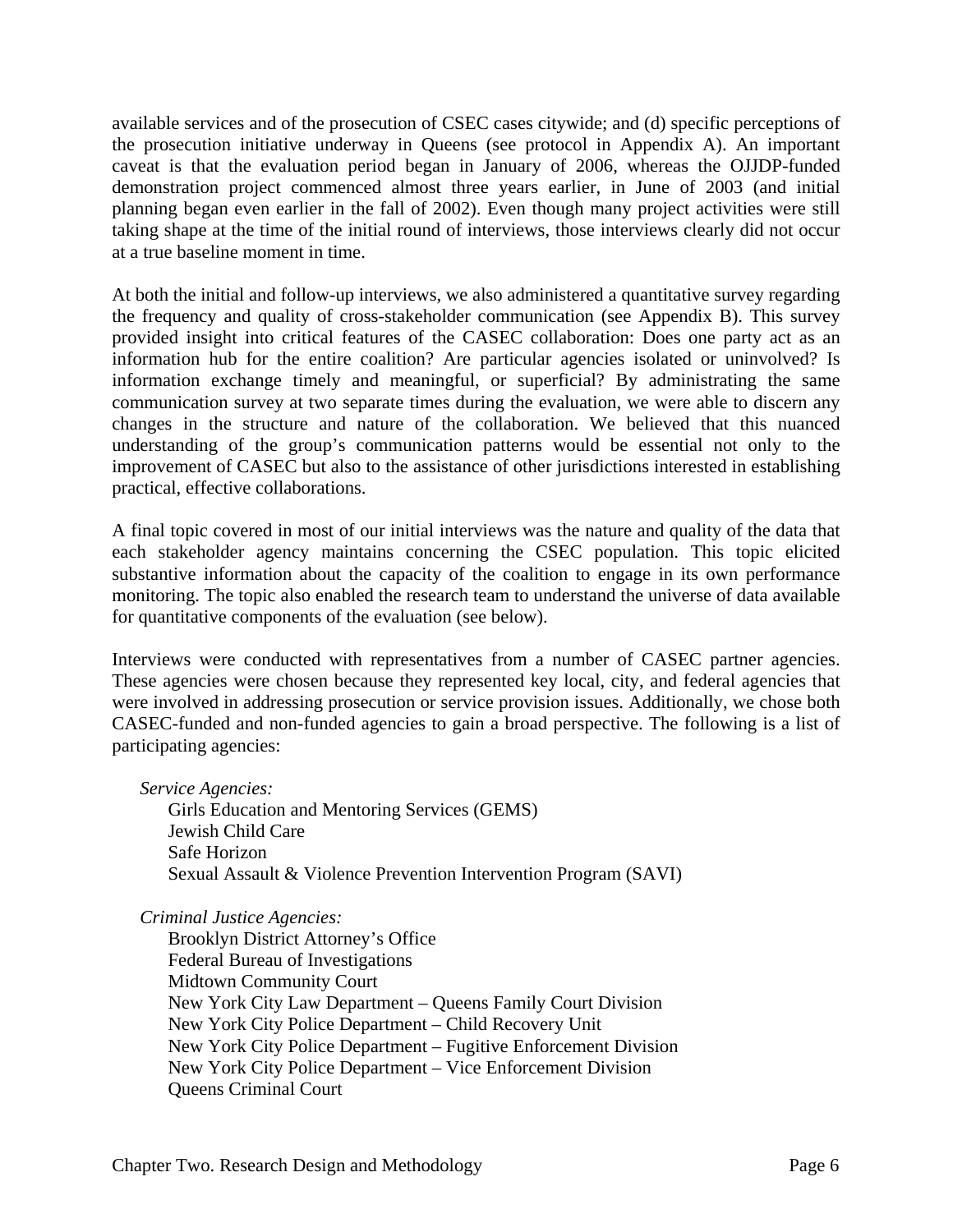available services and of the prosecution of CSEC cases citywide; and (d) specific perceptions of the prosecution initiative underway in Queens (see protocol in Appendix A). An important caveat is that the evaluation period began in January of 2006, whereas the OJJDP-funded demonstration project commenced almost three years earlier, in June of 2003 (and initial planning began even earlier in the fall of 2002). Even though many project activities were still taking shape at the time of the initial round of interviews, those interviews clearly did not occur at a true baseline moment in time.

At both the initial and follow-up interviews, we also administered a quantitative survey regarding the frequency and quality of cross-stakeholder communication (see Appendix B). This survey provided insight into critical features of the CASEC collaboration: Does one party act as an information hub for the entire coalition? Are particular agencies isolated or uninvolved? Is information exchange timely and meaningful, or superficial? By administrating the same communication survey at two separate times during the evaluation, we were able to discern any changes in the structure and nature of the collaboration. We believed that this nuanced understanding of the group's communication patterns would be essential not only to the improvement of CASEC but also to the assistance of other jurisdictions interested in establishing practical, effective collaborations.

A final topic covered in most of our initial interviews was the nature and quality of the data that each stakeholder agency maintains concerning the CSEC population. This topic elicited substantive information about the capacity of the coalition to engage in its own performance monitoring. The topic also enabled the research team to understand the universe of data available for quantitative components of the evaluation (see below).

Interviews were conducted with representatives from a number of CASEC partner agencies. These agencies were chosen because they represented key local, city, and federal agencies that were involved in addressing prosecution or service provision issues. Additionally, we chose both CASEC-funded and non-funded agencies to gain a broad perspective. The following is a list of participating agencies:

*Service Agencies:* 

Girls Education and Mentoring Services (GEMS) Jewish Child Care Safe Horizon Sexual Assault & Violence Prevention Intervention Program (SAVI)

*Criminal Justice Agencies:* 

Brooklyn District Attorney's Office Federal Bureau of Investigations Midtown Community Court New York City Law Department – Queens Family Court Division New York City Police Department – Child Recovery Unit New York City Police Department – Fugitive Enforcement Division New York City Police Department – Vice Enforcement Division Queens Criminal Court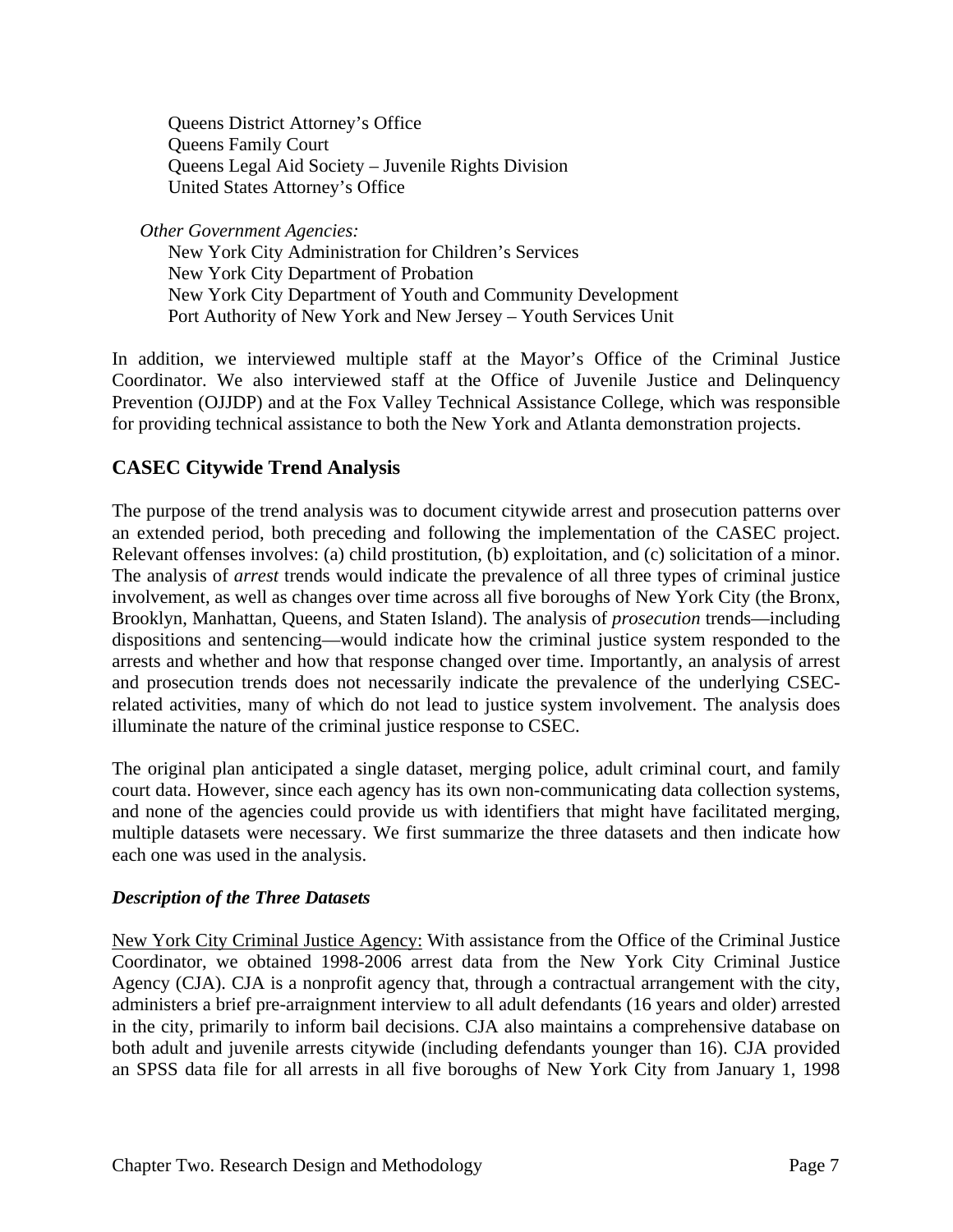Queens District Attorney's Office Queens Family Court Queens Legal Aid Society – Juvenile Rights Division United States Attorney's Office

*Other Government Agencies:* 

New York City Administration for Children's Services New York City Department of Probation New York City Department of Youth and Community Development Port Authority of New York and New Jersey – Youth Services Unit

In addition, we interviewed multiple staff at the Mayor's Office of the Criminal Justice Coordinator. We also interviewed staff at the Office of Juvenile Justice and Delinquency Prevention (OJJDP) and at the Fox Valley Technical Assistance College, which was responsible for providing technical assistance to both the New York and Atlanta demonstration projects.

#### **CASEC Citywide Trend Analysis**

The purpose of the trend analysis was to document citywide arrest and prosecution patterns over an extended period, both preceding and following the implementation of the CASEC project. Relevant offenses involves: (a) child prostitution, (b) exploitation, and (c) solicitation of a minor. The analysis of *arrest* trends would indicate the prevalence of all three types of criminal justice involvement, as well as changes over time across all five boroughs of New York City (the Bronx, Brooklyn, Manhattan, Queens, and Staten Island). The analysis of *prosecution* trends—including dispositions and sentencing—would indicate how the criminal justice system responded to the arrests and whether and how that response changed over time. Importantly, an analysis of arrest and prosecution trends does not necessarily indicate the prevalence of the underlying CSECrelated activities, many of which do not lead to justice system involvement. The analysis does illuminate the nature of the criminal justice response to CSEC.

The original plan anticipated a single dataset, merging police, adult criminal court, and family court data. However, since each agency has its own non-communicating data collection systems, and none of the agencies could provide us with identifiers that might have facilitated merging, multiple datasets were necessary. We first summarize the three datasets and then indicate how each one was used in the analysis.

#### *Description of the Three Datasets*

New York City Criminal Justice Agency: With assistance from the Office of the Criminal Justice Coordinator, we obtained 1998-2006 arrest data from the New York City Criminal Justice Agency (CJA). CJA is a nonprofit agency that, through a contractual arrangement with the city, administers a brief pre-arraignment interview to all adult defendants (16 years and older) arrested in the city, primarily to inform bail decisions. CJA also maintains a comprehensive database on both adult and juvenile arrests citywide (including defendants younger than 16). CJA provided an SPSS data file for all arrests in all five boroughs of New York City from January 1, 1998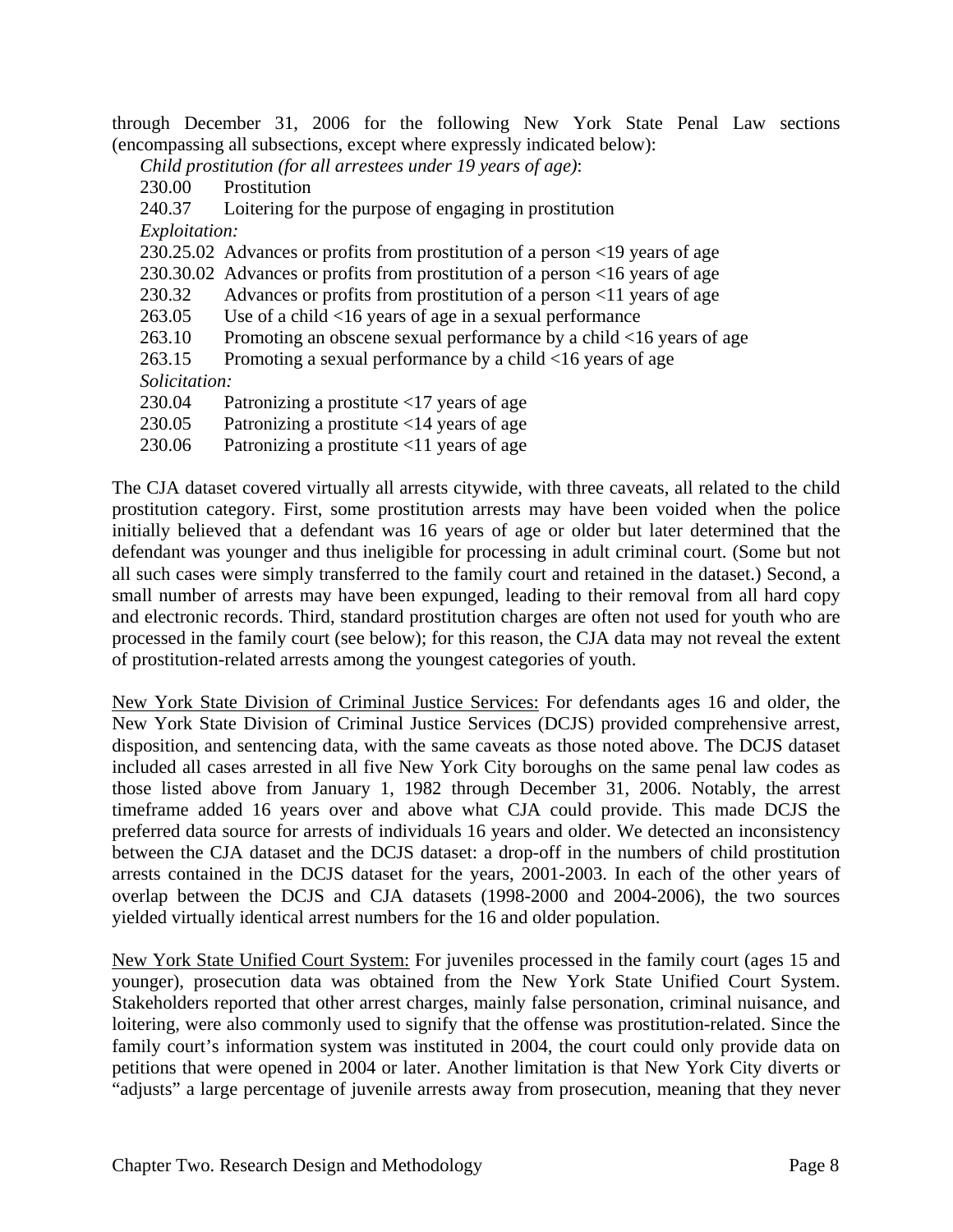through December 31, 2006 for the following New York State Penal Law sections (encompassing all subsections, except where expressly indicated below):

*Child prostitution (for all arrestees under 19 years of age)*:

- 230.00 Prostitution<br>240.37 Loitering for
- Loitering for the purpose of engaging in prostitution

*Exploitation:* 

230.25.02 Advances or profits from prostitution of a person <19 years of age

230.30.02 Advances or profits from prostitution of a person <16 years of age

230.32 Advances or profits from prostitution of a person <11 years of age

- 263.05 Use of a child <16 years of age in a sexual performance
- 263.10 Promoting an obscene sexual performance by a child <16 years of age
- 263.15 Promoting a sexual performance by a child <16 years of age

 *Solicitation:* 

- 230.04 Patronizing a prostitute <17 years of age
- 230.05 Patronizing a prostitute <14 years of age
- 230.06 Patronizing a prostitute <11 years of age

The CJA dataset covered virtually all arrests citywide, with three caveats, all related to the child prostitution category. First, some prostitution arrests may have been voided when the police initially believed that a defendant was 16 years of age or older but later determined that the defendant was younger and thus ineligible for processing in adult criminal court. (Some but not all such cases were simply transferred to the family court and retained in the dataset.) Second, a small number of arrests may have been expunged, leading to their removal from all hard copy and electronic records. Third, standard prostitution charges are often not used for youth who are processed in the family court (see below); for this reason, the CJA data may not reveal the extent of prostitution-related arrests among the youngest categories of youth.

New York State Division of Criminal Justice Services: For defendants ages 16 and older, the New York State Division of Criminal Justice Services (DCJS) provided comprehensive arrest, disposition, and sentencing data, with the same caveats as those noted above. The DCJS dataset included all cases arrested in all five New York City boroughs on the same penal law codes as those listed above from January 1, 1982 through December 31, 2006. Notably, the arrest timeframe added 16 years over and above what CJA could provide. This made DCJS the preferred data source for arrests of individuals 16 years and older. We detected an inconsistency between the CJA dataset and the DCJS dataset: a drop-off in the numbers of child prostitution arrests contained in the DCJS dataset for the years, 2001-2003. In each of the other years of overlap between the DCJS and CJA datasets (1998-2000 and 2004-2006), the two sources yielded virtually identical arrest numbers for the 16 and older population.

New York State Unified Court System: For juveniles processed in the family court (ages 15 and younger), prosecution data was obtained from the New York State Unified Court System. Stakeholders reported that other arrest charges, mainly false personation, criminal nuisance, and loitering, were also commonly used to signify that the offense was prostitution-related. Since the family court's information system was instituted in 2004, the court could only provide data on petitions that were opened in 2004 or later. Another limitation is that New York City diverts or "adjusts" a large percentage of juvenile arrests away from prosecution, meaning that they never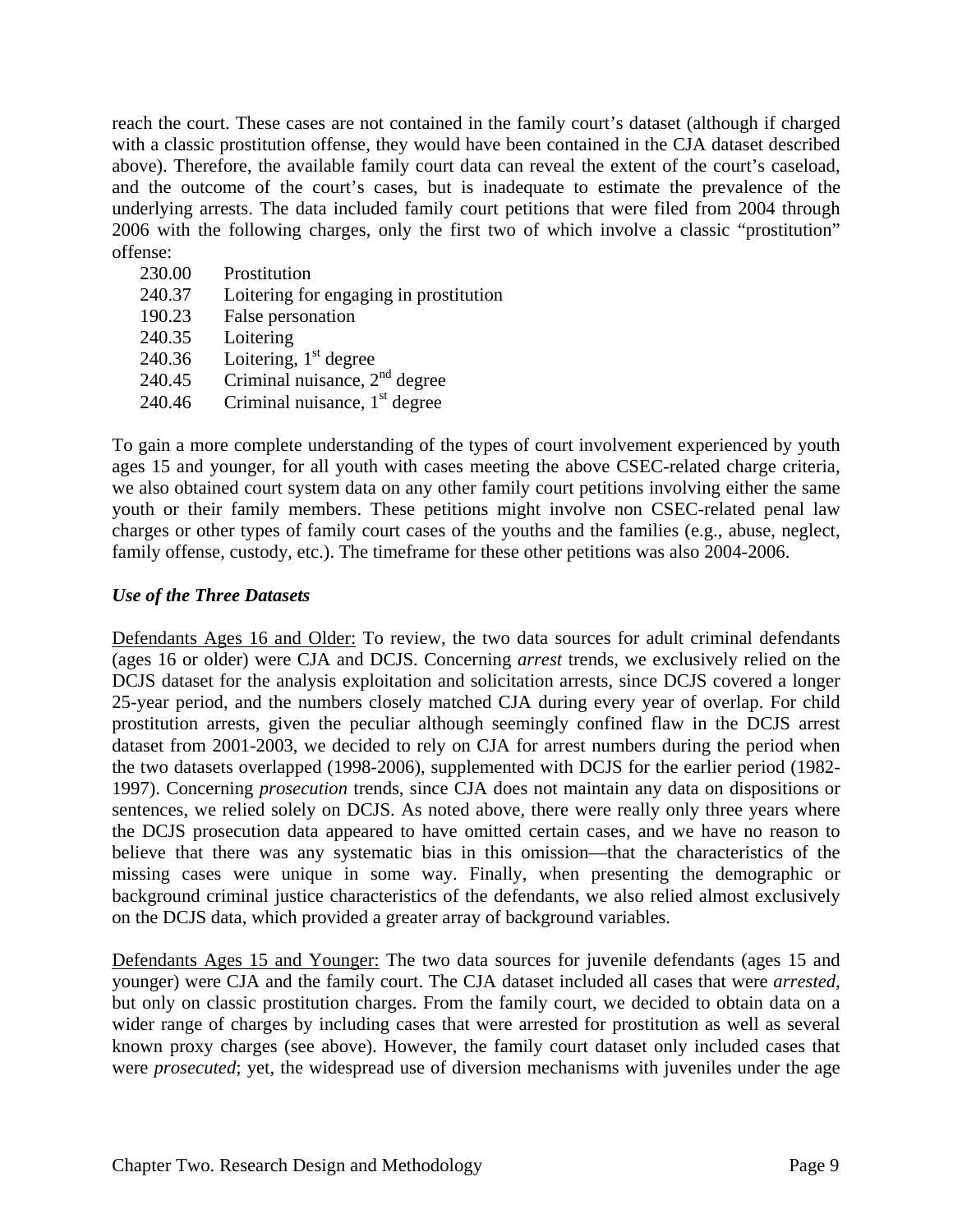reach the court. These cases are not contained in the family court's dataset (although if charged with a classic prostitution offense, they would have been contained in the CJA dataset described above). Therefore, the available family court data can reveal the extent of the court's caseload, and the outcome of the court's cases, but is inadequate to estimate the prevalence of the underlying arrests. The data included family court petitions that were filed from 2004 through 2006 with the following charges, only the first two of which involve a classic "prostitution" offense:

| 230.00 | Prostitution                           |
|--------|----------------------------------------|
| 240.37 | Loitering for engaging in prostitution |
| 190.23 | False personation                      |
| 240.35 | Loitering                              |
| 240.36 | Loitering, $1st$ degree                |
| 240.45 | Criminal nuisance, $2nd$ degree        |
| 240.46 | Criminal nuisance, $1st$ degree        |

To gain a more complete understanding of the types of court involvement experienced by youth ages 15 and younger, for all youth with cases meeting the above CSEC-related charge criteria, we also obtained court system data on any other family court petitions involving either the same youth or their family members. These petitions might involve non CSEC-related penal law charges or other types of family court cases of the youths and the families (e.g., abuse, neglect, family offense, custody, etc.). The timeframe for these other petitions was also 2004-2006.

#### *Use of the Three Datasets*

Defendants Ages 16 and Older: To review, the two data sources for adult criminal defendants (ages 16 or older) were CJA and DCJS. Concerning *arrest* trends, we exclusively relied on the DCJS dataset for the analysis exploitation and solicitation arrests, since DCJS covered a longer 25-year period, and the numbers closely matched CJA during every year of overlap. For child prostitution arrests, given the peculiar although seemingly confined flaw in the DCJS arrest dataset from 2001-2003, we decided to rely on CJA for arrest numbers during the period when the two datasets overlapped (1998-2006), supplemented with DCJS for the earlier period (1982- 1997). Concerning *prosecution* trends, since CJA does not maintain any data on dispositions or sentences, we relied solely on DCJS. As noted above, there were really only three years where the DCJS prosecution data appeared to have omitted certain cases, and we have no reason to believe that there was any systematic bias in this omission—that the characteristics of the missing cases were unique in some way. Finally, when presenting the demographic or background criminal justice characteristics of the defendants, we also relied almost exclusively on the DCJS data, which provided a greater array of background variables.

Defendants Ages 15 and Younger: The two data sources for juvenile defendants (ages 15 and younger) were CJA and the family court. The CJA dataset included all cases that were *arrested*, but only on classic prostitution charges. From the family court, we decided to obtain data on a wider range of charges by including cases that were arrested for prostitution as well as several known proxy charges (see above). However, the family court dataset only included cases that were *prosecuted*; yet, the widespread use of diversion mechanisms with juveniles under the age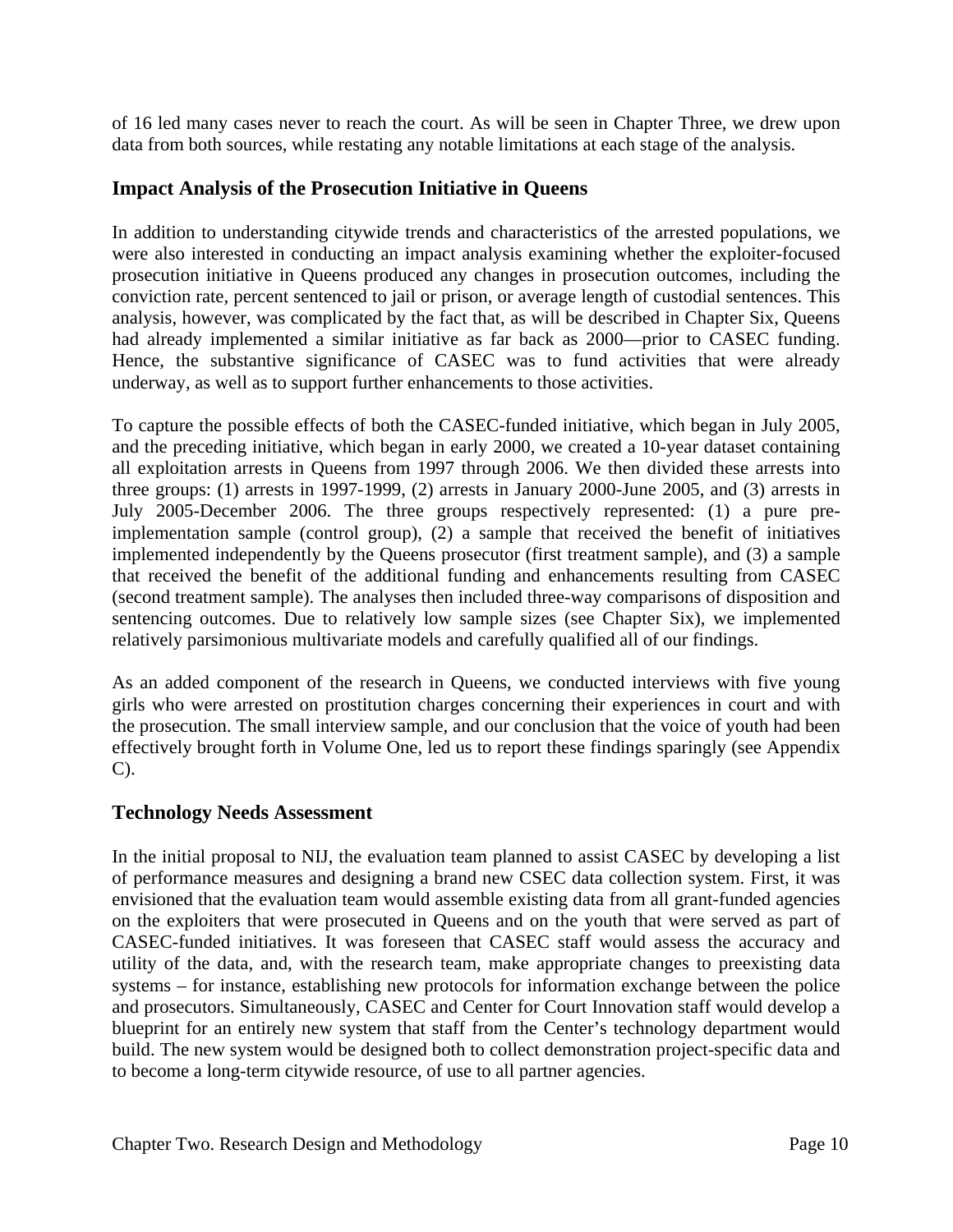of 16 led many cases never to reach the court. As will be seen in Chapter Three, we drew upon data from both sources, while restating any notable limitations at each stage of the analysis.

#### **Impact Analysis of the Prosecution Initiative in Queens**

In addition to understanding citywide trends and characteristics of the arrested populations, we were also interested in conducting an impact analysis examining whether the exploiter-focused prosecution initiative in Queens produced any changes in prosecution outcomes, including the conviction rate, percent sentenced to jail or prison, or average length of custodial sentences. This analysis, however, was complicated by the fact that, as will be described in Chapter Six, Queens had already implemented a similar initiative as far back as 2000—prior to CASEC funding. Hence, the substantive significance of CASEC was to fund activities that were already underway, as well as to support further enhancements to those activities.

To capture the possible effects of both the CASEC-funded initiative, which began in July 2005, and the preceding initiative, which began in early 2000, we created a 10-year dataset containing all exploitation arrests in Queens from 1997 through 2006. We then divided these arrests into three groups: (1) arrests in 1997-1999, (2) arrests in January 2000-June 2005, and (3) arrests in July 2005-December 2006. The three groups respectively represented: (1) a pure preimplementation sample (control group), (2) a sample that received the benefit of initiatives implemented independently by the Queens prosecutor (first treatment sample), and (3) a sample that received the benefit of the additional funding and enhancements resulting from CASEC (second treatment sample). The analyses then included three-way comparisons of disposition and sentencing outcomes. Due to relatively low sample sizes (see Chapter Six), we implemented relatively parsimonious multivariate models and carefully qualified all of our findings.

As an added component of the research in Queens, we conducted interviews with five young girls who were arrested on prostitution charges concerning their experiences in court and with the prosecution. The small interview sample, and our conclusion that the voice of youth had been effectively brought forth in Volume One, led us to report these findings sparingly (see Appendix C).

#### **Technology Needs Assessment**

In the initial proposal to NIJ, the evaluation team planned to assist CASEC by developing a list of performance measures and designing a brand new CSEC data collection system. First, it was envisioned that the evaluation team would assemble existing data from all grant-funded agencies on the exploiters that were prosecuted in Queens and on the youth that were served as part of CASEC-funded initiatives. It was foreseen that CASEC staff would assess the accuracy and utility of the data, and, with the research team, make appropriate changes to preexisting data systems – for instance, establishing new protocols for information exchange between the police and prosecutors. Simultaneously, CASEC and Center for Court Innovation staff would develop a blueprint for an entirely new system that staff from the Center's technology department would build. The new system would be designed both to collect demonstration project-specific data and to become a long-term citywide resource, of use to all partner agencies.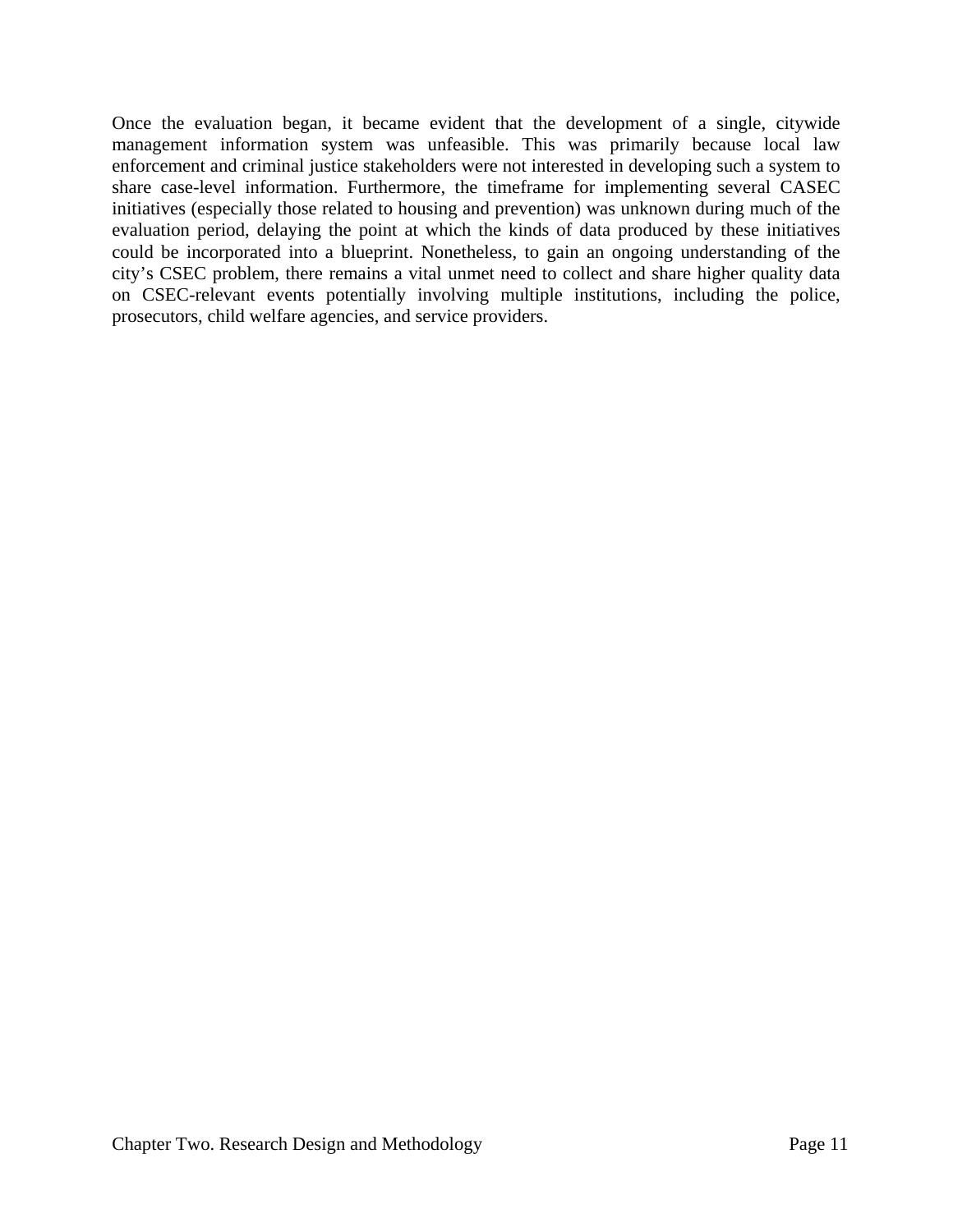Once the evaluation began, it became evident that the development of a single, citywide management information system was unfeasible. This was primarily because local law enforcement and criminal justice stakeholders were not interested in developing such a system to share case-level information. Furthermore, the timeframe for implementing several CASEC initiatives (especially those related to housing and prevention) was unknown during much of the evaluation period, delaying the point at which the kinds of data produced by these initiatives could be incorporated into a blueprint. Nonetheless, to gain an ongoing understanding of the city's CSEC problem, there remains a vital unmet need to collect and share higher quality data on CSEC-relevant events potentially involving multiple institutions, including the police, prosecutors, child welfare agencies, and service providers.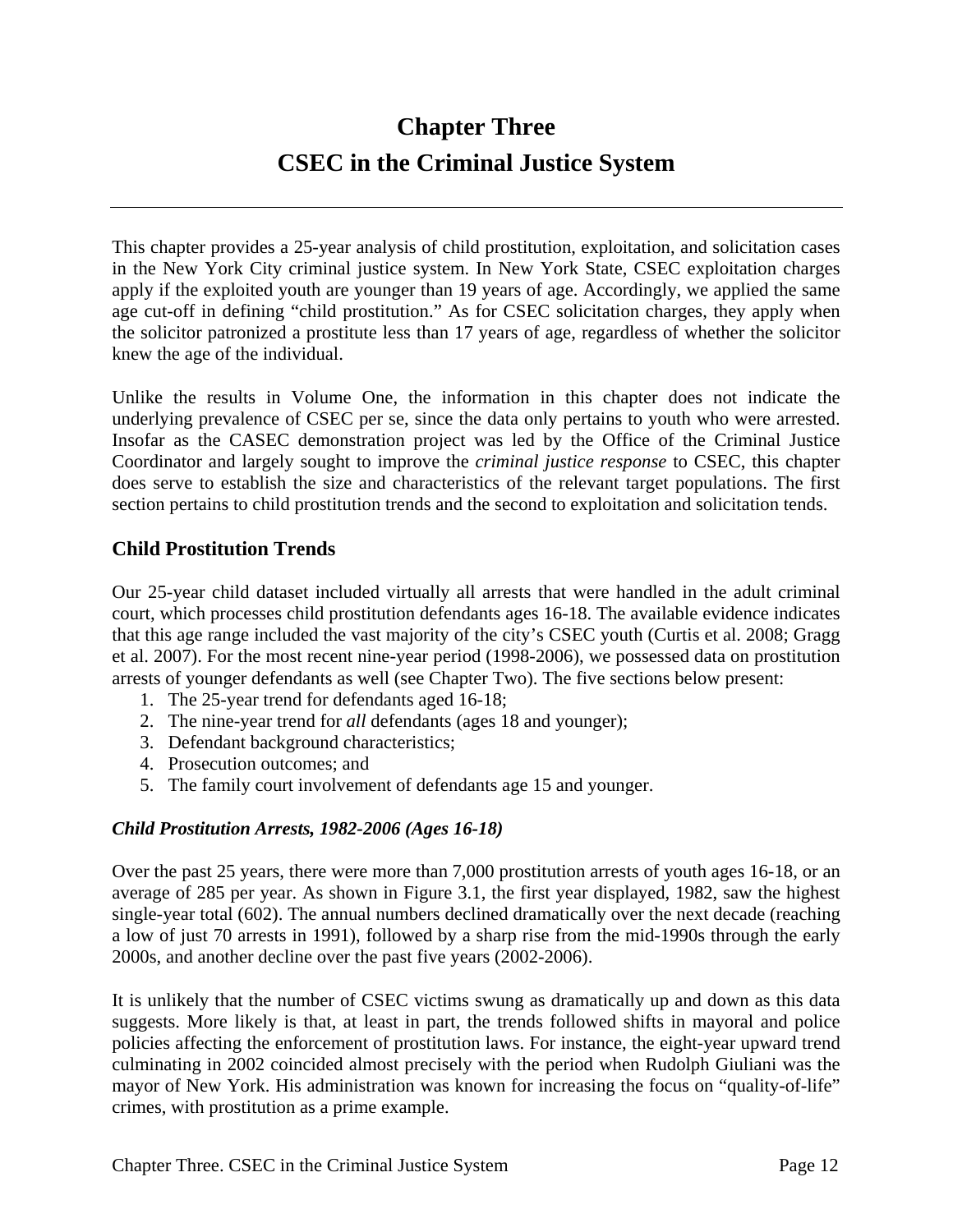# **Chapter Three CSEC in the Criminal Justice System**

This chapter provides a 25-year analysis of child prostitution, exploitation, and solicitation cases in the New York City criminal justice system. In New York State, CSEC exploitation charges apply if the exploited youth are younger than 19 years of age. Accordingly, we applied the same age cut-off in defining "child prostitution." As for CSEC solicitation charges, they apply when the solicitor patronized a prostitute less than 17 years of age, regardless of whether the solicitor knew the age of the individual.

Unlike the results in Volume One, the information in this chapter does not indicate the underlying prevalence of CSEC per se, since the data only pertains to youth who were arrested. Insofar as the CASEC demonstration project was led by the Office of the Criminal Justice Coordinator and largely sought to improve the *criminal justice response* to CSEC, this chapter does serve to establish the size and characteristics of the relevant target populations. The first section pertains to child prostitution trends and the second to exploitation and solicitation tends.

#### **Child Prostitution Trends**

Our 25-year child dataset included virtually all arrests that were handled in the adult criminal court, which processes child prostitution defendants ages 16-18. The available evidence indicates that this age range included the vast majority of the city's CSEC youth (Curtis et al. 2008; Gragg et al. 2007). For the most recent nine-year period (1998-2006), we possessed data on prostitution arrests of younger defendants as well (see Chapter Two). The five sections below present:

- 1. The 25-year trend for defendants aged 16-18;
- 2. The nine-year trend for *all* defendants (ages 18 and younger);
- 3. Defendant background characteristics;
- 4. Prosecution outcomes; and
- 5. The family court involvement of defendants age 15 and younger.

#### *Child Prostitution Arrests, 1982-2006 (Ages 16-18)*

Over the past 25 years, there were more than 7,000 prostitution arrests of youth ages 16-18, or an average of 285 per year. As shown in Figure 3.1, the first year displayed, 1982, saw the highest single-year total (602). The annual numbers declined dramatically over the next decade (reaching a low of just 70 arrests in 1991), followed by a sharp rise from the mid-1990s through the early 2000s, and another decline over the past five years (2002-2006).

It is unlikely that the number of CSEC victims swung as dramatically up and down as this data suggests. More likely is that, at least in part, the trends followed shifts in mayoral and police policies affecting the enforcement of prostitution laws. For instance, the eight-year upward trend culminating in 2002 coincided almost precisely with the period when Rudolph Giuliani was the mayor of New York. His administration was known for increasing the focus on "quality-of-life" crimes, with prostitution as a prime example.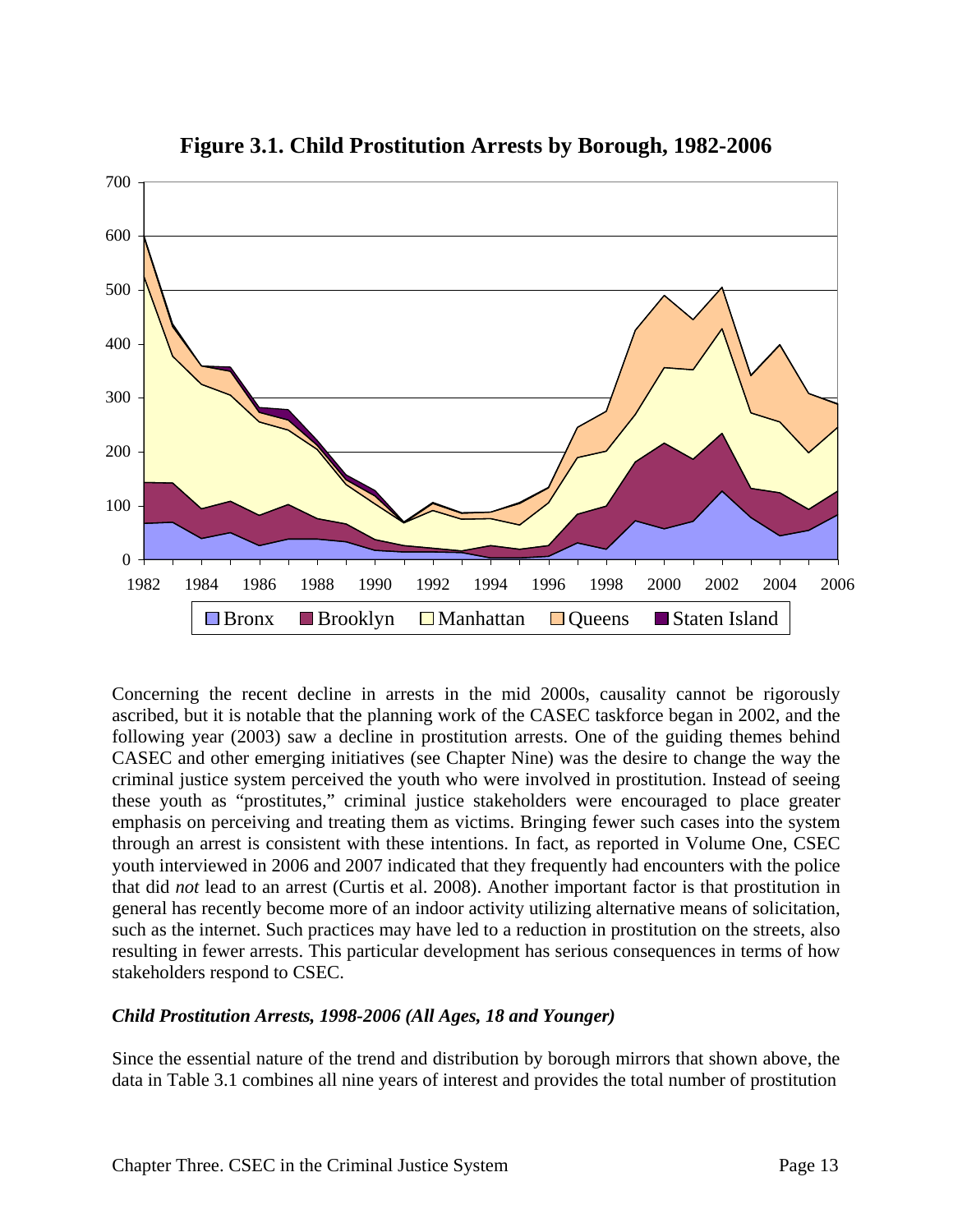

### **Figure 3.1. Child Prostitution Arrests by Borough, 1982-2006**

Concerning the recent decline in arrests in the mid 2000s, causality cannot be rigorously ascribed, but it is notable that the planning work of the CASEC taskforce began in 2002, and the following year (2003) saw a decline in prostitution arrests. One of the guiding themes behind CASEC and other emerging initiatives (see Chapter Nine) was the desire to change the way the criminal justice system perceived the youth who were involved in prostitution. Instead of seeing these youth as "prostitutes," criminal justice stakeholders were encouraged to place greater emphasis on perceiving and treating them as victims. Bringing fewer such cases into the system through an arrest is consistent with these intentions. In fact, as reported in Volume One, CSEC youth interviewed in 2006 and 2007 indicated that they frequently had encounters with the police that did *not* lead to an arrest (Curtis et al. 2008). Another important factor is that prostitution in general has recently become more of an indoor activity utilizing alternative means of solicitation, such as the internet. Such practices may have led to a reduction in prostitution on the streets, also resulting in fewer arrests. This particular development has serious consequences in terms of how stakeholders respond to CSEC.

#### *Child Prostitution Arrests, 1998-2006 (All Ages, 18 and Younger)*

Since the essential nature of the trend and distribution by borough mirrors that shown above, the data in Table 3.1 combines all nine years of interest and provides the total number of prostitution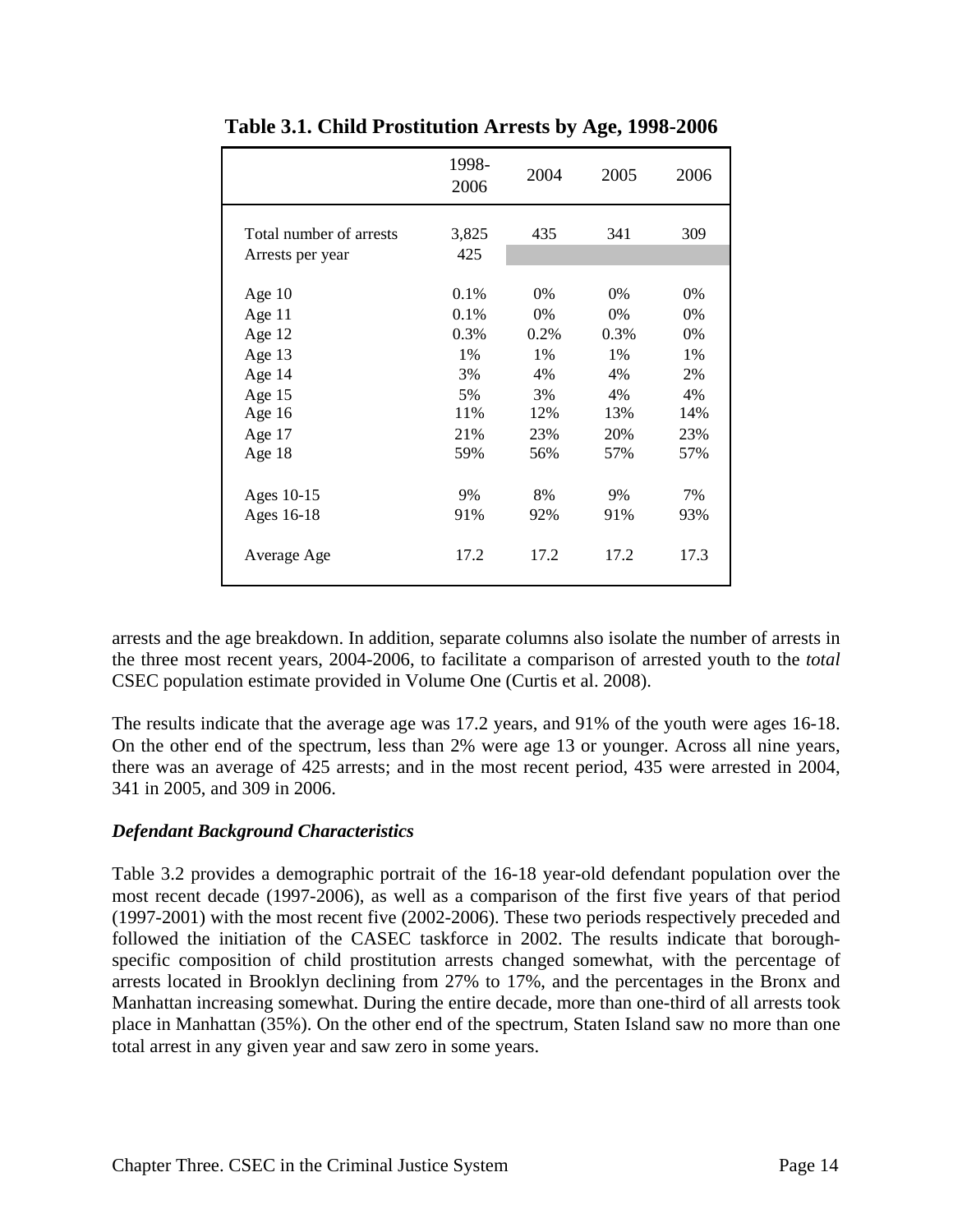|                                             | 1998-<br>2006 | 2004 | 2005 | 2006 |
|---------------------------------------------|---------------|------|------|------|
| Total number of arrests<br>Arrests per year | 3,825<br>425  | 435  | 341  | 309  |
| Age $10$                                    | 0.1%          | 0%   | 0%   | 0%   |
| Age $11$                                    | 0.1%          | 0%   | 0%   | 0%   |
| Age $12$                                    | 0.3%          | 0.2% | 0.3% | 0%   |
| Age 13                                      | 1%            | 1%   | 1%   | 1%   |
| Age 14                                      | 3%            | 4%   | 4%   | 2%   |
| Age $15$                                    | 5%            | 3%   | 4%   | 4%   |
| Age 16                                      | 11%           | 12%  | 13%  | 14%  |
| Age 17                                      | 21%           | 23%  | 20%  | 23%  |
| Age 18                                      | 59%           | 56%  | 57%  | 57%  |
| Ages 10-15                                  | 9%            | 8%   | 9%   | 7%   |
| Ages 16-18                                  | 91%           | 92%  | 91%  | 93%  |
| Average Age                                 | 17.2          | 17.2 | 17.2 | 17.3 |

**Table 3.1. Child Prostitution Arrests by Age, 1998-2006**

arrests and the age breakdown. In addition, separate columns also isolate the number of arrests in the three most recent years, 2004-2006, to facilitate a comparison of arrested youth to the *total* CSEC population estimate provided in Volume One (Curtis et al. 2008).

The results indicate that the average age was 17.2 years, and 91% of the youth were ages 16-18. On the other end of the spectrum, less than 2% were age 13 or younger. Across all nine years, there was an average of 425 arrests; and in the most recent period, 435 were arrested in 2004, 341 in 2005, and 309 in 2006.

#### *Defendant Background Characteristics*

Table 3.2 provides a demographic portrait of the 16-18 year-old defendant population over the most recent decade (1997-2006), as well as a comparison of the first five years of that period (1997-2001) with the most recent five (2002-2006). These two periods respectively preceded and followed the initiation of the CASEC taskforce in 2002. The results indicate that boroughspecific composition of child prostitution arrests changed somewhat, with the percentage of arrests located in Brooklyn declining from 27% to 17%, and the percentages in the Bronx and Manhattan increasing somewhat. During the entire decade, more than one-third of all arrests took place in Manhattan (35%). On the other end of the spectrum, Staten Island saw no more than one total arrest in any given year and saw zero in some years.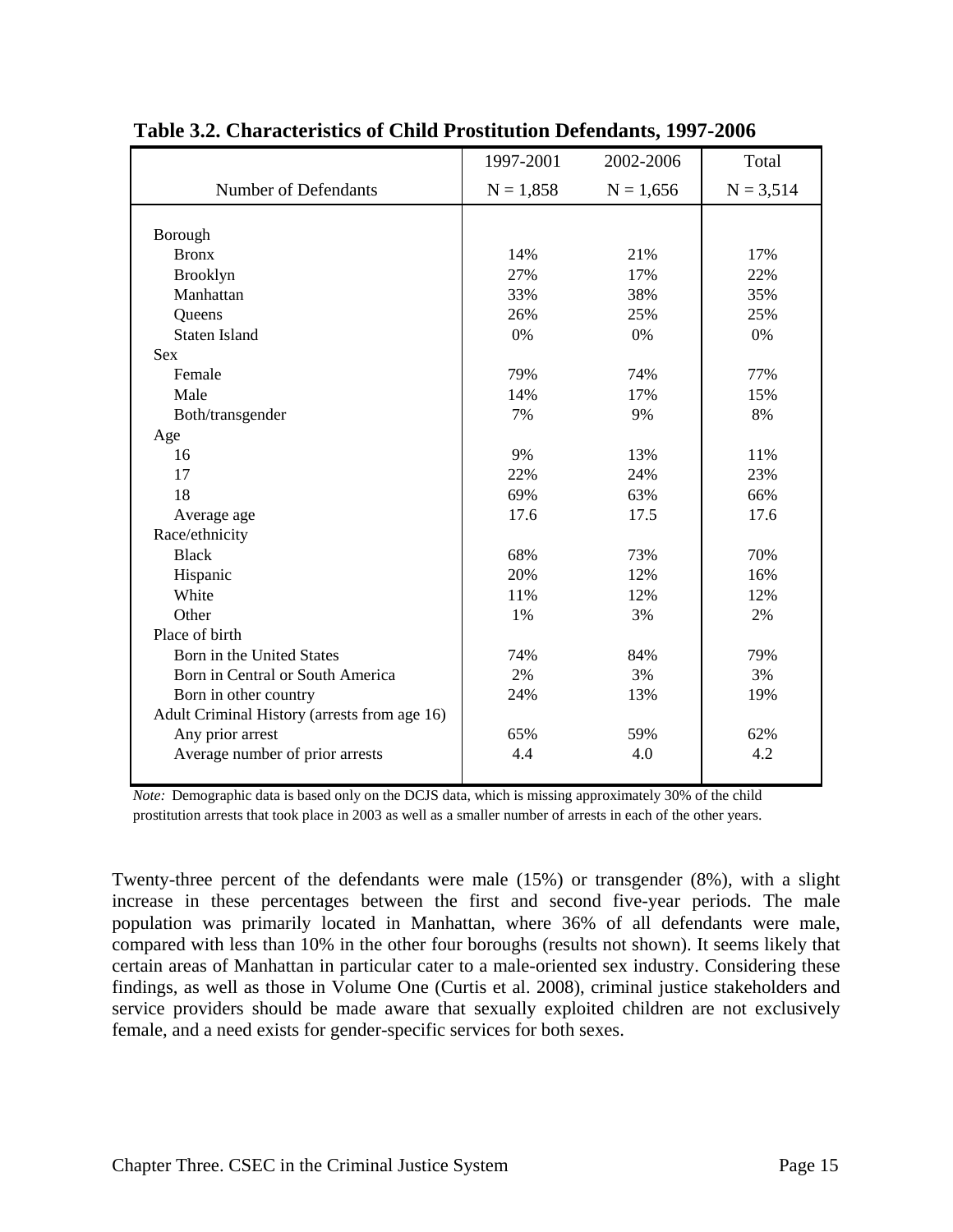|                                              | 1997-2001   | 2002-2006   | Total       |
|----------------------------------------------|-------------|-------------|-------------|
| Number of Defendants                         | $N = 1,858$ | $N = 1,656$ | $N = 3,514$ |
|                                              |             |             |             |
| Borough                                      |             |             |             |
| <b>Bronx</b>                                 | 14%         | 21%         | 17%         |
| Brooklyn                                     | 27%         | 17%         | 22%         |
| Manhattan                                    | 33%         | 38%         | 35%         |
| Queens                                       | 26%         | 25%         | 25%         |
| <b>Staten Island</b>                         | $0\%$       | $0\%$       | $0\%$       |
| <b>Sex</b>                                   |             |             |             |
| Female                                       | 79%         | 74%         | 77%         |
| Male                                         | 14%         | 17%         | 15%         |
| Both/transgender                             | 7%          | 9%          | 8%          |
| Age                                          |             |             |             |
| 16                                           | 9%          | 13%         | 11%         |
| 17                                           | 22%         | 24%         | 23%         |
| 18                                           | 69%         | 63%         | 66%         |
| Average age                                  | 17.6        | 17.5        | 17.6        |
| Race/ethnicity                               |             |             |             |
| <b>Black</b>                                 | 68%         | 73%         | 70%         |
| Hispanic                                     | 20%         | 12%         | 16%         |
| White                                        | 11%         | 12%         | 12%         |
| Other                                        | 1%          | 3%          | 2%          |
| Place of birth                               |             |             |             |
| Born in the United States                    | 74%         | 84%         | 79%         |
| Born in Central or South America             | 2%          | 3%          | 3%          |
| Born in other country                        | 24%         | 13%         | 19%         |
| Adult Criminal History (arrests from age 16) |             |             |             |
| Any prior arrest                             | 65%         | 59%         | 62%         |
| Average number of prior arrests              | 4.4         | 4.0         | 4.2         |
|                                              |             |             |             |

#### **Table 3.2. Characteristics of Child Prostitution Defendants, 1997-2006**

*Note:* Demographic data is based only on the DCJS data, which is missing approximately 30% of the child prostitution arrests that took place in 2003 as well as a smaller number of arrests in each of the other years.

Twenty-three percent of the defendants were male (15%) or transgender (8%), with a slight increase in these percentages between the first and second five-year periods. The male population was primarily located in Manhattan, where 36% of all defendants were male, compared with less than 10% in the other four boroughs (results not shown). It seems likely that certain areas of Manhattan in particular cater to a male-oriented sex industry. Considering these findings, as well as those in Volume One (Curtis et al. 2008), criminal justice stakeholders and service providers should be made aware that sexually exploited children are not exclusively female, and a need exists for gender-specific services for both sexes.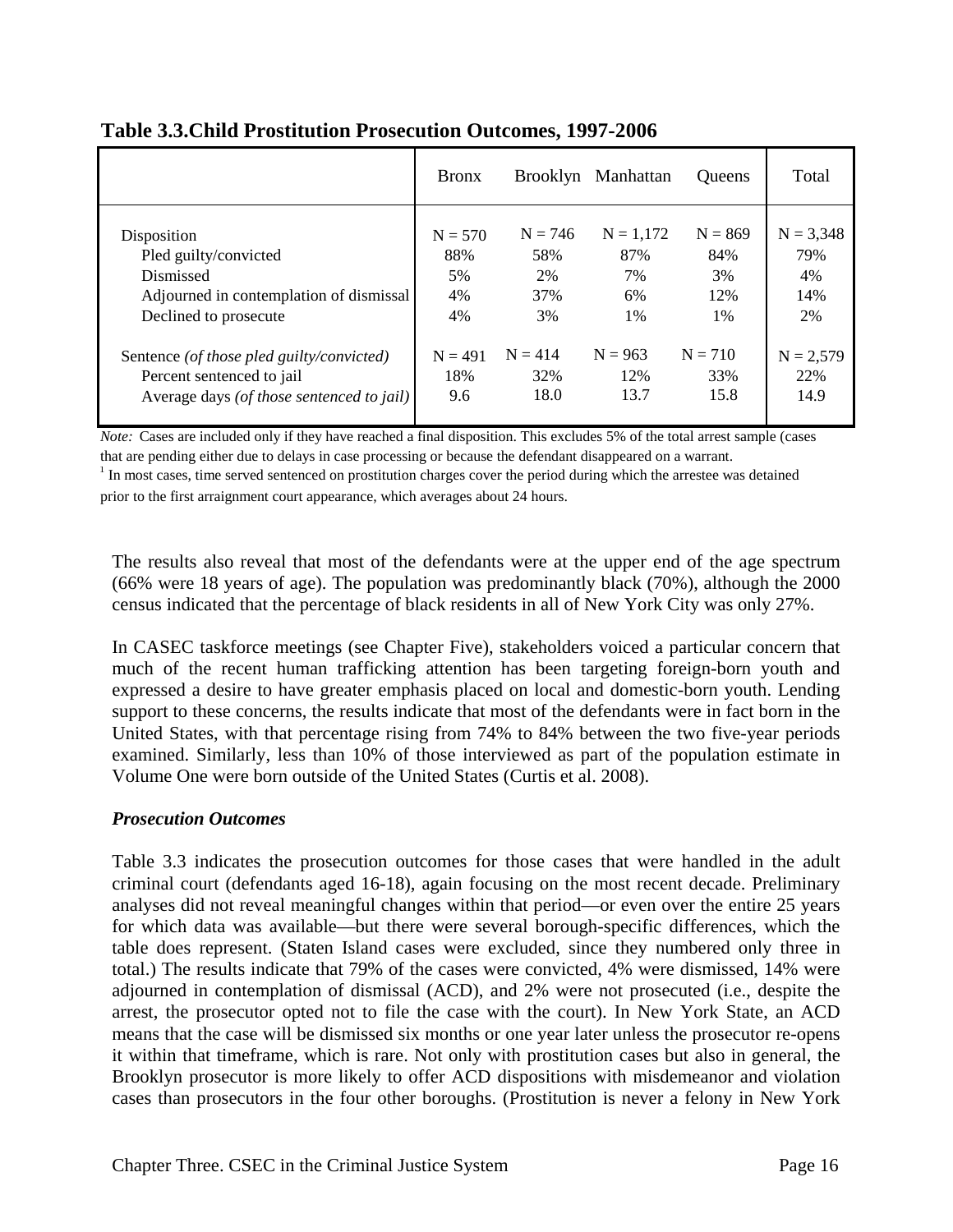|                                           | <b>Bronx</b> |           | Brooklyn Manhattan | Queens    | Total       |
|-------------------------------------------|--------------|-----------|--------------------|-----------|-------------|
| Disposition                               | $N = 570$    | $N = 746$ | $N = 1,172$        | $N = 869$ | $N = 3,348$ |
| Pled guilty/convicted                     | 88%          | 58%       | 87%                | 84%       | 79%         |
| Dismissed                                 | 5%           | 2%        | 7%                 | 3%        | 4%          |
| Adjourned in contemplation of dismissal   | 4%           | 37%       | 6%                 | 12%       | 14%         |
| Declined to prosecute                     | 4%           | 3%        | $1\%$              | $1\%$     | 2%          |
| Sentence (of those pled guilty/convicted) | $N = 491$    | $N = 414$ | $N = 963$          | $N = 710$ | $N = 2.579$ |
| Percent sentenced to jail                 | 18%          | 32%       | 12%                | 33%       | 22%         |
| Average days (of those sentenced to jail) | 9.6          | 18.0      | 13.7               | 15.8      | 14.9        |

#### **Table 3.3.Child Prostitution Prosecution Outcomes, 1997-2006**

*Note:* Cases are included only if they have reached a final disposition. This excludes 5% of the total arrest sample (cases that are pending either due to delays in case processing or because the defendant disappeared on a warrant.

 $1$  In most cases, time served sentenced on prostitution charges cover the period during which the arrestee was detained prior to the first arraignment court appearance, which averages about 24 hours.

The results also reveal that most of the defendants were at the upper end of the age spectrum (66% were 18 years of age). The population was predominantly black (70%), although the 2000 census indicated that the percentage of black residents in all of New York City was only 27%.

In CASEC taskforce meetings (see Chapter Five), stakeholders voiced a particular concern that much of the recent human trafficking attention has been targeting foreign-born youth and expressed a desire to have greater emphasis placed on local and domestic-born youth. Lending support to these concerns, the results indicate that most of the defendants were in fact born in the United States, with that percentage rising from 74% to 84% between the two five-year periods examined. Similarly, less than 10% of those interviewed as part of the population estimate in Volume One were born outside of the United States (Curtis et al. 2008).

#### *Prosecution Outcomes*

Table 3.3 indicates the prosecution outcomes for those cases that were handled in the adult criminal court (defendants aged 16-18), again focusing on the most recent decade. Preliminary analyses did not reveal meaningful changes within that period—or even over the entire 25 years for which data was available—but there were several borough-specific differences, which the table does represent. (Staten Island cases were excluded, since they numbered only three in total.) The results indicate that 79% of the cases were convicted, 4% were dismissed, 14% were adjourned in contemplation of dismissal (ACD), and 2% were not prosecuted (i.e., despite the arrest, the prosecutor opted not to file the case with the court). In New York State, an ACD means that the case will be dismissed six months or one year later unless the prosecutor re-opens it within that timeframe, which is rare. Not only with prostitution cases but also in general, the Brooklyn prosecutor is more likely to offer ACD dispositions with misdemeanor and violation cases than prosecutors in the four other boroughs. (Prostitution is never a felony in New York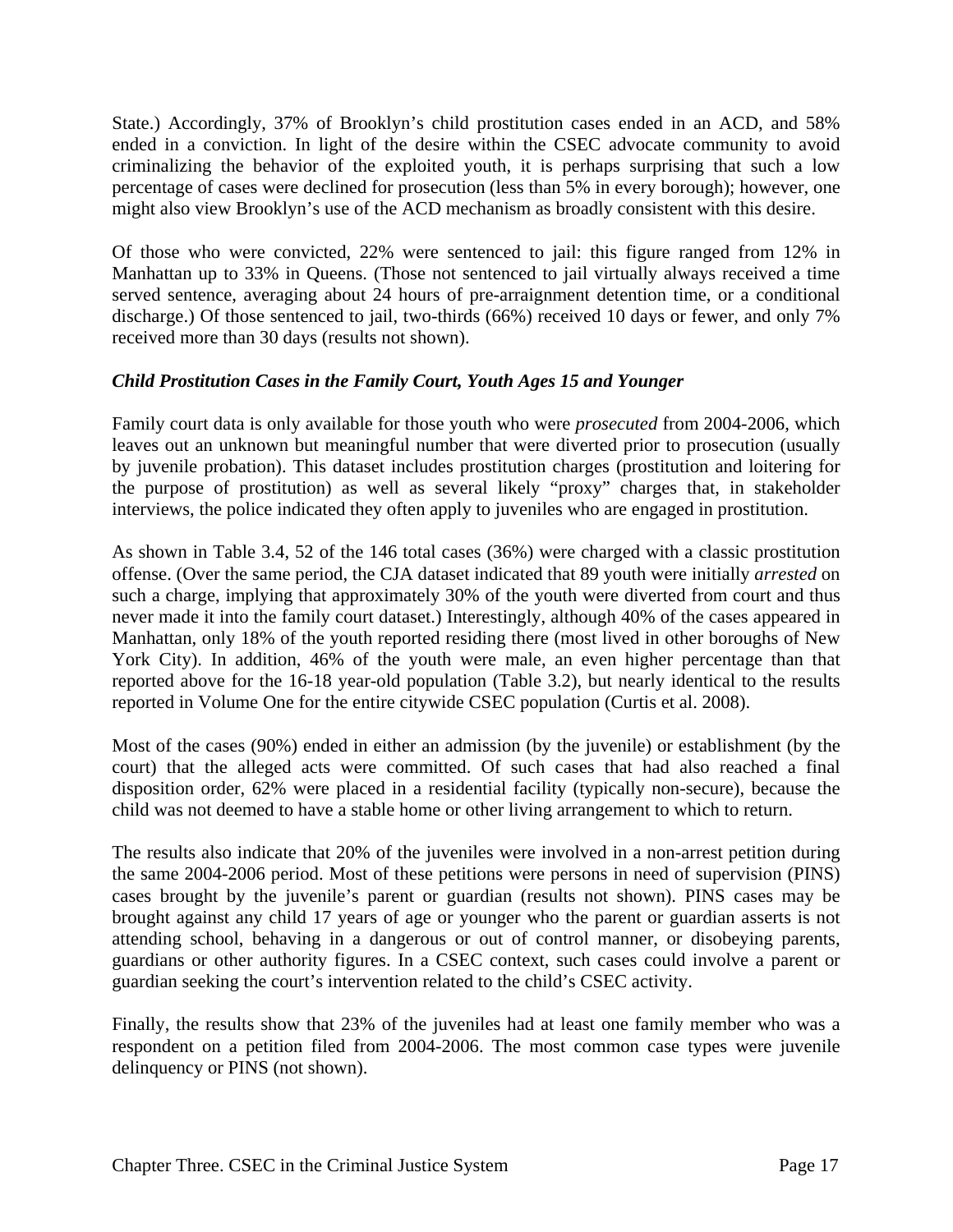State.) Accordingly, 37% of Brooklyn's child prostitution cases ended in an ACD, and 58% ended in a conviction. In light of the desire within the CSEC advocate community to avoid criminalizing the behavior of the exploited youth, it is perhaps surprising that such a low percentage of cases were declined for prosecution (less than 5% in every borough); however, one might also view Brooklyn's use of the ACD mechanism as broadly consistent with this desire.

Of those who were convicted, 22% were sentenced to jail: this figure ranged from 12% in Manhattan up to 33% in Queens. (Those not sentenced to jail virtually always received a time served sentence, averaging about 24 hours of pre-arraignment detention time, or a conditional discharge.) Of those sentenced to jail, two-thirds (66%) received 10 days or fewer, and only 7% received more than 30 days (results not shown).

#### *Child Prostitution Cases in the Family Court, Youth Ages 15 and Younger*

Family court data is only available for those youth who were *prosecuted* from 2004-2006, which leaves out an unknown but meaningful number that were diverted prior to prosecution (usually by juvenile probation). This dataset includes prostitution charges (prostitution and loitering for the purpose of prostitution) as well as several likely "proxy" charges that, in stakeholder interviews, the police indicated they often apply to juveniles who are engaged in prostitution.

As shown in Table 3.4, 52 of the 146 total cases (36%) were charged with a classic prostitution offense. (Over the same period, the CJA dataset indicated that 89 youth were initially *arrested* on such a charge, implying that approximately 30% of the youth were diverted from court and thus never made it into the family court dataset.) Interestingly, although 40% of the cases appeared in Manhattan, only 18% of the youth reported residing there (most lived in other boroughs of New York City). In addition, 46% of the youth were male, an even higher percentage than that reported above for the 16-18 year-old population (Table 3.2), but nearly identical to the results reported in Volume One for the entire citywide CSEC population (Curtis et al. 2008).

Most of the cases (90%) ended in either an admission (by the juvenile) or establishment (by the court) that the alleged acts were committed. Of such cases that had also reached a final disposition order, 62% were placed in a residential facility (typically non-secure), because the child was not deemed to have a stable home or other living arrangement to which to return.

The results also indicate that 20% of the juveniles were involved in a non-arrest petition during the same 2004-2006 period. Most of these petitions were persons in need of supervision (PINS) cases brought by the juvenile's parent or guardian (results not shown). PINS cases may be brought against any child 17 years of age or younger who the parent or guardian asserts is not attending school, behaving in a dangerous or out of control manner, or disobeying parents, guardians or other authority figures. In a CSEC context, such cases could involve a parent or guardian seeking the court's intervention related to the child's CSEC activity.

Finally, the results show that 23% of the juveniles had at least one family member who was a respondent on a petition filed from 2004-2006. The most common case types were juvenile delinquency or PINS (not shown).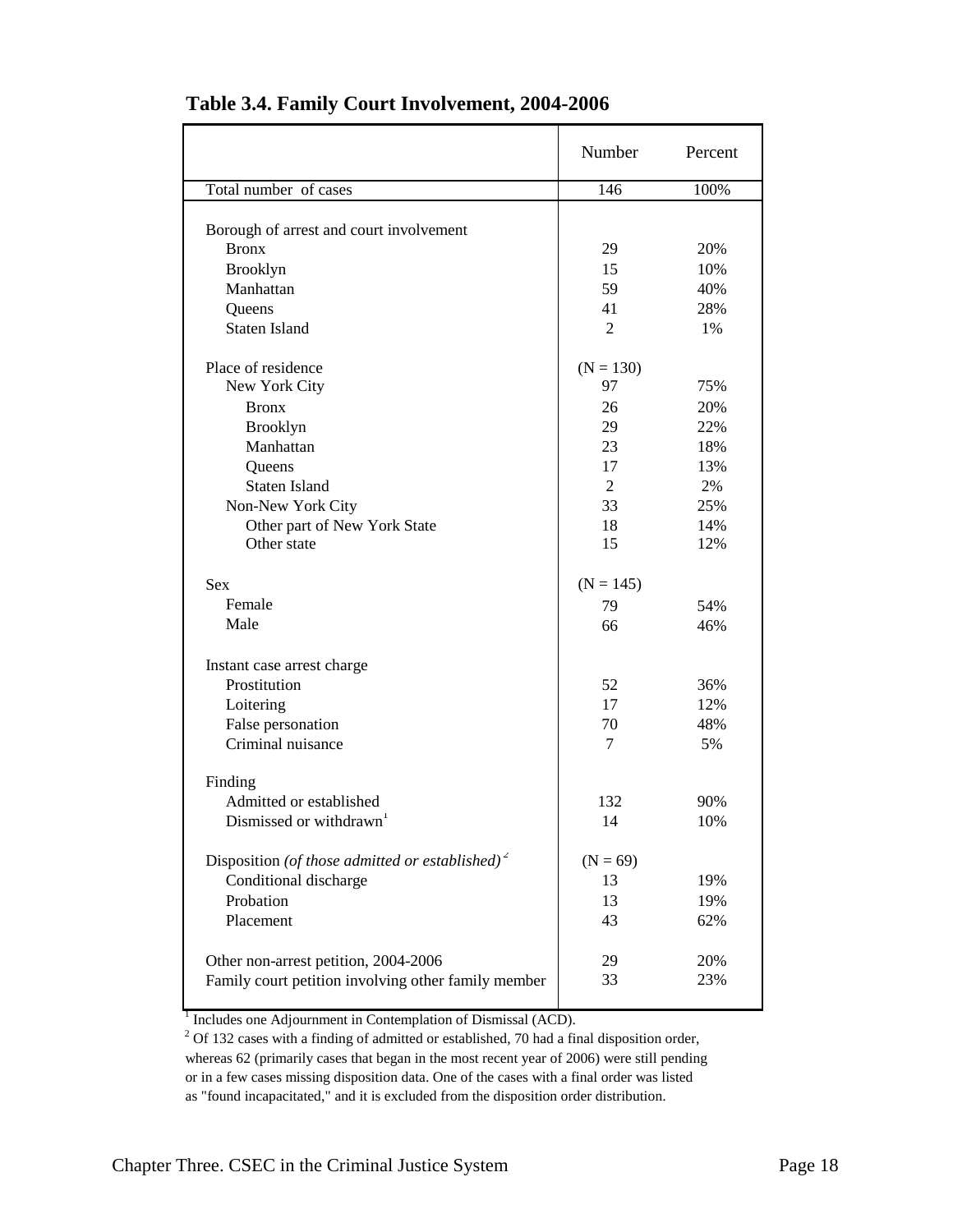|                                                             | Number         | Percent |
|-------------------------------------------------------------|----------------|---------|
| Total number of cases                                       | 146            | 100%    |
|                                                             |                |         |
| Borough of arrest and court involvement                     |                |         |
| <b>Bronx</b>                                                | 29             | 20%     |
| <b>Brooklyn</b>                                             | 15             | 10%     |
| Manhattan                                                   | 59             | 40%     |
| Queens                                                      | 41             | 28%     |
| <b>Staten Island</b>                                        | $\overline{2}$ | 1%      |
| Place of residence                                          | $(N = 130)$    |         |
| New York City                                               | 97             | 75%     |
| <b>Bronx</b>                                                | 26             | 20%     |
| <b>Brooklyn</b>                                             | 29             | 22%     |
| Manhattan                                                   | 23             | 18%     |
| Queens                                                      | 17             | 13%     |
| <b>Staten Island</b>                                        | $\overline{2}$ | 2%      |
| Non-New York City                                           | 33             | 25%     |
| Other part of New York State                                | 18             | 14%     |
| Other state                                                 | 15             | 12%     |
| <b>Sex</b>                                                  | $(N = 145)$    |         |
| Female                                                      | 79             | 54%     |
| Male                                                        | 66             | 46%     |
| Instant case arrest charge                                  |                |         |
| Prostitution                                                | 52             | 36%     |
| Loitering                                                   | 17             | 12%     |
| False personation                                           | 70             | 48%     |
| Criminal nuisance                                           | 7              | 5%      |
| Finding                                                     |                |         |
| Admitted or established                                     | 132            | 90%     |
| Dismissed or withdrawn <sup>1</sup>                         | 14             | 10%     |
| Disposition (of those admitted or established) <sup>2</sup> | $(N = 69)$     |         |
| Conditional discharge                                       | 13             | 19%     |
| Probation                                                   | 13             | 19%     |
| Placement                                                   | 43             | 62%     |
|                                                             |                |         |
| Other non-arrest petition, 2004-2006                        | 29             | 20%     |
| Family court petition involving other family member         | 33             | 23%     |
|                                                             |                |         |

#### **Table 3.4. Family Court Involvement, 2004-2006**

<sup>1</sup> Includes one Adjournment in Contemplation of Dismissal (ACD).

 $2$  Of 132 cases with a finding of admitted or established, 70 had a final disposition order, whereas 62 (primarily cases that began in the most recent year of 2006) were still pending or in a few cases missing disposition data. One of the cases with a final order was listed as "found incapacitated," and it is excluded from the disposition order distribution.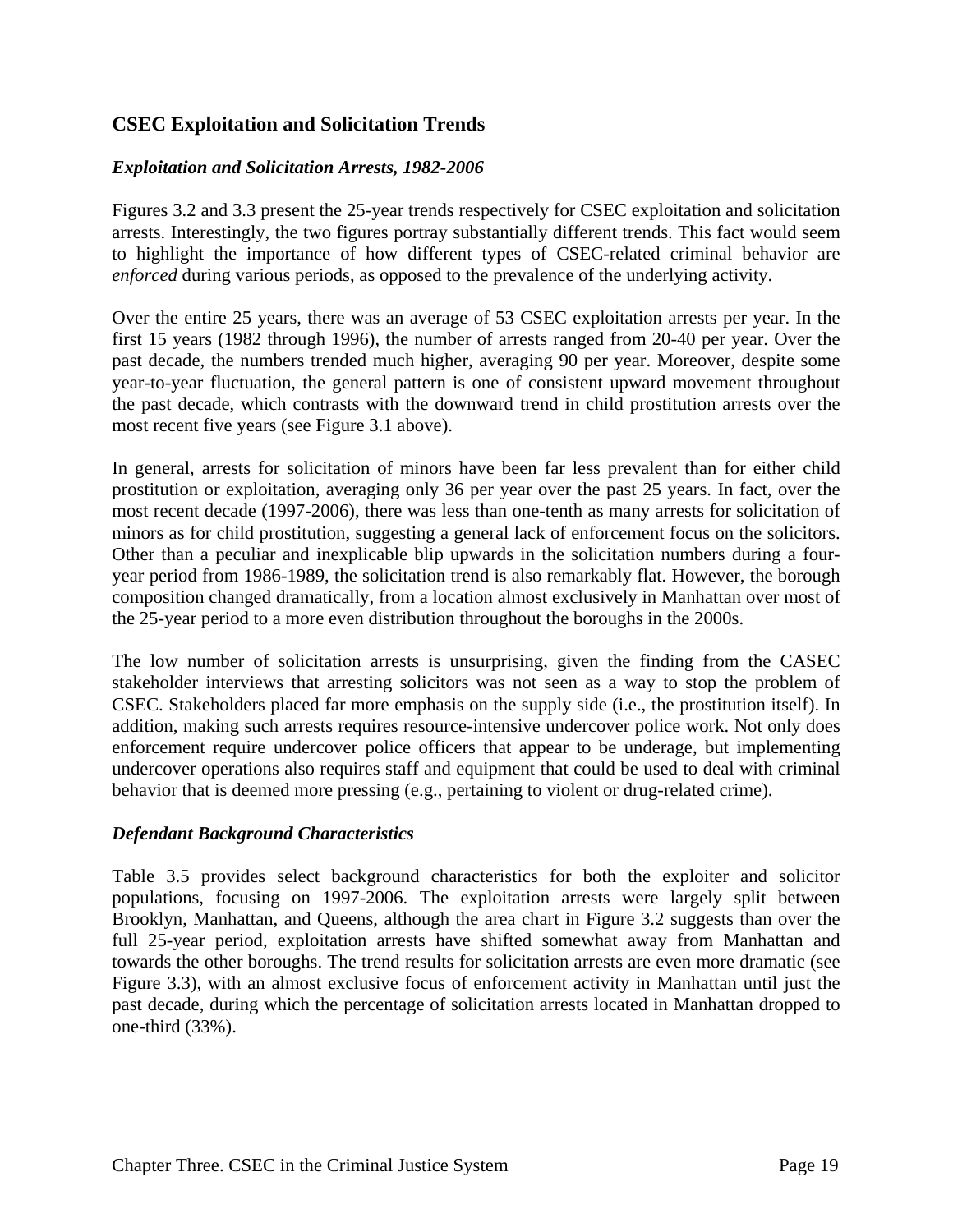#### **CSEC Exploitation and Solicitation Trends**

#### *Exploitation and Solicitation Arrests, 1982-2006*

Figures 3.2 and 3.3 present the 25-year trends respectively for CSEC exploitation and solicitation arrests. Interestingly, the two figures portray substantially different trends. This fact would seem to highlight the importance of how different types of CSEC-related criminal behavior are *enforced* during various periods, as opposed to the prevalence of the underlying activity.

Over the entire 25 years, there was an average of 53 CSEC exploitation arrests per year. In the first 15 years (1982 through 1996), the number of arrests ranged from 20-40 per year. Over the past decade, the numbers trended much higher, averaging 90 per year. Moreover, despite some year-to-year fluctuation, the general pattern is one of consistent upward movement throughout the past decade, which contrasts with the downward trend in child prostitution arrests over the most recent five years (see Figure 3.1 above).

In general, arrests for solicitation of minors have been far less prevalent than for either child prostitution or exploitation, averaging only 36 per year over the past 25 years. In fact, over the most recent decade (1997-2006), there was less than one-tenth as many arrests for solicitation of minors as for child prostitution, suggesting a general lack of enforcement focus on the solicitors. Other than a peculiar and inexplicable blip upwards in the solicitation numbers during a fouryear period from 1986-1989, the solicitation trend is also remarkably flat. However, the borough composition changed dramatically, from a location almost exclusively in Manhattan over most of the 25-year period to a more even distribution throughout the boroughs in the 2000s.

The low number of solicitation arrests is unsurprising, given the finding from the CASEC stakeholder interviews that arresting solicitors was not seen as a way to stop the problem of CSEC. Stakeholders placed far more emphasis on the supply side (i.e., the prostitution itself). In addition, making such arrests requires resource-intensive undercover police work. Not only does enforcement require undercover police officers that appear to be underage, but implementing undercover operations also requires staff and equipment that could be used to deal with criminal behavior that is deemed more pressing (e.g., pertaining to violent or drug-related crime).

#### *Defendant Background Characteristics*

Table 3.5 provides select background characteristics for both the exploiter and solicitor populations, focusing on 1997-2006. The exploitation arrests were largely split between Brooklyn, Manhattan, and Queens, although the area chart in Figure 3.2 suggests than over the full 25-year period, exploitation arrests have shifted somewhat away from Manhattan and towards the other boroughs. The trend results for solicitation arrests are even more dramatic (see Figure 3.3), with an almost exclusive focus of enforcement activity in Manhattan until just the past decade, during which the percentage of solicitation arrests located in Manhattan dropped to one-third (33%).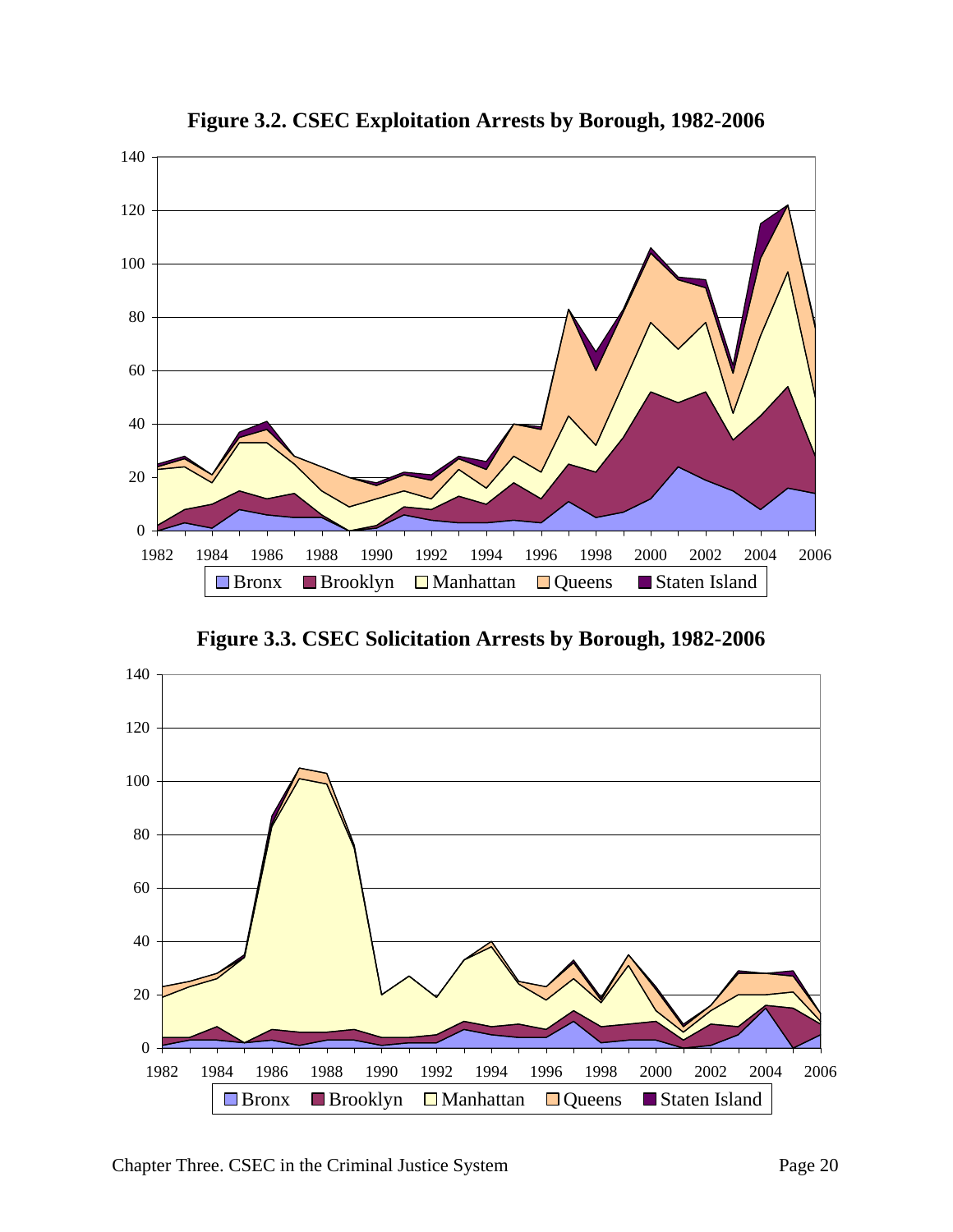

**Figure 3.2. CSEC Exploitation Arrests by Borough, 1982-2006**

**Figure 3.3. CSEC Solicitation Arrests by Borough, 1982-2006**

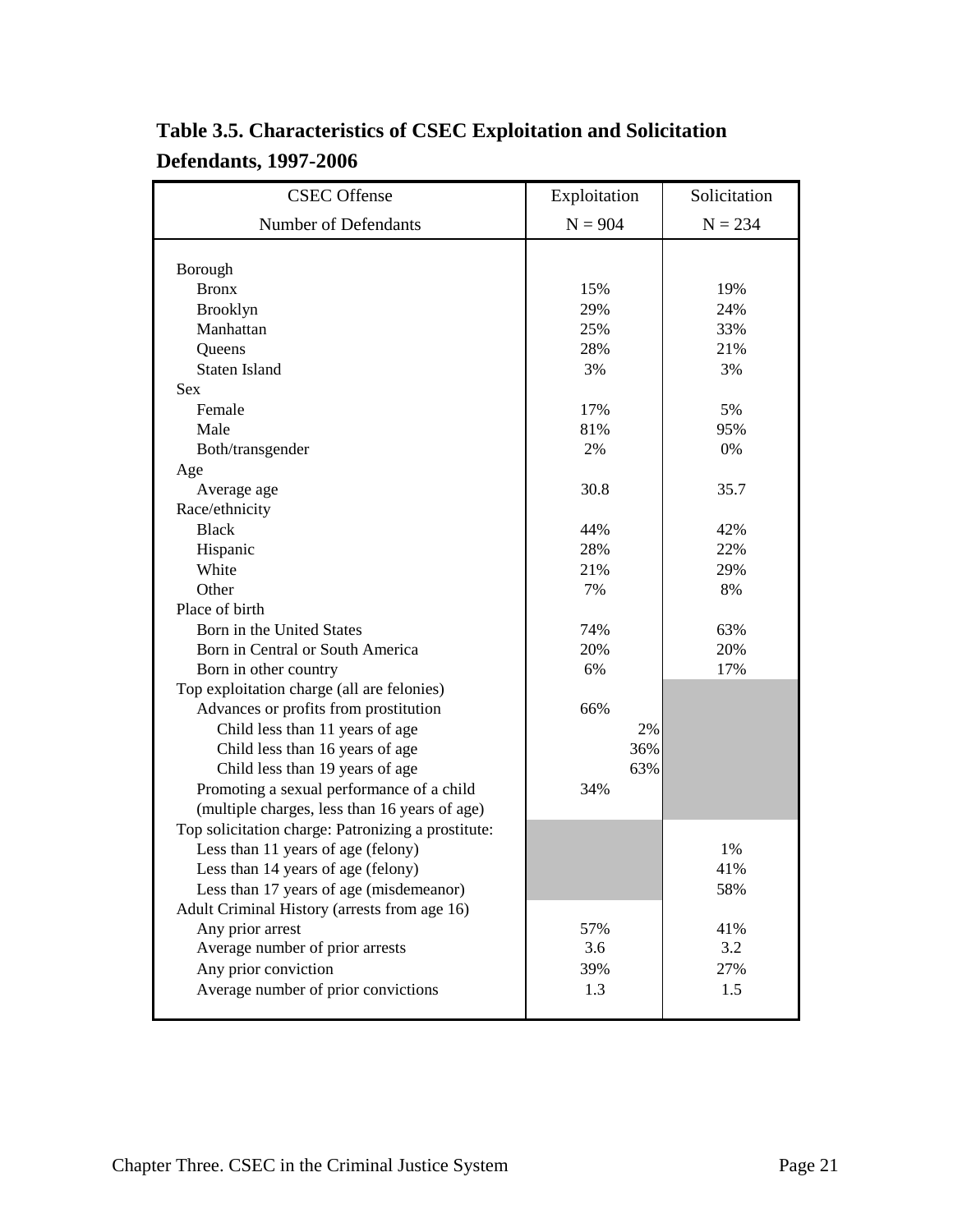| <b>CSEC</b> Offense                                | Exploitation | Solicitation |
|----------------------------------------------------|--------------|--------------|
| Number of Defendants                               | $N = 904$    | $N = 234$    |
|                                                    |              |              |
| Borough                                            |              |              |
| <b>Bronx</b>                                       | 15%          | 19%          |
| <b>Brooklyn</b>                                    | 29%          | 24%          |
| Manhattan                                          | 25%          | 33%          |
| Queens                                             | 28%          | 21%          |
| <b>Staten Island</b>                               | 3%           | 3%           |
| <b>Sex</b>                                         |              |              |
| Female                                             | 17%          | 5%           |
| Male                                               | 81%          | 95%          |
| Both/transgender                                   | 2%           | 0%           |
| Age                                                |              |              |
| Average age                                        | 30.8         | 35.7         |
| Race/ethnicity                                     |              |              |
| <b>Black</b>                                       | 44%          | 42%          |
| Hispanic                                           | 28%          | 22%          |
| White                                              | 21%          | 29%          |
| Other                                              | 7%           | 8%           |
| Place of birth                                     |              |              |
| Born in the United States                          | 74%          | 63%          |
| Born in Central or South America                   | 20%          | 20%          |
| Born in other country                              | 6%           | 17%          |
| Top exploitation charge (all are felonies)         |              |              |
| Advances or profits from prostitution              | 66%          |              |
| Child less than 11 years of age                    | 2%           |              |
| Child less than 16 years of age                    | 36%          |              |
| Child less than 19 years of age                    | 63%          |              |
| Promoting a sexual performance of a child          | 34%          |              |
| (multiple charges, less than 16 years of age)      |              |              |
| Top solicitation charge: Patronizing a prostitute: |              |              |
| Less than 11 years of age (felony)                 |              | 1%           |
| Less than 14 years of age (felony)                 |              | 41%          |
| Less than 17 years of age (misdemeanor)            |              | 58%          |
| Adult Criminal History (arrests from age 16)       |              |              |
| Any prior arrest                                   | 57%          | 41%          |
| Average number of prior arrests                    | 3.6          | 3.2          |
| Any prior conviction                               | 39%          | 27%          |
| Average number of prior convictions                | 1.3          | 1.5          |
|                                                    |              |              |

### **Table 3.5. Characteristics of CSEC Exploitation and Solicitation Defendants, 1997-2006**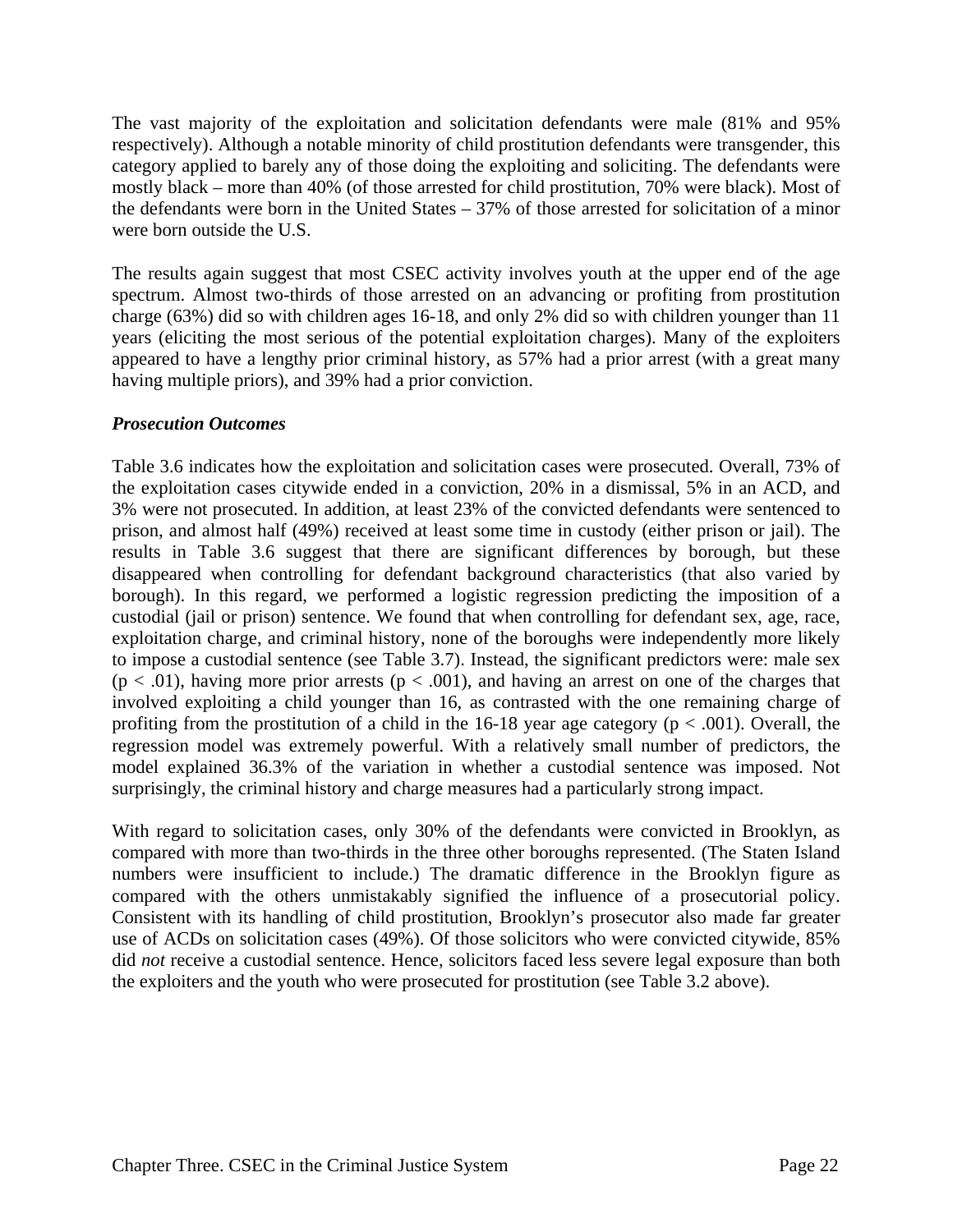The vast majority of the exploitation and solicitation defendants were male (81% and 95% respectively). Although a notable minority of child prostitution defendants were transgender, this category applied to barely any of those doing the exploiting and soliciting. The defendants were mostly black – more than 40% (of those arrested for child prostitution, 70% were black). Most of the defendants were born in the United States – 37% of those arrested for solicitation of a minor were born outside the U.S.

The results again suggest that most CSEC activity involves youth at the upper end of the age spectrum. Almost two-thirds of those arrested on an advancing or profiting from prostitution charge (63%) did so with children ages 16-18, and only 2% did so with children younger than 11 years (eliciting the most serious of the potential exploitation charges). Many of the exploiters appeared to have a lengthy prior criminal history, as 57% had a prior arrest (with a great many having multiple priors), and 39% had a prior conviction.

#### *Prosecution Outcomes*

Table 3.6 indicates how the exploitation and solicitation cases were prosecuted. Overall, 73% of the exploitation cases citywide ended in a conviction, 20% in a dismissal, 5% in an ACD, and 3% were not prosecuted. In addition, at least 23% of the convicted defendants were sentenced to prison, and almost half (49%) received at least some time in custody (either prison or jail). The results in Table 3.6 suggest that there are significant differences by borough, but these disappeared when controlling for defendant background characteristics (that also varied by borough). In this regard, we performed a logistic regression predicting the imposition of a custodial (jail or prison) sentence. We found that when controlling for defendant sex, age, race, exploitation charge, and criminal history, none of the boroughs were independently more likely to impose a custodial sentence (see Table 3.7). Instead, the significant predictors were: male sex  $(p < .01)$ , having more prior arrests  $(p < .001)$ , and having an arrest on one of the charges that involved exploiting a child younger than 16, as contrasted with the one remaining charge of profiting from the prostitution of a child in the  $16-18$  year age category ( $p < .001$ ). Overall, the regression model was extremely powerful. With a relatively small number of predictors, the model explained 36.3% of the variation in whether a custodial sentence was imposed. Not surprisingly, the criminal history and charge measures had a particularly strong impact.

With regard to solicitation cases, only 30% of the defendants were convicted in Brooklyn, as compared with more than two-thirds in the three other boroughs represented. (The Staten Island numbers were insufficient to include.) The dramatic difference in the Brooklyn figure as compared with the others unmistakably signified the influence of a prosecutorial policy. Consistent with its handling of child prostitution, Brooklyn's prosecutor also made far greater use of ACDs on solicitation cases (49%). Of those solicitors who were convicted citywide, 85% did *not* receive a custodial sentence. Hence, solicitors faced less severe legal exposure than both the exploiters and the youth who were prosecuted for prostitution (see Table 3.2 above).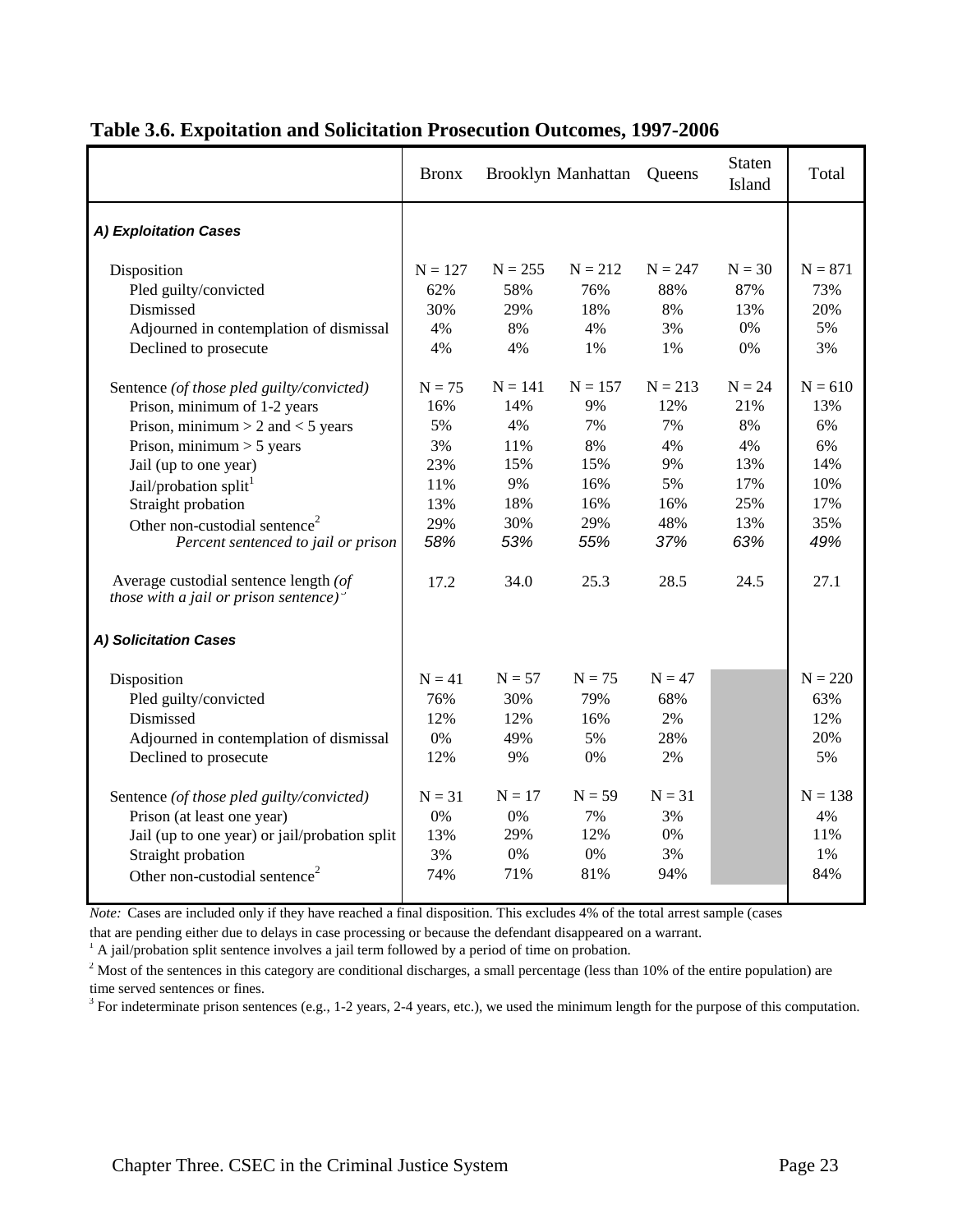|                                                                                                                                                                                                                                                                                                                                                                                                                           | <b>Bronx</b>                                                           |                                                                         | <b>Brooklyn Manhattan</b>                                              | Queens                                                                | Staten<br>Island                                                       | Total                                                                   |
|---------------------------------------------------------------------------------------------------------------------------------------------------------------------------------------------------------------------------------------------------------------------------------------------------------------------------------------------------------------------------------------------------------------------------|------------------------------------------------------------------------|-------------------------------------------------------------------------|------------------------------------------------------------------------|-----------------------------------------------------------------------|------------------------------------------------------------------------|-------------------------------------------------------------------------|
| A) Exploitation Cases                                                                                                                                                                                                                                                                                                                                                                                                     |                                                                        |                                                                         |                                                                        |                                                                       |                                                                        |                                                                         |
| Disposition<br>Pled guilty/convicted<br>Dismissed<br>Adjourned in contemplation of dismissal                                                                                                                                                                                                                                                                                                                              | $N = 127$<br>62%<br>30%<br>4%                                          | $N = 255$<br>58%<br>29%<br>8%                                           | $N = 212$<br>76%<br>18%<br>4%                                          | $N = 247$<br>88%<br>8%<br>3%                                          | $N = 30$<br>87%<br>13%<br>0%                                           | $N = 871$<br>73%<br>20%<br>5%                                           |
| Declined to prosecute                                                                                                                                                                                                                                                                                                                                                                                                     | 4%                                                                     | 4%                                                                      | 1%                                                                     | 1%                                                                    | 0%                                                                     | 3%                                                                      |
| Sentence (of those pled guilty/convicted)<br>Prison, minimum of 1-2 years<br>Prison, minimum $> 2$ and $< 5$ years<br>Prison, minimum $> 5$ years<br>Jail (up to one year)<br>Jail/probation split <sup>1</sup><br>Straight probation<br>Other non-custodial sentence <sup>2</sup><br>Percent sentenced to jail or prison<br>Average custodial sentence length (of<br>those with a jail or prison sentence) $\frac{3}{2}$ | $N = 75$<br>16%<br>5%<br>3%<br>23%<br>11%<br>13%<br>29%<br>58%<br>17.2 | $N = 141$<br>14%<br>4%<br>11%<br>15%<br>9%<br>18%<br>30%<br>53%<br>34.0 | $N = 157$<br>9%<br>7%<br>8%<br>15%<br>16%<br>16%<br>29%<br>55%<br>25.3 | $N = 213$<br>12%<br>7%<br>4%<br>9%<br>5%<br>16%<br>48%<br>37%<br>28.5 | $N = 24$<br>21%<br>8%<br>4%<br>13%<br>17%<br>25%<br>13%<br>63%<br>24.5 | $N = 610$<br>13%<br>6%<br>6%<br>14%<br>10%<br>17%<br>35%<br>49%<br>27.1 |
| A) Solicitation Cases                                                                                                                                                                                                                                                                                                                                                                                                     |                                                                        |                                                                         |                                                                        |                                                                       |                                                                        |                                                                         |
| Disposition<br>Pled guilty/convicted<br>Dismissed<br>Adjourned in contemplation of dismissal<br>Declined to prosecute                                                                                                                                                                                                                                                                                                     | $N = 41$<br>76%<br>12%<br>0%<br>12%                                    | $N = 57$<br>30%<br>12%<br>49%<br>9%                                     | $N = 75$<br>79%<br>16%<br>5%<br>0%                                     | $N = 47$<br>68%<br>2%<br>28%<br>2%                                    |                                                                        | $N = 220$<br>63%<br>12%<br>20%<br>5%                                    |
| Sentence (of those pled guilty/convicted)<br>Prison (at least one year)<br>Jail (up to one year) or jail/probation split<br>Straight probation<br>Other non-custodial sentence <sup>2</sup>                                                                                                                                                                                                                               | $N = 31$<br>0%<br>13%<br>3%<br>74%                                     | $N = 17$<br>0%<br>29%<br>0%<br>71%                                      | $N = 59$<br>7%<br>12%<br>0%<br>81%                                     | $N = 31$<br>3%<br>$0\%$<br>3%<br>94%                                  |                                                                        | $N = 138$<br>4%<br>11%<br>1%<br>84%                                     |

#### **Table 3.6. Expoitation and Solicitation Prosecution Outcomes, 1997-2006**

*Note:* Cases are included only if they have reached a final disposition. This excludes 4% of the total arrest sample (cases

that are pending either due to delays in case processing or because the defendant disappeared on a warrant.

<sup>1</sup> A jail/probation split sentence involves a jail term followed by a period of time on probation.

 $2^{2}$  Most of the sentences in this category are conditional discharges, a small percentage (less than 10% of the entire population) are time served sentences or fines.

 $3$  For indeterminate prison sentences (e.g., 1-2 years, 2-4 years, etc.), we used the minimum length for the purpose of this computation.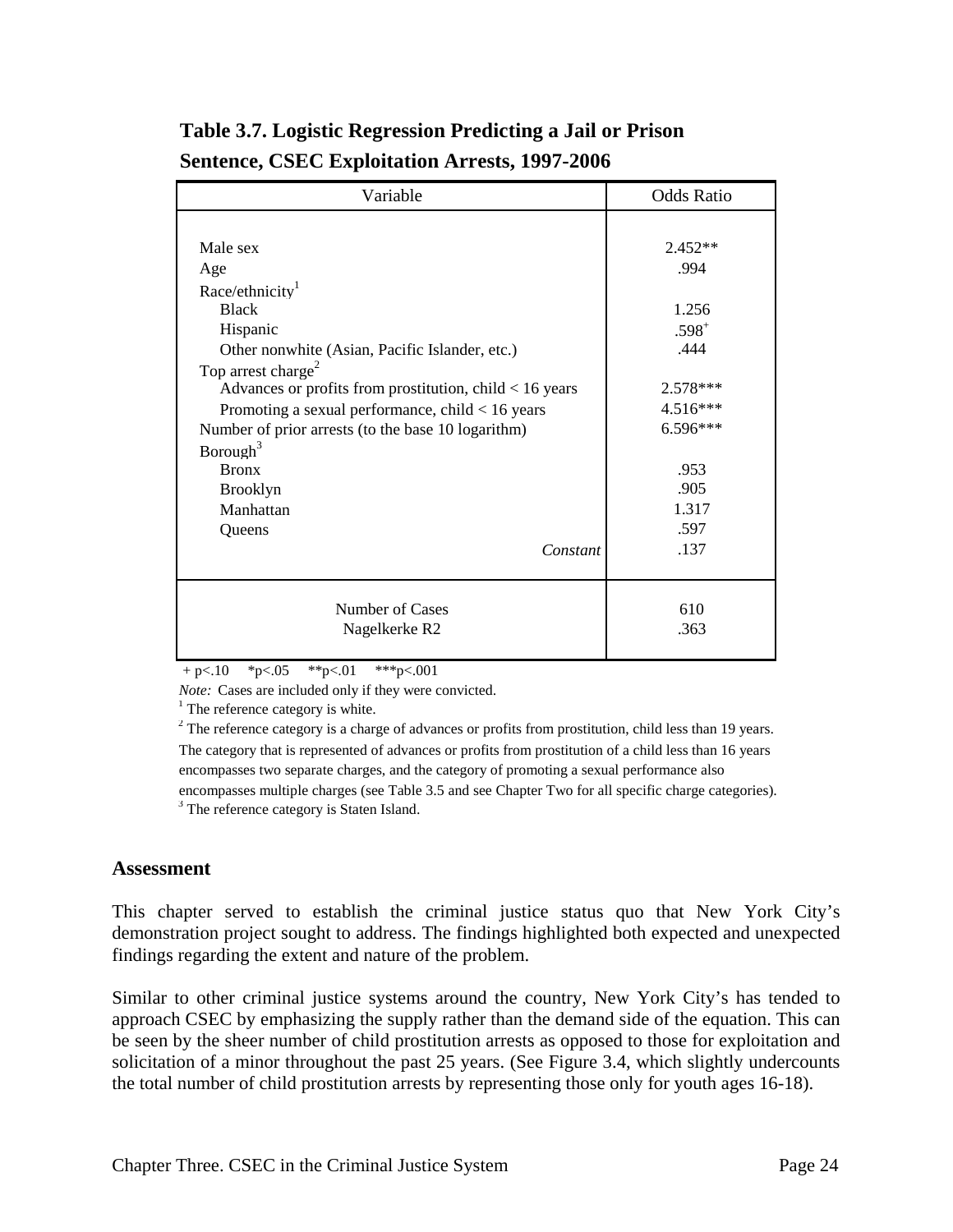| Variable                                                  | <b>Odds Ratio</b> |
|-----------------------------------------------------------|-------------------|
|                                                           |                   |
| Male sex                                                  | $2.452**$         |
| Age                                                       | .994              |
| Race/ethnicity <sup>1</sup>                               |                   |
| <b>Black</b>                                              | 1.256             |
| Hispanic                                                  | $.598^{+}$        |
| Other nonwhite (Asian, Pacific Islander, etc.)            | .444              |
| Top arrest charge <sup>2</sup>                            |                   |
| Advances or profits from prostitution, child $< 16$ years | 2.578***          |
| Promoting a sexual performance, child $< 16$ years        | 4.516***          |
| Number of prior arrests (to the base 10 logarithm)        | 6.596***          |
| Borough <sup>3</sup>                                      |                   |
| <b>Bronx</b>                                              | .953              |
| <b>Brooklyn</b>                                           | .905              |
| Manhattan                                                 | 1.317             |
| Queens                                                    | .597              |
| Constant                                                  | .137              |
|                                                           |                   |
|                                                           |                   |
| Number of Cases                                           | 610               |
| Nagelkerke R <sub>2</sub>                                 | .363              |
|                                                           |                   |

### **Table 3.7. Logistic Regression Predicting a Jail or Prison Sentence, CSEC Exploitation Arrests, 1997-2006**

 $+p<.10$  \*p $<.05$  \*\*p $<.01$  \*\*\*p $<.001$ 

*Note:* Cases are included only if they were convicted.

 $1$  The reference category is white.

 $2^2$  The reference category is a charge of advances or profits from prostitution, child less than 19 years. The category that is represented of advances or profits from prostitution of a child less than 16 years encompasses two separate charges, and the category of promoting a sexual performance also encompasses multiple charges (see Table 3.5 and see Chapter Two for all specific charge categories).

<sup>3</sup> The reference category is Staten Island.

#### **Assessment**

This chapter served to establish the criminal justice status quo that New York City's demonstration project sought to address. The findings highlighted both expected and unexpected findings regarding the extent and nature of the problem.

Similar to other criminal justice systems around the country, New York City's has tended to approach CSEC by emphasizing the supply rather than the demand side of the equation. This can be seen by the sheer number of child prostitution arrests as opposed to those for exploitation and solicitation of a minor throughout the past 25 years. (See Figure 3.4, which slightly undercounts the total number of child prostitution arrests by representing those only for youth ages 16-18).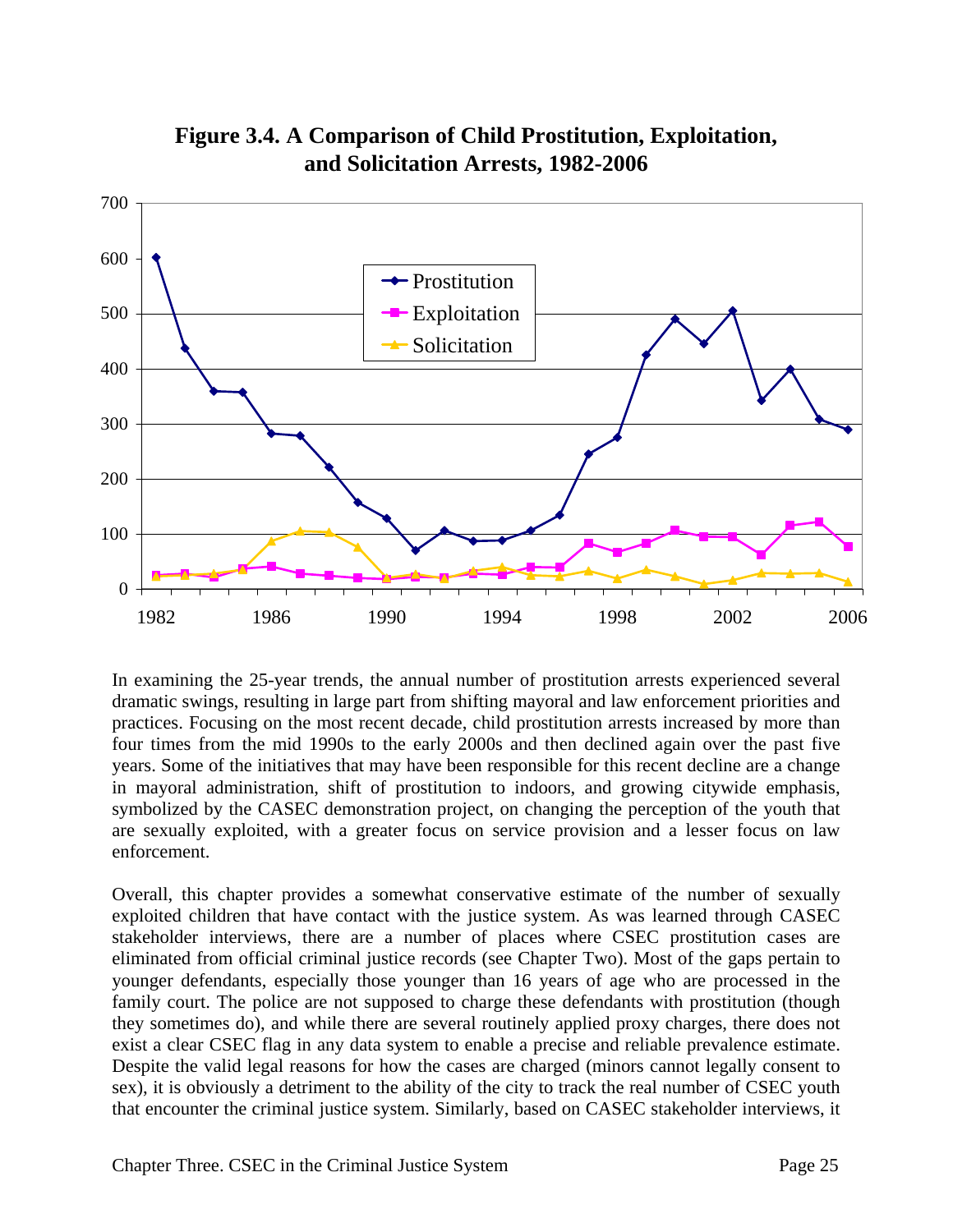

**Figure 3.4. A Comparison of Child Prostitution, Exploitation, and Solicitation Arrests, 1982-2006**

In examining the 25-year trends, the annual number of prostitution arrests experienced several dramatic swings, resulting in large part from shifting mayoral and law enforcement priorities and practices. Focusing on the most recent decade, child prostitution arrests increased by more than four times from the mid 1990s to the early 2000s and then declined again over the past five years. Some of the initiatives that may have been responsible for this recent decline are a change in mayoral administration, shift of prostitution to indoors, and growing citywide emphasis, symbolized by the CASEC demonstration project, on changing the perception of the youth that are sexually exploited, with a greater focus on service provision and a lesser focus on law enforcement.

Overall, this chapter provides a somewhat conservative estimate of the number of sexually exploited children that have contact with the justice system. As was learned through CASEC stakeholder interviews, there are a number of places where CSEC prostitution cases are eliminated from official criminal justice records (see Chapter Two). Most of the gaps pertain to younger defendants, especially those younger than 16 years of age who are processed in the family court. The police are not supposed to charge these defendants with prostitution (though they sometimes do), and while there are several routinely applied proxy charges, there does not exist a clear CSEC flag in any data system to enable a precise and reliable prevalence estimate. Despite the valid legal reasons for how the cases are charged (minors cannot legally consent to sex), it is obviously a detriment to the ability of the city to track the real number of CSEC youth that encounter the criminal justice system. Similarly, based on CASEC stakeholder interviews, it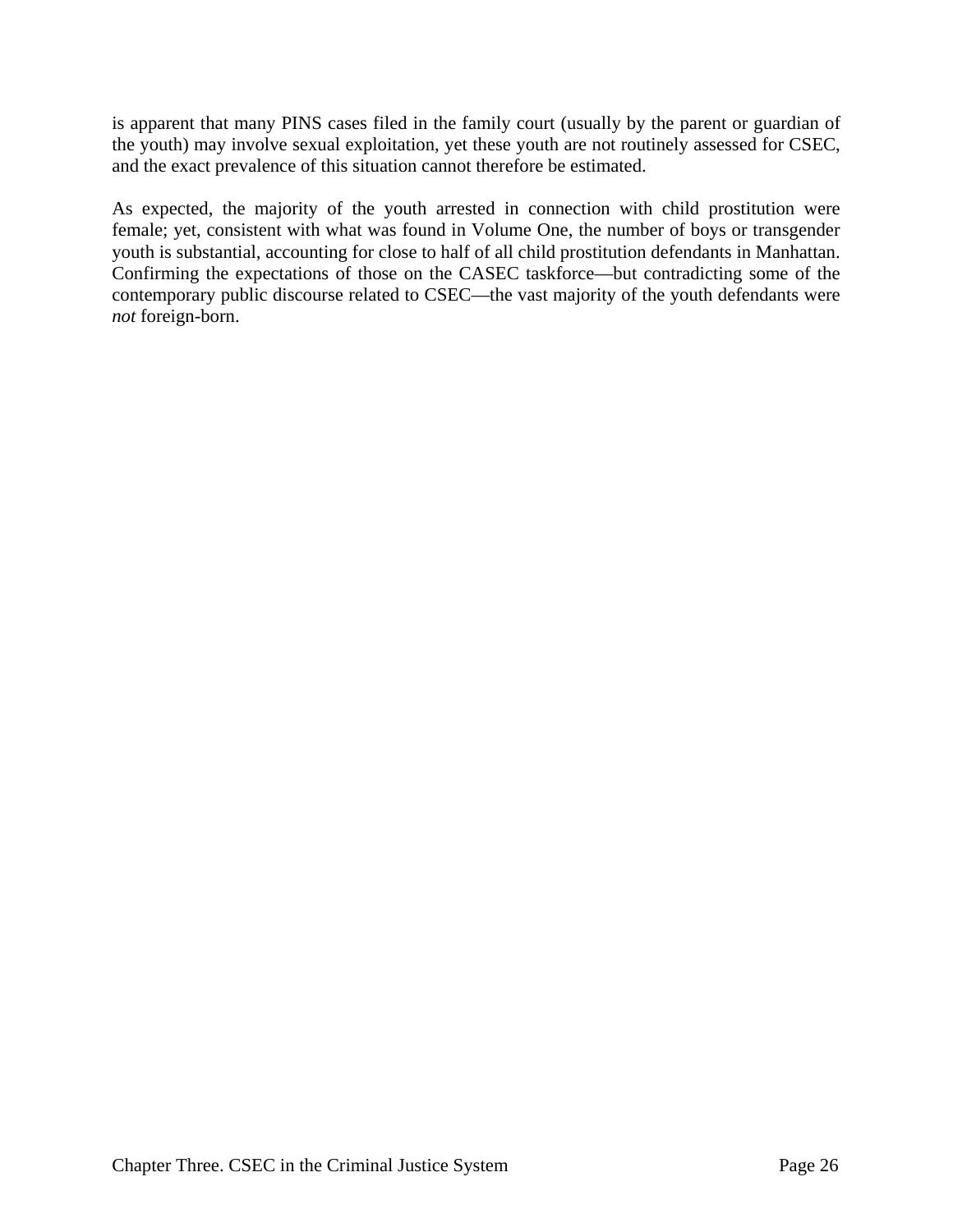is apparent that many PINS cases filed in the family court (usually by the parent or guardian of the youth) may involve sexual exploitation, yet these youth are not routinely assessed for CSEC, and the exact prevalence of this situation cannot therefore be estimated.

As expected, the majority of the youth arrested in connection with child prostitution were female; yet, consistent with what was found in Volume One, the number of boys or transgender youth is substantial, accounting for close to half of all child prostitution defendants in Manhattan. Confirming the expectations of those on the CASEC taskforce—but contradicting some of the contemporary public discourse related to CSEC—the vast majority of the youth defendants were *not* foreign-born.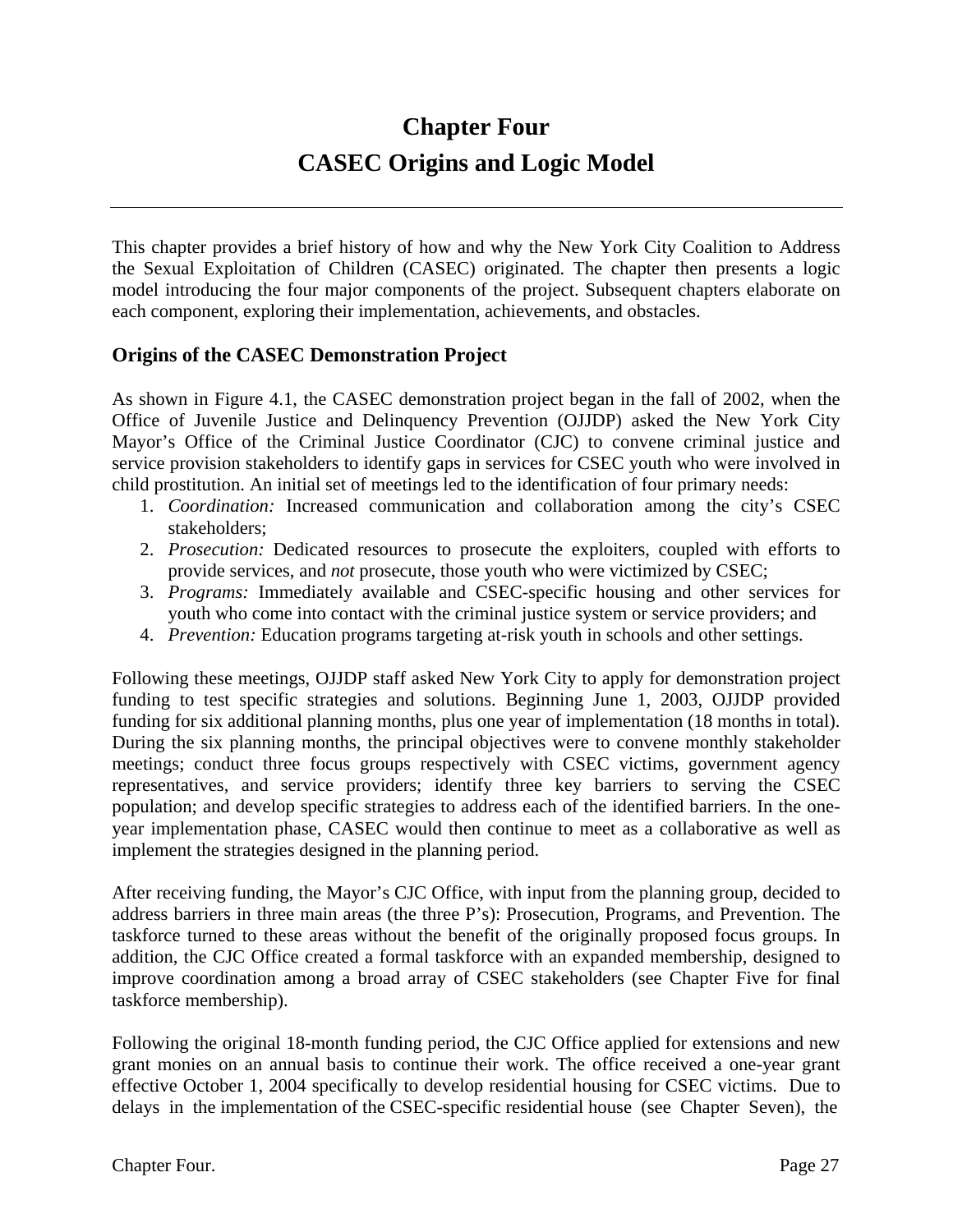# **Chapter Four CASEC Origins and Logic Model**

This chapter provides a brief history of how and why the New York City Coalition to Address the Sexual Exploitation of Children (CASEC) originated. The chapter then presents a logic model introducing the four major components of the project. Subsequent chapters elaborate on each component, exploring their implementation, achievements, and obstacles.

#### **Origins of the CASEC Demonstration Project**

As shown in Figure 4.1, the CASEC demonstration project began in the fall of 2002, when the Office of Juvenile Justice and Delinquency Prevention (OJJDP) asked the New York City Mayor's Office of the Criminal Justice Coordinator (CJC) to convene criminal justice and service provision stakeholders to identify gaps in services for CSEC youth who were involved in child prostitution. An initial set of meetings led to the identification of four primary needs:

- 1. *Coordination:* Increased communication and collaboration among the city's CSEC stakeholders;
- 2. *Prosecution:* Dedicated resources to prosecute the exploiters, coupled with efforts to provide services, and *not* prosecute, those youth who were victimized by CSEC;
- 3. *Programs:* Immediately available and CSEC-specific housing and other services for youth who come into contact with the criminal justice system or service providers; and
- 4. *Prevention:* Education programs targeting at-risk youth in schools and other settings.

Following these meetings, OJJDP staff asked New York City to apply for demonstration project funding to test specific strategies and solutions. Beginning June 1, 2003, OJJDP provided funding for six additional planning months, plus one year of implementation (18 months in total). During the six planning months, the principal objectives were to convene monthly stakeholder meetings; conduct three focus groups respectively with CSEC victims, government agency representatives, and service providers; identify three key barriers to serving the CSEC population; and develop specific strategies to address each of the identified barriers. In the oneyear implementation phase, CASEC would then continue to meet as a collaborative as well as implement the strategies designed in the planning period.

After receiving funding, the Mayor's CJC Office, with input from the planning group, decided to address barriers in three main areas (the three P's): Prosecution, Programs, and Prevention. The taskforce turned to these areas without the benefit of the originally proposed focus groups. In addition, the CJC Office created a formal taskforce with an expanded membership, designed to improve coordination among a broad array of CSEC stakeholders (see Chapter Five for final taskforce membership).

Following the original 18-month funding period, the CJC Office applied for extensions and new grant monies on an annual basis to continue their work. The office received a one-year grant effective October 1, 2004 specifically to develop residential housing for CSEC victims. Due to delays in the implementation of the CSEC-specific residential house (see Chapter Seven), the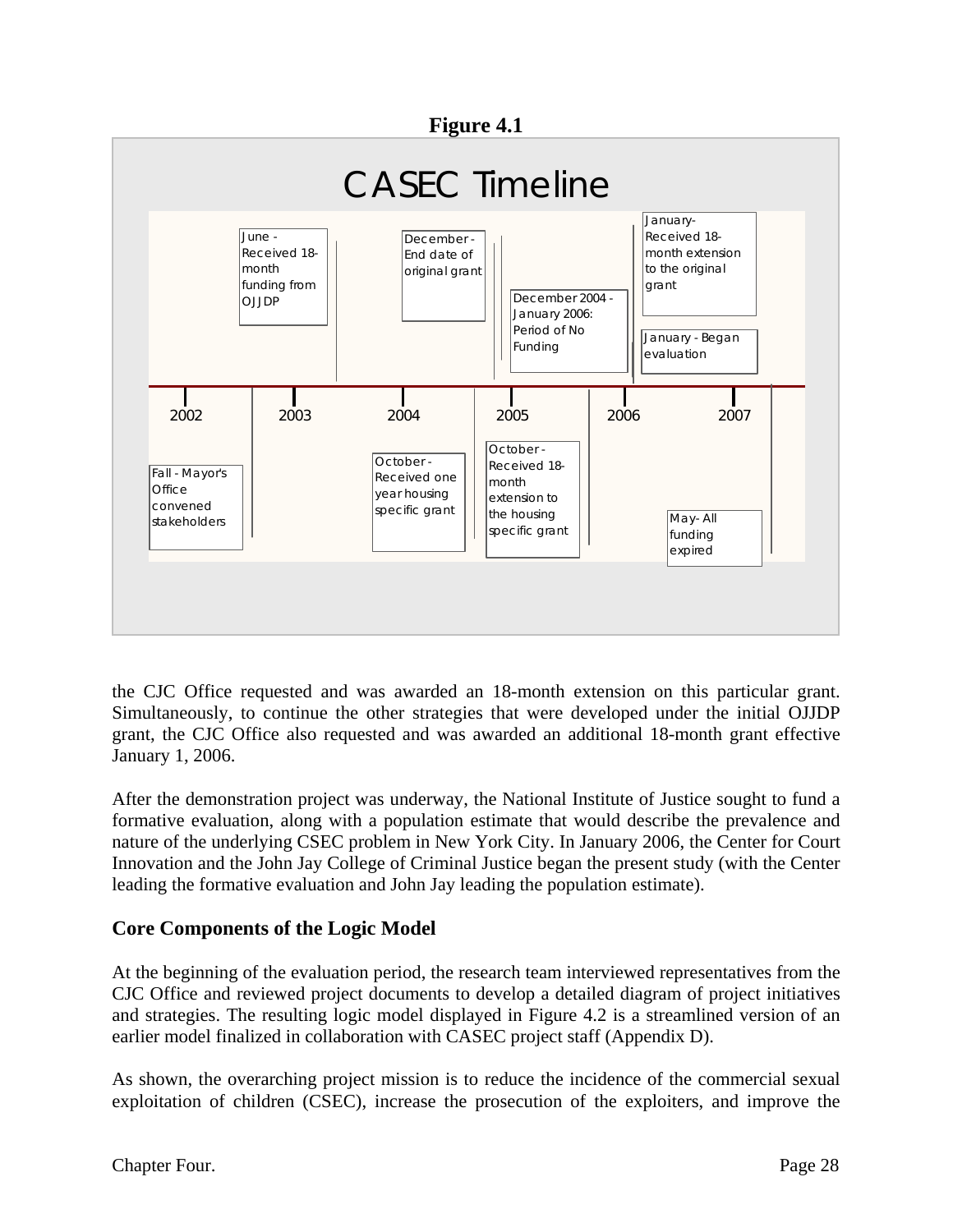#### **Figure 4.1**



the CJC Office requested and was awarded an 18-month extension on this particular grant. Simultaneously, to continue the other strategies that were developed under the initial OJJDP grant, the CJC Office also requested and was awarded an additional 18-month grant effective January 1, 2006.

After the demonstration project was underway, the National Institute of Justice sought to fund a formative evaluation, along with a population estimate that would describe the prevalence and nature of the underlying CSEC problem in New York City. In January 2006, the Center for Court Innovation and the John Jay College of Criminal Justice began the present study (with the Center leading the formative evaluation and John Jay leading the population estimate).

#### **Core Components of the Logic Model**

At the beginning of the evaluation period, the research team interviewed representatives from the CJC Office and reviewed project documents to develop a detailed diagram of project initiatives and strategies. The resulting logic model displayed in Figure 4.2 is a streamlined version of an earlier model finalized in collaboration with CASEC project staff (Appendix D).

As shown, the overarching project mission is to reduce the incidence of the commercial sexual exploitation of children (CSEC), increase the prosecution of the exploiters, and improve the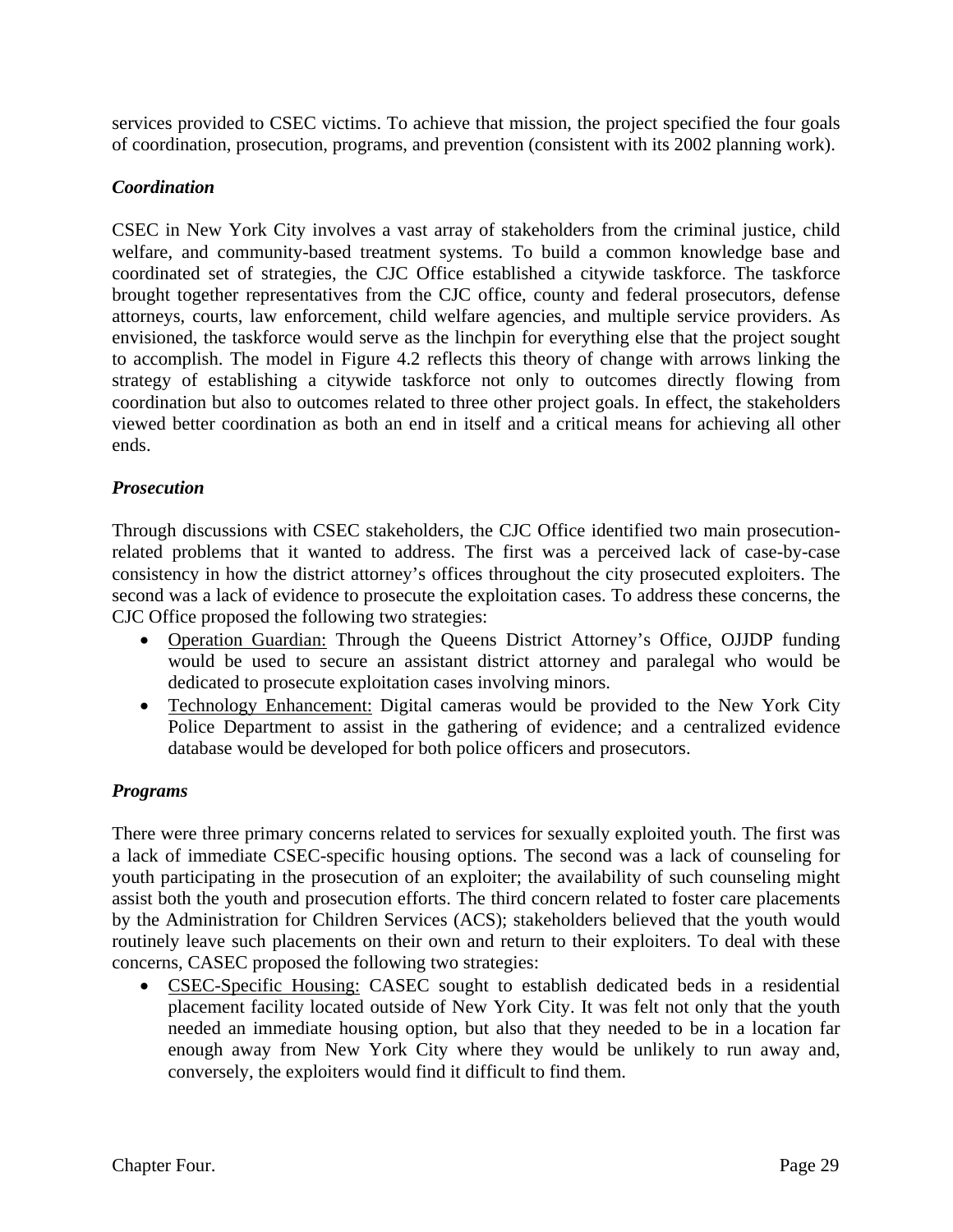services provided to CSEC victims. To achieve that mission, the project specified the four goals of coordination, prosecution, programs, and prevention (consistent with its 2002 planning work).

#### *Coordination*

CSEC in New York City involves a vast array of stakeholders from the criminal justice, child welfare, and community-based treatment systems. To build a common knowledge base and coordinated set of strategies, the CJC Office established a citywide taskforce. The taskforce brought together representatives from the CJC office, county and federal prosecutors, defense attorneys, courts, law enforcement, child welfare agencies, and multiple service providers. As envisioned, the taskforce would serve as the linchpin for everything else that the project sought to accomplish. The model in Figure 4.2 reflects this theory of change with arrows linking the strategy of establishing a citywide taskforce not only to outcomes directly flowing from coordination but also to outcomes related to three other project goals. In effect, the stakeholders viewed better coordination as both an end in itself and a critical means for achieving all other ends.

#### *Prosecution*

Through discussions with CSEC stakeholders, the CJC Office identified two main prosecutionrelated problems that it wanted to address. The first was a perceived lack of case-by-case consistency in how the district attorney's offices throughout the city prosecuted exploiters. The second was a lack of evidence to prosecute the exploitation cases. To address these concerns, the CJC Office proposed the following two strategies:

- Operation Guardian: Through the Queens District Attorney's Office, OJJDP funding would be used to secure an assistant district attorney and paralegal who would be dedicated to prosecute exploitation cases involving minors.
- Technology Enhancement: Digital cameras would be provided to the New York City Police Department to assist in the gathering of evidence; and a centralized evidence database would be developed for both police officers and prosecutors.

#### *Programs*

There were three primary concerns related to services for sexually exploited youth. The first was a lack of immediate CSEC-specific housing options. The second was a lack of counseling for youth participating in the prosecution of an exploiter; the availability of such counseling might assist both the youth and prosecution efforts. The third concern related to foster care placements by the Administration for Children Services (ACS); stakeholders believed that the youth would routinely leave such placements on their own and return to their exploiters. To deal with these concerns, CASEC proposed the following two strategies:

• CSEC-Specific Housing: CASEC sought to establish dedicated beds in a residential placement facility located outside of New York City. It was felt not only that the youth needed an immediate housing option, but also that they needed to be in a location far enough away from New York City where they would be unlikely to run away and, conversely, the exploiters would find it difficult to find them.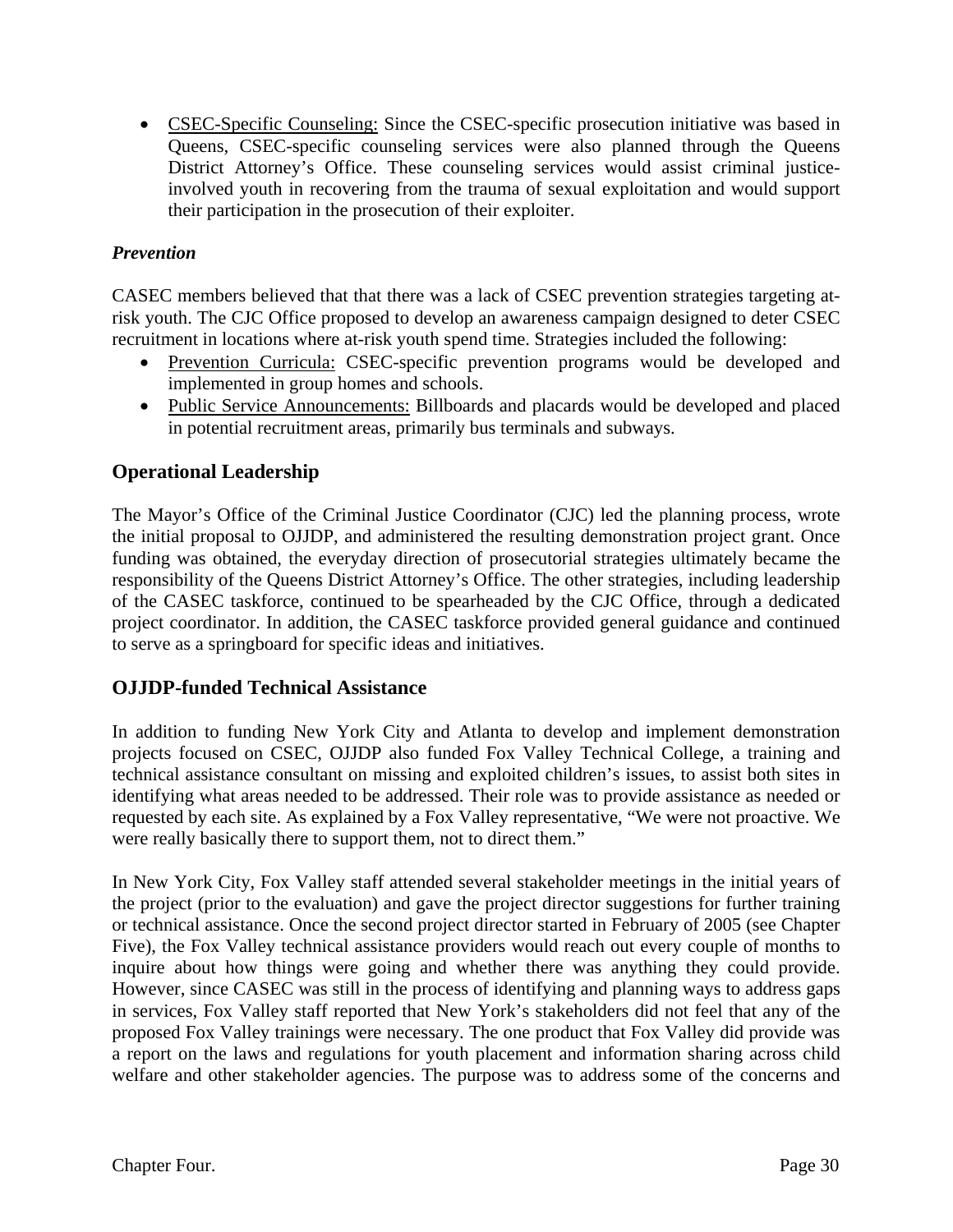• CSEC-Specific Counseling: Since the CSEC-specific prosecution initiative was based in Queens, CSEC-specific counseling services were also planned through the Queens District Attorney's Office. These counseling services would assist criminal justiceinvolved youth in recovering from the trauma of sexual exploitation and would support their participation in the prosecution of their exploiter.

#### *Prevention*

CASEC members believed that that there was a lack of CSEC prevention strategies targeting atrisk youth. The CJC Office proposed to develop an awareness campaign designed to deter CSEC recruitment in locations where at-risk youth spend time. Strategies included the following:

- Prevention Curricula: CSEC-specific prevention programs would be developed and implemented in group homes and schools.
- Public Service Announcements: Billboards and placards would be developed and placed in potential recruitment areas, primarily bus terminals and subways.

#### **Operational Leadership**

The Mayor's Office of the Criminal Justice Coordinator (CJC) led the planning process, wrote the initial proposal to OJJDP, and administered the resulting demonstration project grant. Once funding was obtained, the everyday direction of prosecutorial strategies ultimately became the responsibility of the Queens District Attorney's Office. The other strategies, including leadership of the CASEC taskforce, continued to be spearheaded by the CJC Office, through a dedicated project coordinator. In addition, the CASEC taskforce provided general guidance and continued to serve as a springboard for specific ideas and initiatives.

#### **OJJDP-funded Technical Assistance**

In addition to funding New York City and Atlanta to develop and implement demonstration projects focused on CSEC, OJJDP also funded Fox Valley Technical College, a training and technical assistance consultant on missing and exploited children's issues, to assist both sites in identifying what areas needed to be addressed. Their role was to provide assistance as needed or requested by each site. As explained by a Fox Valley representative, "We were not proactive. We were really basically there to support them, not to direct them."

In New York City, Fox Valley staff attended several stakeholder meetings in the initial years of the project (prior to the evaluation) and gave the project director suggestions for further training or technical assistance. Once the second project director started in February of 2005 (see Chapter Five), the Fox Valley technical assistance providers would reach out every couple of months to inquire about how things were going and whether there was anything they could provide. However, since CASEC was still in the process of identifying and planning ways to address gaps in services, Fox Valley staff reported that New York's stakeholders did not feel that any of the proposed Fox Valley trainings were necessary. The one product that Fox Valley did provide was a report on the laws and regulations for youth placement and information sharing across child welfare and other stakeholder agencies. The purpose was to address some of the concerns and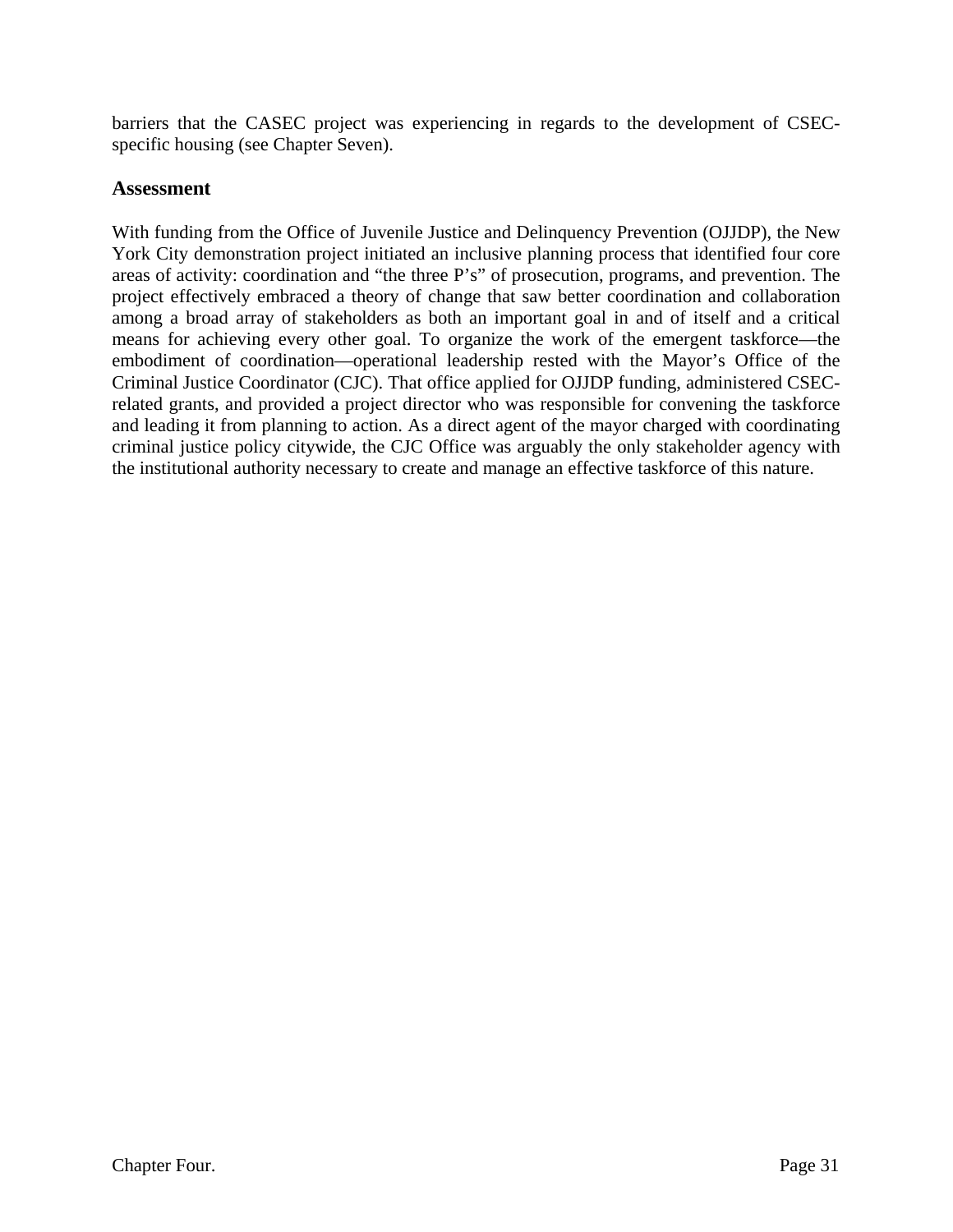barriers that the CASEC project was experiencing in regards to the development of CSECspecific housing (see Chapter Seven).

#### **Assessment**

With funding from the Office of Juvenile Justice and Delinquency Prevention (OJJDP), the New York City demonstration project initiated an inclusive planning process that identified four core areas of activity: coordination and "the three P's" of prosecution, programs, and prevention. The project effectively embraced a theory of change that saw better coordination and collaboration among a broad array of stakeholders as both an important goal in and of itself and a critical means for achieving every other goal. To organize the work of the emergent taskforce—the embodiment of coordination—operational leadership rested with the Mayor's Office of the Criminal Justice Coordinator (CJC). That office applied for OJJDP funding, administered CSECrelated grants, and provided a project director who was responsible for convening the taskforce and leading it from planning to action. As a direct agent of the mayor charged with coordinating criminal justice policy citywide, the CJC Office was arguably the only stakeholder agency with the institutional authority necessary to create and manage an effective taskforce of this nature.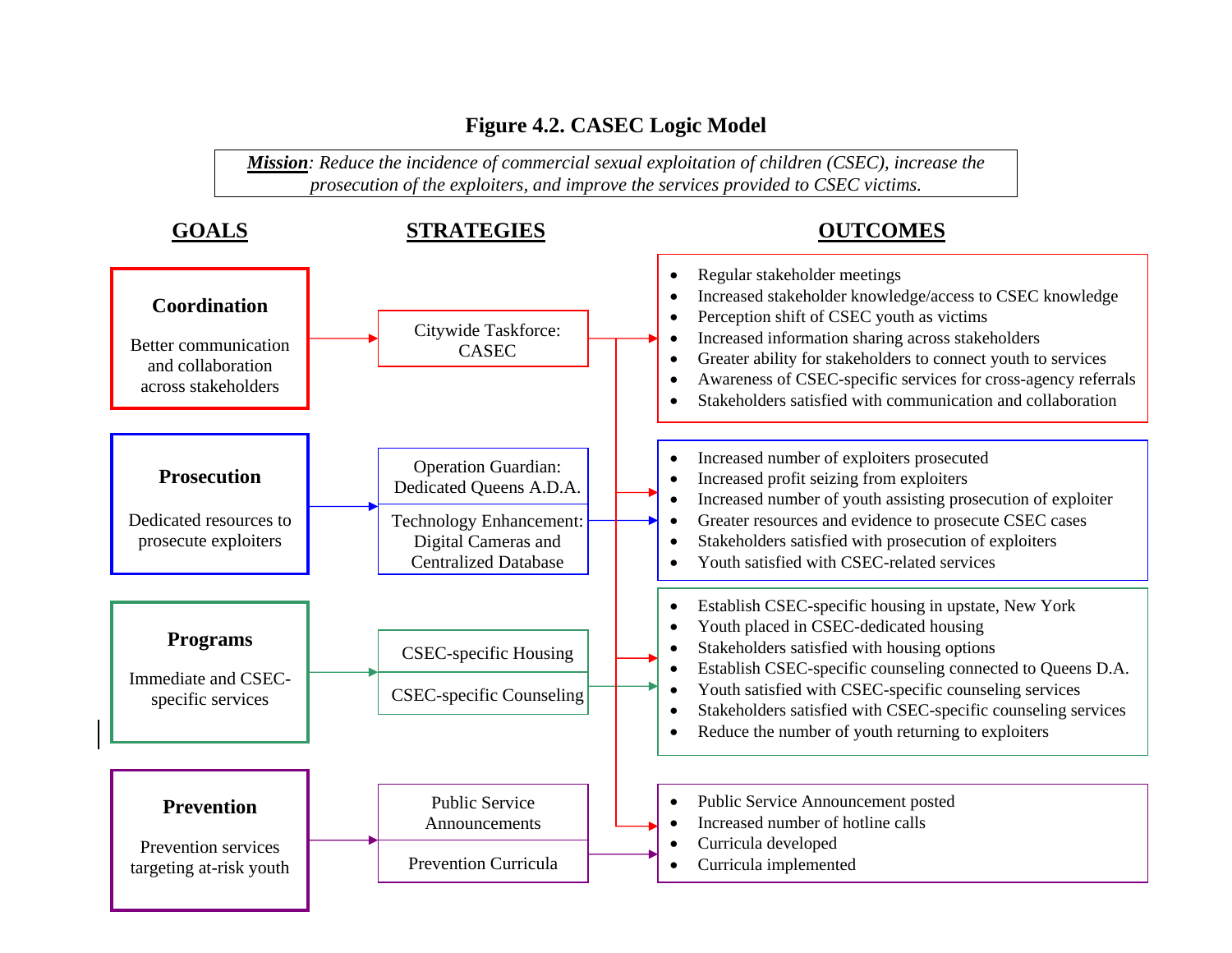# **Figure 4.2. CASEC Logic Model**

*Mission: Reduce the incidence of commercial sexual exploitation of children (CSEC), increase the prosecution of the exploiters, and improve the services provided to CSEC victims.*

| <b>GOALS</b>                                                                     | <b>STRATEGIES</b>                                                                                                                             | <b>OUTCOMES</b>                                                                                                                                                                                                                                                                                                                                                                                                                                   |  |  |  |
|----------------------------------------------------------------------------------|-----------------------------------------------------------------------------------------------------------------------------------------------|---------------------------------------------------------------------------------------------------------------------------------------------------------------------------------------------------------------------------------------------------------------------------------------------------------------------------------------------------------------------------------------------------------------------------------------------------|--|--|--|
| Coordination<br>Better communication<br>and collaboration<br>across stakeholders | Citywide Taskforce:<br><b>CASEC</b>                                                                                                           | Regular stakeholder meetings<br>$\bullet$<br>Increased stakeholder knowledge/access to CSEC knowledge<br>$\bullet$<br>Perception shift of CSEC youth as victims<br>$\bullet$<br>Increased information sharing across stakeholders<br>Greater ability for stakeholders to connect youth to services<br>$\bullet$<br>Awareness of CSEC-specific services for cross-agency referrals<br>Stakeholders satisfied with communication and collaboration  |  |  |  |
| <b>Prosecution</b><br>Dedicated resources to<br>prosecute exploiters             | <b>Operation Guardian:</b><br>Dedicated Queens A.D.A.<br><b>Technology Enhancement:</b><br>Digital Cameras and<br><b>Centralized Database</b> | Increased number of exploiters prosecuted<br>Increased profit seizing from exploiters<br>$\bullet$<br>Increased number of youth assisting prosecution of exploiter<br>$\bullet$<br>Greater resources and evidence to prosecute CSEC cases<br>Stakeholders satisfied with prosecution of exploiters<br>Youth satisfied with CSEC-related services                                                                                                  |  |  |  |
| <b>Programs</b><br>Immediate and CSEC-<br>specific services                      | <b>CSEC-specific Housing</b><br><b>CSEC-specific Counseling</b>                                                                               | Establish CSEC-specific housing in upstate, New York<br>$\bullet$<br>Youth placed in CSEC-dedicated housing<br>$\bullet$<br>Stakeholders satisfied with housing options<br>$\bullet$<br>Establish CSEC-specific counseling connected to Queens D.A.<br>$\bullet$<br>Youth satisfied with CSEC-specific counseling services<br>Stakeholders satisfied with CSEC-specific counseling services<br>Reduce the number of youth returning to exploiters |  |  |  |
| <b>Prevention</b><br>Prevention services<br>targeting at-risk youth              | <b>Public Service</b><br>Announcements<br><b>Prevention Curricula</b>                                                                         | Public Service Announcement posted<br>Increased number of hotline calls<br>Curricula developed<br>Curricula implemented                                                                                                                                                                                                                                                                                                                           |  |  |  |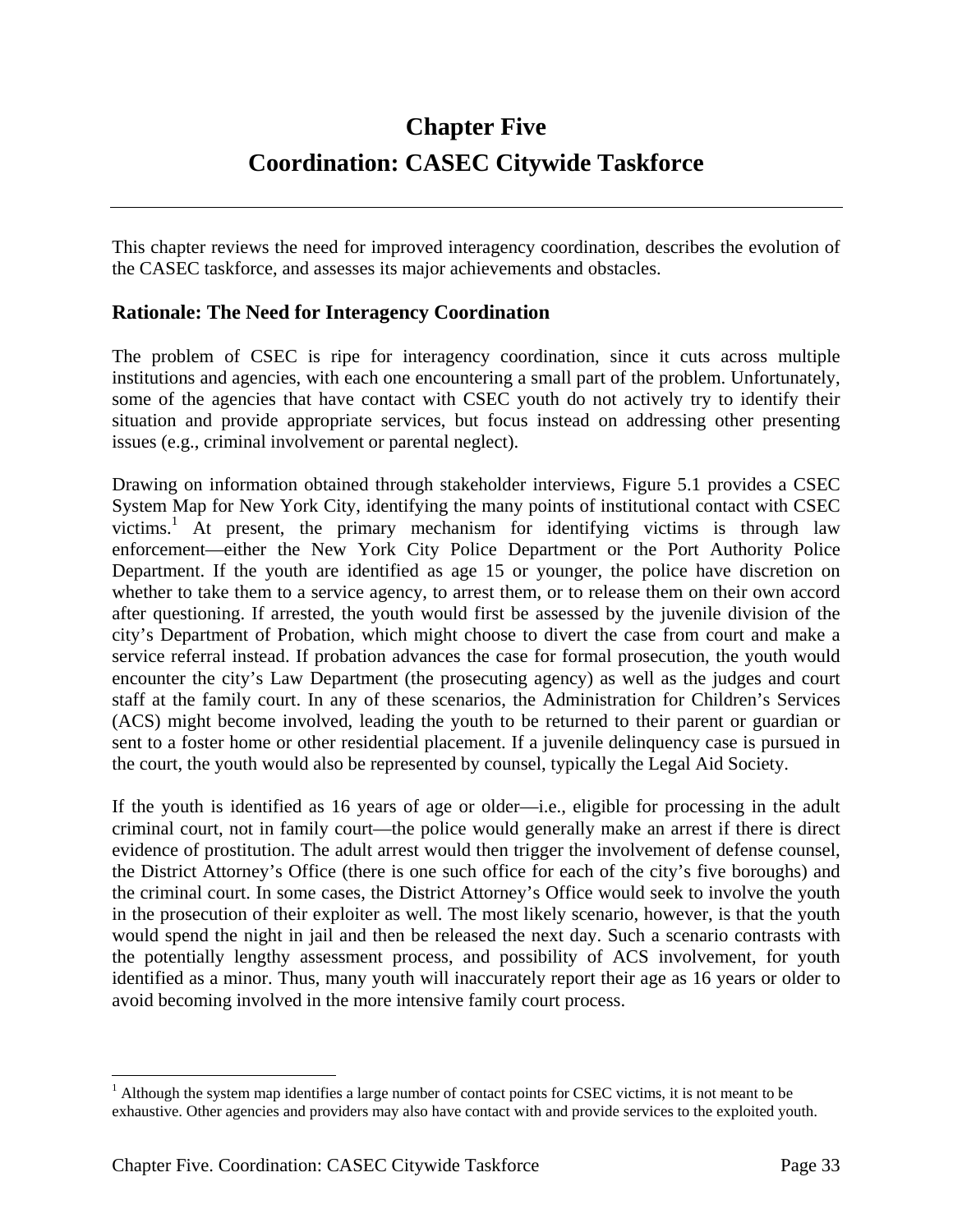# **Chapter Five Coordination: CASEC Citywide Taskforce**

This chapter reviews the need for improved interagency coordination, describes the evolution of the CASEC taskforce, and assesses its major achievements and obstacles.

#### **Rationale: The Need for Interagency Coordination**

The problem of CSEC is ripe for interagency coordination, since it cuts across multiple institutions and agencies, with each one encountering a small part of the problem. Unfortunately, some of the agencies that have contact with CSEC youth do not actively try to identify their situation and provide appropriate services, but focus instead on addressing other presenting issues (e.g., criminal involvement or parental neglect).

Drawing on information obtained through stakeholder interviews, Figure 5.1 provides a CSEC System Map for New York City, identifying the many points of institutional contact with CSEC victims.<sup>1</sup> At present, the primary mechanism for identifying victims is through law enforcement—either the New York City Police Department or the Port Authority Police Department. If the youth are identified as age 15 or younger, the police have discretion on whether to take them to a service agency, to arrest them, or to release them on their own accord after questioning. If arrested, the youth would first be assessed by the juvenile division of the city's Department of Probation, which might choose to divert the case from court and make a service referral instead. If probation advances the case for formal prosecution, the youth would encounter the city's Law Department (the prosecuting agency) as well as the judges and court staff at the family court. In any of these scenarios, the Administration for Children's Services (ACS) might become involved, leading the youth to be returned to their parent or guardian or sent to a foster home or other residential placement. If a juvenile delinquency case is pursued in the court, the youth would also be represented by counsel, typically the Legal Aid Society.

If the youth is identified as 16 years of age or older—i.e., eligible for processing in the adult criminal court, not in family court—the police would generally make an arrest if there is direct evidence of prostitution. The adult arrest would then trigger the involvement of defense counsel, the District Attorney's Office (there is one such office for each of the city's five boroughs) and the criminal court. In some cases, the District Attorney's Office would seek to involve the youth in the prosecution of their exploiter as well. The most likely scenario, however, is that the youth would spend the night in jail and then be released the next day. Such a scenario contrasts with the potentially lengthy assessment process, and possibility of ACS involvement, for youth identified as a minor. Thus, many youth will inaccurately report their age as 16 years or older to avoid becoming involved in the more intensive family court process.

 $\overline{a}$ 

<sup>&</sup>lt;sup>1</sup> Although the system map identifies a large number of contact points for CSEC victims, it is not meant to be exhaustive. Other agencies and providers may also have contact with and provide services to the exploited youth.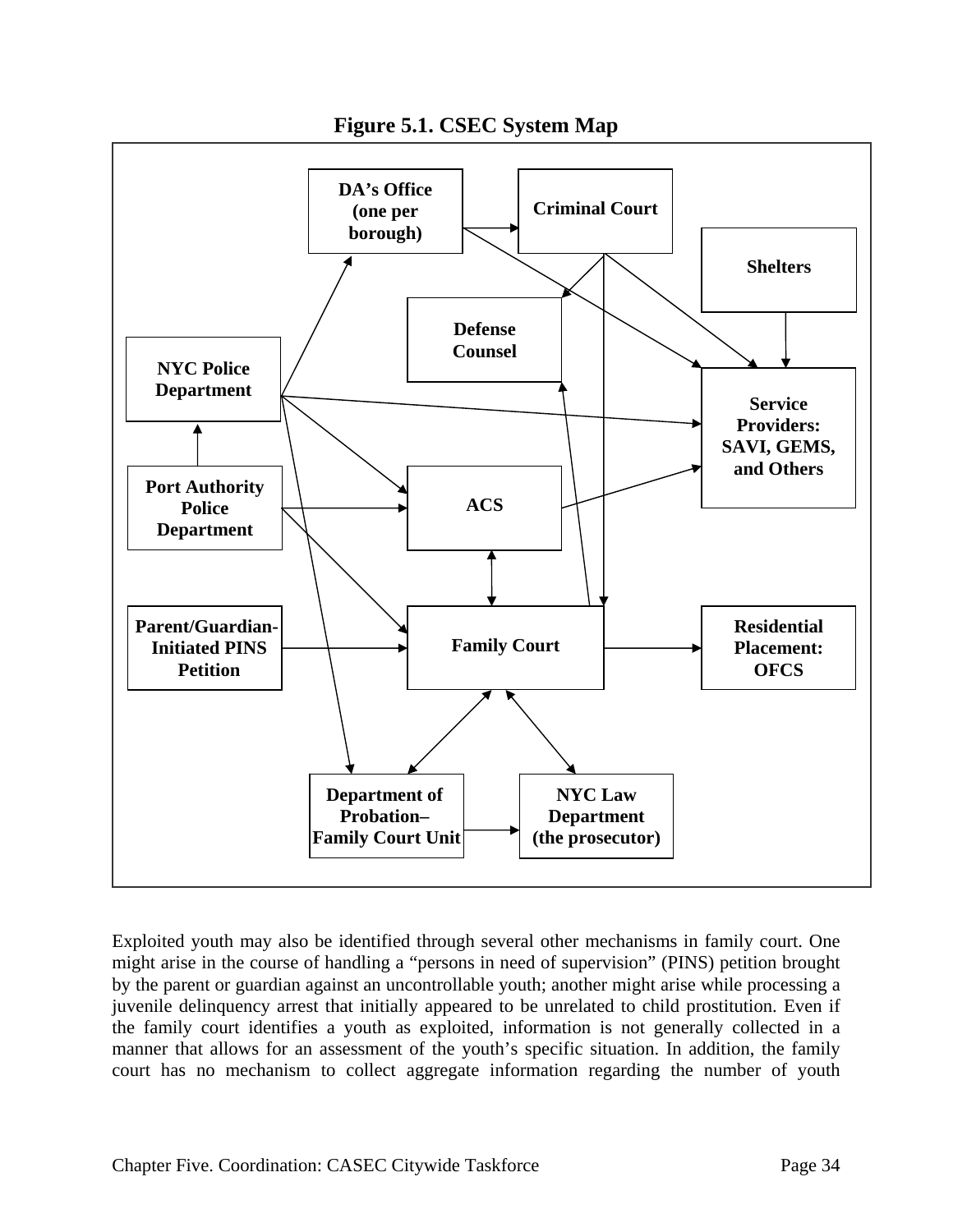

**Figure 5.1. CSEC System Map** 

Exploited youth may also be identified through several other mechanisms in family court. One might arise in the course of handling a "persons in need of supervision" (PINS) petition brought by the parent or guardian against an uncontrollable youth; another might arise while processing a juvenile delinquency arrest that initially appeared to be unrelated to child prostitution. Even if the family court identifies a youth as exploited, information is not generally collected in a manner that allows for an assessment of the youth's specific situation. In addition, the family court has no mechanism to collect aggregate information regarding the number of youth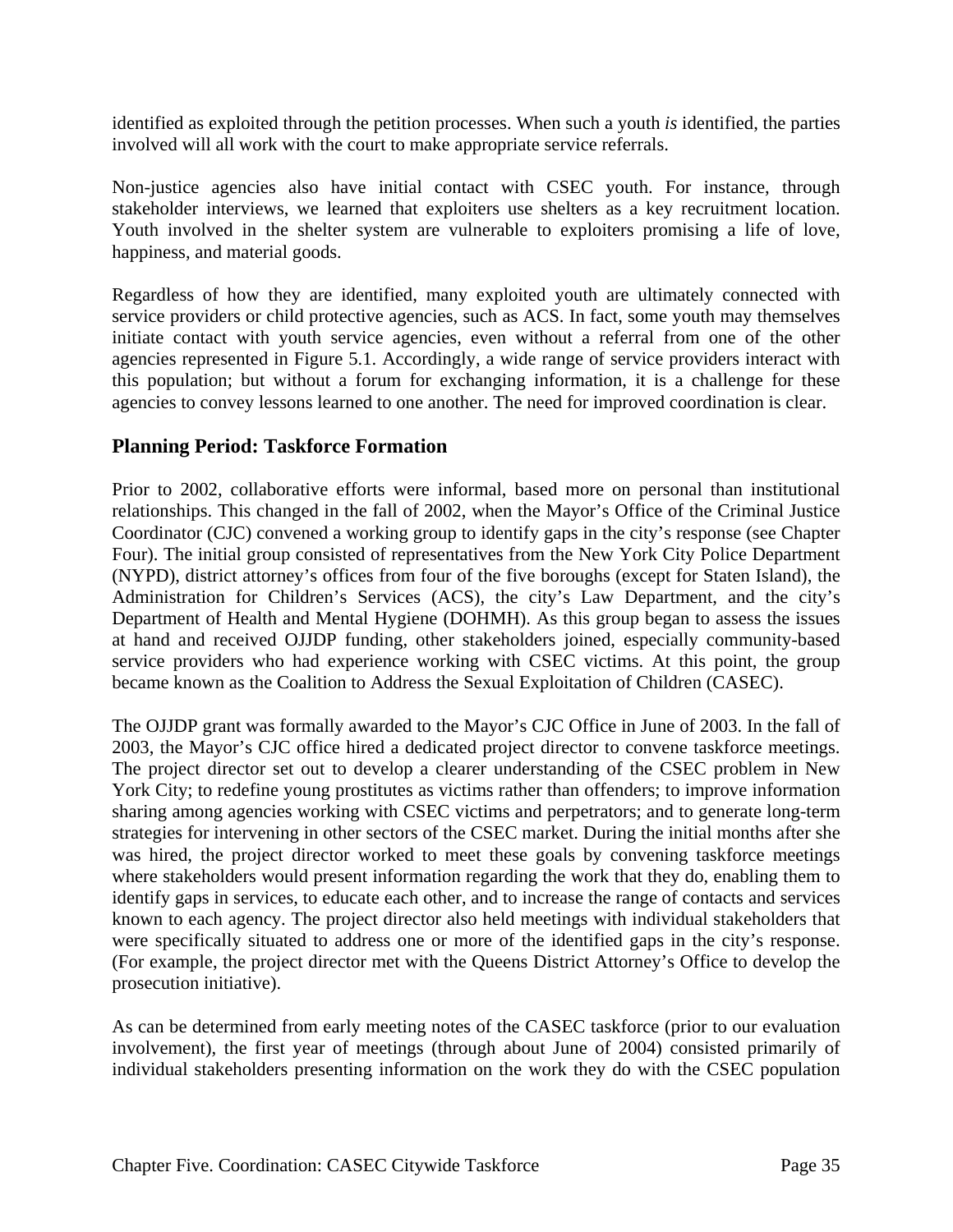identified as exploited through the petition processes. When such a youth *is* identified, the parties involved will all work with the court to make appropriate service referrals.

Non-justice agencies also have initial contact with CSEC youth. For instance, through stakeholder interviews, we learned that exploiters use shelters as a key recruitment location. Youth involved in the shelter system are vulnerable to exploiters promising a life of love, happiness, and material goods.

Regardless of how they are identified, many exploited youth are ultimately connected with service providers or child protective agencies, such as ACS. In fact, some youth may themselves initiate contact with youth service agencies, even without a referral from one of the other agencies represented in Figure 5.1. Accordingly, a wide range of service providers interact with this population; but without a forum for exchanging information, it is a challenge for these agencies to convey lessons learned to one another. The need for improved coordination is clear.

#### **Planning Period: Taskforce Formation**

Prior to 2002, collaborative efforts were informal, based more on personal than institutional relationships. This changed in the fall of 2002, when the Mayor's Office of the Criminal Justice Coordinator (CJC) convened a working group to identify gaps in the city's response (see Chapter Four). The initial group consisted of representatives from the New York City Police Department (NYPD), district attorney's offices from four of the five boroughs (except for Staten Island), the Administration for Children's Services (ACS), the city's Law Department, and the city's Department of Health and Mental Hygiene (DOHMH). As this group began to assess the issues at hand and received OJJDP funding, other stakeholders joined, especially community-based service providers who had experience working with CSEC victims. At this point, the group became known as the Coalition to Address the Sexual Exploitation of Children (CASEC).

The OJJDP grant was formally awarded to the Mayor's CJC Office in June of 2003. In the fall of 2003, the Mayor's CJC office hired a dedicated project director to convene taskforce meetings. The project director set out to develop a clearer understanding of the CSEC problem in New York City; to redefine young prostitutes as victims rather than offenders; to improve information sharing among agencies working with CSEC victims and perpetrators; and to generate long-term strategies for intervening in other sectors of the CSEC market. During the initial months after she was hired, the project director worked to meet these goals by convening taskforce meetings where stakeholders would present information regarding the work that they do, enabling them to identify gaps in services, to educate each other, and to increase the range of contacts and services known to each agency. The project director also held meetings with individual stakeholders that were specifically situated to address one or more of the identified gaps in the city's response. (For example, the project director met with the Queens District Attorney's Office to develop the prosecution initiative).

As can be determined from early meeting notes of the CASEC taskforce (prior to our evaluation involvement), the first year of meetings (through about June of 2004) consisted primarily of individual stakeholders presenting information on the work they do with the CSEC population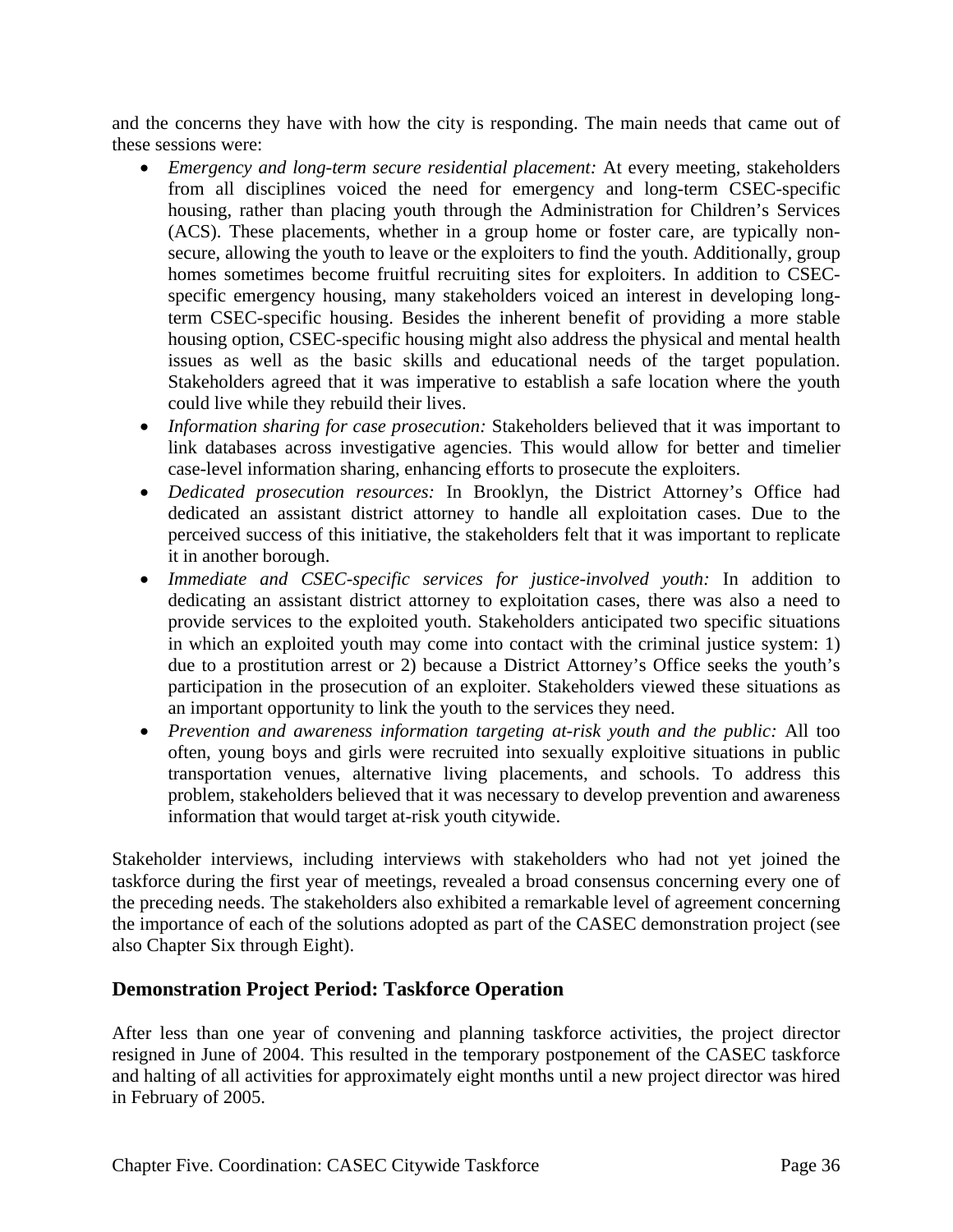and the concerns they have with how the city is responding. The main needs that came out of these sessions were:

- *Emergency and long-term secure residential placement:* At every meeting, stakeholders from all disciplines voiced the need for emergency and long-term CSEC-specific housing, rather than placing youth through the Administration for Children's Services (ACS). These placements, whether in a group home or foster care, are typically nonsecure, allowing the youth to leave or the exploiters to find the youth. Additionally, group homes sometimes become fruitful recruiting sites for exploiters. In addition to CSECspecific emergency housing, many stakeholders voiced an interest in developing longterm CSEC-specific housing. Besides the inherent benefit of providing a more stable housing option, CSEC-specific housing might also address the physical and mental health issues as well as the basic skills and educational needs of the target population. Stakeholders agreed that it was imperative to establish a safe location where the youth could live while they rebuild their lives.
- *Information sharing for case prosecution:* Stakeholders believed that it was important to link databases across investigative agencies. This would allow for better and timelier case-level information sharing, enhancing efforts to prosecute the exploiters.
- *Dedicated prosecution resources:* In Brooklyn, the District Attorney's Office had dedicated an assistant district attorney to handle all exploitation cases. Due to the perceived success of this initiative, the stakeholders felt that it was important to replicate it in another borough.
- *Immediate and CSEC-specific services for justice-involved youth:* In addition to dedicating an assistant district attorney to exploitation cases, there was also a need to provide services to the exploited youth. Stakeholders anticipated two specific situations in which an exploited youth may come into contact with the criminal justice system: 1) due to a prostitution arrest or 2) because a District Attorney's Office seeks the youth's participation in the prosecution of an exploiter. Stakeholders viewed these situations as an important opportunity to link the youth to the services they need.
- *Prevention and awareness information targeting at-risk youth and the public:* All too often, young boys and girls were recruited into sexually exploitive situations in public transportation venues, alternative living placements, and schools. To address this problem, stakeholders believed that it was necessary to develop prevention and awareness information that would target at-risk youth citywide.

Stakeholder interviews, including interviews with stakeholders who had not yet joined the taskforce during the first year of meetings, revealed a broad consensus concerning every one of the preceding needs. The stakeholders also exhibited a remarkable level of agreement concerning the importance of each of the solutions adopted as part of the CASEC demonstration project (see also Chapter Six through Eight).

#### **Demonstration Project Period: Taskforce Operation**

After less than one year of convening and planning taskforce activities, the project director resigned in June of 2004. This resulted in the temporary postponement of the CASEC taskforce and halting of all activities for approximately eight months until a new project director was hired in February of 2005.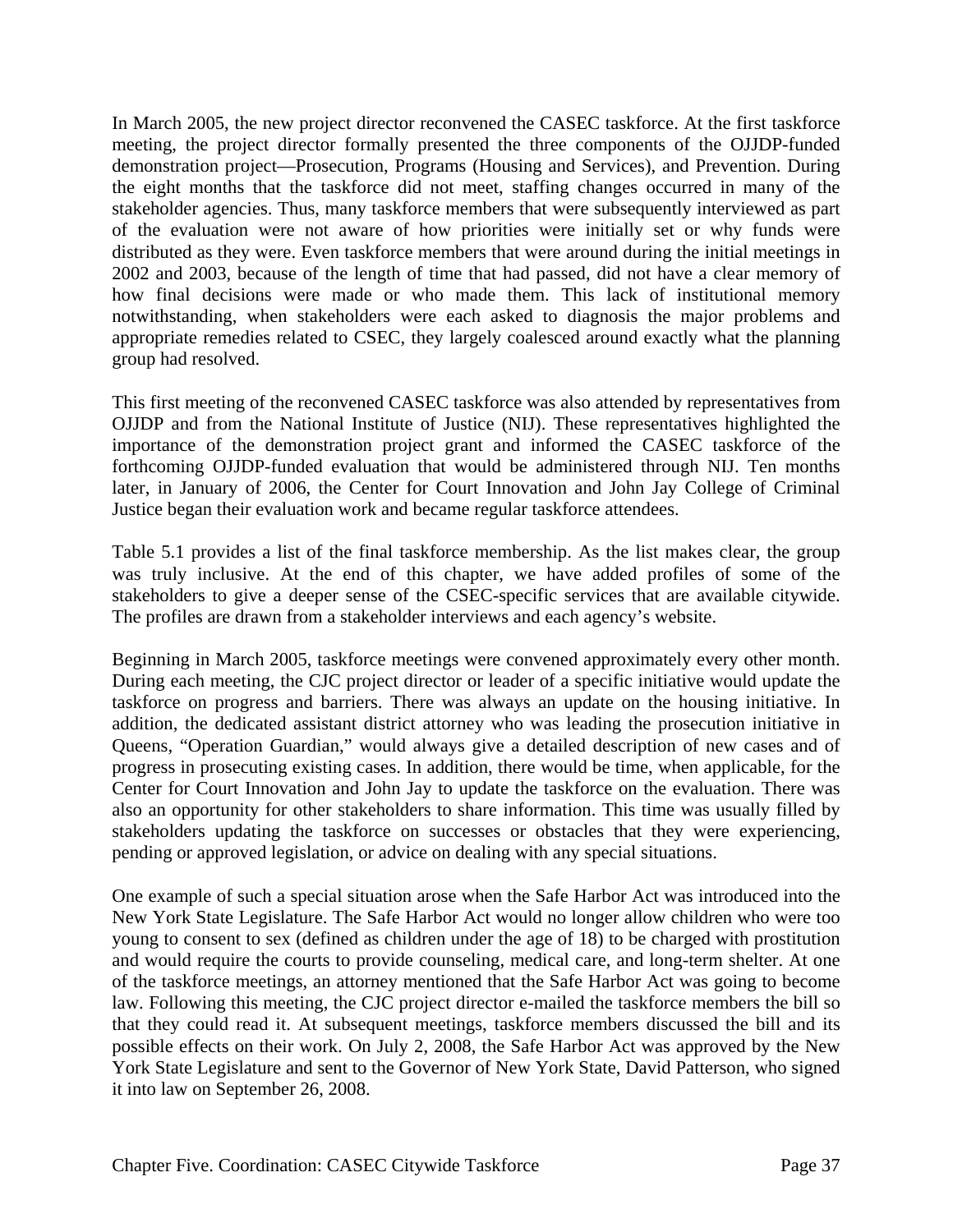In March 2005, the new project director reconvened the CASEC taskforce. At the first taskforce meeting, the project director formally presented the three components of the OJJDP-funded demonstration project—Prosecution, Programs (Housing and Services), and Prevention. During the eight months that the taskforce did not meet, staffing changes occurred in many of the stakeholder agencies. Thus, many taskforce members that were subsequently interviewed as part of the evaluation were not aware of how priorities were initially set or why funds were distributed as they were. Even taskforce members that were around during the initial meetings in 2002 and 2003, because of the length of time that had passed, did not have a clear memory of how final decisions were made or who made them. This lack of institutional memory notwithstanding, when stakeholders were each asked to diagnosis the major problems and appropriate remedies related to CSEC, they largely coalesced around exactly what the planning group had resolved.

This first meeting of the reconvened CASEC taskforce was also attended by representatives from OJJDP and from the National Institute of Justice (NIJ). These representatives highlighted the importance of the demonstration project grant and informed the CASEC taskforce of the forthcoming OJJDP-funded evaluation that would be administered through NIJ. Ten months later, in January of 2006, the Center for Court Innovation and John Jay College of Criminal Justice began their evaluation work and became regular taskforce attendees.

Table 5.1 provides a list of the final taskforce membership. As the list makes clear, the group was truly inclusive. At the end of this chapter, we have added profiles of some of the stakeholders to give a deeper sense of the CSEC-specific services that are available citywide. The profiles are drawn from a stakeholder interviews and each agency's website.

Beginning in March 2005, taskforce meetings were convened approximately every other month. During each meeting, the CJC project director or leader of a specific initiative would update the taskforce on progress and barriers. There was always an update on the housing initiative. In addition, the dedicated assistant district attorney who was leading the prosecution initiative in Queens, "Operation Guardian," would always give a detailed description of new cases and of progress in prosecuting existing cases. In addition, there would be time, when applicable, for the Center for Court Innovation and John Jay to update the taskforce on the evaluation. There was also an opportunity for other stakeholders to share information. This time was usually filled by stakeholders updating the taskforce on successes or obstacles that they were experiencing, pending or approved legislation, or advice on dealing with any special situations.

One example of such a special situation arose when the Safe Harbor Act was introduced into the New York State Legislature. The Safe Harbor Act would no longer allow children who were too young to consent to sex (defined as children under the age of 18) to be charged with prostitution and would require the courts to provide counseling, medical care, and long-term shelter. At one of the taskforce meetings, an attorney mentioned that the Safe Harbor Act was going to become law. Following this meeting, the CJC project director e-mailed the taskforce members the bill so that they could read it. At subsequent meetings, taskforce members discussed the bill and its possible effects on their work. On July 2, 2008, the Safe Harbor Act was approved by the New York State Legislature and sent to the Governor of New York State, David Patterson, who signed it into law on September 26, 2008.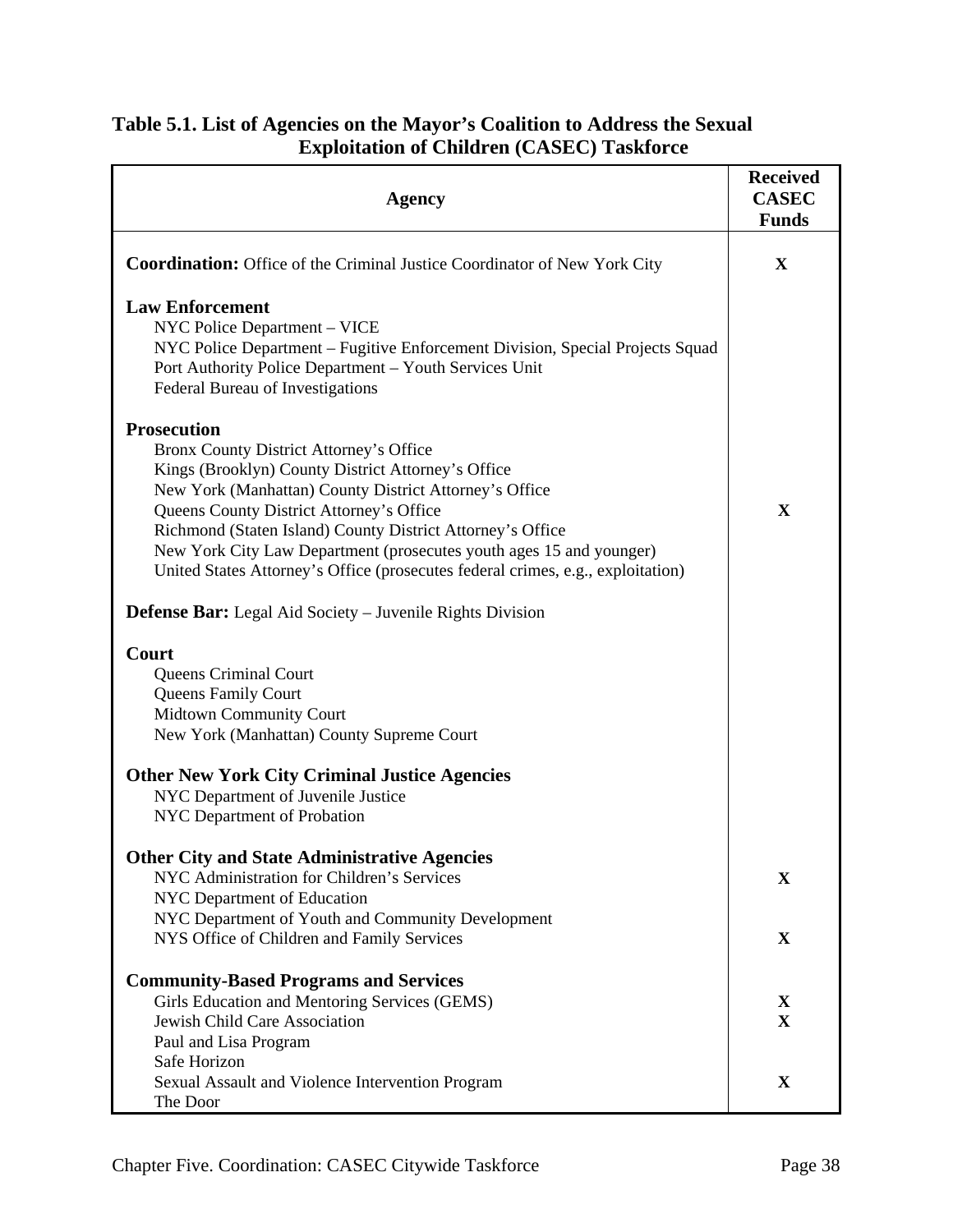| Table 5.1. List of Agencies on the Mayor's Coalition to Address the Sexual |  |
|----------------------------------------------------------------------------|--|
| <b>Exploitation of Children (CASEC) Taskforce</b>                          |  |

| <b>Agency</b>                                                                                                                                                                                                                                                                                                                                                                                                                                     | <b>Received</b><br><b>CASEC</b><br><b>Funds</b> |
|---------------------------------------------------------------------------------------------------------------------------------------------------------------------------------------------------------------------------------------------------------------------------------------------------------------------------------------------------------------------------------------------------------------------------------------------------|-------------------------------------------------|
| <b>Coordination:</b> Office of the Criminal Justice Coordinator of New York City                                                                                                                                                                                                                                                                                                                                                                  | X                                               |
| <b>Law Enforcement</b><br>NYC Police Department - VICE<br>NYC Police Department - Fugitive Enforcement Division, Special Projects Squad<br>Port Authority Police Department - Youth Services Unit<br>Federal Bureau of Investigations                                                                                                                                                                                                             |                                                 |
| <b>Prosecution</b><br>Bronx County District Attorney's Office<br>Kings (Brooklyn) County District Attorney's Office<br>New York (Manhattan) County District Attorney's Office<br>Queens County District Attorney's Office<br>Richmond (Staten Island) County District Attorney's Office<br>New York City Law Department (prosecutes youth ages 15 and younger)<br>United States Attorney's Office (prosecutes federal crimes, e.g., exploitation) | $\mathbf X$                                     |
| <b>Defense Bar:</b> Legal Aid Society – Juvenile Rights Division                                                                                                                                                                                                                                                                                                                                                                                  |                                                 |
| Court<br>Queens Criminal Court<br><b>Queens Family Court</b><br><b>Midtown Community Court</b><br>New York (Manhattan) County Supreme Court<br><b>Other New York City Criminal Justice Agencies</b><br>NYC Department of Juvenile Justice<br>NYC Department of Probation                                                                                                                                                                          |                                                 |
| <b>Other City and State Administrative Agencies</b><br>NYC Administration for Children's Services<br>NYC Department of Education                                                                                                                                                                                                                                                                                                                  | $\mathbf X$                                     |
| NYC Department of Youth and Community Development<br>NYS Office of Children and Family Services                                                                                                                                                                                                                                                                                                                                                   | X                                               |
| <b>Community-Based Programs and Services</b><br>Girls Education and Mentoring Services (GEMS)<br>Jewish Child Care Association<br>Paul and Lisa Program                                                                                                                                                                                                                                                                                           | X<br>$\mathbf X$                                |
| Safe Horizon<br>Sexual Assault and Violence Intervention Program<br>The Door                                                                                                                                                                                                                                                                                                                                                                      | X                                               |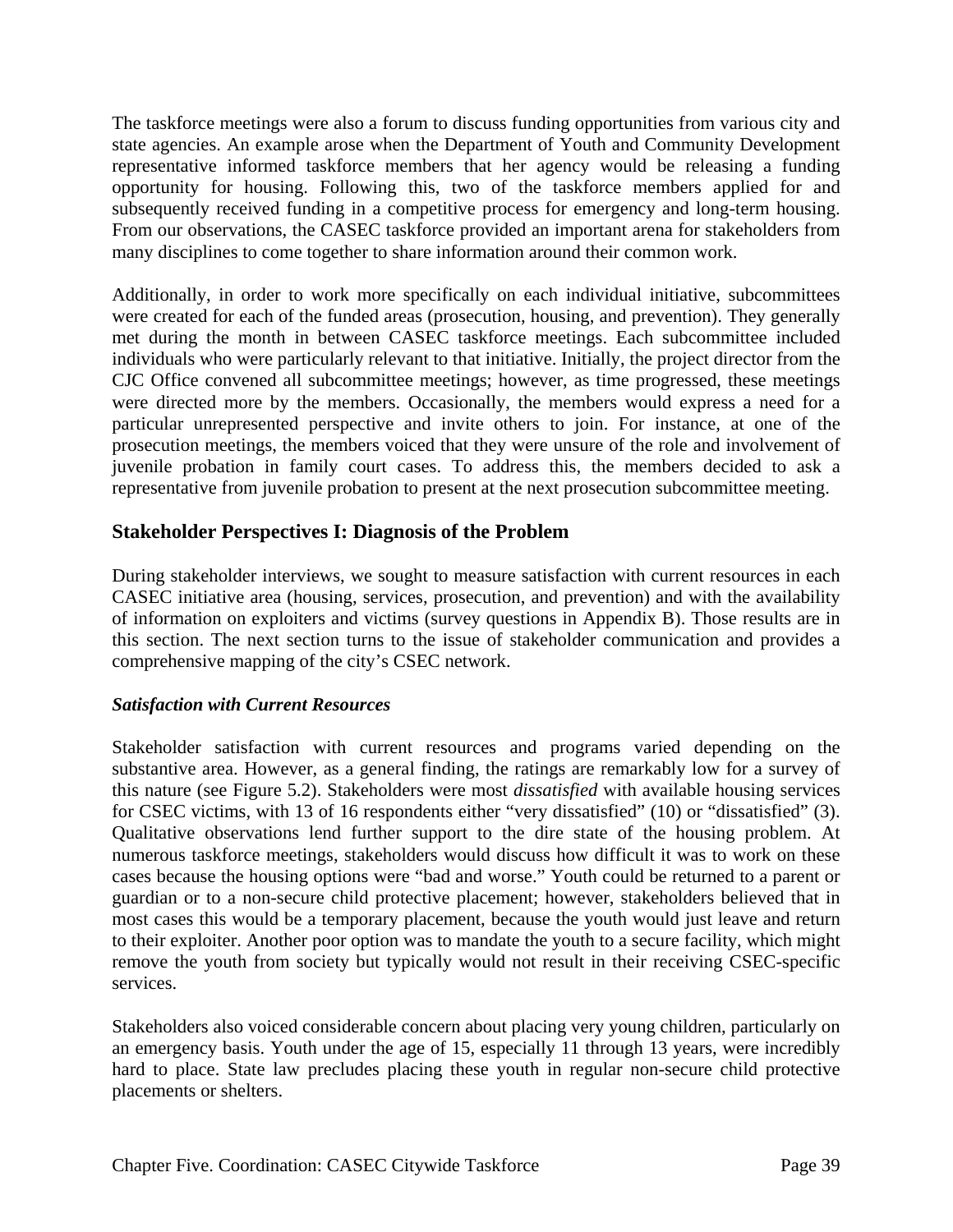The taskforce meetings were also a forum to discuss funding opportunities from various city and state agencies. An example arose when the Department of Youth and Community Development representative informed taskforce members that her agency would be releasing a funding opportunity for housing. Following this, two of the taskforce members applied for and subsequently received funding in a competitive process for emergency and long-term housing. From our observations, the CASEC taskforce provided an important arena for stakeholders from many disciplines to come together to share information around their common work.

Additionally, in order to work more specifically on each individual initiative, subcommittees were created for each of the funded areas (prosecution, housing, and prevention). They generally met during the month in between CASEC taskforce meetings. Each subcommittee included individuals who were particularly relevant to that initiative. Initially, the project director from the CJC Office convened all subcommittee meetings; however, as time progressed, these meetings were directed more by the members. Occasionally, the members would express a need for a particular unrepresented perspective and invite others to join. For instance, at one of the prosecution meetings, the members voiced that they were unsure of the role and involvement of juvenile probation in family court cases. To address this, the members decided to ask a representative from juvenile probation to present at the next prosecution subcommittee meeting.

# **Stakeholder Perspectives I: Diagnosis of the Problem**

During stakeholder interviews, we sought to measure satisfaction with current resources in each CASEC initiative area (housing, services, prosecution, and prevention) and with the availability of information on exploiters and victims (survey questions in Appendix B). Those results are in this section. The next section turns to the issue of stakeholder communication and provides a comprehensive mapping of the city's CSEC network.

#### *Satisfaction with Current Resources*

Stakeholder satisfaction with current resources and programs varied depending on the substantive area. However, as a general finding, the ratings are remarkably low for a survey of this nature (see Figure 5.2). Stakeholders were most *dissatisfied* with available housing services for CSEC victims, with 13 of 16 respondents either "very dissatisfied" (10) or "dissatisfied" (3). Qualitative observations lend further support to the dire state of the housing problem. At numerous taskforce meetings, stakeholders would discuss how difficult it was to work on these cases because the housing options were "bad and worse." Youth could be returned to a parent or guardian or to a non-secure child protective placement; however, stakeholders believed that in most cases this would be a temporary placement, because the youth would just leave and return to their exploiter. Another poor option was to mandate the youth to a secure facility, which might remove the youth from society but typically would not result in their receiving CSEC-specific services.

Stakeholders also voiced considerable concern about placing very young children, particularly on an emergency basis. Youth under the age of 15, especially 11 through 13 years, were incredibly hard to place. State law precludes placing these youth in regular non-secure child protective placements or shelters.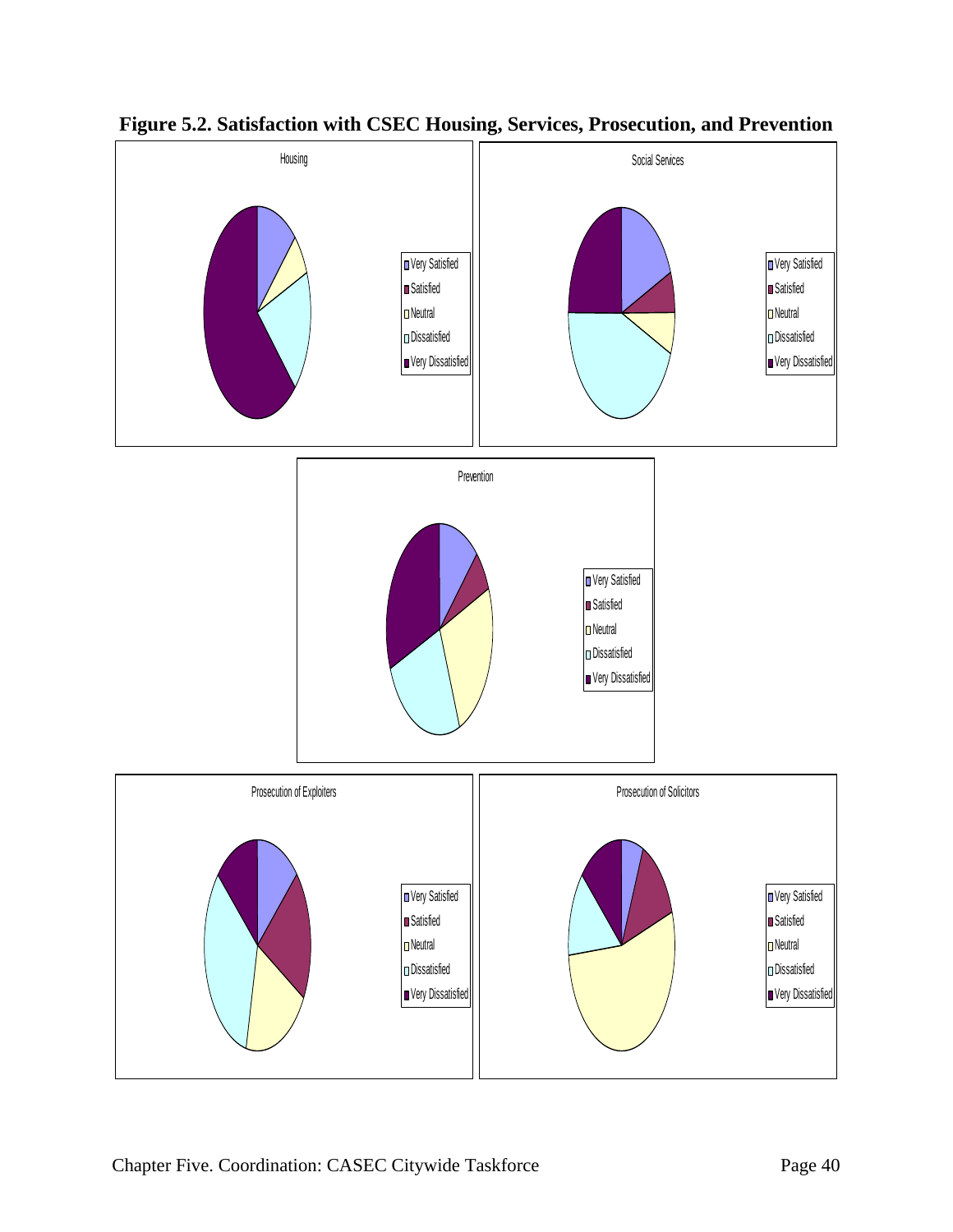

**Figure 5.2. Satisfaction with CSEC Housing, Services, Prosecution, and Prevention**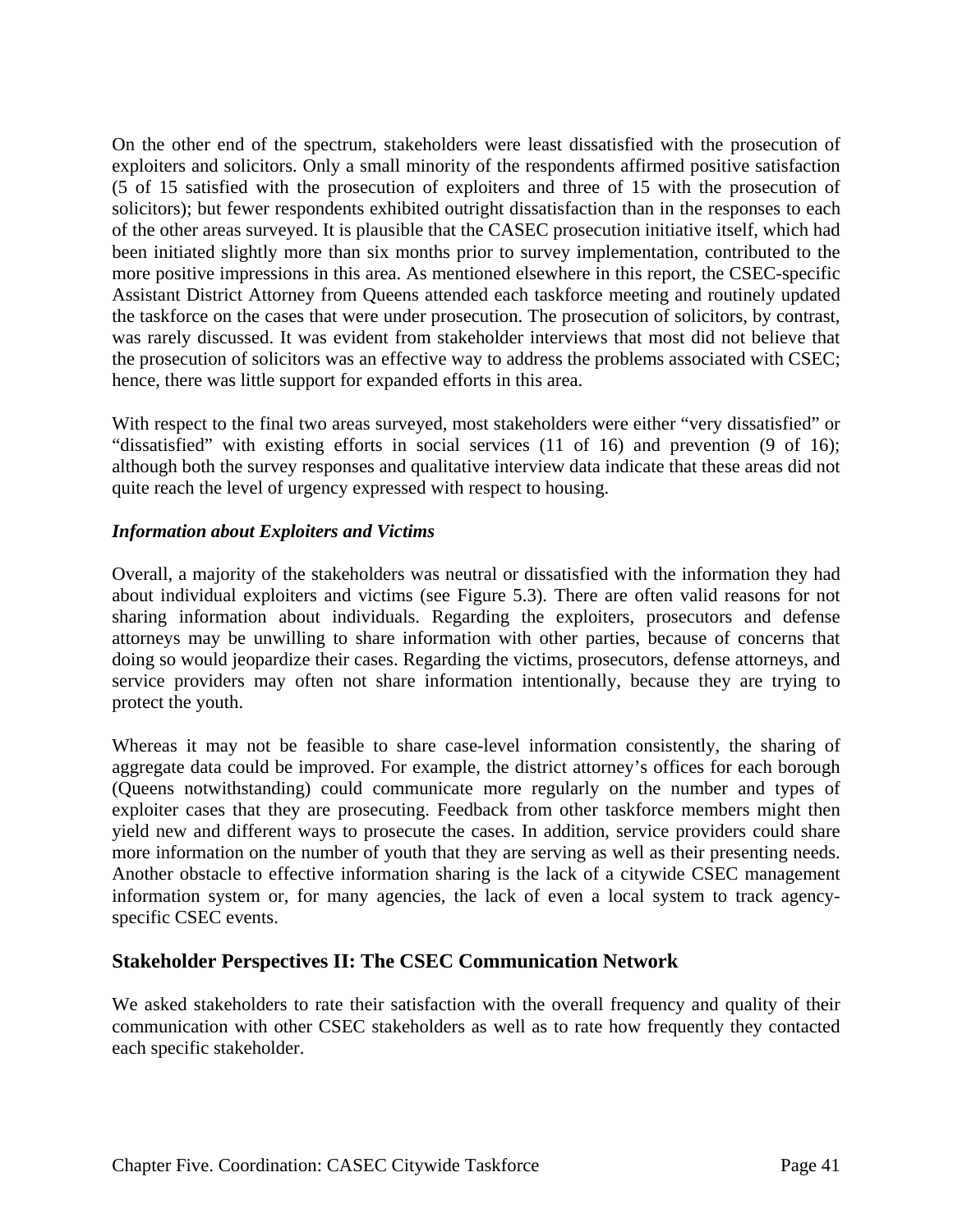On the other end of the spectrum, stakeholders were least dissatisfied with the prosecution of exploiters and solicitors. Only a small minority of the respondents affirmed positive satisfaction (5 of 15 satisfied with the prosecution of exploiters and three of 15 with the prosecution of solicitors); but fewer respondents exhibited outright dissatisfaction than in the responses to each of the other areas surveyed. It is plausible that the CASEC prosecution initiative itself, which had been initiated slightly more than six months prior to survey implementation, contributed to the more positive impressions in this area. As mentioned elsewhere in this report, the CSEC-specific Assistant District Attorney from Queens attended each taskforce meeting and routinely updated the taskforce on the cases that were under prosecution. The prosecution of solicitors, by contrast, was rarely discussed. It was evident from stakeholder interviews that most did not believe that the prosecution of solicitors was an effective way to address the problems associated with CSEC; hence, there was little support for expanded efforts in this area.

With respect to the final two areas surveyed, most stakeholders were either "very dissatisfied" or "dissatisfied" with existing efforts in social services (11 of 16) and prevention (9 of 16); although both the survey responses and qualitative interview data indicate that these areas did not quite reach the level of urgency expressed with respect to housing.

#### *Information about Exploiters and Victims*

Overall, a majority of the stakeholders was neutral or dissatisfied with the information they had about individual exploiters and victims (see Figure 5.3). There are often valid reasons for not sharing information about individuals. Regarding the exploiters, prosecutors and defense attorneys may be unwilling to share information with other parties, because of concerns that doing so would jeopardize their cases. Regarding the victims, prosecutors, defense attorneys, and service providers may often not share information intentionally, because they are trying to protect the youth.

Whereas it may not be feasible to share case-level information consistently, the sharing of aggregate data could be improved. For example, the district attorney's offices for each borough (Queens notwithstanding) could communicate more regularly on the number and types of exploiter cases that they are prosecuting. Feedback from other taskforce members might then yield new and different ways to prosecute the cases. In addition, service providers could share more information on the number of youth that they are serving as well as their presenting needs. Another obstacle to effective information sharing is the lack of a citywide CSEC management information system or, for many agencies, the lack of even a local system to track agencyspecific CSEC events.

#### **Stakeholder Perspectives II: The CSEC Communication Network**

We asked stakeholders to rate their satisfaction with the overall frequency and quality of their communication with other CSEC stakeholders as well as to rate how frequently they contacted each specific stakeholder.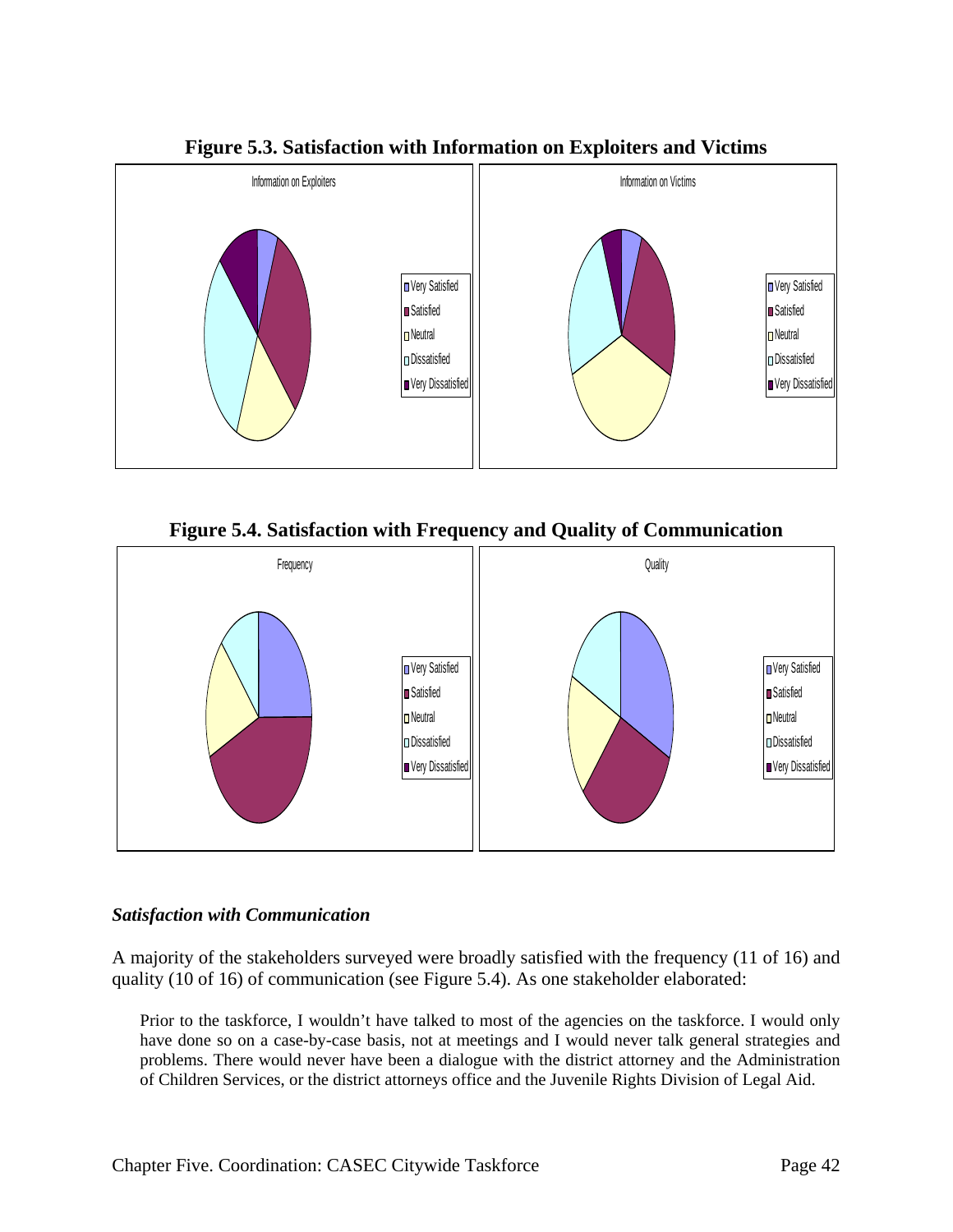

**Figure 5.3. Satisfaction with Information on Exploiters and Victims** 





#### *Satisfaction with Communication*

A majority of the stakeholders surveyed were broadly satisfied with the frequency (11 of 16) and quality (10 of 16) of communication (see Figure 5.4). As one stakeholder elaborated:

Prior to the taskforce, I wouldn't have talked to most of the agencies on the taskforce. I would only have done so on a case-by-case basis, not at meetings and I would never talk general strategies and problems. There would never have been a dialogue with the district attorney and the Administration of Children Services, or the district attorneys office and the Juvenile Rights Division of Legal Aid.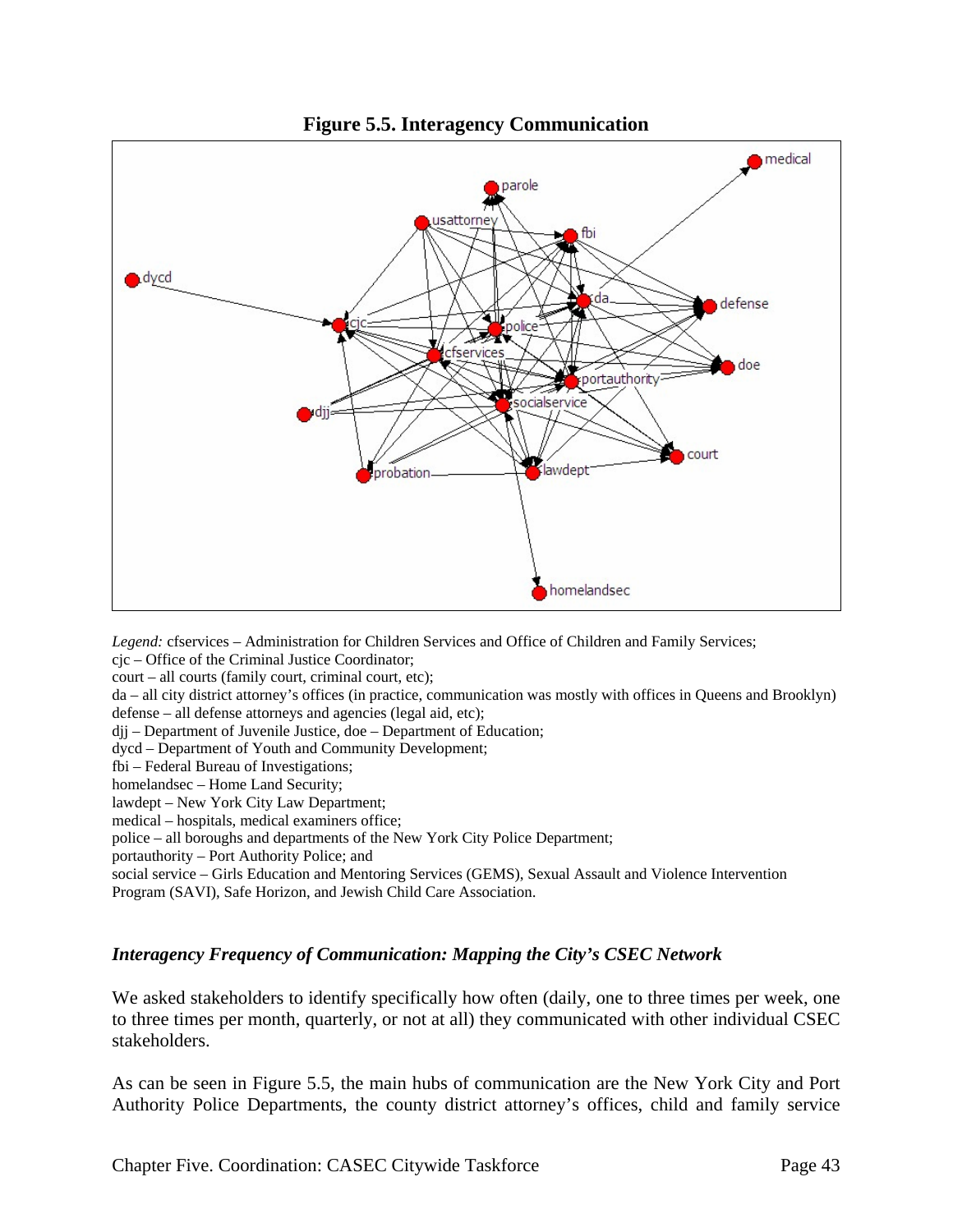

**Figure 5.5. Interagency Communication** 

*Legend:* cfservices – Administration for Children Services and Office of Children and Family Services; cjc – Office of the Criminal Justice Coordinator;

court – all courts (family court, criminal court, etc);

da – all city district attorney's offices (in practice, communication was mostly with offices in Queens and Brooklyn) defense – all defense attorneys and agencies (legal aid, etc);

djj – Department of Juvenile Justice, doe – Department of Education;

dycd – Department of Youth and Community Development;

fbi – Federal Bureau of Investigations;

homelandsec – Home Land Security;

lawdept – New York City Law Department;

medical – hospitals, medical examiners office;

police – all boroughs and departments of the New York City Police Department;

portauthority – Port Authority Police; and

social service – Girls Education and Mentoring Services (GEMS), Sexual Assault and Violence Intervention Program (SAVI), Safe Horizon, and Jewish Child Care Association.

#### *Interagency Frequency of Communication: Mapping the City's CSEC Network*

We asked stakeholders to identify specifically how often (daily, one to three times per week, one to three times per month, quarterly, or not at all) they communicated with other individual CSEC stakeholders.

As can be seen in Figure 5.5, the main hubs of communication are the New York City and Port Authority Police Departments, the county district attorney's offices, child and family service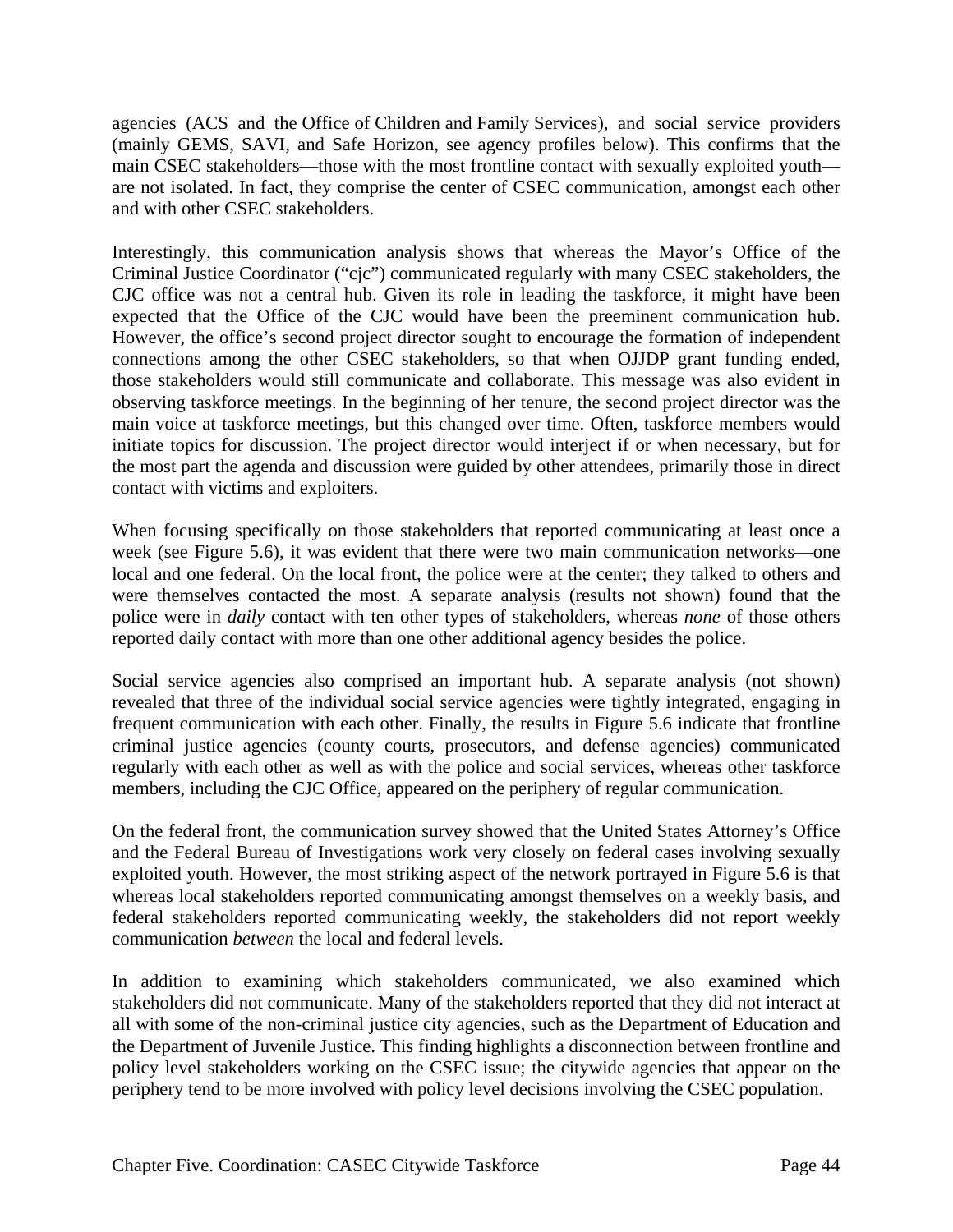agencies (ACS and the Office of Children and Family Services), and social service providers (mainly GEMS, SAVI, and Safe Horizon, see agency profiles below). This confirms that the main CSEC stakeholders—those with the most frontline contact with sexually exploited youth are not isolated. In fact, they comprise the center of CSEC communication, amongst each other and with other CSEC stakeholders.

Interestingly, this communication analysis shows that whereas the Mayor's Office of the Criminal Justice Coordinator ("cjc") communicated regularly with many CSEC stakeholders, the CJC office was not a central hub. Given its role in leading the taskforce, it might have been expected that the Office of the CJC would have been the preeminent communication hub. However, the office's second project director sought to encourage the formation of independent connections among the other CSEC stakeholders, so that when OJJDP grant funding ended, those stakeholders would still communicate and collaborate. This message was also evident in observing taskforce meetings. In the beginning of her tenure, the second project director was the main voice at taskforce meetings, but this changed over time. Often, taskforce members would initiate topics for discussion. The project director would interject if or when necessary, but for the most part the agenda and discussion were guided by other attendees, primarily those in direct contact with victims and exploiters.

When focusing specifically on those stakeholders that reported communicating at least once a week (see Figure 5.6), it was evident that there were two main communication networks—one local and one federal. On the local front, the police were at the center; they talked to others and were themselves contacted the most. A separate analysis (results not shown) found that the police were in *daily* contact with ten other types of stakeholders, whereas *none* of those others reported daily contact with more than one other additional agency besides the police.

Social service agencies also comprised an important hub. A separate analysis (not shown) revealed that three of the individual social service agencies were tightly integrated, engaging in frequent communication with each other. Finally, the results in Figure 5.6 indicate that frontline criminal justice agencies (county courts, prosecutors, and defense agencies) communicated regularly with each other as well as with the police and social services, whereas other taskforce members, including the CJC Office, appeared on the periphery of regular communication.

On the federal front, the communication survey showed that the United States Attorney's Office and the Federal Bureau of Investigations work very closely on federal cases involving sexually exploited youth. However, the most striking aspect of the network portrayed in Figure 5.6 is that whereas local stakeholders reported communicating amongst themselves on a weekly basis, and federal stakeholders reported communicating weekly, the stakeholders did not report weekly communication *between* the local and federal levels.

In addition to examining which stakeholders communicated, we also examined which stakeholders did not communicate. Many of the stakeholders reported that they did not interact at all with some of the non-criminal justice city agencies, such as the Department of Education and the Department of Juvenile Justice. This finding highlights a disconnection between frontline and policy level stakeholders working on the CSEC issue; the citywide agencies that appear on the periphery tend to be more involved with policy level decisions involving the CSEC population.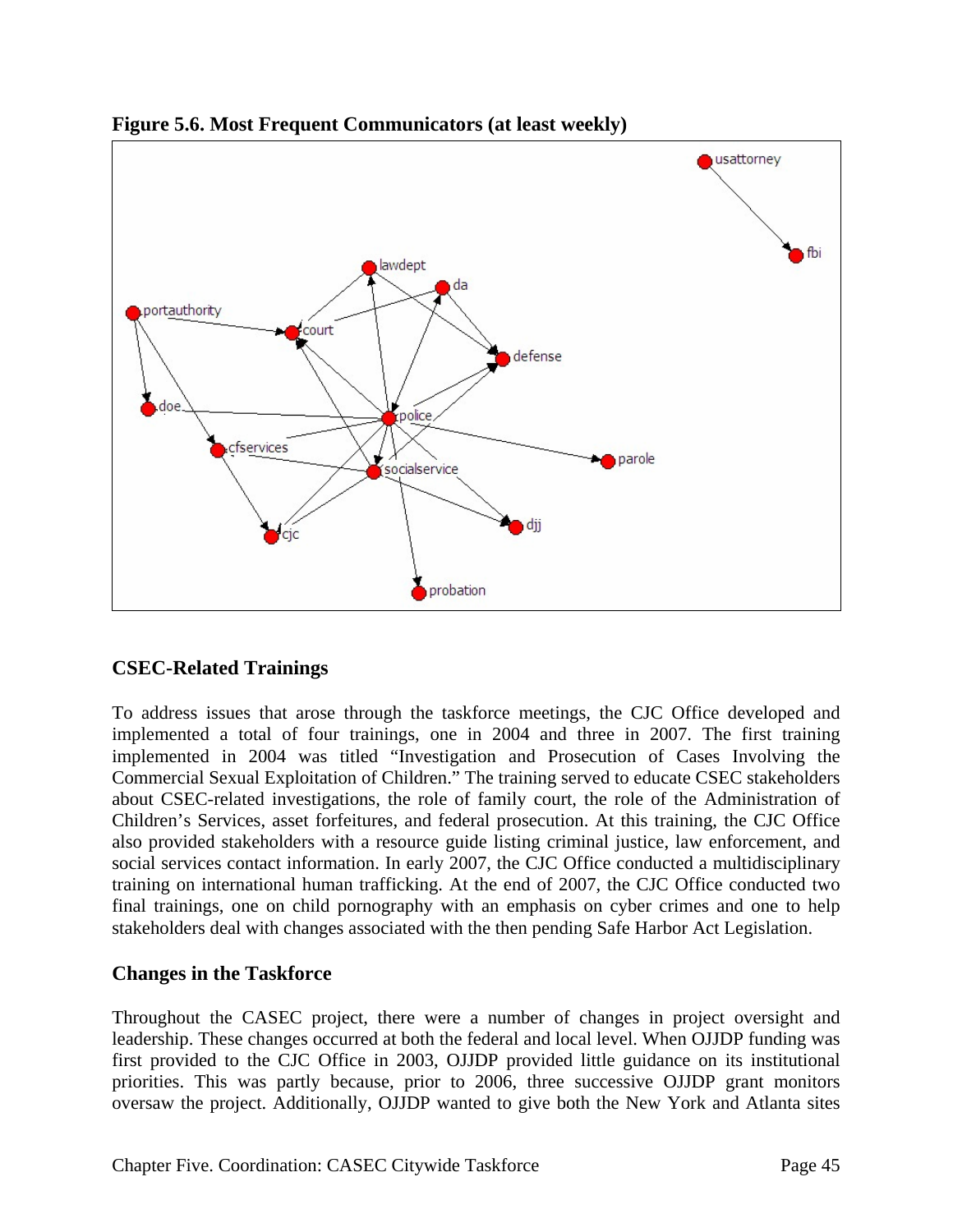

**Figure 5.6. Most Frequent Communicators (at least weekly)** 

# **CSEC-Related Trainings**

To address issues that arose through the taskforce meetings, the CJC Office developed and implemented a total of four trainings, one in 2004 and three in 2007. The first training implemented in 2004 was titled "Investigation and Prosecution of Cases Involving the Commercial Sexual Exploitation of Children." The training served to educate CSEC stakeholders about CSEC-related investigations, the role of family court, the role of the Administration of Children's Services, asset forfeitures, and federal prosecution. At this training, the CJC Office also provided stakeholders with a resource guide listing criminal justice, law enforcement, and social services contact information. In early 2007, the CJC Office conducted a multidisciplinary training on international human trafficking. At the end of 2007, the CJC Office conducted two final trainings, one on child pornography with an emphasis on cyber crimes and one to help stakeholders deal with changes associated with the then pending Safe Harbor Act Legislation.

# **Changes in the Taskforce**

Throughout the CASEC project, there were a number of changes in project oversight and leadership. These changes occurred at both the federal and local level. When OJJDP funding was first provided to the CJC Office in 2003, OJJDP provided little guidance on its institutional priorities. This was partly because, prior to 2006, three successive OJJDP grant monitors oversaw the project. Additionally, OJJDP wanted to give both the New York and Atlanta sites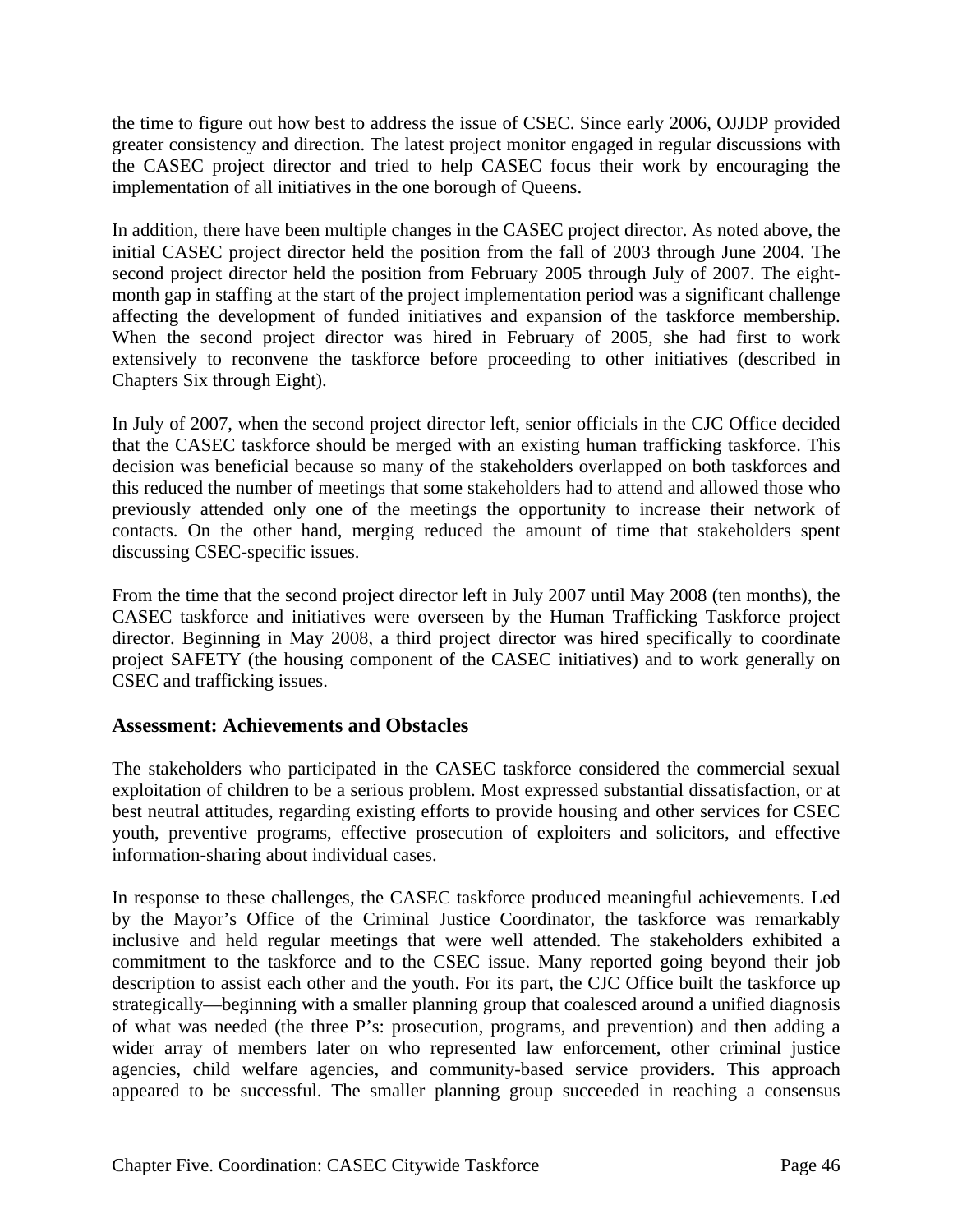the time to figure out how best to address the issue of CSEC. Since early 2006, OJJDP provided greater consistency and direction. The latest project monitor engaged in regular discussions with the CASEC project director and tried to help CASEC focus their work by encouraging the implementation of all initiatives in the one borough of Queens.

In addition, there have been multiple changes in the CASEC project director. As noted above, the initial CASEC project director held the position from the fall of 2003 through June 2004. The second project director held the position from February 2005 through July of 2007. The eightmonth gap in staffing at the start of the project implementation period was a significant challenge affecting the development of funded initiatives and expansion of the taskforce membership. When the second project director was hired in February of 2005, she had first to work extensively to reconvene the taskforce before proceeding to other initiatives (described in Chapters Six through Eight).

In July of 2007, when the second project director left, senior officials in the CJC Office decided that the CASEC taskforce should be merged with an existing human trafficking taskforce. This decision was beneficial because so many of the stakeholders overlapped on both taskforces and this reduced the number of meetings that some stakeholders had to attend and allowed those who previously attended only one of the meetings the opportunity to increase their network of contacts. On the other hand, merging reduced the amount of time that stakeholders spent discussing CSEC-specific issues.

From the time that the second project director left in July 2007 until May 2008 (ten months), the CASEC taskforce and initiatives were overseen by the Human Trafficking Taskforce project director. Beginning in May 2008, a third project director was hired specifically to coordinate project SAFETY (the housing component of the CASEC initiatives) and to work generally on CSEC and trafficking issues.

#### **Assessment: Achievements and Obstacles**

The stakeholders who participated in the CASEC taskforce considered the commercial sexual exploitation of children to be a serious problem. Most expressed substantial dissatisfaction, or at best neutral attitudes, regarding existing efforts to provide housing and other services for CSEC youth, preventive programs, effective prosecution of exploiters and solicitors, and effective information-sharing about individual cases.

In response to these challenges, the CASEC taskforce produced meaningful achievements. Led by the Mayor's Office of the Criminal Justice Coordinator, the taskforce was remarkably inclusive and held regular meetings that were well attended. The stakeholders exhibited a commitment to the taskforce and to the CSEC issue. Many reported going beyond their job description to assist each other and the youth. For its part, the CJC Office built the taskforce up strategically—beginning with a smaller planning group that coalesced around a unified diagnosis of what was needed (the three P's: prosecution, programs, and prevention) and then adding a wider array of members later on who represented law enforcement, other criminal justice agencies, child welfare agencies, and community-based service providers. This approach appeared to be successful. The smaller planning group succeeded in reaching a consensus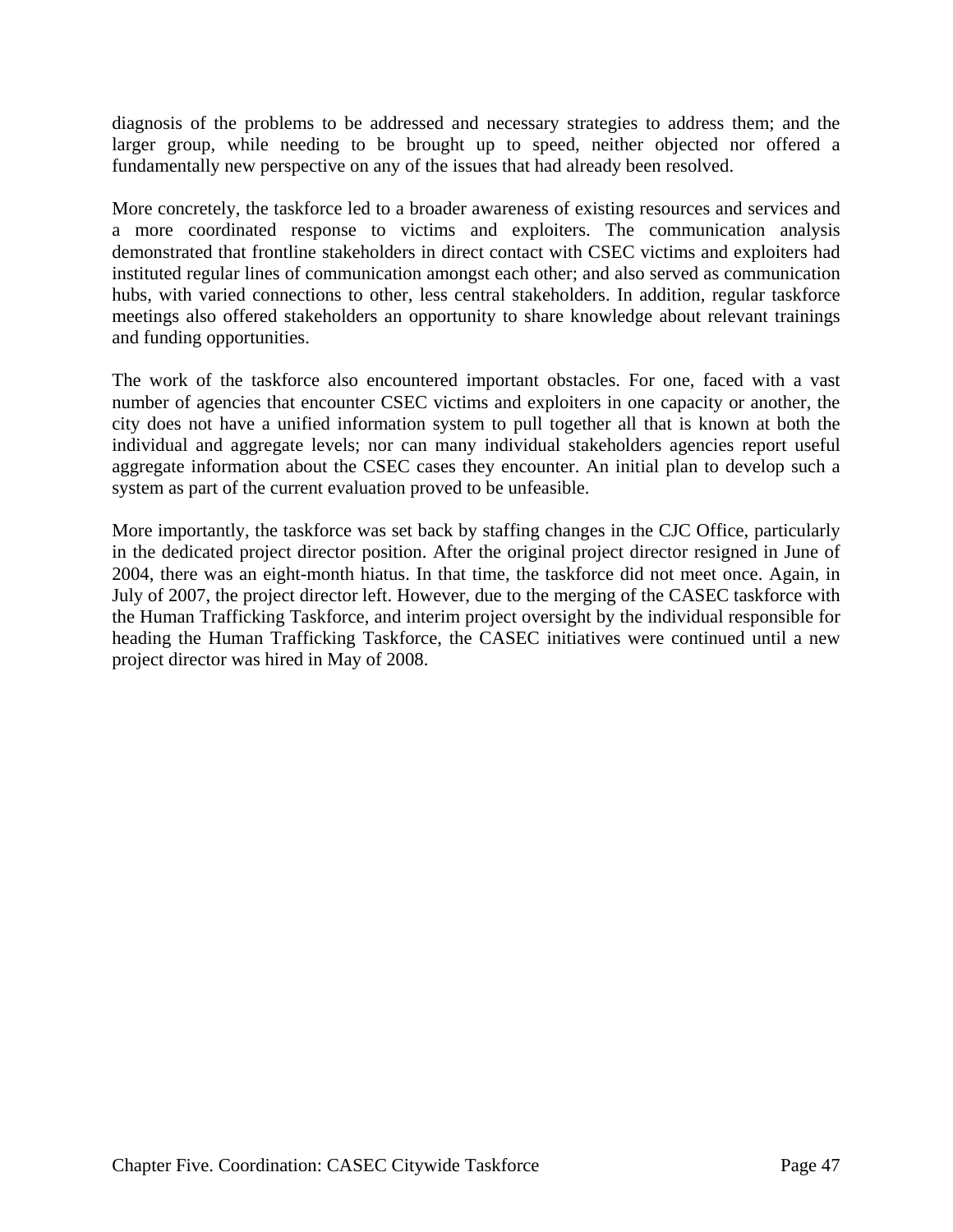diagnosis of the problems to be addressed and necessary strategies to address them; and the larger group, while needing to be brought up to speed, neither objected nor offered a fundamentally new perspective on any of the issues that had already been resolved.

More concretely, the taskforce led to a broader awareness of existing resources and services and a more coordinated response to victims and exploiters. The communication analysis demonstrated that frontline stakeholders in direct contact with CSEC victims and exploiters had instituted regular lines of communication amongst each other; and also served as communication hubs, with varied connections to other, less central stakeholders. In addition, regular taskforce meetings also offered stakeholders an opportunity to share knowledge about relevant trainings and funding opportunities.

The work of the taskforce also encountered important obstacles. For one, faced with a vast number of agencies that encounter CSEC victims and exploiters in one capacity or another, the city does not have a unified information system to pull together all that is known at both the individual and aggregate levels; nor can many individual stakeholders agencies report useful aggregate information about the CSEC cases they encounter. An initial plan to develop such a system as part of the current evaluation proved to be unfeasible.

More importantly, the taskforce was set back by staffing changes in the CJC Office, particularly in the dedicated project director position. After the original project director resigned in June of 2004, there was an eight-month hiatus. In that time, the taskforce did not meet once. Again, in July of 2007, the project director left. However, due to the merging of the CASEC taskforce with the Human Trafficking Taskforce, and interim project oversight by the individual responsible for heading the Human Trafficking Taskforce, the CASEC initiatives were continued until a new project director was hired in May of 2008.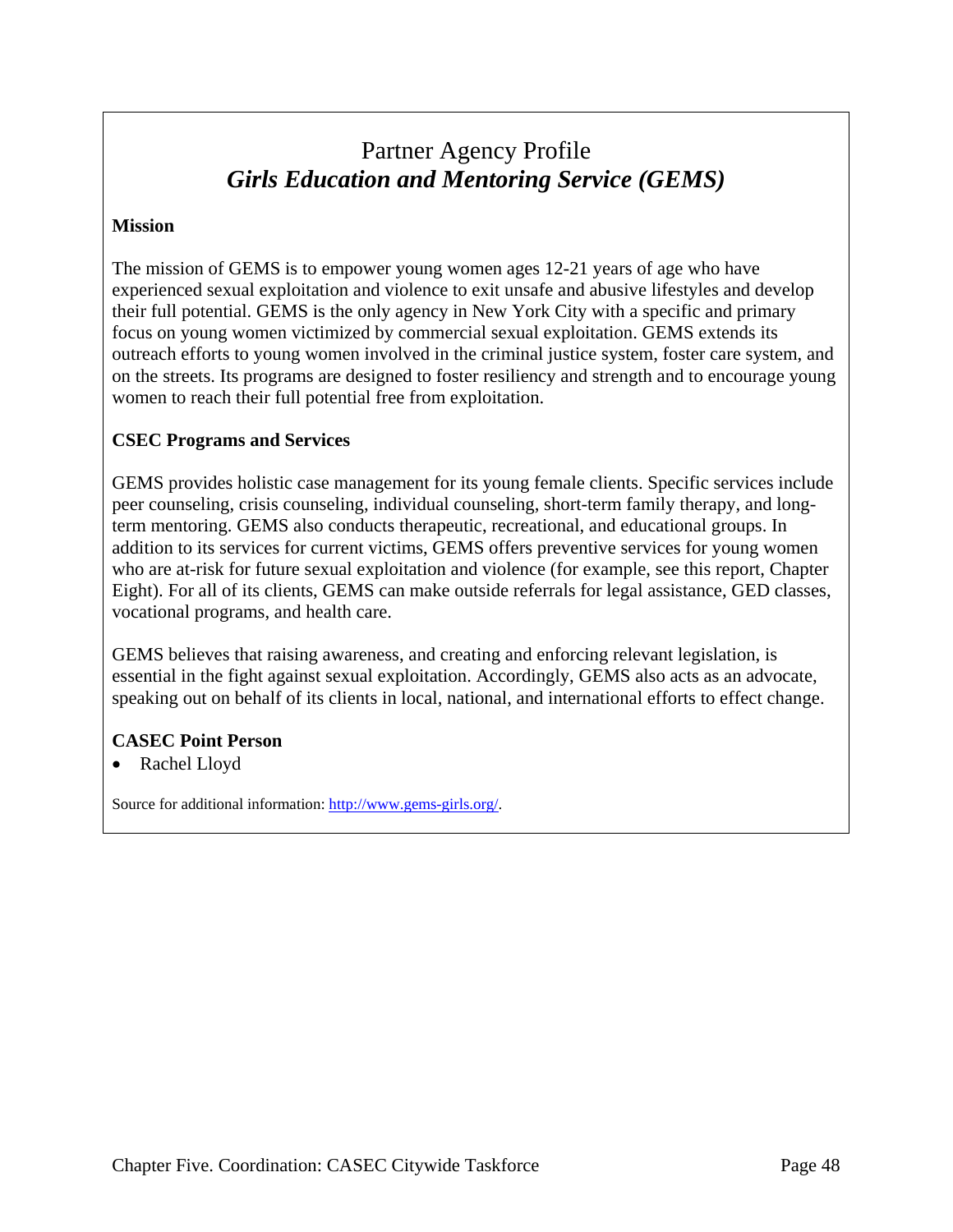# Partner Agency Profile *Girls Education and Mentoring Service (GEMS)*

#### **Mission**

The mission of GEMS is to empower young women ages 12-21 years of age who have experienced sexual exploitation and violence to exit unsafe and abusive lifestyles and develop their full potential. GEMS is the only agency in New York City with a specific and primary focus on young women victimized by commercial sexual exploitation. GEMS extends its outreach efforts to young women involved in the criminal justice system, foster care system, and on the streets. Its programs are designed to foster resiliency and strength and to encourage young women to reach their full potential free from exploitation.

#### **CSEC Programs and Services**

GEMS provides holistic case management for its young female clients. Specific services include peer counseling, crisis counseling, individual counseling, short-term family therapy, and longterm mentoring. GEMS also conducts therapeutic, recreational, and educational groups. In addition to its services for current victims, GEMS offers preventive services for young women who are at-risk for future sexual exploitation and violence (for example, see this report, Chapter Eight). For all of its clients, GEMS can make outside referrals for legal assistance, GED classes, vocational programs, and health care.

GEMS believes that raising awareness, and creating and enforcing relevant legislation, is essential in the fight against sexual exploitation. Accordingly, GEMS also acts as an advocate, speaking out on behalf of its clients in local, national, and international efforts to effect change.

#### **CASEC Point Person**

• Rachel Lloyd

Source for additional information: http://www.gems-girls.org/.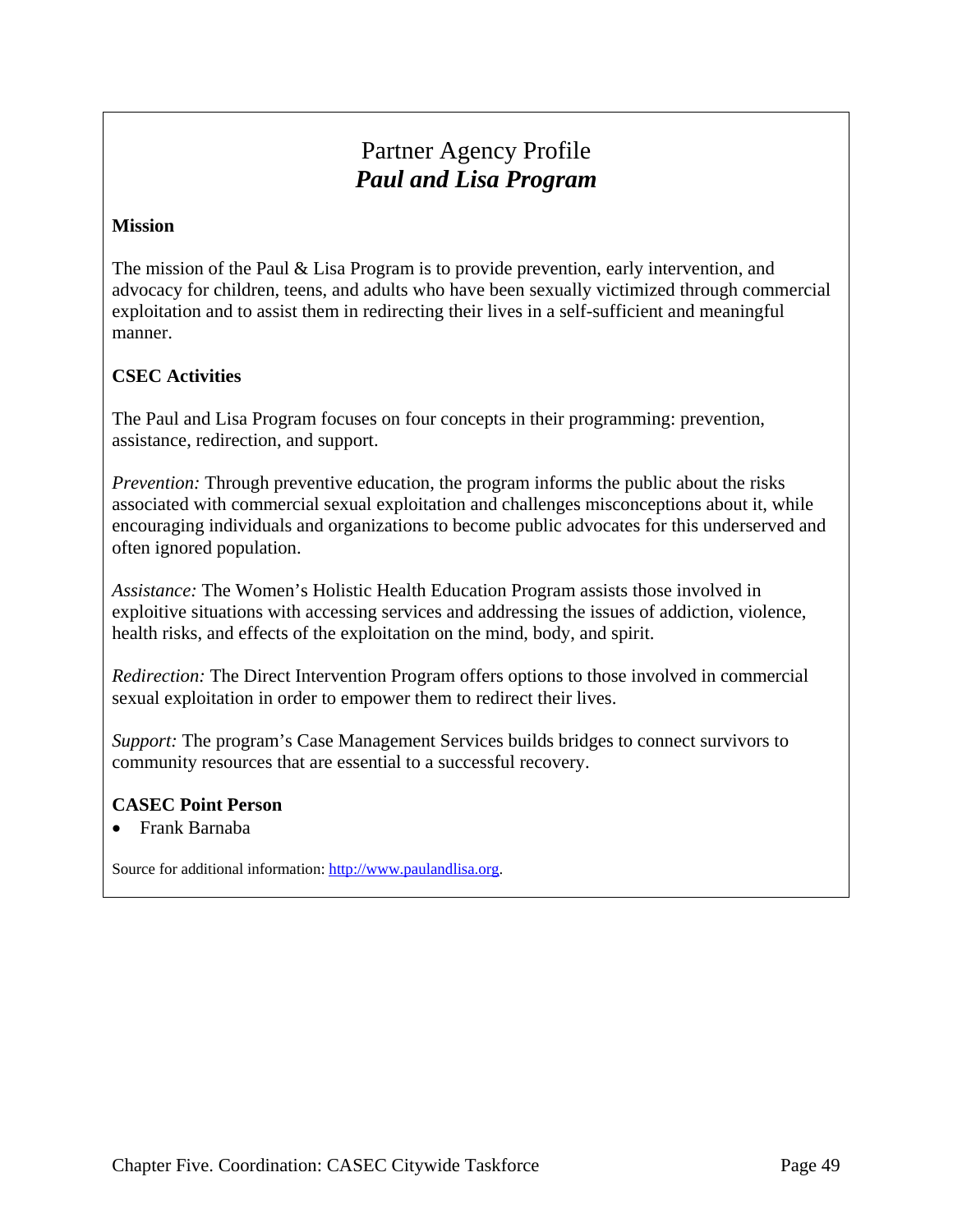# Partner Agency Profile *Paul and Lisa Program*

#### **Mission**

The mission of the Paul & Lisa Program is to provide prevention, early intervention, and advocacy for children, teens, and adults who have been sexually victimized through commercial exploitation and to assist them in redirecting their lives in a self-sufficient and meaningful manner.

### **CSEC Activities**

The Paul and Lisa Program focuses on four concepts in their programming: prevention, assistance, redirection, and support.

*Prevention:* Through preventive education, the program informs the public about the risks associated with commercial sexual exploitation and challenges misconceptions about it, while encouraging individuals and organizations to become public advocates for this underserved and often ignored population.

*Assistance:* The Women's Holistic Health Education Program assists those involved in exploitive situations with accessing services and addressing the issues of addiction, violence, health risks, and effects of the exploitation on the mind, body, and spirit.

*Redirection:* The Direct Intervention Program offers options to those involved in commercial sexual exploitation in order to empower them to redirect their lives.

*Support:* The program's Case Management Services builds bridges to connect survivors to community resources that are essential to a successful recovery.

#### **CASEC Point Person**

• Frank Barnaba

Source for additional information: http://www.paulandlisa.org.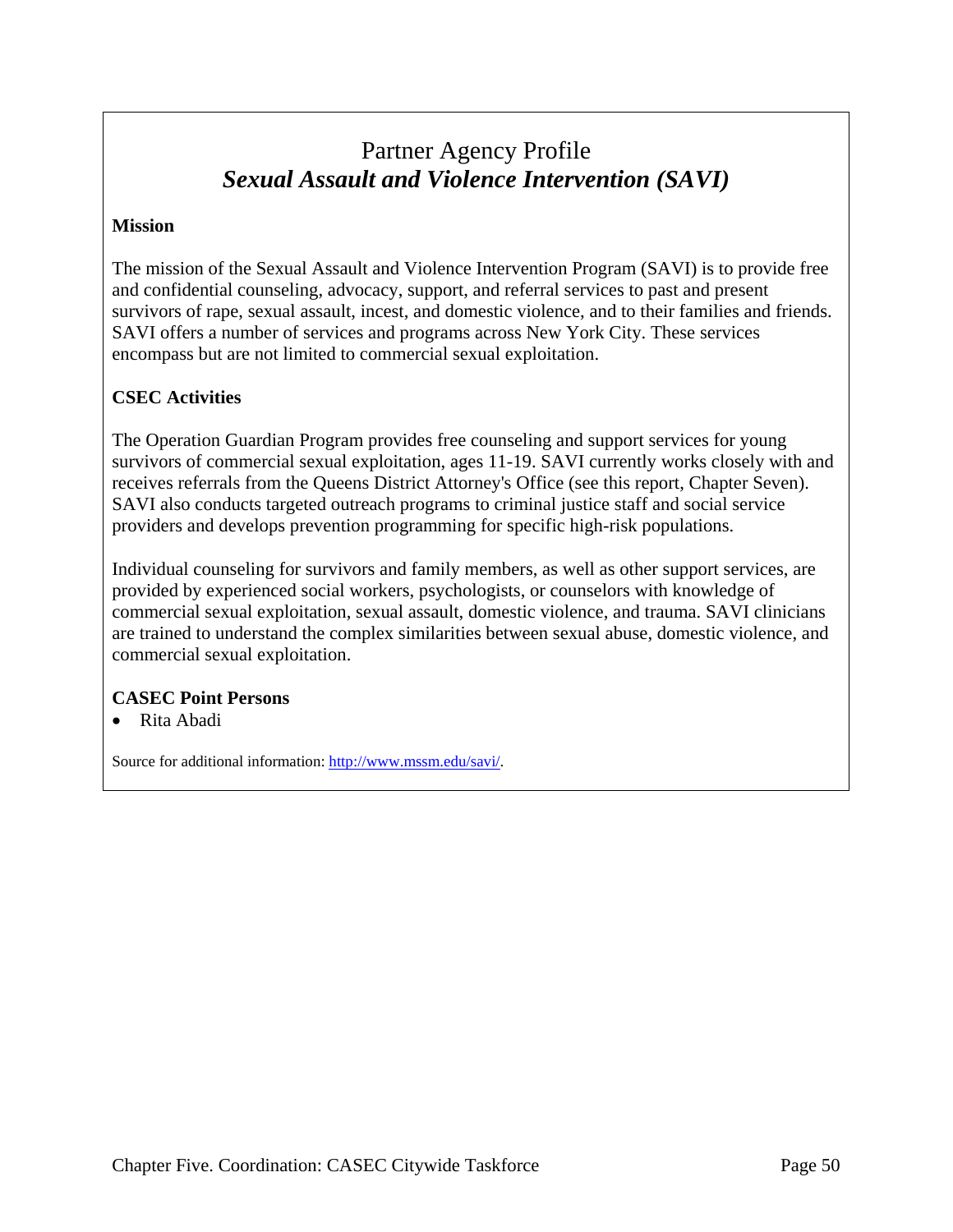# Partner Agency Profile *Sexual Assault and Violence Intervention (SAVI)*

#### **Mission**

The mission of the Sexual Assault and Violence Intervention Program (SAVI) is to provide free and confidential counseling, advocacy, support, and referral services to past and present survivors of rape, sexual assault, incest, and domestic violence, and to their families and friends. SAVI offers a number of services and programs across New York City. These services encompass but are not limited to commercial sexual exploitation.

### **CSEC Activities**

The Operation Guardian Program provides free counseling and support services for young survivors of commercial sexual exploitation, ages 11-19. SAVI currently works closely with and receives referrals from the Queens District Attorney's Office (see this report, Chapter Seven). SAVI also conducts targeted outreach programs to criminal justice staff and social service providers and develops prevention programming for specific high-risk populations.

Individual counseling for survivors and family members, as well as other support services, are provided by experienced social workers, psychologists, or counselors with knowledge of commercial sexual exploitation, sexual assault, domestic violence, and trauma. SAVI clinicians are trained to understand the complex similarities between sexual abuse, domestic violence, and commercial sexual exploitation.

#### **CASEC Point Persons**

• Rita Abadi

Source for additional information: http://www.mssm.edu/savi/.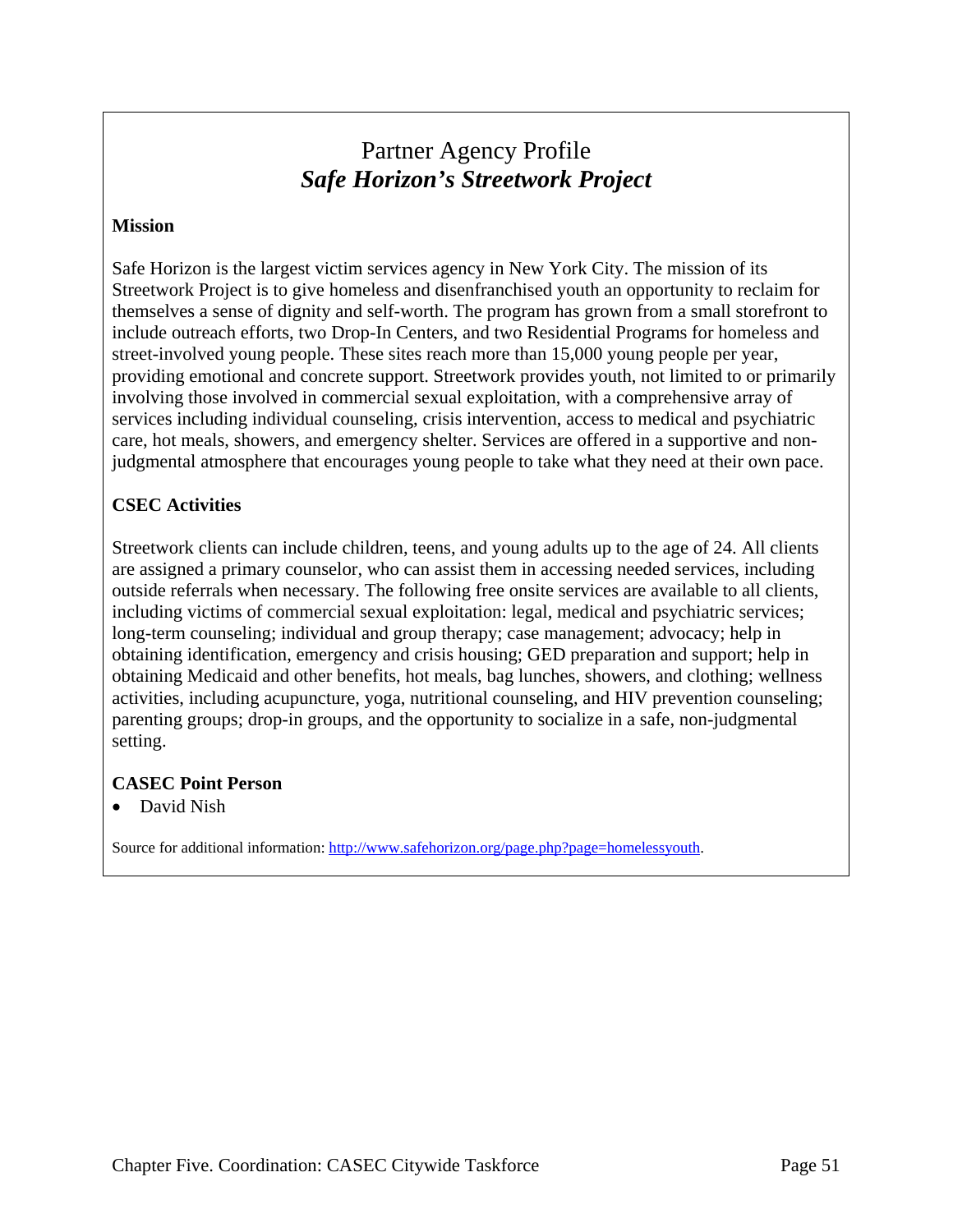# Partner Agency Profile *Safe Horizon's Streetwork Project*

#### **Mission**

Safe Horizon is the largest victim services agency in New York City. The mission of its Streetwork Project is to give homeless and disenfranchised youth an opportunity to reclaim for themselves a sense of dignity and self-worth. The program has grown from a small storefront to include outreach efforts, two Drop-In Centers, and two Residential Programs for homeless and street-involved young people. These sites reach more than 15,000 young people per year, providing emotional and concrete support. Streetwork provides youth, not limited to or primarily involving those involved in commercial sexual exploitation, with a comprehensive array of services including individual counseling, crisis intervention, access to medical and psychiatric care, hot meals, showers, and emergency shelter. Services are offered in a supportive and nonjudgmental atmosphere that encourages young people to take what they need at their own pace.

### **CSEC Activities**

Streetwork clients can include children, teens, and young adults up to the age of 24. All clients are assigned a primary counselor, who can assist them in accessing needed services, including outside referrals when necessary. The following free onsite services are available to all clients, including victims of commercial sexual exploitation: legal, medical and psychiatric services; long-term counseling; individual and group therapy; case management; advocacy; help in obtaining identification, emergency and crisis housing; GED preparation and support; help in obtaining Medicaid and other benefits, hot meals, bag lunches, showers, and clothing; wellness activities, including acupuncture, yoga, nutritional counseling, and HIV prevention counseling; parenting groups; drop-in groups, and the opportunity to socialize in a safe, non-judgmental setting.

#### **CASEC Point Person**

• David Nish

Source for additional information: http://www.safehorizon.org/page.php?page=homelessyouth.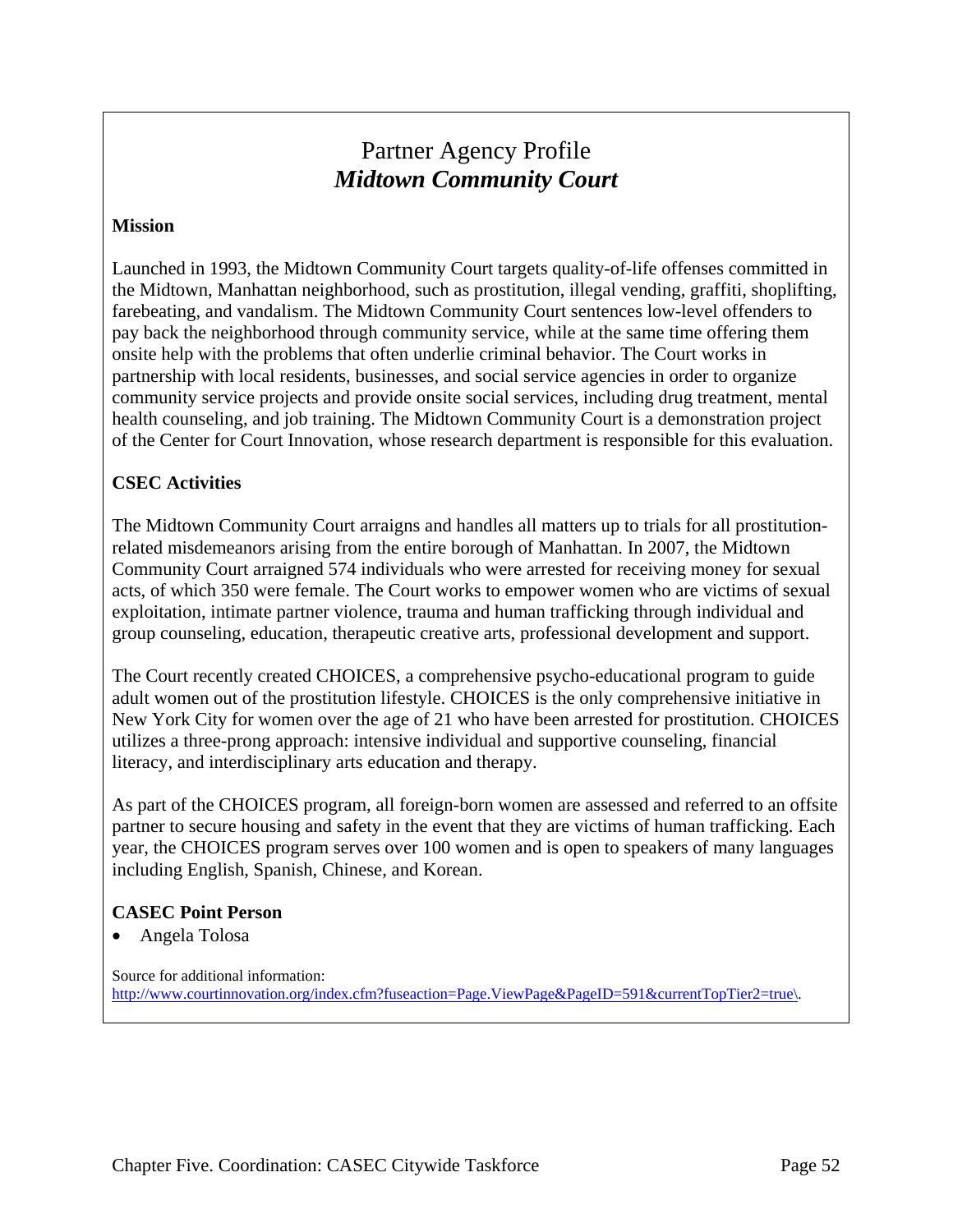# Partner Agency Profile  *Midtown Community Court*

#### **Mission**

Launched in 1993, the Midtown Community Court targets quality-of-life offenses committed in the Midtown, Manhattan neighborhood, such as prostitution, illegal vending, graffiti, shoplifting, farebeating, and vandalism. The Midtown Community Court sentences low-level offenders to pay back the neighborhood through community service, while at the same time offering them onsite help with the problems that often underlie criminal behavior. The Court works in partnership with local residents, businesses, and social service agencies in order to organize community service projects and provide onsite social services, including drug treatment, mental health counseling, and job training. The Midtown Community Court is a demonstration project of the Center for Court Innovation, whose research department is responsible for this evaluation.

### **CSEC Activities**

The Midtown Community Court arraigns and handles all matters up to trials for all prostitutionrelated misdemeanors arising from the entire borough of Manhattan. In 2007, the Midtown Community Court arraigned 574 individuals who were arrested for receiving money for sexual acts, of which 350 were female. The Court works to empower women who are victims of sexual exploitation, intimate partner violence, trauma and human trafficking through individual and group counseling, education, therapeutic creative arts, professional development and support.

The Court recently created CHOICES, a comprehensive psycho-educational program to guide adult women out of the prostitution lifestyle. CHOICES is the only comprehensive initiative in New York City for women over the age of 21 who have been arrested for prostitution. CHOICES utilizes a three-prong approach: intensive individual and supportive counseling, financial literacy, and interdisciplinary arts education and therapy.

As part of the CHOICES program, all foreign-born women are assessed and referred to an offsite partner to secure housing and safety in the event that they are victims of human trafficking. Each year, the CHOICES program serves over 100 women and is open to speakers of many languages including English, Spanish, Chinese, and Korean.

#### **CASEC Point Person**

• Angela Tolosa

Source for additional information: http://www.courtinnovation.org/index.cfm?fuseaction=Page.ViewPage&PageID=591&currentTopTier2=true\.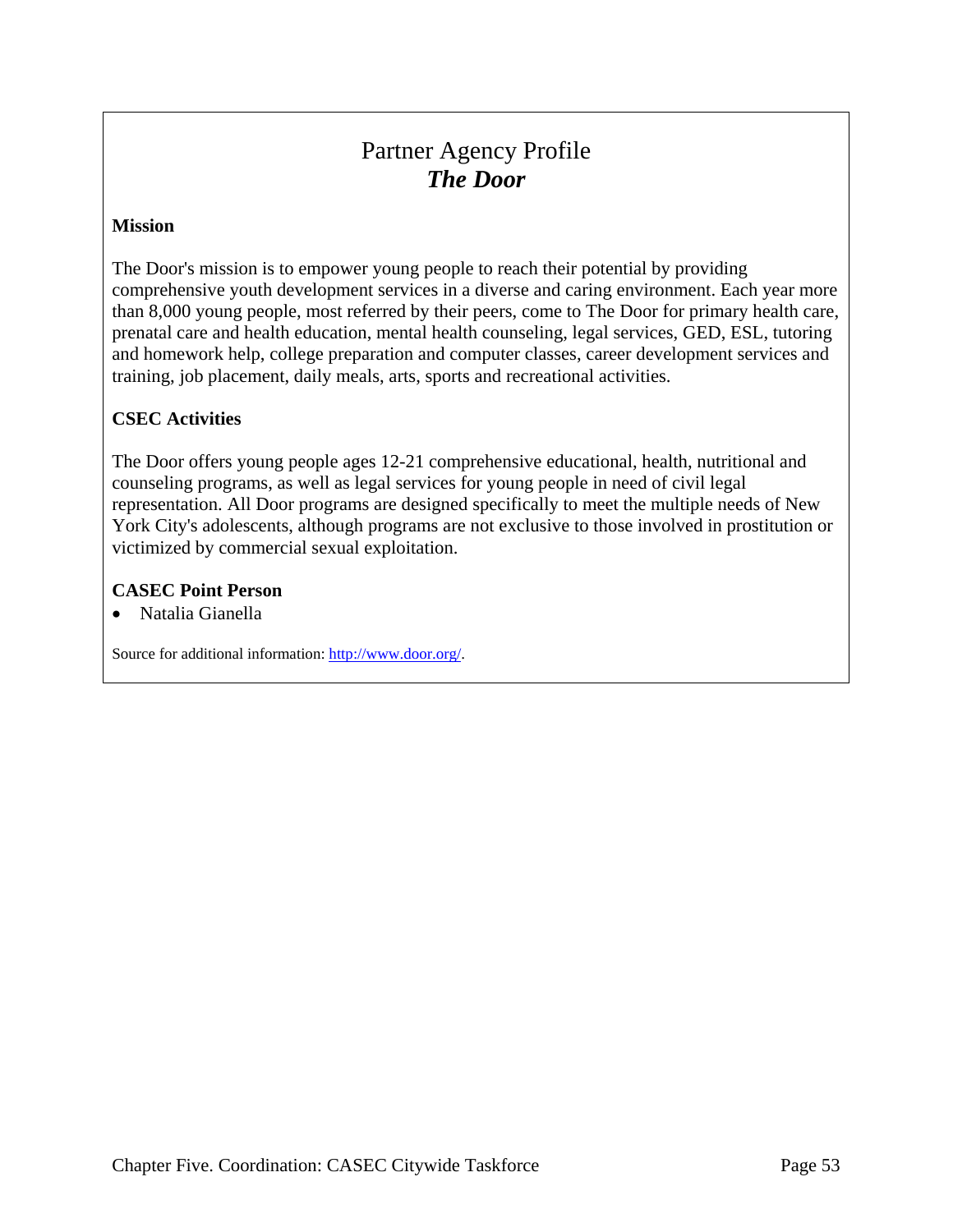# Partner Agency Profile *The Door*

#### **Mission**

The Door's mission is to empower young people to reach their potential by providing comprehensive youth development services in a diverse and caring environment. Each year more than 8,000 young people, most referred by their peers, come to The Door for primary health care, prenatal care and health education, mental health counseling, legal services, GED, ESL, tutoring and homework help, college preparation and computer classes, career development services and training, job placement, daily meals, arts, sports and recreational activities.

#### **CSEC Activities**

The Door offers young people ages 12-21 comprehensive educational, health, nutritional and counseling programs, as well as legal services for young people in need of civil legal representation. All Door programs are designed specifically to meet the multiple needs of New York City's adolescents, although programs are not exclusive to those involved in prostitution or victimized by commercial sexual exploitation.

#### **CASEC Point Person**

• Natalia Gianella

Source for additional information: http://www.door.org/.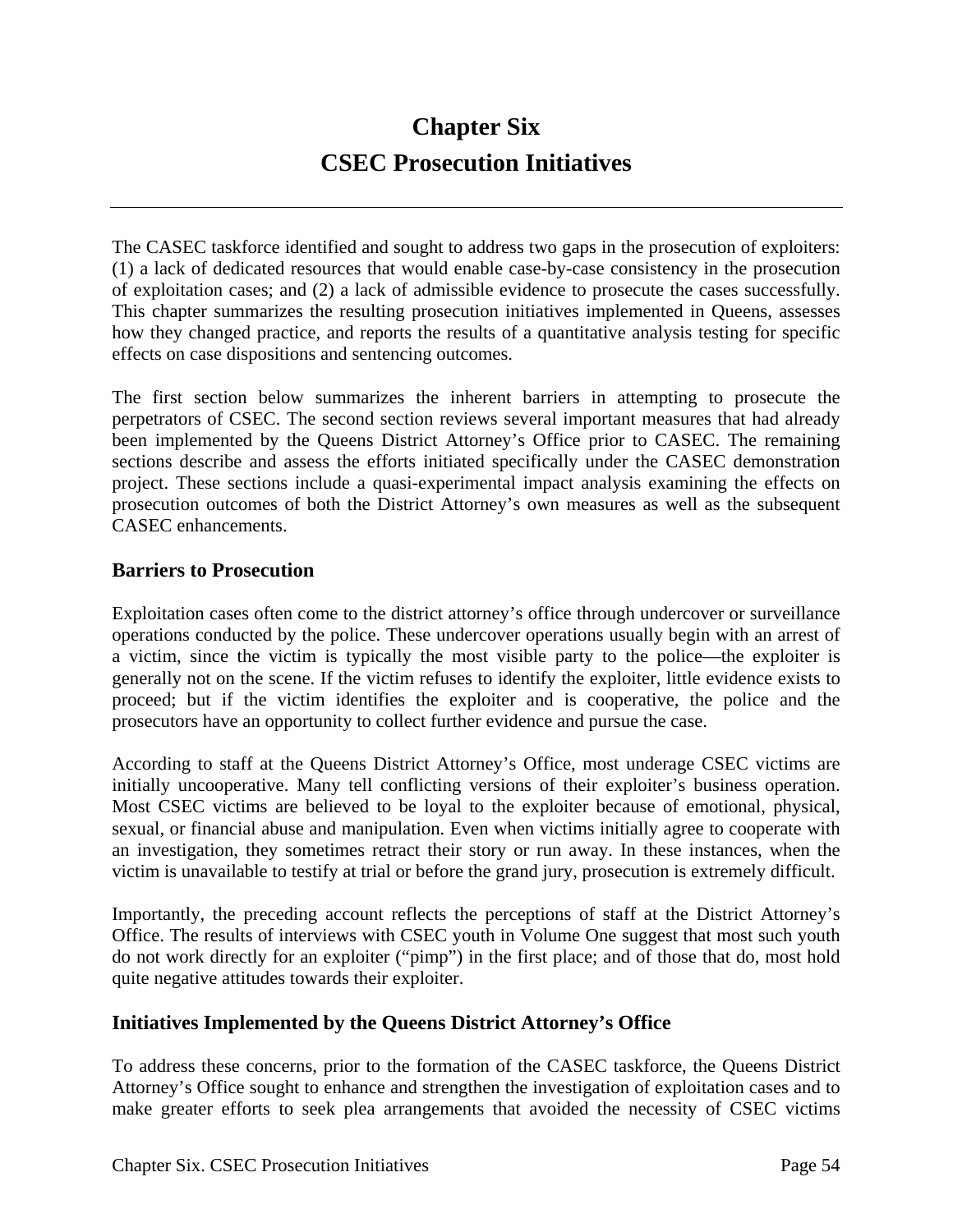# **Chapter Six CSEC Prosecution Initiatives**

The CASEC taskforce identified and sought to address two gaps in the prosecution of exploiters: (1) a lack of dedicated resources that would enable case-by-case consistency in the prosecution of exploitation cases; and (2) a lack of admissible evidence to prosecute the cases successfully. This chapter summarizes the resulting prosecution initiatives implemented in Queens, assesses how they changed practice, and reports the results of a quantitative analysis testing for specific effects on case dispositions and sentencing outcomes.

The first section below summarizes the inherent barriers in attempting to prosecute the perpetrators of CSEC. The second section reviews several important measures that had already been implemented by the Queens District Attorney's Office prior to CASEC. The remaining sections describe and assess the efforts initiated specifically under the CASEC demonstration project. These sections include a quasi-experimental impact analysis examining the effects on prosecution outcomes of both the District Attorney's own measures as well as the subsequent CASEC enhancements.

### **Barriers to Prosecution**

Exploitation cases often come to the district attorney's office through undercover or surveillance operations conducted by the police. These undercover operations usually begin with an arrest of a victim, since the victim is typically the most visible party to the police—the exploiter is generally not on the scene. If the victim refuses to identify the exploiter, little evidence exists to proceed; but if the victim identifies the exploiter and is cooperative, the police and the prosecutors have an opportunity to collect further evidence and pursue the case.

According to staff at the Queens District Attorney's Office, most underage CSEC victims are initially uncooperative. Many tell conflicting versions of their exploiter's business operation. Most CSEC victims are believed to be loyal to the exploiter because of emotional, physical, sexual, or financial abuse and manipulation. Even when victims initially agree to cooperate with an investigation, they sometimes retract their story or run away. In these instances, when the victim is unavailable to testify at trial or before the grand jury, prosecution is extremely difficult.

Importantly, the preceding account reflects the perceptions of staff at the District Attorney's Office. The results of interviews with CSEC youth in Volume One suggest that most such youth do not work directly for an exploiter ("pimp") in the first place; and of those that do, most hold quite negative attitudes towards their exploiter.

#### **Initiatives Implemented by the Queens District Attorney's Office**

To address these concerns, prior to the formation of the CASEC taskforce, the Queens District Attorney's Office sought to enhance and strengthen the investigation of exploitation cases and to make greater efforts to seek plea arrangements that avoided the necessity of CSEC victims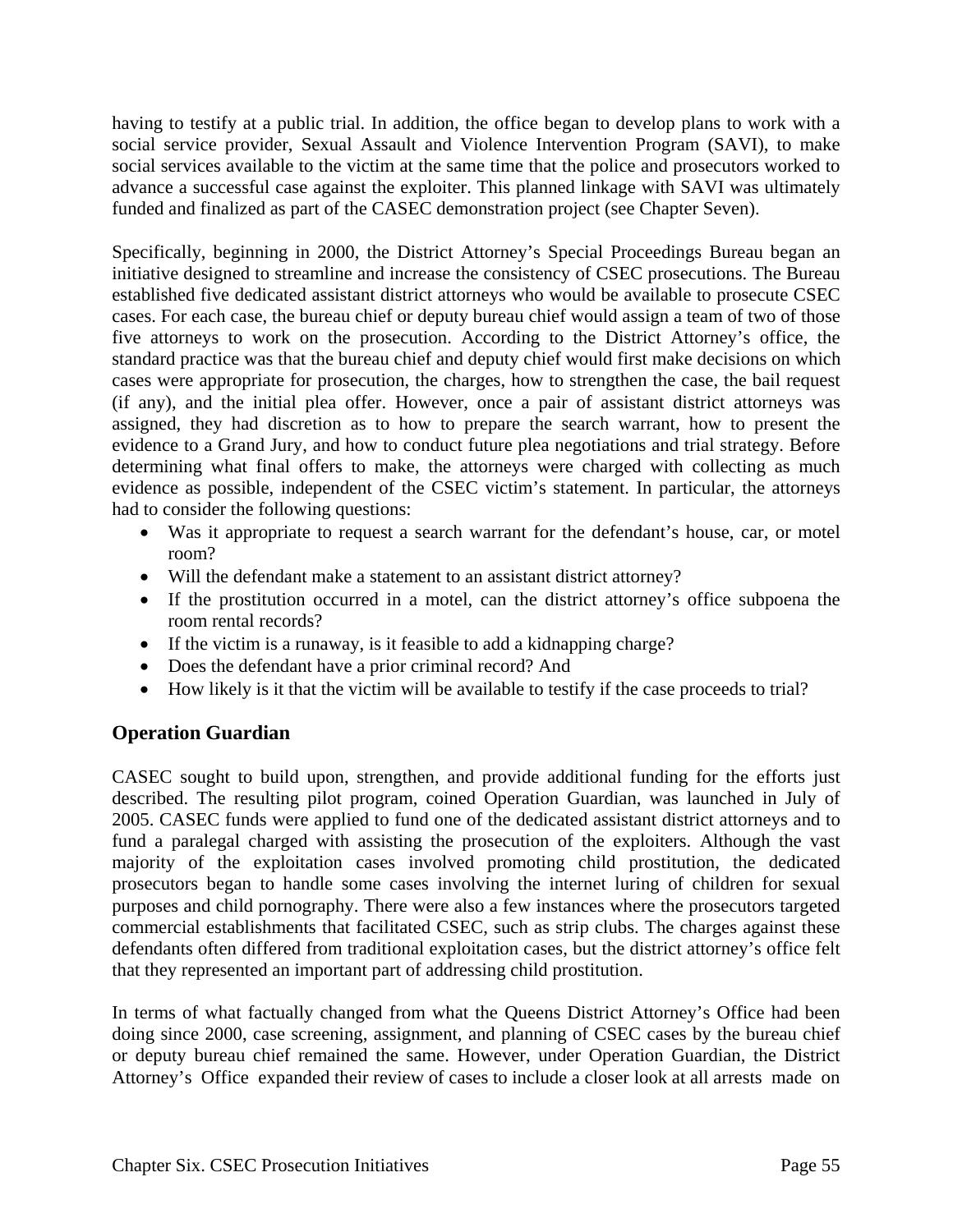having to testify at a public trial. In addition, the office began to develop plans to work with a social service provider, Sexual Assault and Violence Intervention Program (SAVI), to make social services available to the victim at the same time that the police and prosecutors worked to advance a successful case against the exploiter. This planned linkage with SAVI was ultimately funded and finalized as part of the CASEC demonstration project (see Chapter Seven).

Specifically, beginning in 2000, the District Attorney's Special Proceedings Bureau began an initiative designed to streamline and increase the consistency of CSEC prosecutions. The Bureau established five dedicated assistant district attorneys who would be available to prosecute CSEC cases. For each case, the bureau chief or deputy bureau chief would assign a team of two of those five attorneys to work on the prosecution. According to the District Attorney's office, the standard practice was that the bureau chief and deputy chief would first make decisions on which cases were appropriate for prosecution, the charges, how to strengthen the case, the bail request (if any), and the initial plea offer. However, once a pair of assistant district attorneys was assigned, they had discretion as to how to prepare the search warrant, how to present the evidence to a Grand Jury, and how to conduct future plea negotiations and trial strategy. Before determining what final offers to make, the attorneys were charged with collecting as much evidence as possible, independent of the CSEC victim's statement. In particular, the attorneys had to consider the following questions:

- Was it appropriate to request a search warrant for the defendant's house, car, or motel room?
- Will the defendant make a statement to an assistant district attorney?
- If the prostitution occurred in a motel, can the district attorney's office subpoena the room rental records?
- If the victim is a runaway, is it feasible to add a kidnapping charge?
- Does the defendant have a prior criminal record? And
- How likely is it that the victim will be available to testify if the case proceeds to trial?

# **Operation Guardian**

CASEC sought to build upon, strengthen, and provide additional funding for the efforts just described. The resulting pilot program, coined Operation Guardian, was launched in July of 2005. CASEC funds were applied to fund one of the dedicated assistant district attorneys and to fund a paralegal charged with assisting the prosecution of the exploiters. Although the vast majority of the exploitation cases involved promoting child prostitution, the dedicated prosecutors began to handle some cases involving the internet luring of children for sexual purposes and child pornography. There were also a few instances where the prosecutors targeted commercial establishments that facilitated CSEC, such as strip clubs. The charges against these defendants often differed from traditional exploitation cases, but the district attorney's office felt that they represented an important part of addressing child prostitution.

In terms of what factually changed from what the Queens District Attorney's Office had been doing since 2000, case screening, assignment, and planning of CSEC cases by the bureau chief or deputy bureau chief remained the same. However, under Operation Guardian, the District Attorney's Office expanded their review of cases to include a closer look at all arrests made on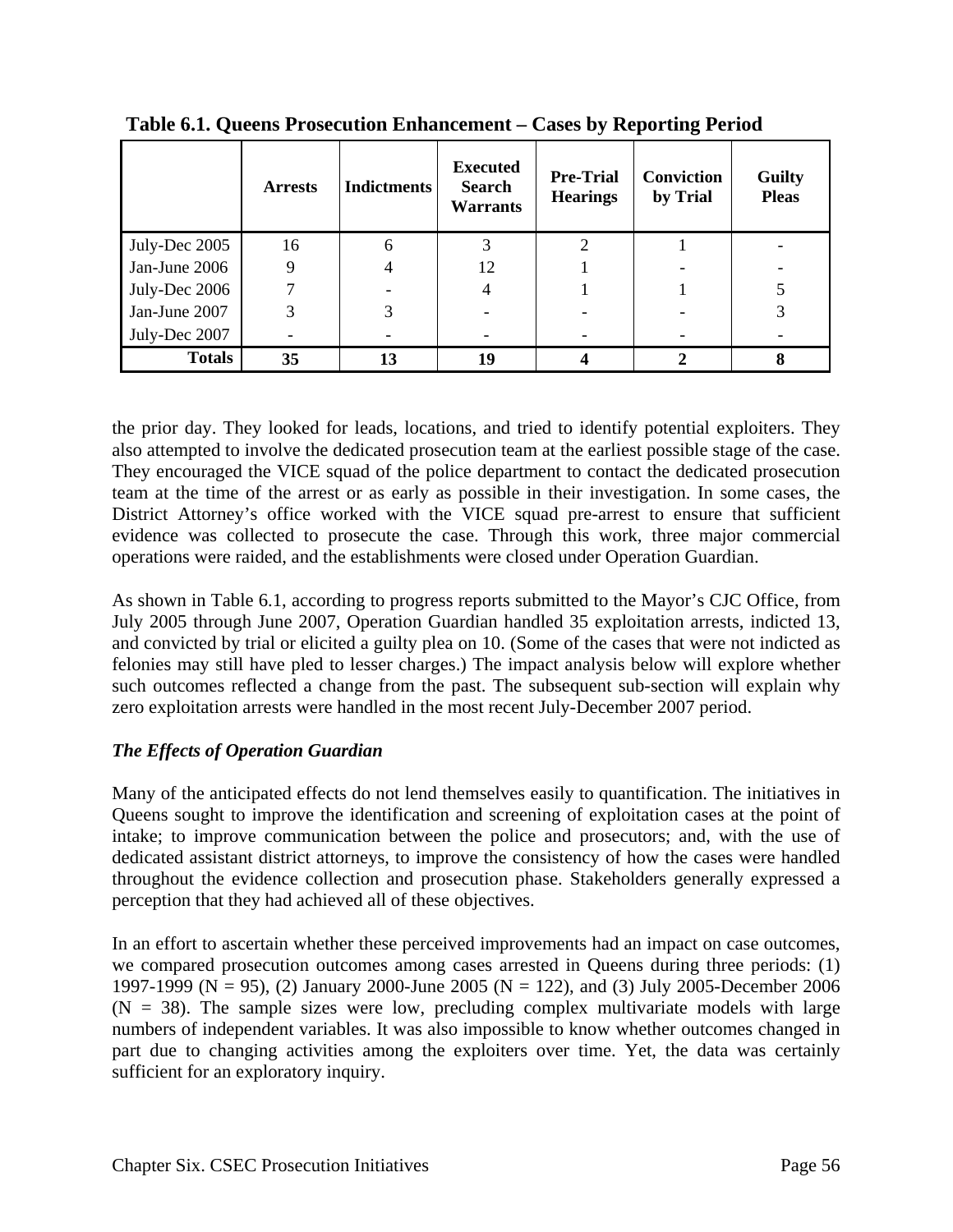|               | <b>Arrests</b> | <b>Indictments</b> | <b>Executed</b><br><b>Search</b><br><b>Warrants</b> | <b>Pre-Trial</b><br><b>Hearings</b> | Conviction<br>by Trial | <b>Guilty</b><br><b>Pleas</b> |
|---------------|----------------|--------------------|-----------------------------------------------------|-------------------------------------|------------------------|-------------------------------|
| July-Dec 2005 | 16             | 6                  |                                                     |                                     |                        |                               |
| Jan-June 2006 | 9              | 4                  | 12                                                  |                                     |                        |                               |
| July-Dec 2006 |                |                    | 4                                                   |                                     |                        |                               |
| Jan-June 2007 | 3              | 3                  |                                                     |                                     |                        |                               |
| July-Dec 2007 |                |                    |                                                     |                                     |                        |                               |
| <b>Totals</b> | 35             | 13                 | 19                                                  |                                     |                        | 8                             |

**Table 6.1. Queens Prosecution Enhancement – Cases by Reporting Period** 

the prior day. They looked for leads, locations, and tried to identify potential exploiters. They also attempted to involve the dedicated prosecution team at the earliest possible stage of the case. They encouraged the VICE squad of the police department to contact the dedicated prosecution team at the time of the arrest or as early as possible in their investigation. In some cases, the District Attorney's office worked with the VICE squad pre-arrest to ensure that sufficient evidence was collected to prosecute the case. Through this work, three major commercial operations were raided, and the establishments were closed under Operation Guardian.

As shown in Table 6.1, according to progress reports submitted to the Mayor's CJC Office, from July 2005 through June 2007, Operation Guardian handled 35 exploitation arrests, indicted 13, and convicted by trial or elicited a guilty plea on 10. (Some of the cases that were not indicted as felonies may still have pled to lesser charges.) The impact analysis below will explore whether such outcomes reflected a change from the past. The subsequent sub-section will explain why zero exploitation arrests were handled in the most recent July-December 2007 period.

# *The Effects of Operation Guardian*

Many of the anticipated effects do not lend themselves easily to quantification. The initiatives in Queens sought to improve the identification and screening of exploitation cases at the point of intake; to improve communication between the police and prosecutors; and, with the use of dedicated assistant district attorneys, to improve the consistency of how the cases were handled throughout the evidence collection and prosecution phase. Stakeholders generally expressed a perception that they had achieved all of these objectives.

In an effort to ascertain whether these perceived improvements had an impact on case outcomes, we compared prosecution outcomes among cases arrested in Queens during three periods: (1) 1997-1999 (N = 95), (2) January 2000-June 2005 (N = 122), and (3) July 2005-December 2006  $(N = 38)$ . The sample sizes were low, precluding complex multivariate models with large numbers of independent variables. It was also impossible to know whether outcomes changed in part due to changing activities among the exploiters over time. Yet, the data was certainly sufficient for an exploratory inquiry.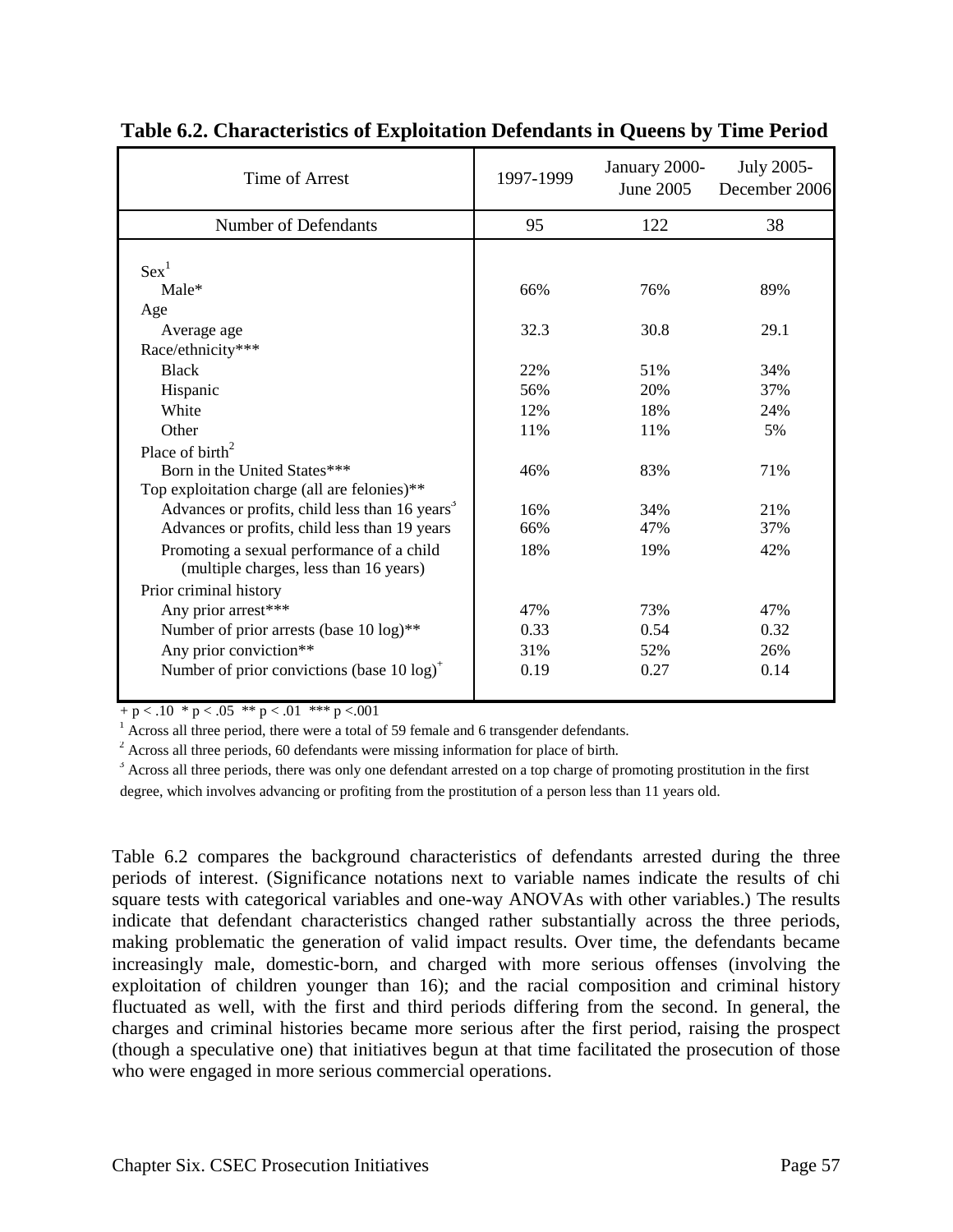| Time of Arrest                                             | 1997-1999 | January 2000-<br>June 2005 | July 2005-<br>December 2006 |
|------------------------------------------------------------|-----------|----------------------------|-----------------------------|
| Number of Defendants                                       | 95        | 122                        | 38                          |
|                                                            |           |                            |                             |
| $Sex^1$                                                    |           |                            |                             |
| Male*                                                      | 66%       | 76%                        | 89%                         |
| Age                                                        |           |                            |                             |
| Average age                                                | 32.3      | 30.8                       | 29.1                        |
| Race/ethnicity***                                          |           |                            |                             |
| <b>Black</b>                                               | 22%       | 51%                        | 34%                         |
| Hispanic                                                   | 56%       | 20%                        | 37%                         |
| White                                                      | 12%       | 18%                        | 24%                         |
| Other                                                      | 11%       | 11%                        | 5%                          |
| Place of $\text{birth}^2$                                  |           |                            |                             |
| Born in the United States***                               | 46%       | 83%                        | 71%                         |
| Top exploitation charge (all are felonies)**               |           |                            |                             |
| Advances or profits, child less than 16 years <sup>3</sup> | 16%       | 34%                        | 21%                         |
| Advances or profits, child less than 19 years              | 66%       | 47%                        | 37%                         |
| Promoting a sexual performance of a child                  | 18%       | 19%                        | 42%                         |
| (multiple charges, less than 16 years)                     |           |                            |                             |
| Prior criminal history                                     |           |                            |                             |
| Any prior arrest***                                        | 47%       | 73%                        | 47%                         |
| Number of prior arrests (base 10 log)**                    | 0.33      | 0.54                       | 0.32                        |
| Any prior conviction**                                     | 31%       | 52%                        | 26%                         |
| Number of prior convictions (base 10 log) <sup>+</sup>     | 0.19      | 0.27                       | 0.14                        |
|                                                            |           |                            |                             |

#### **Table 6.2. Characteristics of Exploitation Defendants in Queens by Time Period**

 $+p < .10 * p < .05 * p < .01 * * p < .001$ 

 $<sup>1</sup>$  Across all three period, there were a total of 59 female and 6 transgender defendants.</sup>

 $2^2$  Across all three periods, 60 defendants were missing information for place of birth.

 $3$  Across all three periods, there was only one defendant arrested on a top charge of promoting prostitution in the first degree, which involves advancing or profiting from the prostitution of a person less than 11 years old.

Table 6.2 compares the background characteristics of defendants arrested during the three periods of interest. (Significance notations next to variable names indicate the results of chi square tests with categorical variables and one-way ANOVAs with other variables.) The results indicate that defendant characteristics changed rather substantially across the three periods, making problematic the generation of valid impact results. Over time, the defendants became increasingly male, domestic-born, and charged with more serious offenses (involving the exploitation of children younger than 16); and the racial composition and criminal history fluctuated as well, with the first and third periods differing from the second. In general, the charges and criminal histories became more serious after the first period, raising the prospect (though a speculative one) that initiatives begun at that time facilitated the prosecution of those who were engaged in more serious commercial operations.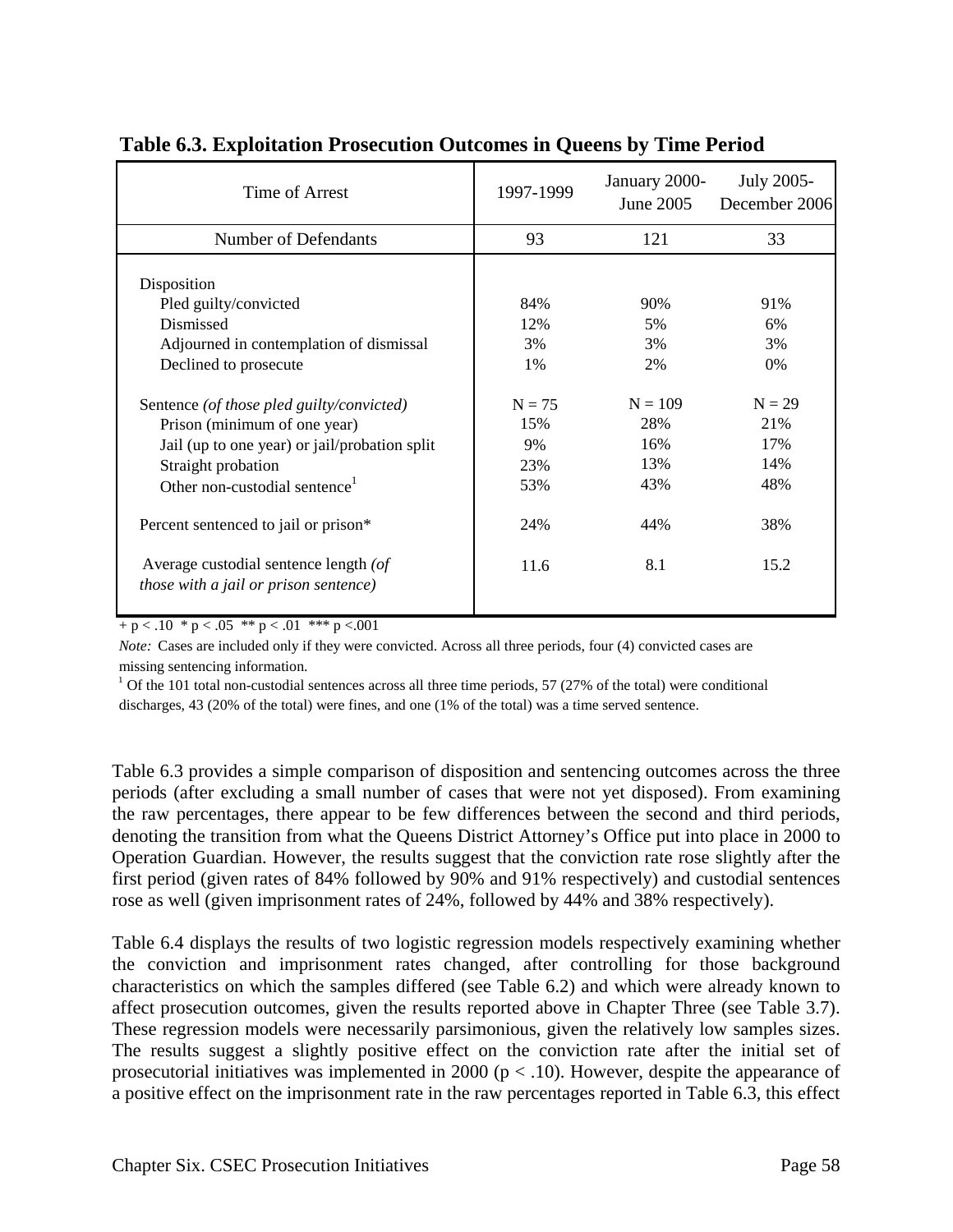| Time of Arrest                                                                                                        | 1997-1999              | January 2000-<br>June 2005 | <b>July 2005-</b><br>December 2006 |
|-----------------------------------------------------------------------------------------------------------------------|------------------------|----------------------------|------------------------------------|
| Number of Defendants                                                                                                  | 93                     | 121                        | 33                                 |
| Disposition<br>Pled guilty/convicted<br>Dismissed<br>Adjourned in contemplation of dismissal<br>Declined to prosecute | 84%<br>12%<br>3%<br>1% | 90%<br>5%<br>3%<br>2%      | 91%<br>6%<br>3%<br>$0\%$           |
| Sentence (of those pled guilty/convicted)                                                                             | $N = 75$               | $N = 109$                  | $N = 29$                           |
| Prison (minimum of one year)                                                                                          | 15%                    | 28%                        | 21%                                |
| Jail (up to one year) or jail/probation split                                                                         | 9%                     | 16%                        | 17%                                |
| Straight probation                                                                                                    | 23%                    | 13%                        | 14%                                |
| Other non-custodial sentence <sup>1</sup>                                                                             | 53%                    | 43%                        | 48%                                |
| Percent sentenced to jail or prison*                                                                                  | 24%                    | 44%                        | 38%                                |
| Average custodial sentence length (of<br><i>those with a jail or prison sentence)</i>                                 | 11.6                   | 8.1                        | 15.2                               |

# **Table 6.3. Exploitation Prosecution Outcomes in Queens by Time Period**

 $+ p < .10 * p < .05 * p < .01 * * p < .001$ 

*Note:* Cases are included only if they were convicted. Across all three periods, four (4) convicted cases are missing sentencing information.

 $1$  Of the 101 total non-custodial sentences across all three time periods, 57 (27% of the total) were conditional discharges, 43 (20% of the total) were fines, and one (1% of the total) was a time served sentence.

Table 6.3 provides a simple comparison of disposition and sentencing outcomes across the three periods (after excluding a small number of cases that were not yet disposed). From examining the raw percentages, there appear to be few differences between the second and third periods, denoting the transition from what the Queens District Attorney's Office put into place in 2000 to Operation Guardian. However, the results suggest that the conviction rate rose slightly after the first period (given rates of 84% followed by 90% and 91% respectively) and custodial sentences rose as well (given imprisonment rates of 24%, followed by 44% and 38% respectively).

Table 6.4 displays the results of two logistic regression models respectively examining whether the conviction and imprisonment rates changed, after controlling for those background characteristics on which the samples differed (see Table 6.2) and which were already known to affect prosecution outcomes, given the results reported above in Chapter Three (see Table 3.7). These regression models were necessarily parsimonious, given the relatively low samples sizes. The results suggest a slightly positive effect on the conviction rate after the initial set of prosecutorial initiatives was implemented in 2000 ( $p < 0.10$ ). However, despite the appearance of a positive effect on the imprisonment rate in the raw percentages reported in Table 6.3, this effect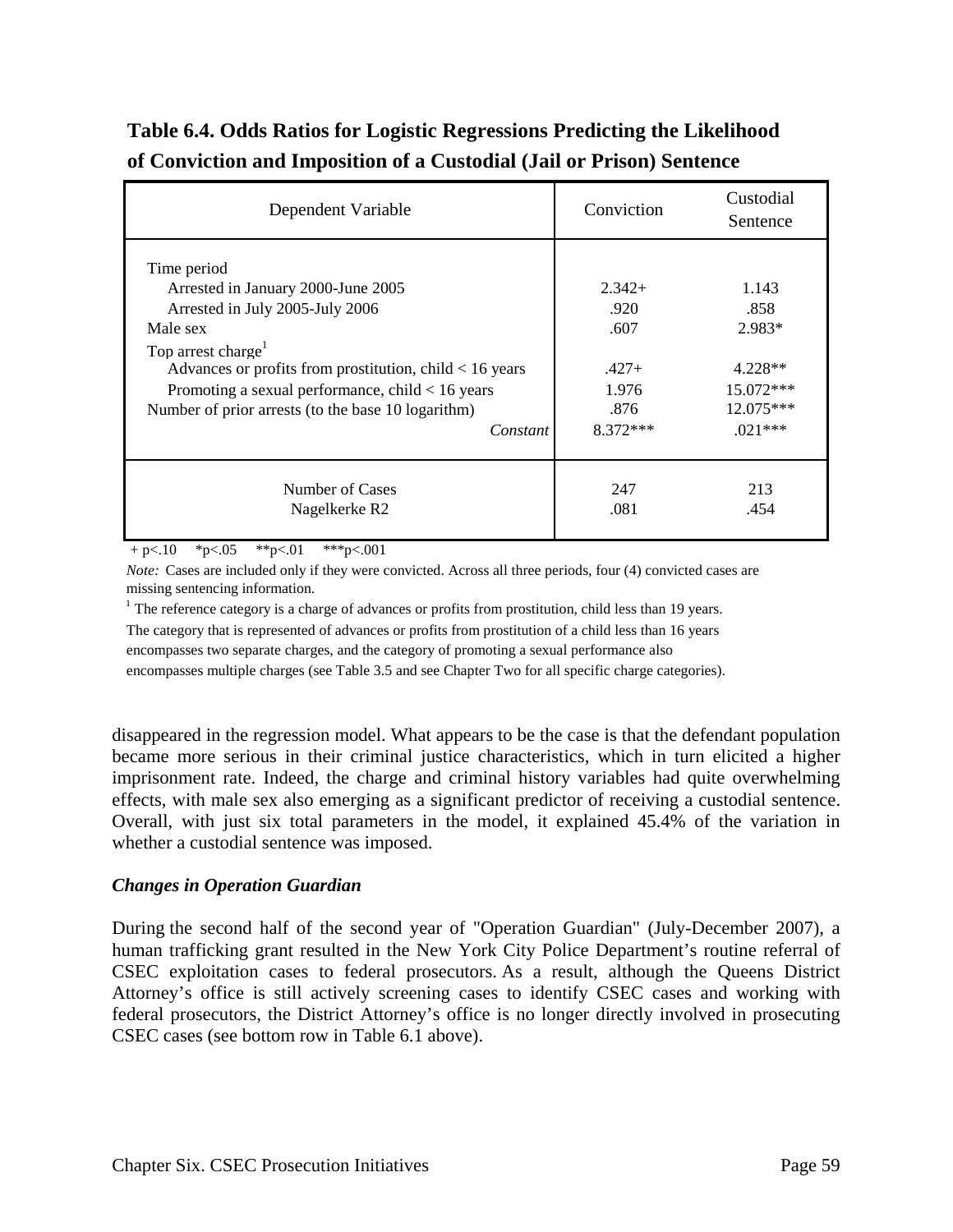| Dependent Variable                                                                                                                                                                                                                                                                                                      | Conviction                                                         | Custodial<br>Sentence                                                       |  |
|-------------------------------------------------------------------------------------------------------------------------------------------------------------------------------------------------------------------------------------------------------------------------------------------------------------------------|--------------------------------------------------------------------|-----------------------------------------------------------------------------|--|
| Time period<br>Arrested in January 2000-June 2005<br>Arrested in July 2005-July 2006<br>Male sex<br>Top arrest charge <sup>1</sup><br>Advances or profits from prostitution, child $< 16$ years<br>Promoting a sexual performance, child $< 16$ years<br>Number of prior arrests (to the base 10 logarithm)<br>Constant | $2,342+$<br>.920<br>.607<br>$.427+$<br>1.976<br>.876<br>$8.372***$ | 1.143<br>.858<br>2.983*<br>$4.228**$<br>15.072***<br>12.075***<br>$.021***$ |  |
| Number of Cases<br>Nagelkerke R <sub>2</sub>                                                                                                                                                                                                                                                                            | 247<br>.081                                                        | 213<br>.454                                                                 |  |

# **Table 6.4. Odds Ratios for Logistic Regressions Predicting the Likelihood of Conviction and Imposition of a Custodial (Jail or Prison) Sentence**

 $+$  p $< 10$  \*p $< 05$  \*\*p $< 01$  \*\*\*p $< 001$ 

*Note:* Cases are included only if they were convicted. Across all three periods, four (4) convicted cases are missing sentencing information.

<sup>1</sup> The reference category is a charge of advances or profits from prostitution, child less than 19 years. The category that is represented of advances or profits from prostitution of a child less than 16 years encompasses two separate charges, and the category of promoting a sexual performance also encompasses multiple charges (see Table 3.5 and see Chapter Two for all specific charge categories).

disappeared in the regression model. What appears to be the case is that the defendant population became more serious in their criminal justice characteristics, which in turn elicited a higher imprisonment rate. Indeed, the charge and criminal history variables had quite overwhelming effects, with male sex also emerging as a significant predictor of receiving a custodial sentence. Overall, with just six total parameters in the model, it explained 45.4% of the variation in whether a custodial sentence was imposed.

#### *Changes in Operation Guardian*

During the second half of the second year of "Operation Guardian" (July-December 2007), a human trafficking grant resulted in the New York City Police Department's routine referral of CSEC exploitation cases to federal prosecutors. As a result, although the Queens District Attorney's office is still actively screening cases to identify CSEC cases and working with federal prosecutors, the District Attorney's office is no longer directly involved in prosecuting CSEC cases (see bottom row in Table 6.1 above).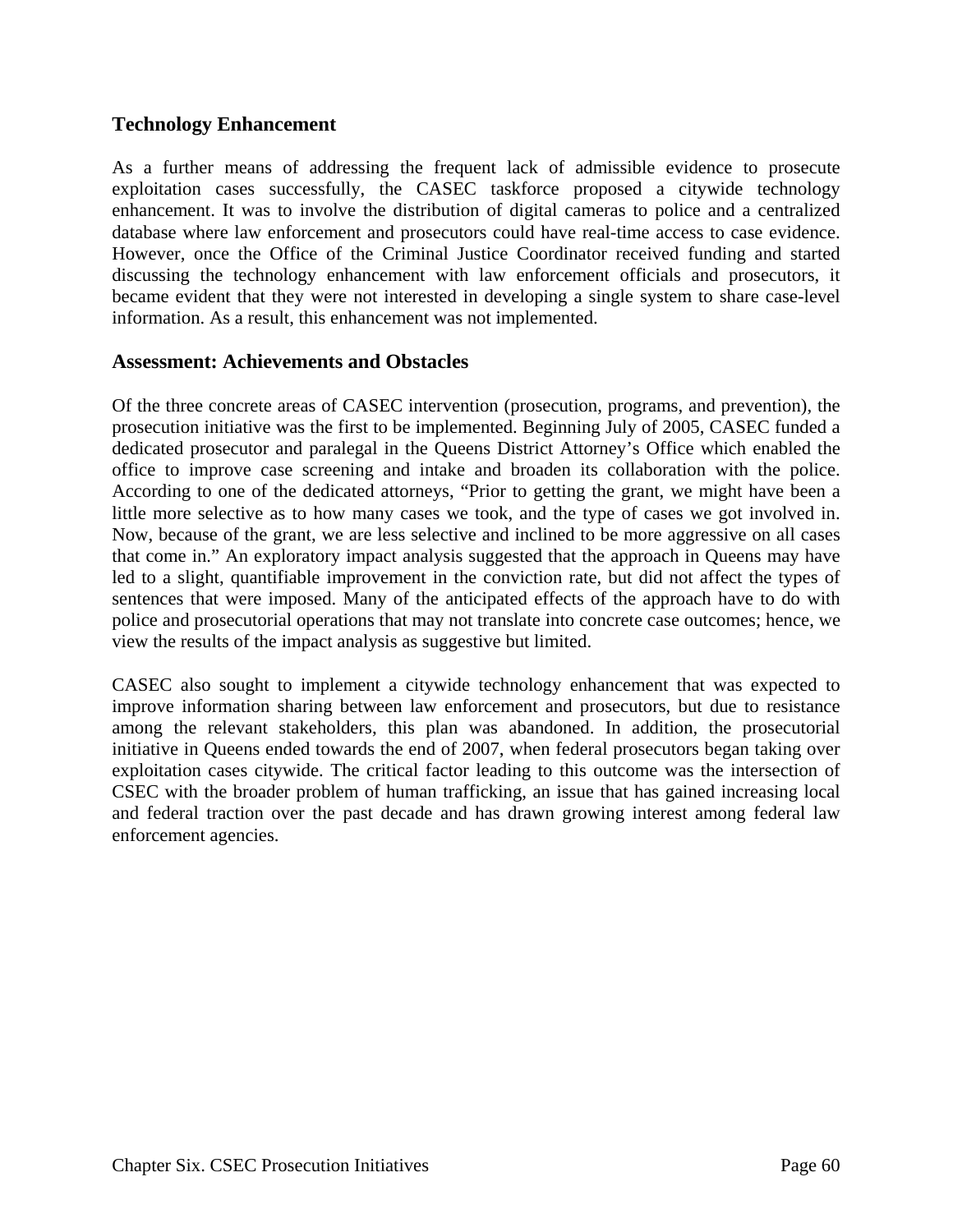### **Technology Enhancement**

As a further means of addressing the frequent lack of admissible evidence to prosecute exploitation cases successfully, the CASEC taskforce proposed a citywide technology enhancement. It was to involve the distribution of digital cameras to police and a centralized database where law enforcement and prosecutors could have real-time access to case evidence. However, once the Office of the Criminal Justice Coordinator received funding and started discussing the technology enhancement with law enforcement officials and prosecutors, it became evident that they were not interested in developing a single system to share case-level information. As a result, this enhancement was not implemented.

#### **Assessment: Achievements and Obstacles**

Of the three concrete areas of CASEC intervention (prosecution, programs, and prevention), the prosecution initiative was the first to be implemented. Beginning July of 2005, CASEC funded a dedicated prosecutor and paralegal in the Queens District Attorney's Office which enabled the office to improve case screening and intake and broaden its collaboration with the police. According to one of the dedicated attorneys, "Prior to getting the grant, we might have been a little more selective as to how many cases we took, and the type of cases we got involved in. Now, because of the grant, we are less selective and inclined to be more aggressive on all cases that come in." An exploratory impact analysis suggested that the approach in Queens may have led to a slight, quantifiable improvement in the conviction rate, but did not affect the types of sentences that were imposed. Many of the anticipated effects of the approach have to do with police and prosecutorial operations that may not translate into concrete case outcomes; hence, we view the results of the impact analysis as suggestive but limited.

CASEC also sought to implement a citywide technology enhancement that was expected to improve information sharing between law enforcement and prosecutors, but due to resistance among the relevant stakeholders, this plan was abandoned. In addition, the prosecutorial initiative in Queens ended towards the end of 2007, when federal prosecutors began taking over exploitation cases citywide. The critical factor leading to this outcome was the intersection of CSEC with the broader problem of human trafficking, an issue that has gained increasing local and federal traction over the past decade and has drawn growing interest among federal law enforcement agencies.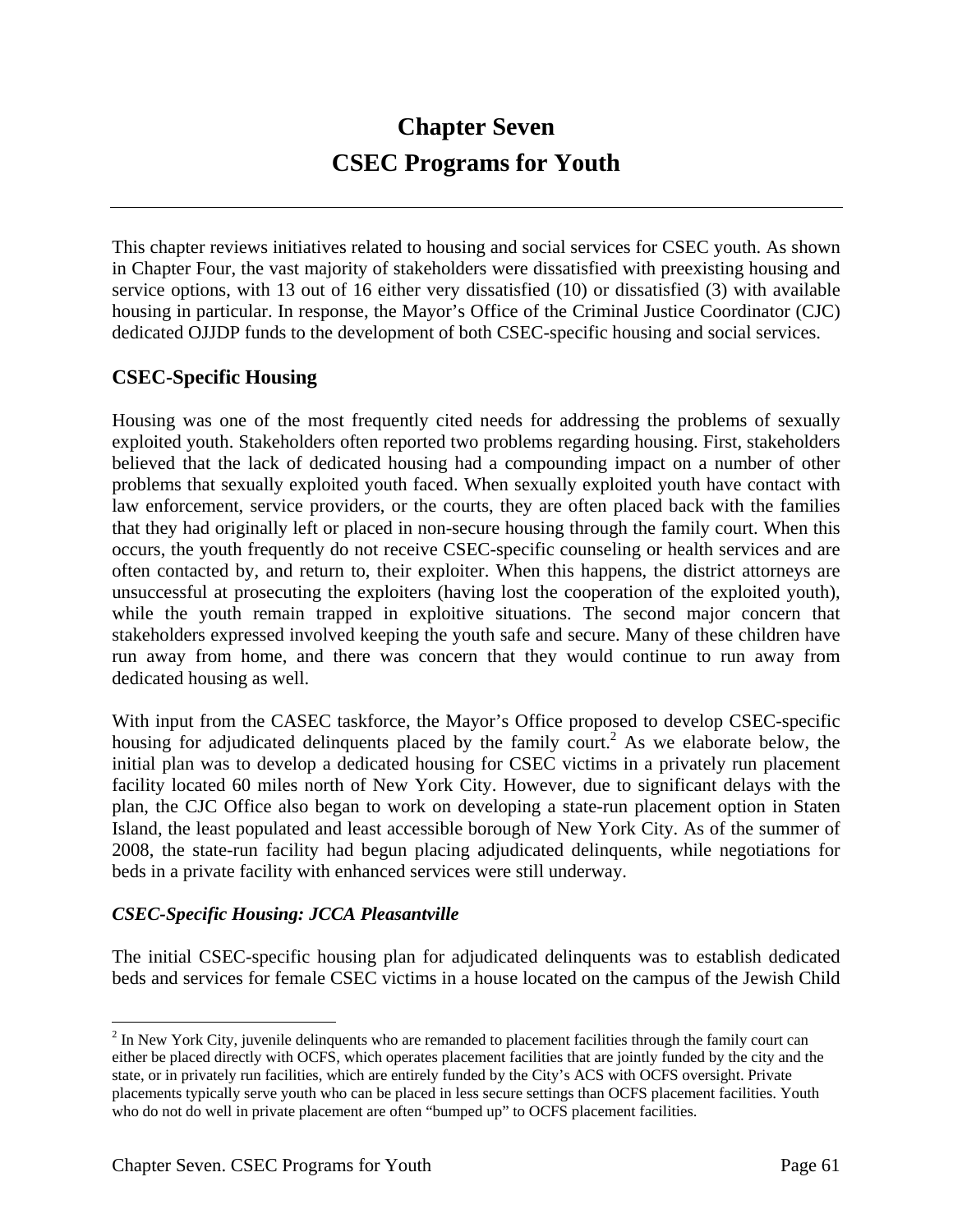# **Chapter Seven CSEC Programs for Youth**

This chapter reviews initiatives related to housing and social services for CSEC youth. As shown in Chapter Four, the vast majority of stakeholders were dissatisfied with preexisting housing and service options, with 13 out of 16 either very dissatisfied (10) or dissatisfied (3) with available housing in particular. In response, the Mayor's Office of the Criminal Justice Coordinator (CJC) dedicated OJJDP funds to the development of both CSEC-specific housing and social services.

# **CSEC-Specific Housing**

Housing was one of the most frequently cited needs for addressing the problems of sexually exploited youth. Stakeholders often reported two problems regarding housing. First, stakeholders believed that the lack of dedicated housing had a compounding impact on a number of other problems that sexually exploited youth faced. When sexually exploited youth have contact with law enforcement, service providers, or the courts, they are often placed back with the families that they had originally left or placed in non-secure housing through the family court. When this occurs, the youth frequently do not receive CSEC-specific counseling or health services and are often contacted by, and return to, their exploiter. When this happens, the district attorneys are unsuccessful at prosecuting the exploiters (having lost the cooperation of the exploited youth), while the youth remain trapped in exploitive situations. The second major concern that stakeholders expressed involved keeping the youth safe and secure. Many of these children have run away from home, and there was concern that they would continue to run away from dedicated housing as well.

With input from the CASEC taskforce, the Mayor's Office proposed to develop CSEC-specific housing for adjudicated delinquents placed by the family court.<sup>2</sup> As we elaborate below, the initial plan was to develop a dedicated housing for CSEC victims in a privately run placement facility located 60 miles north of New York City. However, due to significant delays with the plan, the CJC Office also began to work on developing a state-run placement option in Staten Island, the least populated and least accessible borough of New York City. As of the summer of 2008, the state-run facility had begun placing adjudicated delinquents, while negotiations for beds in a private facility with enhanced services were still underway.

#### *CSEC-Specific Housing: JCCA Pleasantville*

The initial CSEC-specific housing plan for adjudicated delinquents was to establish dedicated beds and services for female CSEC victims in a house located on the campus of the Jewish Child

 $\overline{a}$ 

 $2^{2}$  In New York City, juvenile delinquents who are remanded to placement facilities through the family court can either be placed directly with OCFS, which operates placement facilities that are jointly funded by the city and the state, or in privately run facilities, which are entirely funded by the City's ACS with OCFS oversight. Private placements typically serve youth who can be placed in less secure settings than OCFS placement facilities. Youth who do not do well in private placement are often "bumped up" to OCFS placement facilities.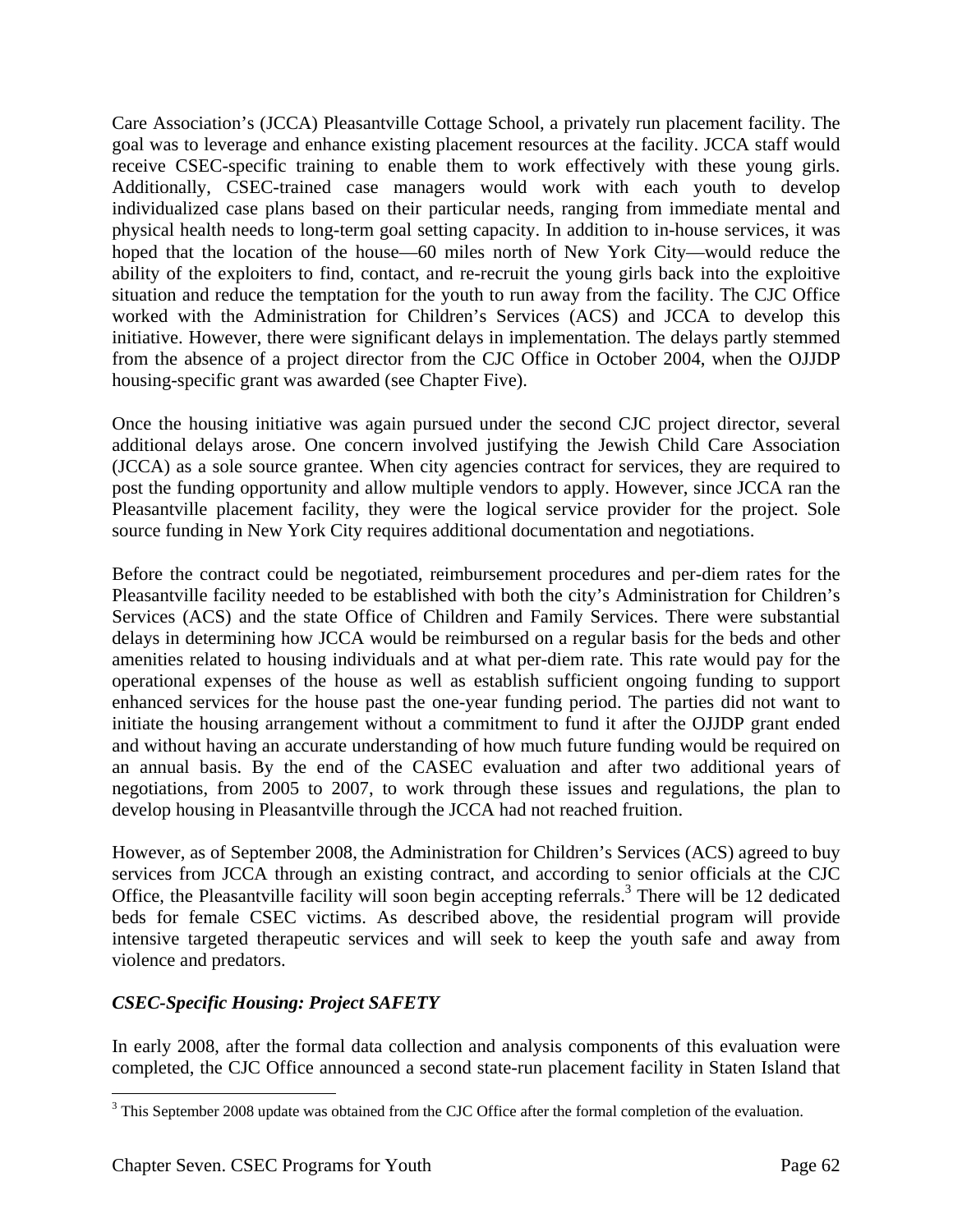Care Association's (JCCA) Pleasantville Cottage School, a privately run placement facility. The goal was to leverage and enhance existing placement resources at the facility. JCCA staff would receive CSEC-specific training to enable them to work effectively with these young girls. Additionally, CSEC-trained case managers would work with each youth to develop individualized case plans based on their particular needs, ranging from immediate mental and physical health needs to long-term goal setting capacity. In addition to in-house services, it was hoped that the location of the house—60 miles north of New York City—would reduce the ability of the exploiters to find, contact, and re-recruit the young girls back into the exploitive situation and reduce the temptation for the youth to run away from the facility. The CJC Office worked with the Administration for Children's Services (ACS) and JCCA to develop this initiative. However, there were significant delays in implementation. The delays partly stemmed from the absence of a project director from the CJC Office in October 2004, when the OJJDP housing-specific grant was awarded (see Chapter Five).

Once the housing initiative was again pursued under the second CJC project director, several additional delays arose. One concern involved justifying the Jewish Child Care Association (JCCA) as a sole source grantee. When city agencies contract for services, they are required to post the funding opportunity and allow multiple vendors to apply. However, since JCCA ran the Pleasantville placement facility, they were the logical service provider for the project. Sole source funding in New York City requires additional documentation and negotiations.

Before the contract could be negotiated, reimbursement procedures and per-diem rates for the Pleasantville facility needed to be established with both the city's Administration for Children's Services (ACS) and the state Office of Children and Family Services. There were substantial delays in determining how JCCA would be reimbursed on a regular basis for the beds and other amenities related to housing individuals and at what per-diem rate. This rate would pay for the operational expenses of the house as well as establish sufficient ongoing funding to support enhanced services for the house past the one-year funding period. The parties did not want to initiate the housing arrangement without a commitment to fund it after the OJJDP grant ended and without having an accurate understanding of how much future funding would be required on an annual basis. By the end of the CASEC evaluation and after two additional years of negotiations, from 2005 to 2007, to work through these issues and regulations, the plan to develop housing in Pleasantville through the JCCA had not reached fruition.

However, as of September 2008, the Administration for Children's Services (ACS) agreed to buy services from JCCA through an existing contract, and according to senior officials at the CJC Office, the Pleasantville facility will soon begin accepting referrals.<sup>3</sup> There will be 12 dedicated beds for female CSEC victims. As described above, the residential program will provide intensive targeted therapeutic services and will seek to keep the youth safe and away from violence and predators.

# *CSEC-Specific Housing: Project SAFETY*

In early 2008, after the formal data collection and analysis components of this evaluation were completed, the CJC Office announced a second state-run placement facility in Staten Island that

 $\overline{a}$ 

 $3$  This September 2008 update was obtained from the CJC Office after the formal completion of the evaluation.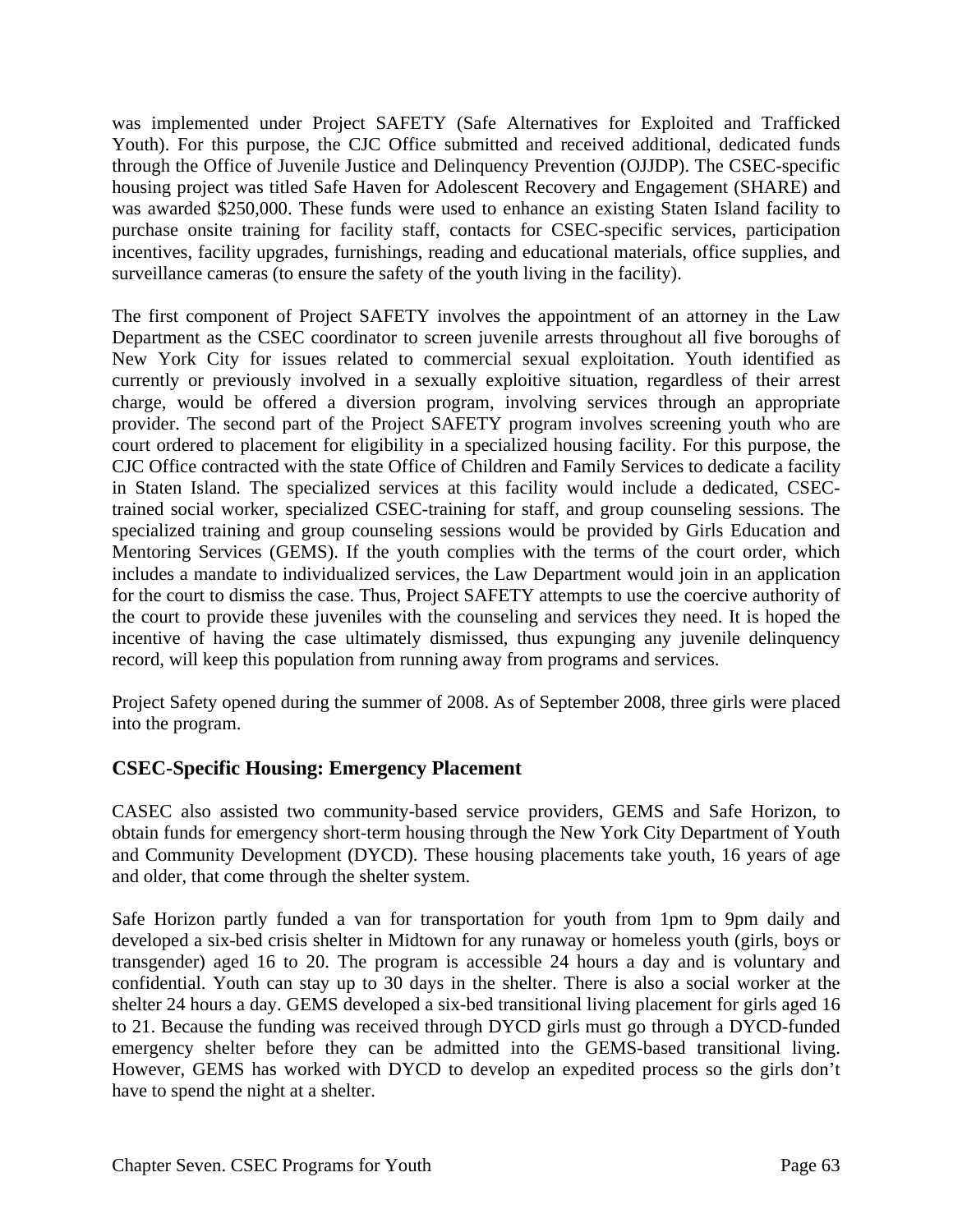was implemented under Project SAFETY (Safe Alternatives for Exploited and Trafficked Youth). For this purpose, the CJC Office submitted and received additional, dedicated funds through the Office of Juvenile Justice and Delinquency Prevention (OJJDP). The CSEC-specific housing project was titled Safe Haven for Adolescent Recovery and Engagement (SHARE) and was awarded \$250,000. These funds were used to enhance an existing Staten Island facility to purchase onsite training for facility staff, contacts for CSEC-specific services, participation incentives, facility upgrades, furnishings, reading and educational materials, office supplies, and surveillance cameras (to ensure the safety of the youth living in the facility).

The first component of Project SAFETY involves the appointment of an attorney in the Law Department as the CSEC coordinator to screen juvenile arrests throughout all five boroughs of New York City for issues related to commercial sexual exploitation. Youth identified as currently or previously involved in a sexually exploitive situation, regardless of their arrest charge, would be offered a diversion program, involving services through an appropriate provider. The second part of the Project SAFETY program involves screening youth who are court ordered to placement for eligibility in a specialized housing facility. For this purpose, the CJC Office contracted with the state Office of Children and Family Services to dedicate a facility in Staten Island. The specialized services at this facility would include a dedicated, CSECtrained social worker, specialized CSEC-training for staff, and group counseling sessions. The specialized training and group counseling sessions would be provided by Girls Education and Mentoring Services (GEMS). If the youth complies with the terms of the court order, which includes a mandate to individualized services, the Law Department would join in an application for the court to dismiss the case. Thus, Project SAFETY attempts to use the coercive authority of the court to provide these juveniles with the counseling and services they need. It is hoped the incentive of having the case ultimately dismissed, thus expunging any juvenile delinquency record, will keep this population from running away from programs and services.

Project Safety opened during the summer of 2008. As of September 2008, three girls were placed into the program.

# **CSEC-Specific Housing: Emergency Placement**

CASEC also assisted two community-based service providers, GEMS and Safe Horizon, to obtain funds for emergency short-term housing through the New York City Department of Youth and Community Development (DYCD). These housing placements take youth, 16 years of age and older, that come through the shelter system.

Safe Horizon partly funded a van for transportation for youth from 1pm to 9pm daily and developed a six-bed crisis shelter in Midtown for any runaway or homeless youth (girls, boys or transgender) aged 16 to 20. The program is accessible 24 hours a day and is voluntary and confidential. Youth can stay up to 30 days in the shelter. There is also a social worker at the shelter 24 hours a day. GEMS developed a six-bed transitional living placement for girls aged 16 to 21. Because the funding was received through DYCD girls must go through a DYCD-funded emergency shelter before they can be admitted into the GEMS-based transitional living. However, GEMS has worked with DYCD to develop an expedited process so the girls don't have to spend the night at a shelter.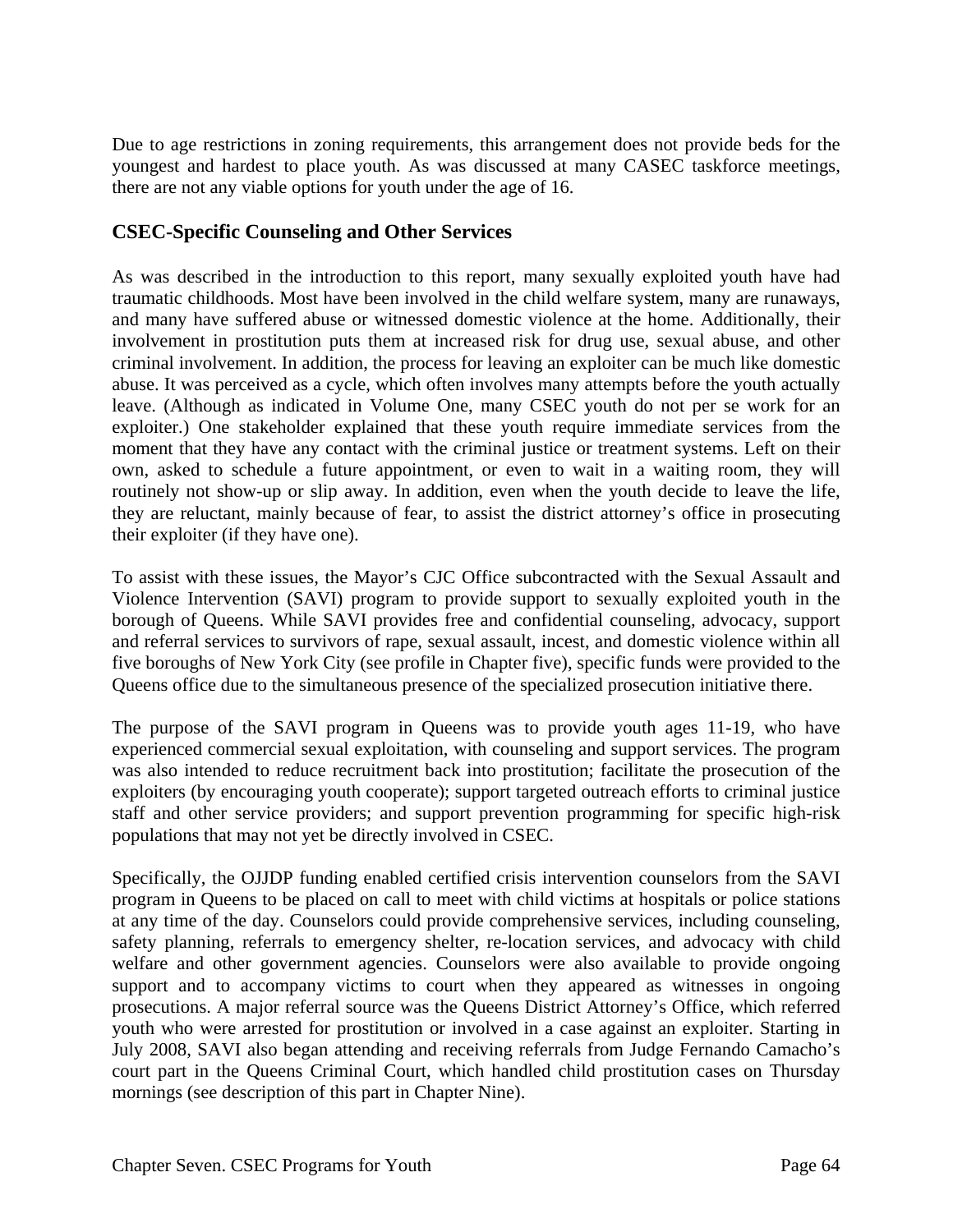Due to age restrictions in zoning requirements, this arrangement does not provide beds for the youngest and hardest to place youth. As was discussed at many CASEC taskforce meetings, there are not any viable options for youth under the age of 16.

### **CSEC-Specific Counseling and Other Services**

As was described in the introduction to this report, many sexually exploited youth have had traumatic childhoods. Most have been involved in the child welfare system, many are runaways, and many have suffered abuse or witnessed domestic violence at the home. Additionally, their involvement in prostitution puts them at increased risk for drug use, sexual abuse, and other criminal involvement. In addition, the process for leaving an exploiter can be much like domestic abuse. It was perceived as a cycle, which often involves many attempts before the youth actually leave. (Although as indicated in Volume One, many CSEC youth do not per se work for an exploiter.) One stakeholder explained that these youth require immediate services from the moment that they have any contact with the criminal justice or treatment systems. Left on their own, asked to schedule a future appointment, or even to wait in a waiting room, they will routinely not show-up or slip away. In addition, even when the youth decide to leave the life, they are reluctant, mainly because of fear, to assist the district attorney's office in prosecuting their exploiter (if they have one).

To assist with these issues, the Mayor's CJC Office subcontracted with the Sexual Assault and Violence Intervention (SAVI) program to provide support to sexually exploited youth in the borough of Queens. While SAVI provides free and confidential counseling, advocacy, support and referral services to survivors of rape, sexual assault, incest, and domestic violence within all five boroughs of New York City (see profile in Chapter five), specific funds were provided to the Queens office due to the simultaneous presence of the specialized prosecution initiative there.

The purpose of the SAVI program in Queens was to provide youth ages 11-19, who have experienced commercial sexual exploitation, with counseling and support services. The program was also intended to reduce recruitment back into prostitution; facilitate the prosecution of the exploiters (by encouraging youth cooperate); support targeted outreach efforts to criminal justice staff and other service providers; and support prevention programming for specific high-risk populations that may not yet be directly involved in CSEC.

Specifically, the OJJDP funding enabled certified crisis intervention counselors from the SAVI program in Queens to be placed on call to meet with child victims at hospitals or police stations at any time of the day. Counselors could provide comprehensive services, including counseling, safety planning, referrals to emergency shelter, re-location services, and advocacy with child welfare and other government agencies. Counselors were also available to provide ongoing support and to accompany victims to court when they appeared as witnesses in ongoing prosecutions. A major referral source was the Queens District Attorney's Office, which referred youth who were arrested for prostitution or involved in a case against an exploiter. Starting in July 2008, SAVI also began attending and receiving referrals from Judge Fernando Camacho's court part in the Queens Criminal Court, which handled child prostitution cases on Thursday mornings (see description of this part in Chapter Nine).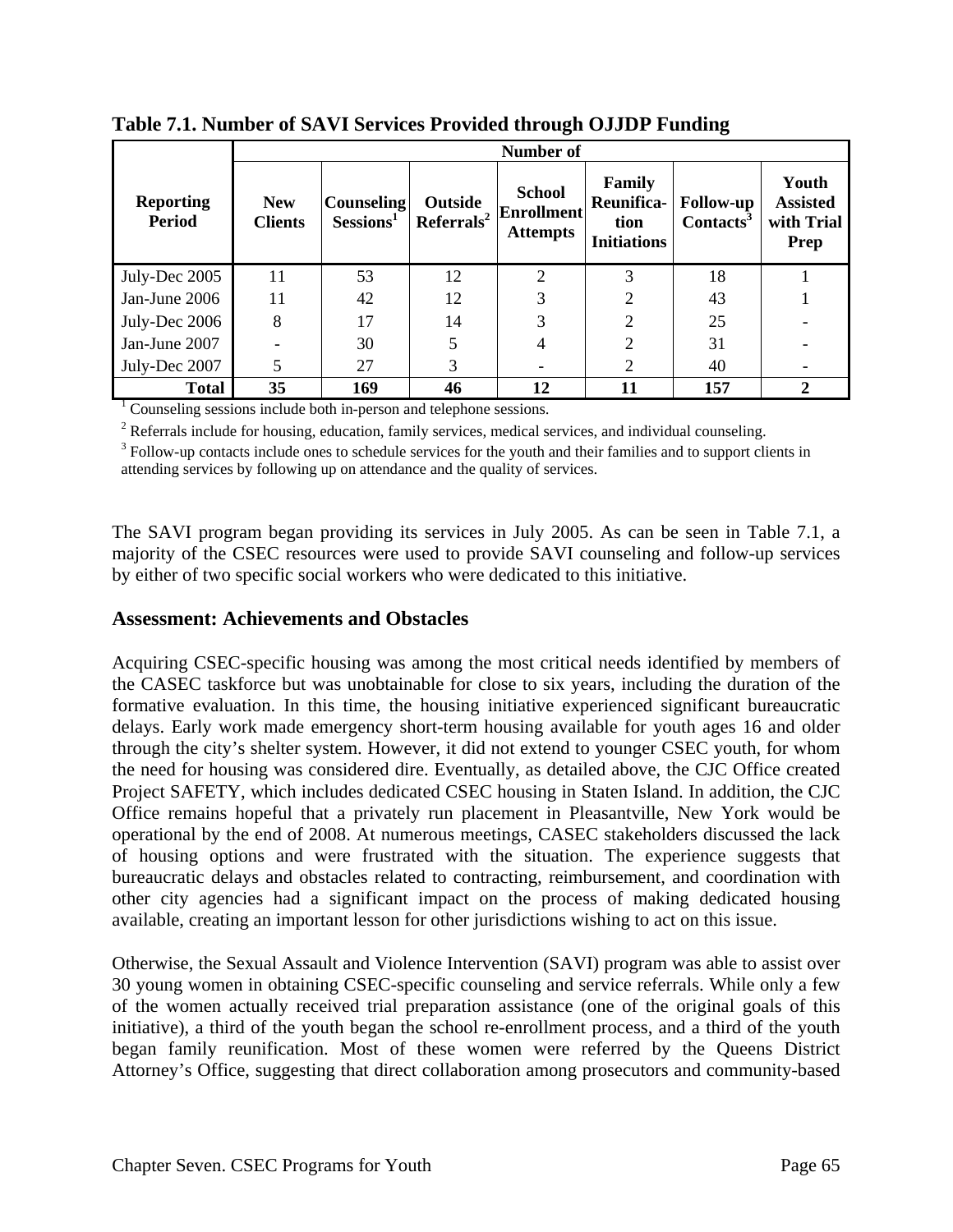|                                   | <b>Number of</b>             |                                               |                                   |                                                       |                                                    |                                           |                                                |
|-----------------------------------|------------------------------|-----------------------------------------------|-----------------------------------|-------------------------------------------------------|----------------------------------------------------|-------------------------------------------|------------------------------------------------|
| <b>Reporting</b><br><b>Period</b> | <b>New</b><br><b>Clients</b> | <b>Counseling</b><br>$S_{\rm \bf{essions}^1}$ | Outside<br>Referrals <sup>2</sup> | <b>School</b><br><b>Enrollment</b><br><b>Attempts</b> | Family<br>Reunifica-<br>tion<br><b>Initiations</b> | <b>Follow-up</b><br>Contacts <sup>3</sup> | Youth<br><b>Assisted</b><br>with Trial<br>Prep |
| July-Dec 2005                     | 11                           | 53                                            | 12                                | ↑                                                     | 3                                                  | 18                                        |                                                |
| Jan-June 2006                     | 11                           | 42                                            | 12                                |                                                       |                                                    | 43                                        |                                                |
| July-Dec 2006                     | 8                            | 17                                            | 14                                | 3                                                     | 2                                                  | 25                                        |                                                |
| Jan-June 2007                     |                              | 30                                            |                                   |                                                       | 2                                                  | 31                                        |                                                |
| July-Dec 2007                     | 5                            | 27                                            | 3                                 |                                                       | 2                                                  | 40                                        |                                                |
| <b>Total</b>                      | 35                           | 169                                           | 46                                | 12                                                    | 11                                                 | 157                                       |                                                |

**Table 7.1. Number of SAVI Services Provided through OJJDP Funding** 

<sup>1</sup> Counseling sessions include both in-person and telephone sessions.

 $2$  Referrals include for housing, education, family services, medical services, and individual counseling.

<sup>3</sup> Follow-up contacts include ones to schedule services for the youth and their families and to support clients in attending services by following up on attendance and the quality of services.

The SAVI program began providing its services in July 2005. As can be seen in Table 7.1, a majority of the CSEC resources were used to provide SAVI counseling and follow-up services by either of two specific social workers who were dedicated to this initiative.

#### **Assessment: Achievements and Obstacles**

Acquiring CSEC-specific housing was among the most critical needs identified by members of the CASEC taskforce but was unobtainable for close to six years, including the duration of the formative evaluation. In this time, the housing initiative experienced significant bureaucratic delays. Early work made emergency short-term housing available for youth ages 16 and older through the city's shelter system. However, it did not extend to younger CSEC youth, for whom the need for housing was considered dire. Eventually, as detailed above, the CJC Office created Project SAFETY, which includes dedicated CSEC housing in Staten Island. In addition, the CJC Office remains hopeful that a privately run placement in Pleasantville, New York would be operational by the end of 2008. At numerous meetings, CASEC stakeholders discussed the lack of housing options and were frustrated with the situation. The experience suggests that bureaucratic delays and obstacles related to contracting, reimbursement, and coordination with other city agencies had a significant impact on the process of making dedicated housing available, creating an important lesson for other jurisdictions wishing to act on this issue.

Otherwise, the Sexual Assault and Violence Intervention (SAVI) program was able to assist over 30 young women in obtaining CSEC-specific counseling and service referrals. While only a few of the women actually received trial preparation assistance (one of the original goals of this initiative), a third of the youth began the school re-enrollment process, and a third of the youth began family reunification. Most of these women were referred by the Queens District Attorney's Office, suggesting that direct collaboration among prosecutors and community-based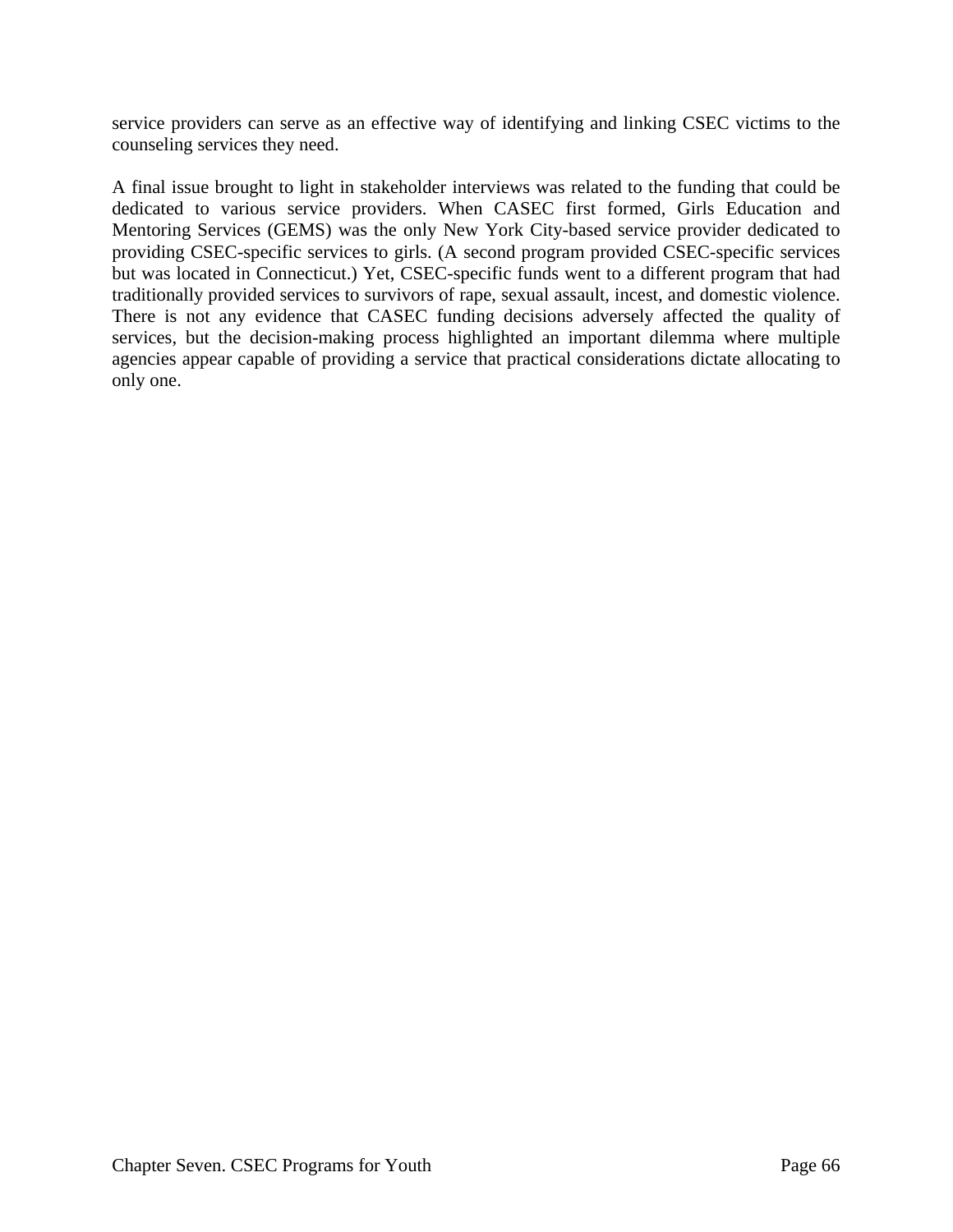service providers can serve as an effective way of identifying and linking CSEC victims to the counseling services they need.

A final issue brought to light in stakeholder interviews was related to the funding that could be dedicated to various service providers. When CASEC first formed, Girls Education and Mentoring Services (GEMS) was the only New York City-based service provider dedicated to providing CSEC-specific services to girls. (A second program provided CSEC-specific services but was located in Connecticut.) Yet, CSEC-specific funds went to a different program that had traditionally provided services to survivors of rape, sexual assault, incest, and domestic violence. There is not any evidence that CASEC funding decisions adversely affected the quality of services, but the decision-making process highlighted an important dilemma where multiple agencies appear capable of providing a service that practical considerations dictate allocating to only one.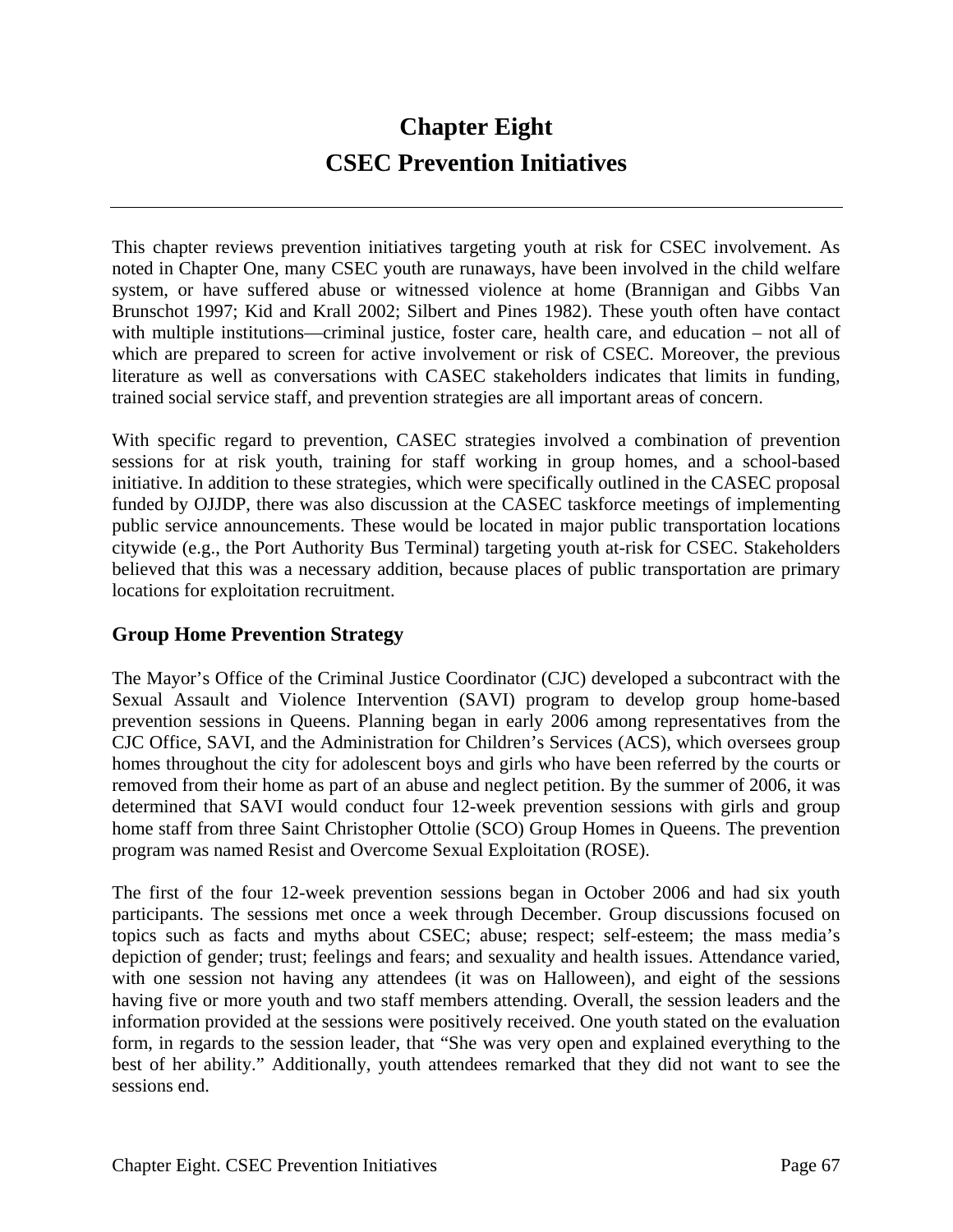# **Chapter Eight CSEC Prevention Initiatives**

This chapter reviews prevention initiatives targeting youth at risk for CSEC involvement. As noted in Chapter One, many CSEC youth are runaways, have been involved in the child welfare system, or have suffered abuse or witnessed violence at home (Brannigan and Gibbs Van Brunschot 1997; Kid and Krall 2002; Silbert and Pines 1982). These youth often have contact with multiple institutions—criminal justice, foster care, health care, and education – not all of which are prepared to screen for active involvement or risk of CSEC. Moreover, the previous literature as well as conversations with CASEC stakeholders indicates that limits in funding, trained social service staff, and prevention strategies are all important areas of concern.

With specific regard to prevention, CASEC strategies involved a combination of prevention sessions for at risk youth, training for staff working in group homes, and a school-based initiative. In addition to these strategies, which were specifically outlined in the CASEC proposal funded by OJJDP, there was also discussion at the CASEC taskforce meetings of implementing public service announcements. These would be located in major public transportation locations citywide (e.g., the Port Authority Bus Terminal) targeting youth at-risk for CSEC. Stakeholders believed that this was a necessary addition, because places of public transportation are primary locations for exploitation recruitment.

# **Group Home Prevention Strategy**

The Mayor's Office of the Criminal Justice Coordinator (CJC) developed a subcontract with the Sexual Assault and Violence Intervention (SAVI) program to develop group home-based prevention sessions in Queens. Planning began in early 2006 among representatives from the CJC Office, SAVI, and the Administration for Children's Services (ACS), which oversees group homes throughout the city for adolescent boys and girls who have been referred by the courts or removed from their home as part of an abuse and neglect petition. By the summer of 2006, it was determined that SAVI would conduct four 12-week prevention sessions with girls and group home staff from three Saint Christopher Ottolie (SCO) Group Homes in Queens. The prevention program was named Resist and Overcome Sexual Exploitation (ROSE).

The first of the four 12-week prevention sessions began in October 2006 and had six youth participants. The sessions met once a week through December. Group discussions focused on topics such as facts and myths about CSEC; abuse; respect; self-esteem; the mass media's depiction of gender; trust; feelings and fears; and sexuality and health issues. Attendance varied, with one session not having any attendees (it was on Halloween), and eight of the sessions having five or more youth and two staff members attending. Overall, the session leaders and the information provided at the sessions were positively received. One youth stated on the evaluation form, in regards to the session leader, that "She was very open and explained everything to the best of her ability." Additionally, youth attendees remarked that they did not want to see the sessions end.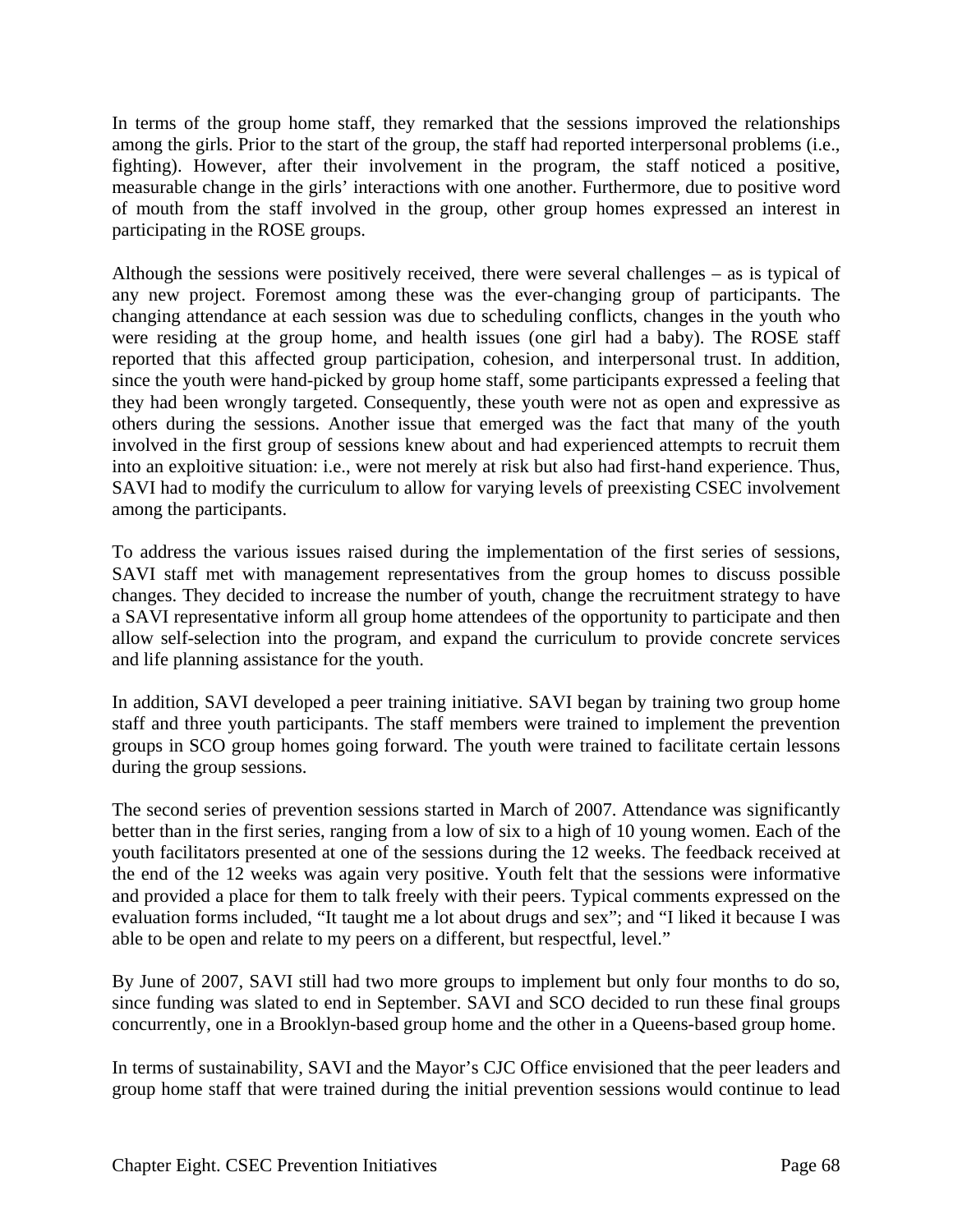In terms of the group home staff, they remarked that the sessions improved the relationships among the girls. Prior to the start of the group, the staff had reported interpersonal problems (i.e., fighting). However, after their involvement in the program, the staff noticed a positive, measurable change in the girls' interactions with one another. Furthermore, due to positive word of mouth from the staff involved in the group, other group homes expressed an interest in participating in the ROSE groups.

Although the sessions were positively received, there were several challenges – as is typical of any new project. Foremost among these was the ever-changing group of participants. The changing attendance at each session was due to scheduling conflicts, changes in the youth who were residing at the group home, and health issues (one girl had a baby). The ROSE staff reported that this affected group participation, cohesion, and interpersonal trust. In addition, since the youth were hand-picked by group home staff, some participants expressed a feeling that they had been wrongly targeted. Consequently, these youth were not as open and expressive as others during the sessions. Another issue that emerged was the fact that many of the youth involved in the first group of sessions knew about and had experienced attempts to recruit them into an exploitive situation: i.e., were not merely at risk but also had first-hand experience. Thus, SAVI had to modify the curriculum to allow for varying levels of preexisting CSEC involvement among the participants.

To address the various issues raised during the implementation of the first series of sessions, SAVI staff met with management representatives from the group homes to discuss possible changes. They decided to increase the number of youth, change the recruitment strategy to have a SAVI representative inform all group home attendees of the opportunity to participate and then allow self-selection into the program, and expand the curriculum to provide concrete services and life planning assistance for the youth.

In addition, SAVI developed a peer training initiative. SAVI began by training two group home staff and three youth participants. The staff members were trained to implement the prevention groups in SCO group homes going forward. The youth were trained to facilitate certain lessons during the group sessions.

The second series of prevention sessions started in March of 2007. Attendance was significantly better than in the first series, ranging from a low of six to a high of 10 young women. Each of the youth facilitators presented at one of the sessions during the 12 weeks. The feedback received at the end of the 12 weeks was again very positive. Youth felt that the sessions were informative and provided a place for them to talk freely with their peers. Typical comments expressed on the evaluation forms included, "It taught me a lot about drugs and sex"; and "I liked it because I was able to be open and relate to my peers on a different, but respectful, level."

By June of 2007, SAVI still had two more groups to implement but only four months to do so, since funding was slated to end in September. SAVI and SCO decided to run these final groups concurrently, one in a Brooklyn-based group home and the other in a Queens-based group home.

In terms of sustainability, SAVI and the Mayor's CJC Office envisioned that the peer leaders and group home staff that were trained during the initial prevention sessions would continue to lead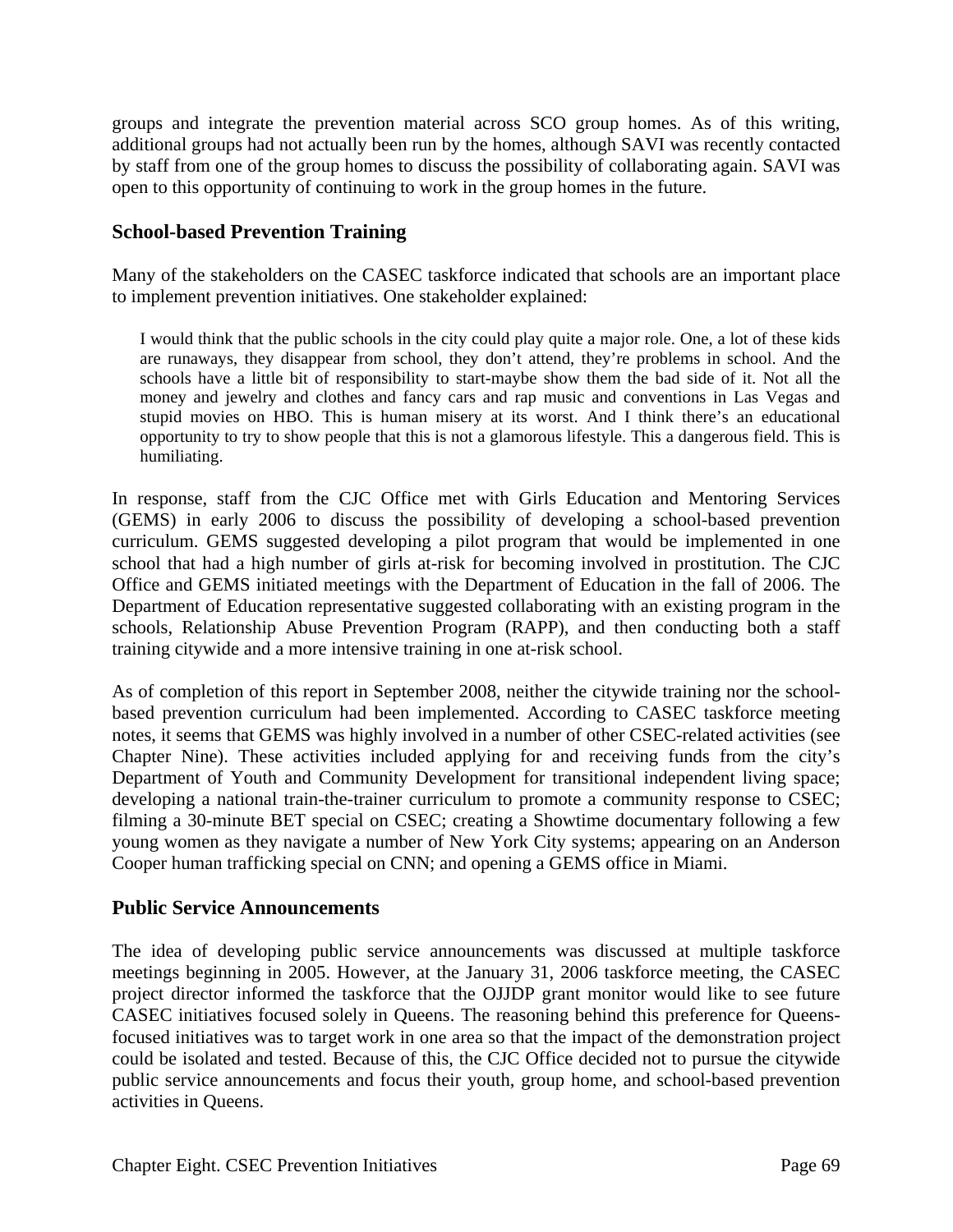groups and integrate the prevention material across SCO group homes. As of this writing, additional groups had not actually been run by the homes, although SAVI was recently contacted by staff from one of the group homes to discuss the possibility of collaborating again. SAVI was open to this opportunity of continuing to work in the group homes in the future.

## **School-based Prevention Training**

Many of the stakeholders on the CASEC taskforce indicated that schools are an important place to implement prevention initiatives. One stakeholder explained:

I would think that the public schools in the city could play quite a major role. One, a lot of these kids are runaways, they disappear from school, they don't attend, they're problems in school. And the schools have a little bit of responsibility to start-maybe show them the bad side of it. Not all the money and jewelry and clothes and fancy cars and rap music and conventions in Las Vegas and stupid movies on HBO. This is human misery at its worst. And I think there's an educational opportunity to try to show people that this is not a glamorous lifestyle. This a dangerous field. This is humiliating.

In response, staff from the CJC Office met with Girls Education and Mentoring Services (GEMS) in early 2006 to discuss the possibility of developing a school-based prevention curriculum. GEMS suggested developing a pilot program that would be implemented in one school that had a high number of girls at-risk for becoming involved in prostitution. The CJC Office and GEMS initiated meetings with the Department of Education in the fall of 2006. The Department of Education representative suggested collaborating with an existing program in the schools, Relationship Abuse Prevention Program (RAPP), and then conducting both a staff training citywide and a more intensive training in one at-risk school.

As of completion of this report in September 2008, neither the citywide training nor the schoolbased prevention curriculum had been implemented. According to CASEC taskforce meeting notes, it seems that GEMS was highly involved in a number of other CSEC-related activities (see Chapter Nine). These activities included applying for and receiving funds from the city's Department of Youth and Community Development for transitional independent living space; developing a national train-the-trainer curriculum to promote a community response to CSEC; filming a 30-minute BET special on CSEC; creating a Showtime documentary following a few young women as they navigate a number of New York City systems; appearing on an Anderson Cooper human trafficking special on CNN; and opening a GEMS office in Miami.

#### **Public Service Announcements**

The idea of developing public service announcements was discussed at multiple taskforce meetings beginning in 2005. However, at the January 31, 2006 taskforce meeting, the CASEC project director informed the taskforce that the OJJDP grant monitor would like to see future CASEC initiatives focused solely in Queens. The reasoning behind this preference for Queensfocused initiatives was to target work in one area so that the impact of the demonstration project could be isolated and tested. Because of this, the CJC Office decided not to pursue the citywide public service announcements and focus their youth, group home, and school-based prevention activities in Queens.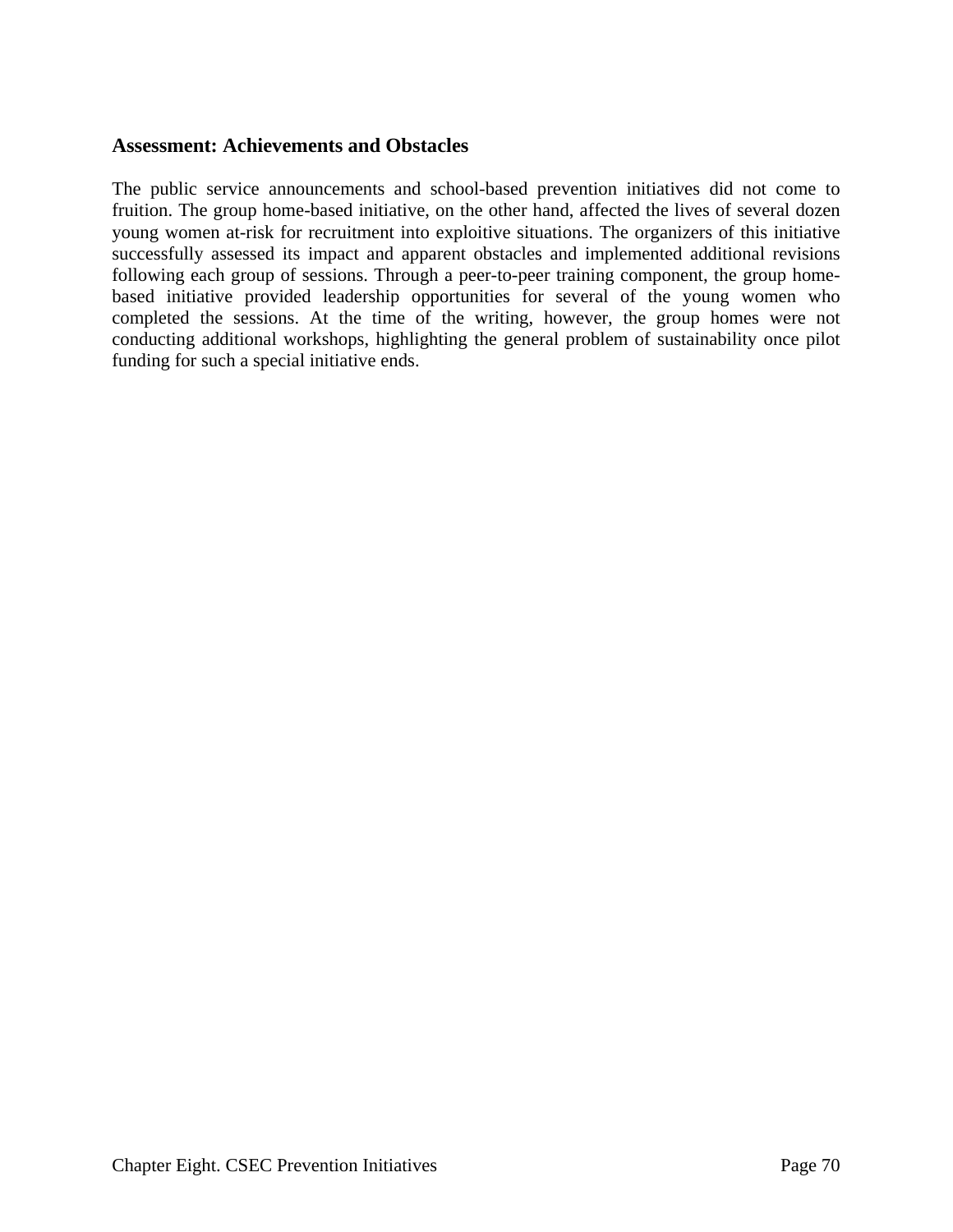#### **Assessment: Achievements and Obstacles**

The public service announcements and school-based prevention initiatives did not come to fruition. The group home-based initiative, on the other hand, affected the lives of several dozen young women at-risk for recruitment into exploitive situations. The organizers of this initiative successfully assessed its impact and apparent obstacles and implemented additional revisions following each group of sessions. Through a peer-to-peer training component, the group homebased initiative provided leadership opportunities for several of the young women who completed the sessions. At the time of the writing, however, the group homes were not conducting additional workshops, highlighting the general problem of sustainability once pilot funding for such a special initiative ends.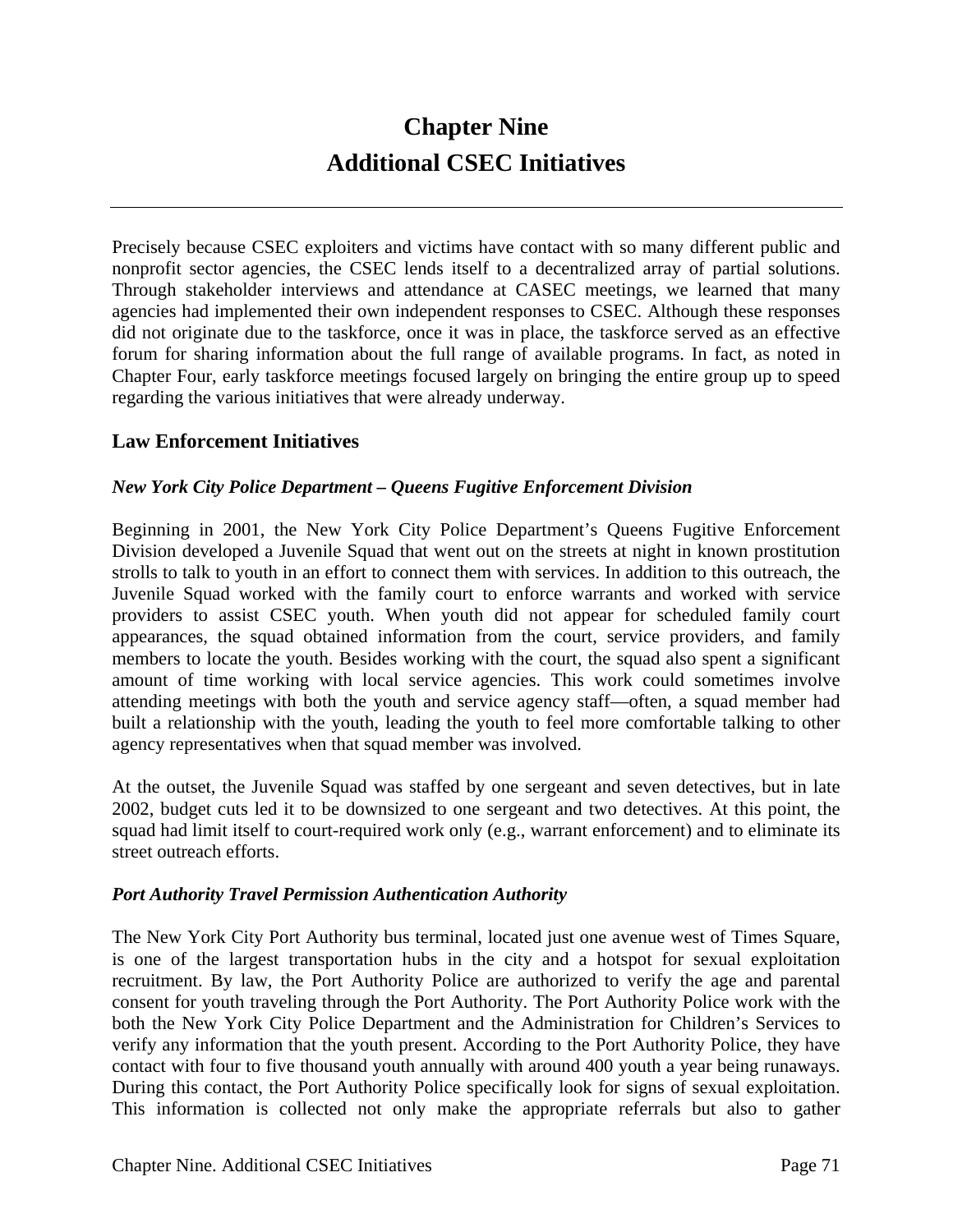# **Chapter Nine Additional CSEC Initiatives**

Precisely because CSEC exploiters and victims have contact with so many different public and nonprofit sector agencies, the CSEC lends itself to a decentralized array of partial solutions. Through stakeholder interviews and attendance at CASEC meetings, we learned that many agencies had implemented their own independent responses to CSEC. Although these responses did not originate due to the taskforce, once it was in place, the taskforce served as an effective forum for sharing information about the full range of available programs. In fact, as noted in Chapter Four, early taskforce meetings focused largely on bringing the entire group up to speed regarding the various initiatives that were already underway.

## **Law Enforcement Initiatives**

#### *New York City Police Department – Queens Fugitive Enforcement Division*

Beginning in 2001, the New York City Police Department's Queens Fugitive Enforcement Division developed a Juvenile Squad that went out on the streets at night in known prostitution strolls to talk to youth in an effort to connect them with services. In addition to this outreach, the Juvenile Squad worked with the family court to enforce warrants and worked with service providers to assist CSEC youth. When youth did not appear for scheduled family court appearances, the squad obtained information from the court, service providers, and family members to locate the youth. Besides working with the court, the squad also spent a significant amount of time working with local service agencies. This work could sometimes involve attending meetings with both the youth and service agency staff—often, a squad member had built a relationship with the youth, leading the youth to feel more comfortable talking to other agency representatives when that squad member was involved.

At the outset, the Juvenile Squad was staffed by one sergeant and seven detectives, but in late 2002, budget cuts led it to be downsized to one sergeant and two detectives. At this point, the squad had limit itself to court-required work only (e.g., warrant enforcement) and to eliminate its street outreach efforts.

#### *Port Authority Travel Permission Authentication Authority*

The New York City Port Authority bus terminal, located just one avenue west of Times Square, is one of the largest transportation hubs in the city and a hotspot for sexual exploitation recruitment. By law, the Port Authority Police are authorized to verify the age and parental consent for youth traveling through the Port Authority. The Port Authority Police work with the both the New York City Police Department and the Administration for Children's Services to verify any information that the youth present. According to the Port Authority Police, they have contact with four to five thousand youth annually with around 400 youth a year being runaways. During this contact, the Port Authority Police specifically look for signs of sexual exploitation. This information is collected not only make the appropriate referrals but also to gather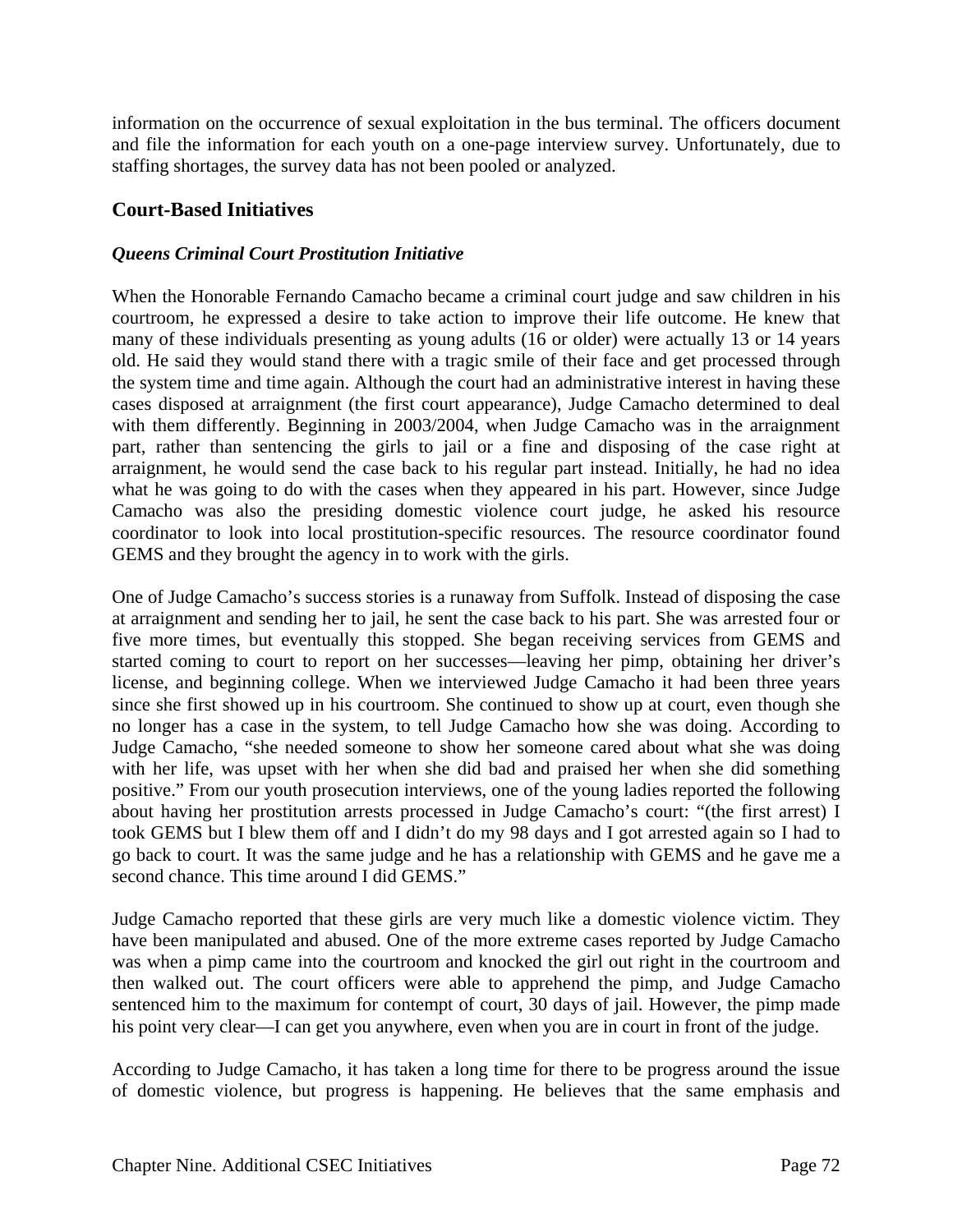information on the occurrence of sexual exploitation in the bus terminal. The officers document and file the information for each youth on a one-page interview survey. Unfortunately, due to staffing shortages, the survey data has not been pooled or analyzed.

## **Court-Based Initiatives**

#### *Queens Criminal Court Prostitution Initiative*

When the Honorable Fernando Camacho became a criminal court judge and saw children in his courtroom, he expressed a desire to take action to improve their life outcome. He knew that many of these individuals presenting as young adults (16 or older) were actually 13 or 14 years old. He said they would stand there with a tragic smile of their face and get processed through the system time and time again. Although the court had an administrative interest in having these cases disposed at arraignment (the first court appearance), Judge Camacho determined to deal with them differently. Beginning in 2003/2004, when Judge Camacho was in the arraignment part, rather than sentencing the girls to jail or a fine and disposing of the case right at arraignment, he would send the case back to his regular part instead. Initially, he had no idea what he was going to do with the cases when they appeared in his part. However, since Judge Camacho was also the presiding domestic violence court judge, he asked his resource coordinator to look into local prostitution-specific resources. The resource coordinator found GEMS and they brought the agency in to work with the girls.

One of Judge Camacho's success stories is a runaway from Suffolk. Instead of disposing the case at arraignment and sending her to jail, he sent the case back to his part. She was arrested four or five more times, but eventually this stopped. She began receiving services from GEMS and started coming to court to report on her successes—leaving her pimp, obtaining her driver's license, and beginning college. When we interviewed Judge Camacho it had been three years since she first showed up in his courtroom. She continued to show up at court, even though she no longer has a case in the system, to tell Judge Camacho how she was doing. According to Judge Camacho, "she needed someone to show her someone cared about what she was doing with her life, was upset with her when she did bad and praised her when she did something positive." From our youth prosecution interviews, one of the young ladies reported the following about having her prostitution arrests processed in Judge Camacho's court: "(the first arrest) I took GEMS but I blew them off and I didn't do my 98 days and I got arrested again so I had to go back to court. It was the same judge and he has a relationship with GEMS and he gave me a second chance. This time around I did GEMS."

Judge Camacho reported that these girls are very much like a domestic violence victim. They have been manipulated and abused. One of the more extreme cases reported by Judge Camacho was when a pimp came into the courtroom and knocked the girl out right in the courtroom and then walked out. The court officers were able to apprehend the pimp, and Judge Camacho sentenced him to the maximum for contempt of court, 30 days of jail. However, the pimp made his point very clear—I can get you anywhere, even when you are in court in front of the judge.

According to Judge Camacho, it has taken a long time for there to be progress around the issue of domestic violence, but progress is happening. He believes that the same emphasis and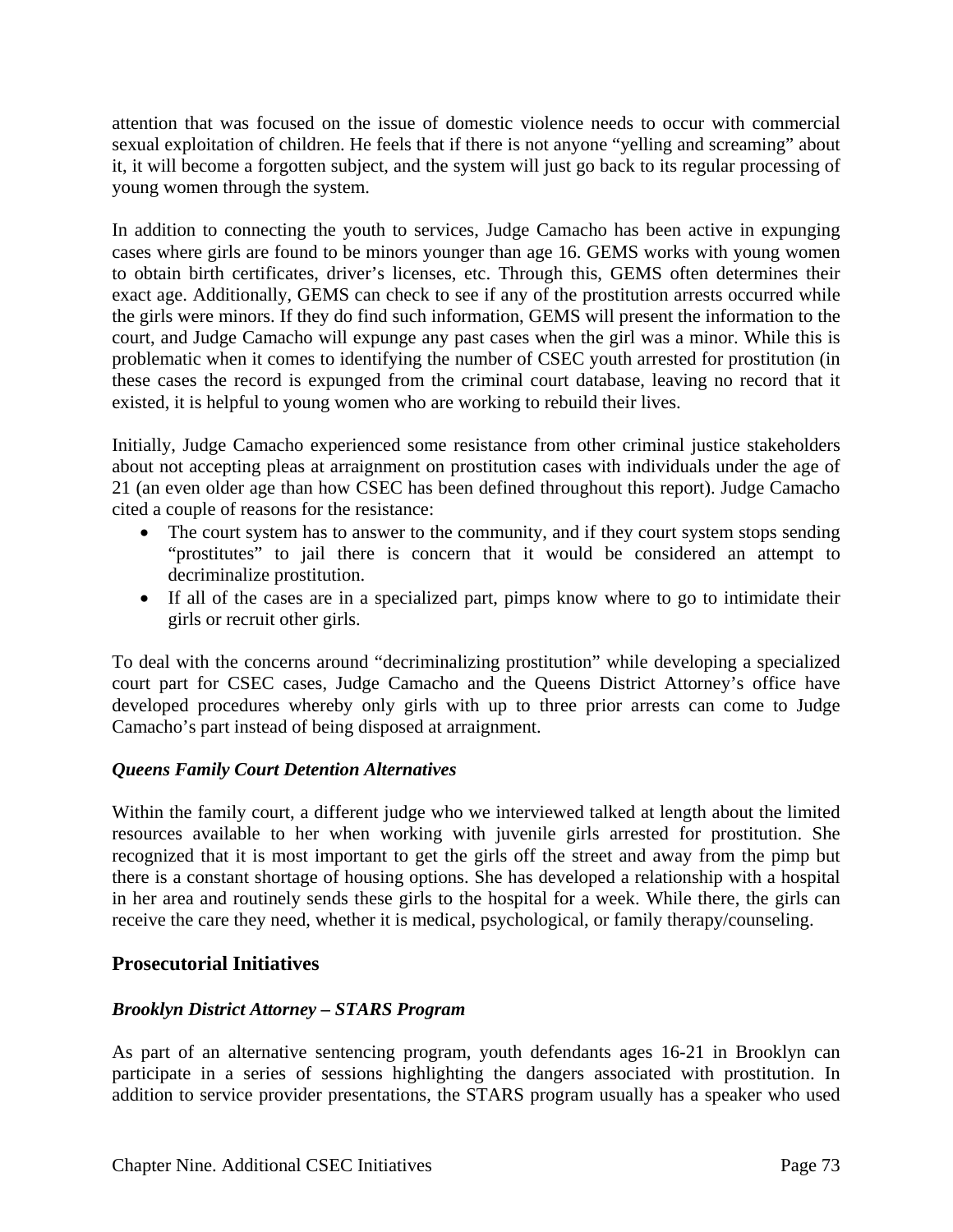attention that was focused on the issue of domestic violence needs to occur with commercial sexual exploitation of children. He feels that if there is not anyone "yelling and screaming" about it, it will become a forgotten subject, and the system will just go back to its regular processing of young women through the system.

In addition to connecting the youth to services, Judge Camacho has been active in expunging cases where girls are found to be minors younger than age 16. GEMS works with young women to obtain birth certificates, driver's licenses, etc. Through this, GEMS often determines their exact age. Additionally, GEMS can check to see if any of the prostitution arrests occurred while the girls were minors. If they do find such information, GEMS will present the information to the court, and Judge Camacho will expunge any past cases when the girl was a minor. While this is problematic when it comes to identifying the number of CSEC youth arrested for prostitution (in these cases the record is expunged from the criminal court database, leaving no record that it existed, it is helpful to young women who are working to rebuild their lives.

Initially, Judge Camacho experienced some resistance from other criminal justice stakeholders about not accepting pleas at arraignment on prostitution cases with individuals under the age of 21 (an even older age than how CSEC has been defined throughout this report). Judge Camacho cited a couple of reasons for the resistance:

- The court system has to answer to the community, and if they court system stops sending "prostitutes" to jail there is concern that it would be considered an attempt to decriminalize prostitution.
- If all of the cases are in a specialized part, pimps know where to go to intimidate their girls or recruit other girls.

To deal with the concerns around "decriminalizing prostitution" while developing a specialized court part for CSEC cases, Judge Camacho and the Queens District Attorney's office have developed procedures whereby only girls with up to three prior arrests can come to Judge Camacho's part instead of being disposed at arraignment.

#### *Queens Family Court Detention Alternatives*

Within the family court, a different judge who we interviewed talked at length about the limited resources available to her when working with juvenile girls arrested for prostitution. She recognized that it is most important to get the girls off the street and away from the pimp but there is a constant shortage of housing options. She has developed a relationship with a hospital in her area and routinely sends these girls to the hospital for a week. While there, the girls can receive the care they need, whether it is medical, psychological, or family therapy/counseling.

# **Prosecutorial Initiatives**

#### *Brooklyn District Attorney – STARS Program*

As part of an alternative sentencing program, youth defendants ages 16-21 in Brooklyn can participate in a series of sessions highlighting the dangers associated with prostitution. In addition to service provider presentations, the STARS program usually has a speaker who used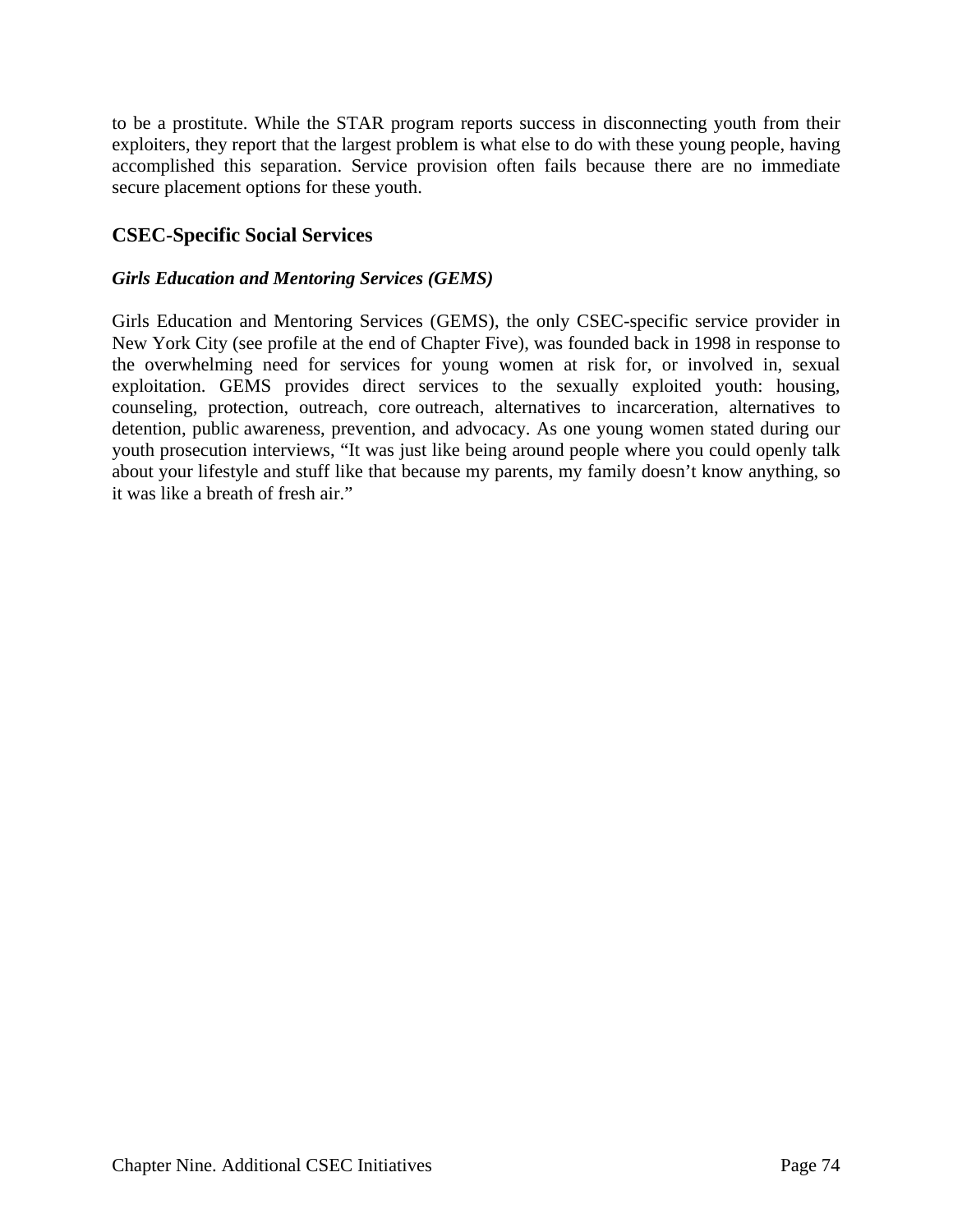to be a prostitute. While the STAR program reports success in disconnecting youth from their exploiters, they report that the largest problem is what else to do with these young people, having accomplished this separation. Service provision often fails because there are no immediate secure placement options for these youth.

# **CSEC-Specific Social Services**

#### *Girls Education and Mentoring Services (GEMS)*

Girls Education and Mentoring Services (GEMS), the only CSEC-specific service provider in New York City (see profile at the end of Chapter Five), was founded back in 1998 in response to the overwhelming need for services for young women at risk for, or involved in, sexual exploitation. GEMS provides direct services to the sexually exploited youth: housing, counseling, protection, outreach, core outreach, alternatives to incarceration, alternatives to detention, public awareness, prevention, and advocacy. As one young women stated during our youth prosecution interviews, "It was just like being around people where you could openly talk about your lifestyle and stuff like that because my parents, my family doesn't know anything, so it was like a breath of fresh air."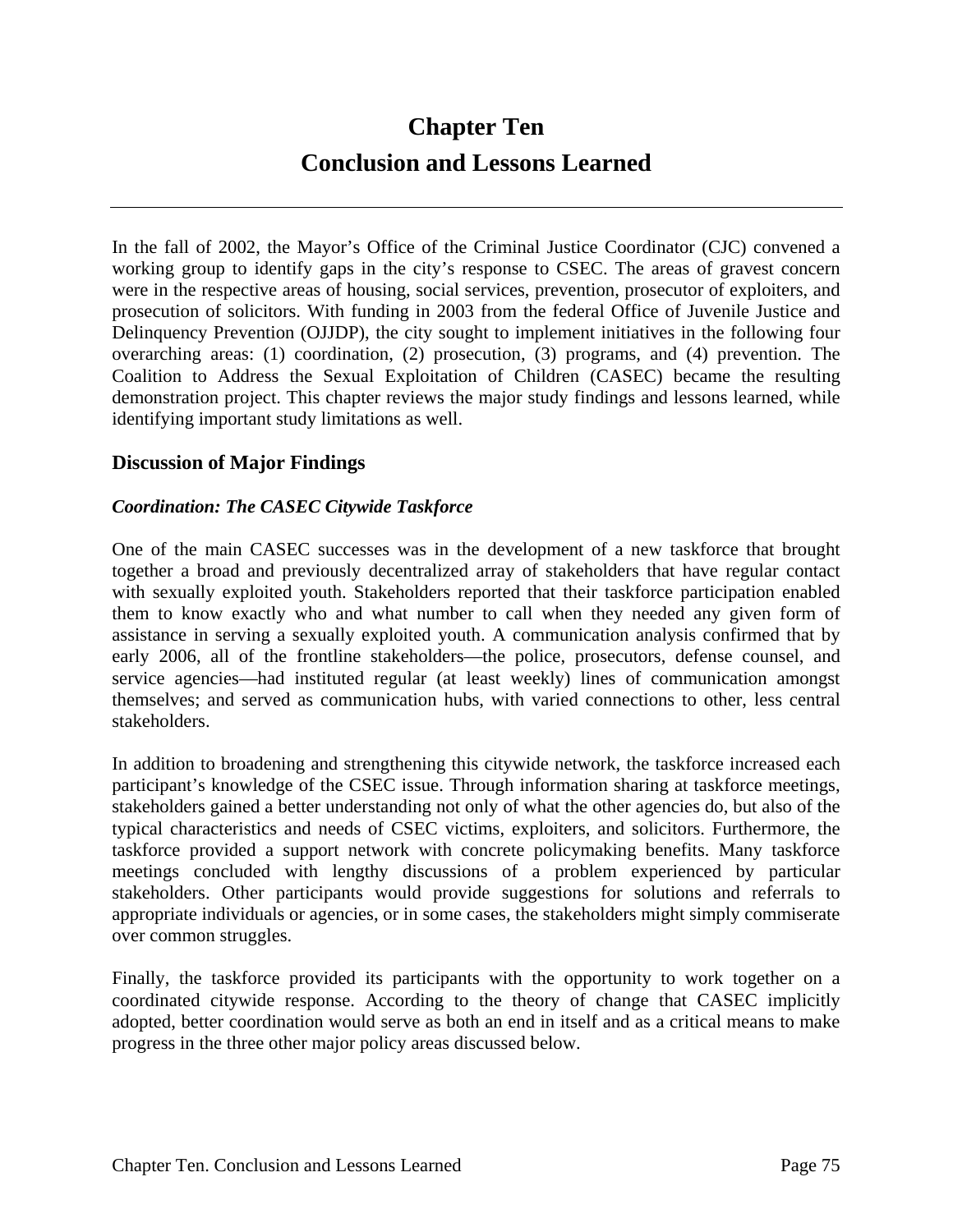# **Chapter Ten Conclusion and Lessons Learned**

In the fall of 2002, the Mayor's Office of the Criminal Justice Coordinator (CJC) convened a working group to identify gaps in the city's response to CSEC. The areas of gravest concern were in the respective areas of housing, social services, prevention, prosecutor of exploiters, and prosecution of solicitors. With funding in 2003 from the federal Office of Juvenile Justice and Delinquency Prevention (OJJDP), the city sought to implement initiatives in the following four overarching areas: (1) coordination, (2) prosecution, (3) programs, and (4) prevention. The Coalition to Address the Sexual Exploitation of Children (CASEC) became the resulting demonstration project. This chapter reviews the major study findings and lessons learned, while identifying important study limitations as well.

## **Discussion of Major Findings**

#### *Coordination: The CASEC Citywide Taskforce*

One of the main CASEC successes was in the development of a new taskforce that brought together a broad and previously decentralized array of stakeholders that have regular contact with sexually exploited youth. Stakeholders reported that their taskforce participation enabled them to know exactly who and what number to call when they needed any given form of assistance in serving a sexually exploited youth. A communication analysis confirmed that by early 2006, all of the frontline stakeholders—the police, prosecutors, defense counsel, and service agencies—had instituted regular (at least weekly) lines of communication amongst themselves; and served as communication hubs, with varied connections to other, less central stakeholders.

In addition to broadening and strengthening this citywide network, the taskforce increased each participant's knowledge of the CSEC issue. Through information sharing at taskforce meetings, stakeholders gained a better understanding not only of what the other agencies do, but also of the typical characteristics and needs of CSEC victims, exploiters, and solicitors. Furthermore, the taskforce provided a support network with concrete policymaking benefits. Many taskforce meetings concluded with lengthy discussions of a problem experienced by particular stakeholders. Other participants would provide suggestions for solutions and referrals to appropriate individuals or agencies, or in some cases, the stakeholders might simply commiserate over common struggles.

Finally, the taskforce provided its participants with the opportunity to work together on a coordinated citywide response. According to the theory of change that CASEC implicitly adopted, better coordination would serve as both an end in itself and as a critical means to make progress in the three other major policy areas discussed below.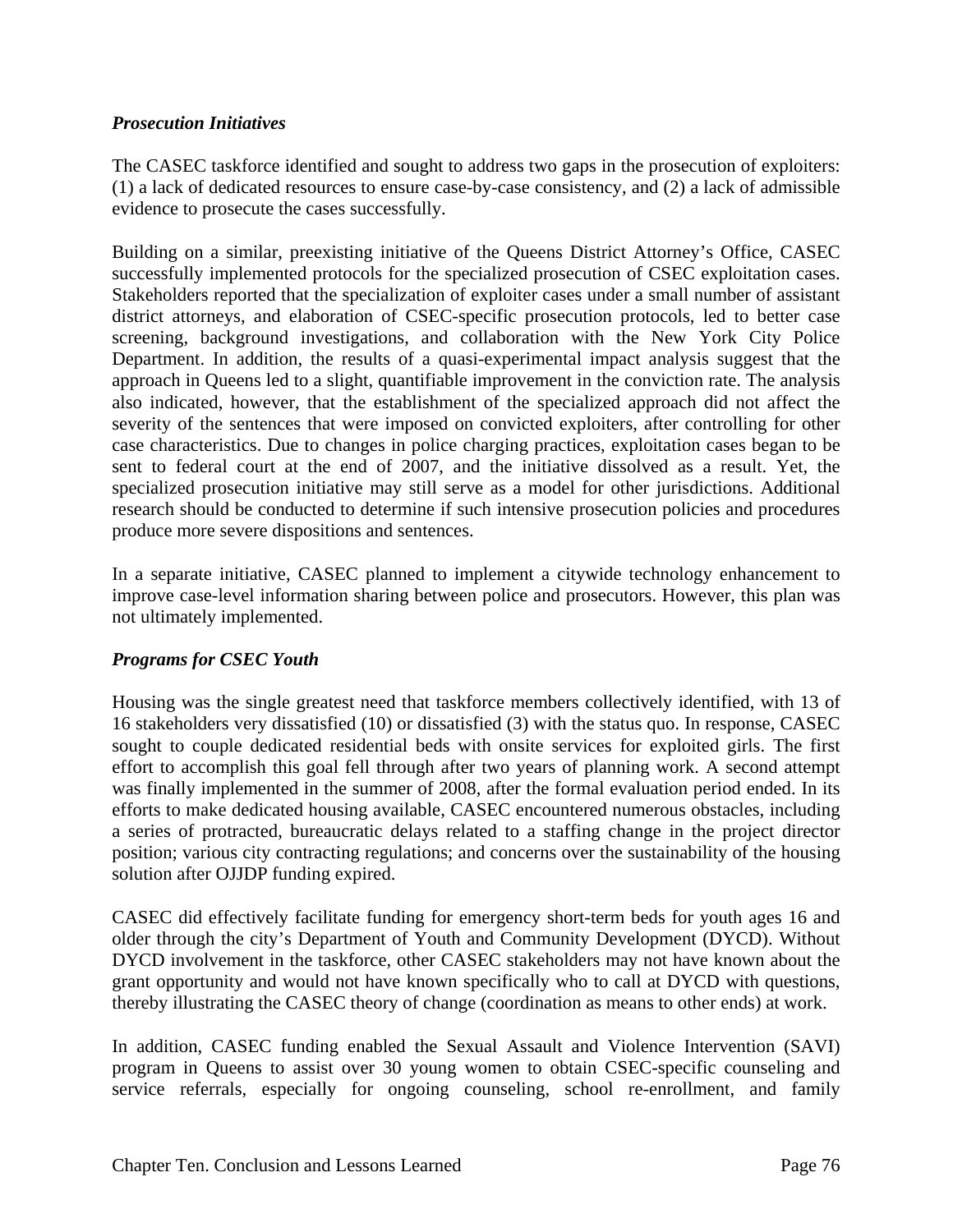#### *Prosecution Initiatives*

The CASEC taskforce identified and sought to address two gaps in the prosecution of exploiters: (1) a lack of dedicated resources to ensure case-by-case consistency, and (2) a lack of admissible evidence to prosecute the cases successfully.

Building on a similar, preexisting initiative of the Queens District Attorney's Office, CASEC successfully implemented protocols for the specialized prosecution of CSEC exploitation cases. Stakeholders reported that the specialization of exploiter cases under a small number of assistant district attorneys, and elaboration of CSEC-specific prosecution protocols, led to better case screening, background investigations, and collaboration with the New York City Police Department. In addition, the results of a quasi-experimental impact analysis suggest that the approach in Queens led to a slight, quantifiable improvement in the conviction rate. The analysis also indicated, however, that the establishment of the specialized approach did not affect the severity of the sentences that were imposed on convicted exploiters, after controlling for other case characteristics. Due to changes in police charging practices, exploitation cases began to be sent to federal court at the end of 2007, and the initiative dissolved as a result. Yet, the specialized prosecution initiative may still serve as a model for other jurisdictions. Additional research should be conducted to determine if such intensive prosecution policies and procedures produce more severe dispositions and sentences.

In a separate initiative, CASEC planned to implement a citywide technology enhancement to improve case-level information sharing between police and prosecutors. However, this plan was not ultimately implemented.

#### *Programs for CSEC Youth*

Housing was the single greatest need that taskforce members collectively identified, with 13 of 16 stakeholders very dissatisfied (10) or dissatisfied (3) with the status quo. In response, CASEC sought to couple dedicated residential beds with onsite services for exploited girls. The first effort to accomplish this goal fell through after two years of planning work. A second attempt was finally implemented in the summer of 2008, after the formal evaluation period ended. In its efforts to make dedicated housing available, CASEC encountered numerous obstacles, including a series of protracted, bureaucratic delays related to a staffing change in the project director position; various city contracting regulations; and concerns over the sustainability of the housing solution after OJJDP funding expired.

CASEC did effectively facilitate funding for emergency short-term beds for youth ages 16 and older through the city's Department of Youth and Community Development (DYCD). Without DYCD involvement in the taskforce, other CASEC stakeholders may not have known about the grant opportunity and would not have known specifically who to call at DYCD with questions, thereby illustrating the CASEC theory of change (coordination as means to other ends) at work.

In addition, CASEC funding enabled the Sexual Assault and Violence Intervention (SAVI) program in Queens to assist over 30 young women to obtain CSEC-specific counseling and service referrals, especially for ongoing counseling, school re-enrollment, and family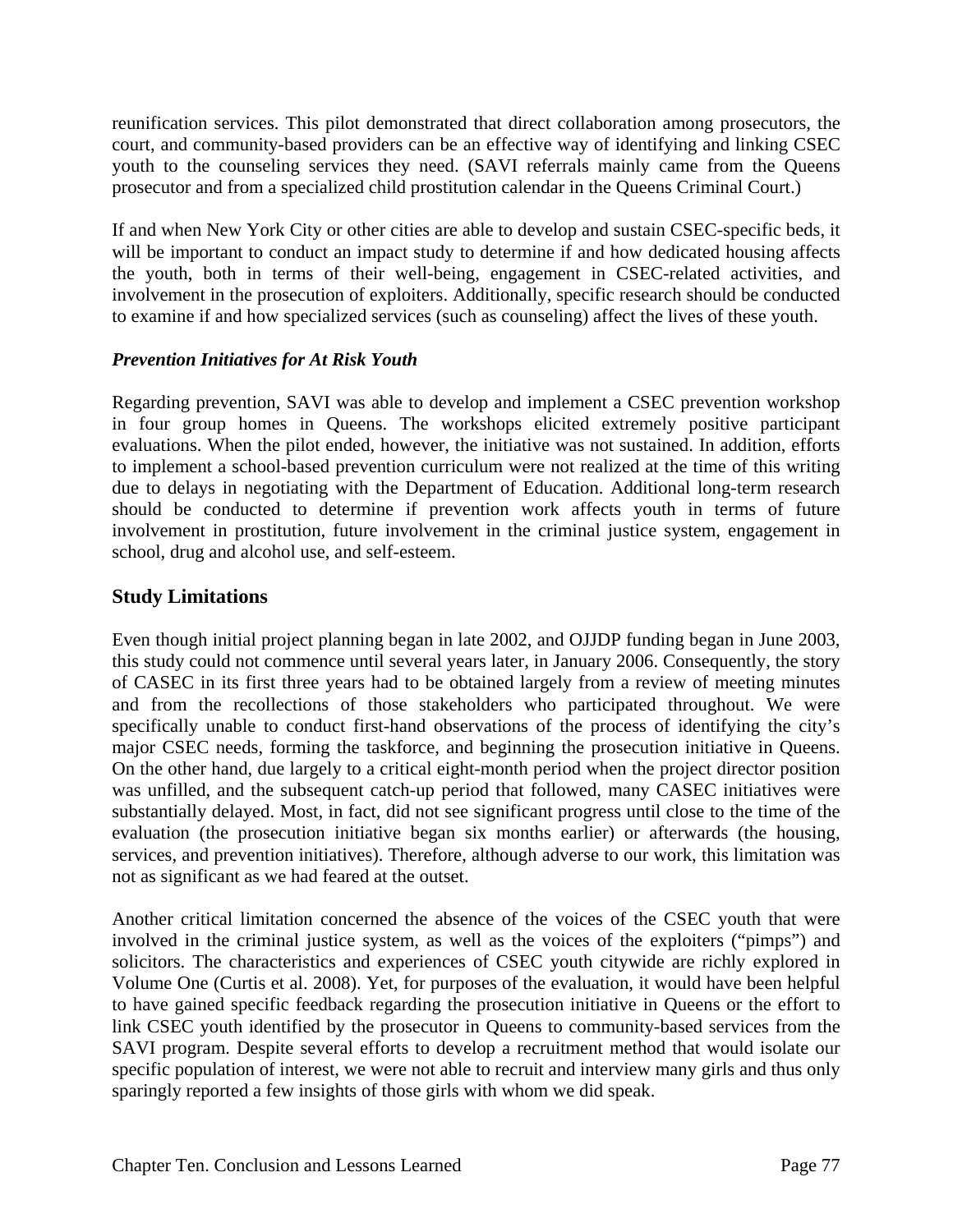reunification services. This pilot demonstrated that direct collaboration among prosecutors, the court, and community-based providers can be an effective way of identifying and linking CSEC youth to the counseling services they need. (SAVI referrals mainly came from the Queens prosecutor and from a specialized child prostitution calendar in the Queens Criminal Court.)

If and when New York City or other cities are able to develop and sustain CSEC-specific beds, it will be important to conduct an impact study to determine if and how dedicated housing affects the youth, both in terms of their well-being, engagement in CSEC-related activities, and involvement in the prosecution of exploiters. Additionally, specific research should be conducted to examine if and how specialized services (such as counseling) affect the lives of these youth.

## *Prevention Initiatives for At Risk Youth*

Regarding prevention, SAVI was able to develop and implement a CSEC prevention workshop in four group homes in Queens. The workshops elicited extremely positive participant evaluations. When the pilot ended, however, the initiative was not sustained. In addition, efforts to implement a school-based prevention curriculum were not realized at the time of this writing due to delays in negotiating with the Department of Education. Additional long-term research should be conducted to determine if prevention work affects youth in terms of future involvement in prostitution, future involvement in the criminal justice system, engagement in school, drug and alcohol use, and self-esteem.

# **Study Limitations**

Even though initial project planning began in late 2002, and OJJDP funding began in June 2003, this study could not commence until several years later, in January 2006. Consequently, the story of CASEC in its first three years had to be obtained largely from a review of meeting minutes and from the recollections of those stakeholders who participated throughout. We were specifically unable to conduct first-hand observations of the process of identifying the city's major CSEC needs, forming the taskforce, and beginning the prosecution initiative in Queens. On the other hand, due largely to a critical eight-month period when the project director position was unfilled, and the subsequent catch-up period that followed, many CASEC initiatives were substantially delayed. Most, in fact, did not see significant progress until close to the time of the evaluation (the prosecution initiative began six months earlier) or afterwards (the housing, services, and prevention initiatives). Therefore, although adverse to our work, this limitation was not as significant as we had feared at the outset.

Another critical limitation concerned the absence of the voices of the CSEC youth that were involved in the criminal justice system, as well as the voices of the exploiters ("pimps") and solicitors. The characteristics and experiences of CSEC youth citywide are richly explored in Volume One (Curtis et al. 2008). Yet, for purposes of the evaluation, it would have been helpful to have gained specific feedback regarding the prosecution initiative in Queens or the effort to link CSEC youth identified by the prosecutor in Queens to community-based services from the SAVI program. Despite several efforts to develop a recruitment method that would isolate our specific population of interest, we were not able to recruit and interview many girls and thus only sparingly reported a few insights of those girls with whom we did speak.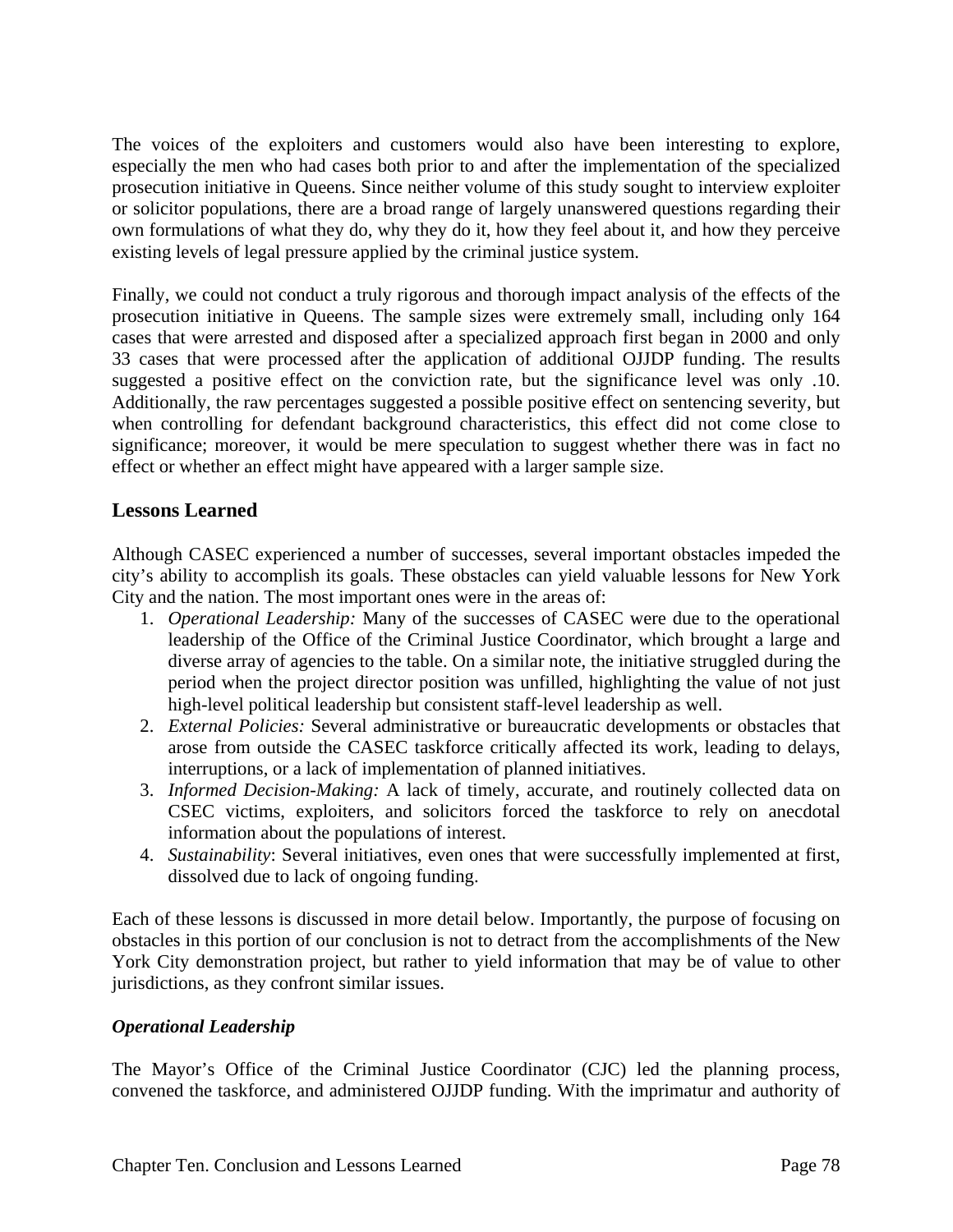The voices of the exploiters and customers would also have been interesting to explore, especially the men who had cases both prior to and after the implementation of the specialized prosecution initiative in Queens. Since neither volume of this study sought to interview exploiter or solicitor populations, there are a broad range of largely unanswered questions regarding their own formulations of what they do, why they do it, how they feel about it, and how they perceive existing levels of legal pressure applied by the criminal justice system.

Finally, we could not conduct a truly rigorous and thorough impact analysis of the effects of the prosecution initiative in Queens. The sample sizes were extremely small, including only 164 cases that were arrested and disposed after a specialized approach first began in 2000 and only 33 cases that were processed after the application of additional OJJDP funding. The results suggested a positive effect on the conviction rate, but the significance level was only .10. Additionally, the raw percentages suggested a possible positive effect on sentencing severity, but when controlling for defendant background characteristics, this effect did not come close to significance; moreover, it would be mere speculation to suggest whether there was in fact no effect or whether an effect might have appeared with a larger sample size.

## **Lessons Learned**

Although CASEC experienced a number of successes, several important obstacles impeded the city's ability to accomplish its goals. These obstacles can yield valuable lessons for New York City and the nation. The most important ones were in the areas of:

- 1. *Operational Leadership:* Many of the successes of CASEC were due to the operational leadership of the Office of the Criminal Justice Coordinator, which brought a large and diverse array of agencies to the table. On a similar note, the initiative struggled during the period when the project director position was unfilled, highlighting the value of not just high-level political leadership but consistent staff-level leadership as well.
- 2. *External Policies:* Several administrative or bureaucratic developments or obstacles that arose from outside the CASEC taskforce critically affected its work, leading to delays, interruptions, or a lack of implementation of planned initiatives.
- 3. *Informed Decision-Making:* A lack of timely, accurate, and routinely collected data on CSEC victims, exploiters, and solicitors forced the taskforce to rely on anecdotal information about the populations of interest.
- 4. *Sustainability*: Several initiatives, even ones that were successfully implemented at first, dissolved due to lack of ongoing funding.

Each of these lessons is discussed in more detail below. Importantly, the purpose of focusing on obstacles in this portion of our conclusion is not to detract from the accomplishments of the New York City demonstration project, but rather to yield information that may be of value to other jurisdictions, as they confront similar issues.

#### *Operational Leadership*

The Mayor's Office of the Criminal Justice Coordinator (CJC) led the planning process, convened the taskforce, and administered OJJDP funding. With the imprimatur and authority of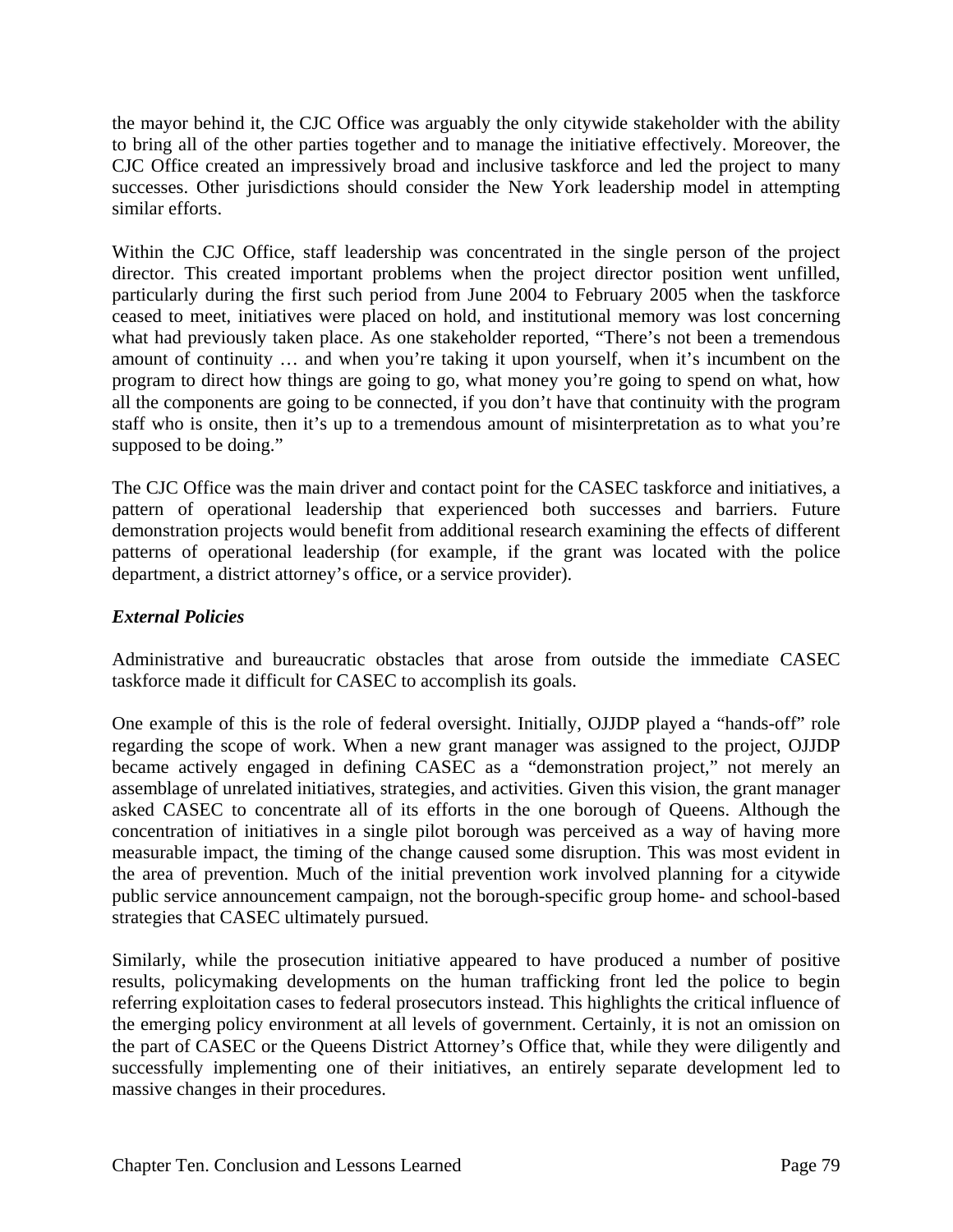the mayor behind it, the CJC Office was arguably the only citywide stakeholder with the ability to bring all of the other parties together and to manage the initiative effectively. Moreover, the CJC Office created an impressively broad and inclusive taskforce and led the project to many successes. Other jurisdictions should consider the New York leadership model in attempting similar efforts.

Within the CJC Office, staff leadership was concentrated in the single person of the project director. This created important problems when the project director position went unfilled, particularly during the first such period from June 2004 to February 2005 when the taskforce ceased to meet, initiatives were placed on hold, and institutional memory was lost concerning what had previously taken place. As one stakeholder reported, "There's not been a tremendous amount of continuity … and when you're taking it upon yourself, when it's incumbent on the program to direct how things are going to go, what money you're going to spend on what, how all the components are going to be connected, if you don't have that continuity with the program staff who is onsite, then it's up to a tremendous amount of misinterpretation as to what you're supposed to be doing."

The CJC Office was the main driver and contact point for the CASEC taskforce and initiatives, a pattern of operational leadership that experienced both successes and barriers. Future demonstration projects would benefit from additional research examining the effects of different patterns of operational leadership (for example, if the grant was located with the police department, a district attorney's office, or a service provider).

### *External Policies*

Administrative and bureaucratic obstacles that arose from outside the immediate CASEC taskforce made it difficult for CASEC to accomplish its goals.

One example of this is the role of federal oversight. Initially, OJJDP played a "hands-off" role regarding the scope of work. When a new grant manager was assigned to the project, OJJDP became actively engaged in defining CASEC as a "demonstration project," not merely an assemblage of unrelated initiatives, strategies, and activities. Given this vision, the grant manager asked CASEC to concentrate all of its efforts in the one borough of Queens. Although the concentration of initiatives in a single pilot borough was perceived as a way of having more measurable impact, the timing of the change caused some disruption. This was most evident in the area of prevention. Much of the initial prevention work involved planning for a citywide public service announcement campaign, not the borough-specific group home- and school-based strategies that CASEC ultimately pursued.

Similarly, while the prosecution initiative appeared to have produced a number of positive results, policymaking developments on the human trafficking front led the police to begin referring exploitation cases to federal prosecutors instead. This highlights the critical influence of the emerging policy environment at all levels of government. Certainly, it is not an omission on the part of CASEC or the Queens District Attorney's Office that, while they were diligently and successfully implementing one of their initiatives, an entirely separate development led to massive changes in their procedures.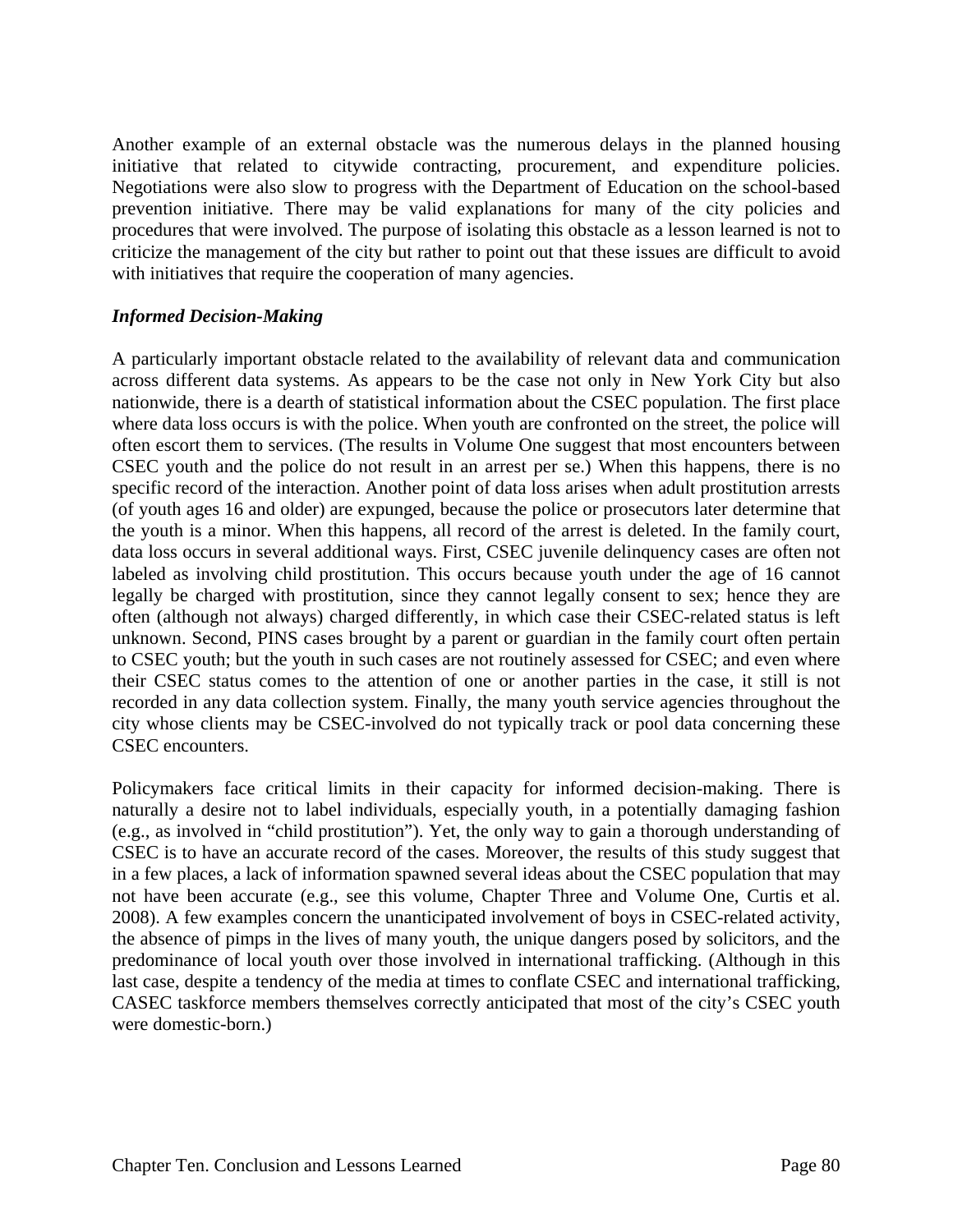Another example of an external obstacle was the numerous delays in the planned housing initiative that related to citywide contracting, procurement, and expenditure policies. Negotiations were also slow to progress with the Department of Education on the school-based prevention initiative. There may be valid explanations for many of the city policies and procedures that were involved. The purpose of isolating this obstacle as a lesson learned is not to criticize the management of the city but rather to point out that these issues are difficult to avoid with initiatives that require the cooperation of many agencies.

#### *Informed Decision-Making*

A particularly important obstacle related to the availability of relevant data and communication across different data systems. As appears to be the case not only in New York City but also nationwide, there is a dearth of statistical information about the CSEC population. The first place where data loss occurs is with the police. When youth are confronted on the street, the police will often escort them to services. (The results in Volume One suggest that most encounters between CSEC youth and the police do not result in an arrest per se.) When this happens, there is no specific record of the interaction. Another point of data loss arises when adult prostitution arrests (of youth ages 16 and older) are expunged, because the police or prosecutors later determine that the youth is a minor. When this happens, all record of the arrest is deleted. In the family court, data loss occurs in several additional ways. First, CSEC juvenile delinquency cases are often not labeled as involving child prostitution. This occurs because youth under the age of 16 cannot legally be charged with prostitution, since they cannot legally consent to sex; hence they are often (although not always) charged differently, in which case their CSEC-related status is left unknown. Second, PINS cases brought by a parent or guardian in the family court often pertain to CSEC youth; but the youth in such cases are not routinely assessed for CSEC; and even where their CSEC status comes to the attention of one or another parties in the case, it still is not recorded in any data collection system. Finally, the many youth service agencies throughout the city whose clients may be CSEC-involved do not typically track or pool data concerning these CSEC encounters.

Policymakers face critical limits in their capacity for informed decision-making. There is naturally a desire not to label individuals, especially youth, in a potentially damaging fashion (e.g., as involved in "child prostitution"). Yet, the only way to gain a thorough understanding of CSEC is to have an accurate record of the cases. Moreover, the results of this study suggest that in a few places, a lack of information spawned several ideas about the CSEC population that may not have been accurate (e.g., see this volume, Chapter Three and Volume One, Curtis et al. 2008). A few examples concern the unanticipated involvement of boys in CSEC-related activity, the absence of pimps in the lives of many youth, the unique dangers posed by solicitors, and the predominance of local youth over those involved in international trafficking. (Although in this last case, despite a tendency of the media at times to conflate CSEC and international trafficking, CASEC taskforce members themselves correctly anticipated that most of the city's CSEC youth were domestic-born.)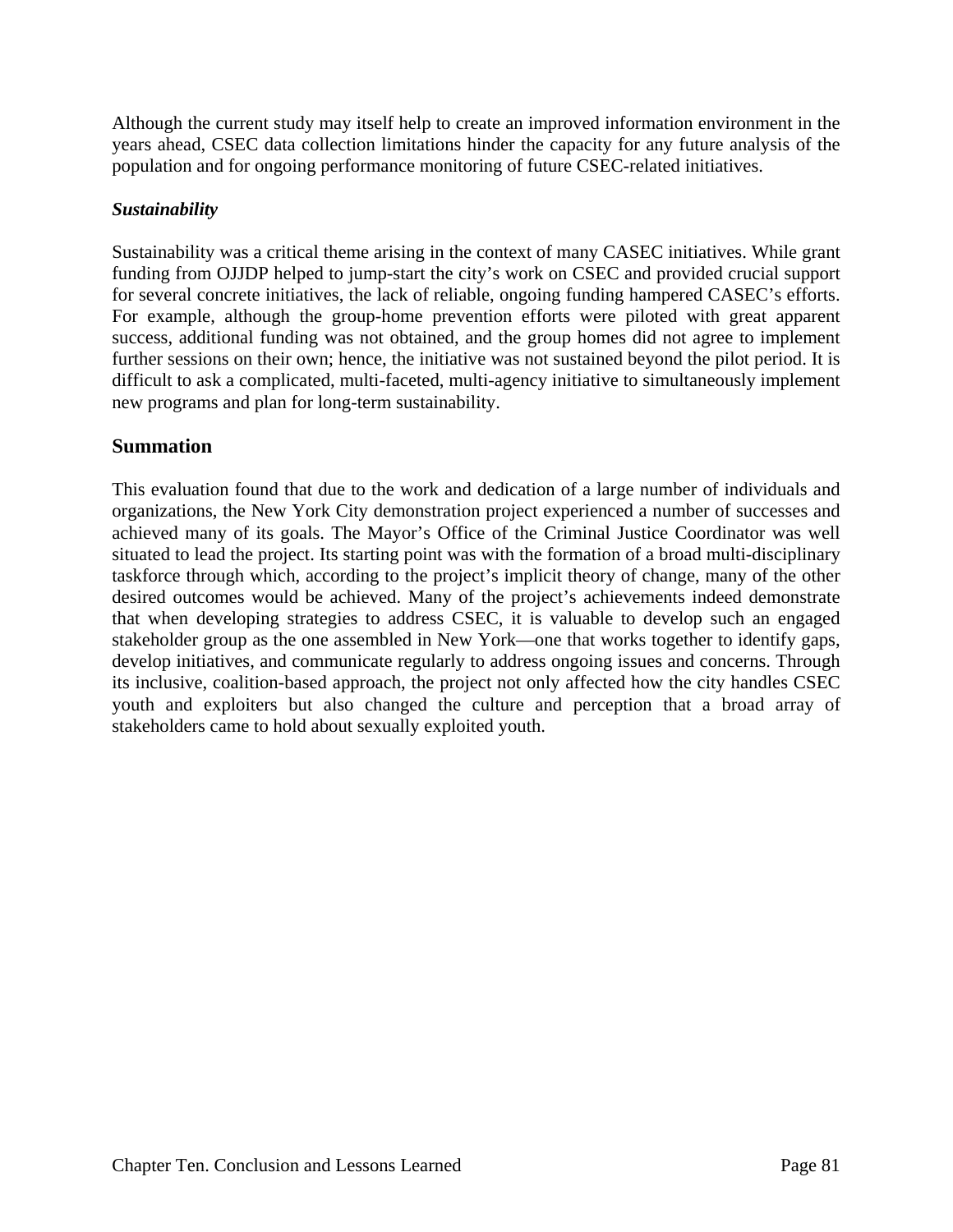Although the current study may itself help to create an improved information environment in the years ahead, CSEC data collection limitations hinder the capacity for any future analysis of the population and for ongoing performance monitoring of future CSEC-related initiatives.

#### *Sustainability*

Sustainability was a critical theme arising in the context of many CASEC initiatives. While grant funding from OJJDP helped to jump-start the city's work on CSEC and provided crucial support for several concrete initiatives, the lack of reliable, ongoing funding hampered CASEC's efforts. For example, although the group-home prevention efforts were piloted with great apparent success, additional funding was not obtained, and the group homes did not agree to implement further sessions on their own; hence, the initiative was not sustained beyond the pilot period. It is difficult to ask a complicated, multi-faceted, multi-agency initiative to simultaneously implement new programs and plan for long-term sustainability.

# **Summation**

This evaluation found that due to the work and dedication of a large number of individuals and organizations, the New York City demonstration project experienced a number of successes and achieved many of its goals. The Mayor's Office of the Criminal Justice Coordinator was well situated to lead the project. Its starting point was with the formation of a broad multi-disciplinary taskforce through which, according to the project's implicit theory of change, many of the other desired outcomes would be achieved. Many of the project's achievements indeed demonstrate that when developing strategies to address CSEC, it is valuable to develop such an engaged stakeholder group as the one assembled in New York—one that works together to identify gaps, develop initiatives, and communicate regularly to address ongoing issues and concerns. Through its inclusive, coalition-based approach, the project not only affected how the city handles CSEC youth and exploiters but also changed the culture and perception that a broad array of stakeholders came to hold about sexually exploited youth.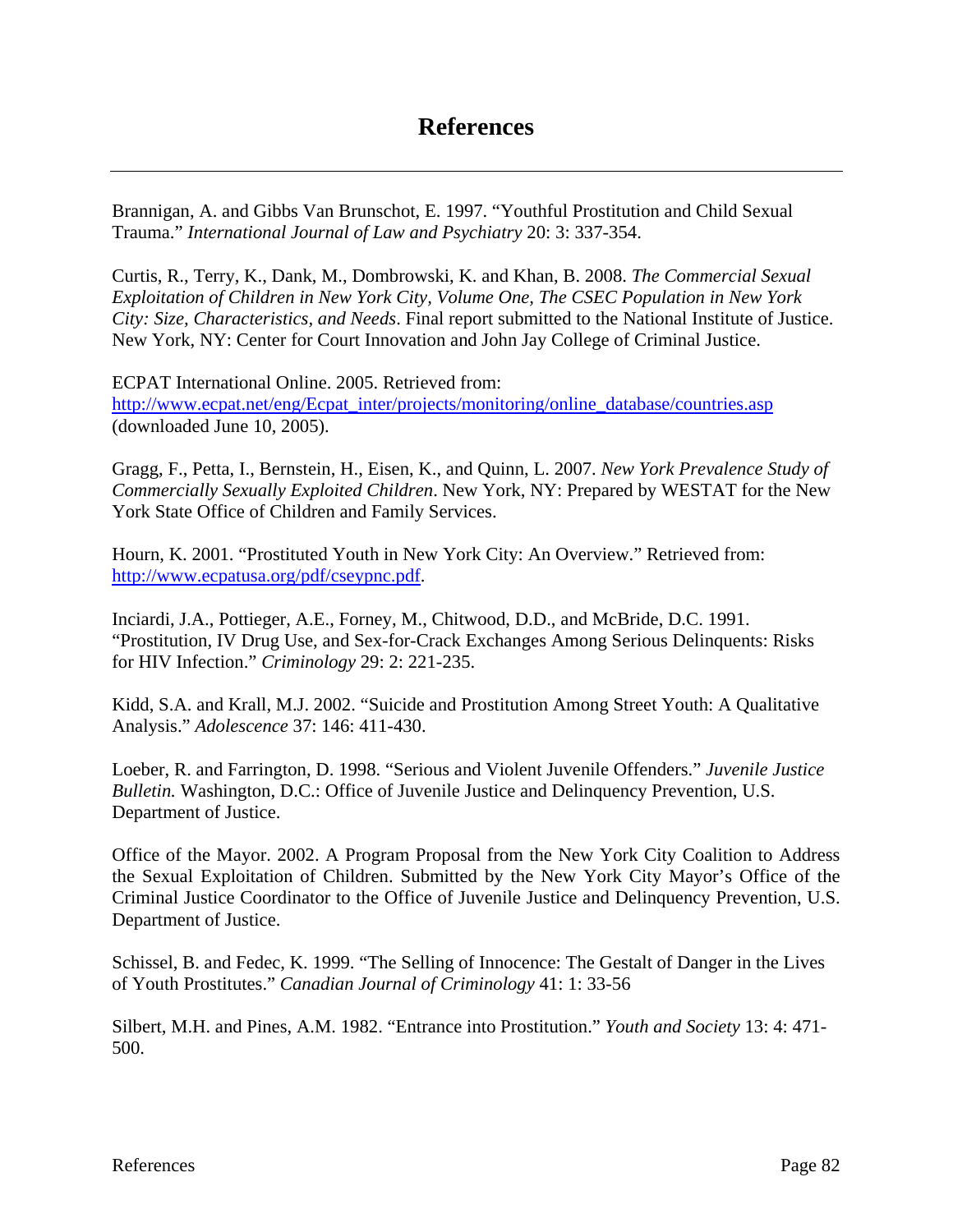Brannigan, A. and Gibbs Van Brunschot, E. 1997. "Youthful Prostitution and Child Sexual Trauma." *International Journal of Law and Psychiatry* 20: 3: 337-354.

Curtis, R., Terry, K., Dank, M., Dombrowski, K. and Khan, B. 2008. *The Commercial Sexual Exploitation of Children in New York City, Volume One, The CSEC Population in New York City: Size, Characteristics, and Needs*. Final report submitted to the National Institute of Justice. New York, NY: Center for Court Innovation and John Jay College of Criminal Justice.

ECPAT International Online. 2005. Retrieved from: http://www.ecpat.net/eng/Ecpat\_inter/projects/monitoring/online\_database/countries.asp (downloaded June 10, 2005).

Gragg, F., Petta, I., Bernstein, H., Eisen, K., and Quinn, L. 2007. *New York Prevalence Study of Commercially Sexually Exploited Children*. New York, NY: Prepared by WESTAT for the New York State Office of Children and Family Services.

Hourn, K. 2001. "Prostituted Youth in New York City: An Overview." Retrieved from: http://www.ecpatusa.org/pdf/cseypnc.pdf.

Inciardi, J.A., Pottieger, A.E., Forney, M., Chitwood, D.D., and McBride, D.C. 1991. "Prostitution, IV Drug Use, and Sex-for-Crack Exchanges Among Serious Delinquents: Risks for HIV Infection." *Criminology* 29: 2: 221-235.

Kidd, S.A. and Krall, M.J. 2002. "Suicide and Prostitution Among Street Youth: A Qualitative Analysis." *Adolescence* 37: 146: 411-430.

Loeber, R. and Farrington, D. 1998. "Serious and Violent Juvenile Offenders." *Juvenile Justice Bulletin.* Washington, D.C.: Office of Juvenile Justice and Delinquency Prevention, U.S. Department of Justice.

Office of the Mayor. 2002. A Program Proposal from the New York City Coalition to Address the Sexual Exploitation of Children. Submitted by the New York City Mayor's Office of the Criminal Justice Coordinator to the Office of Juvenile Justice and Delinquency Prevention, U.S. Department of Justice.

Schissel, B. and Fedec, K. 1999. "The Selling of Innocence: The Gestalt of Danger in the Lives of Youth Prostitutes." *Canadian Journal of Criminology* 41: 1: 33-56

Silbert, M.H. and Pines, A.M. 1982. "Entrance into Prostitution." *Youth and Society* 13: 4: 471- 500.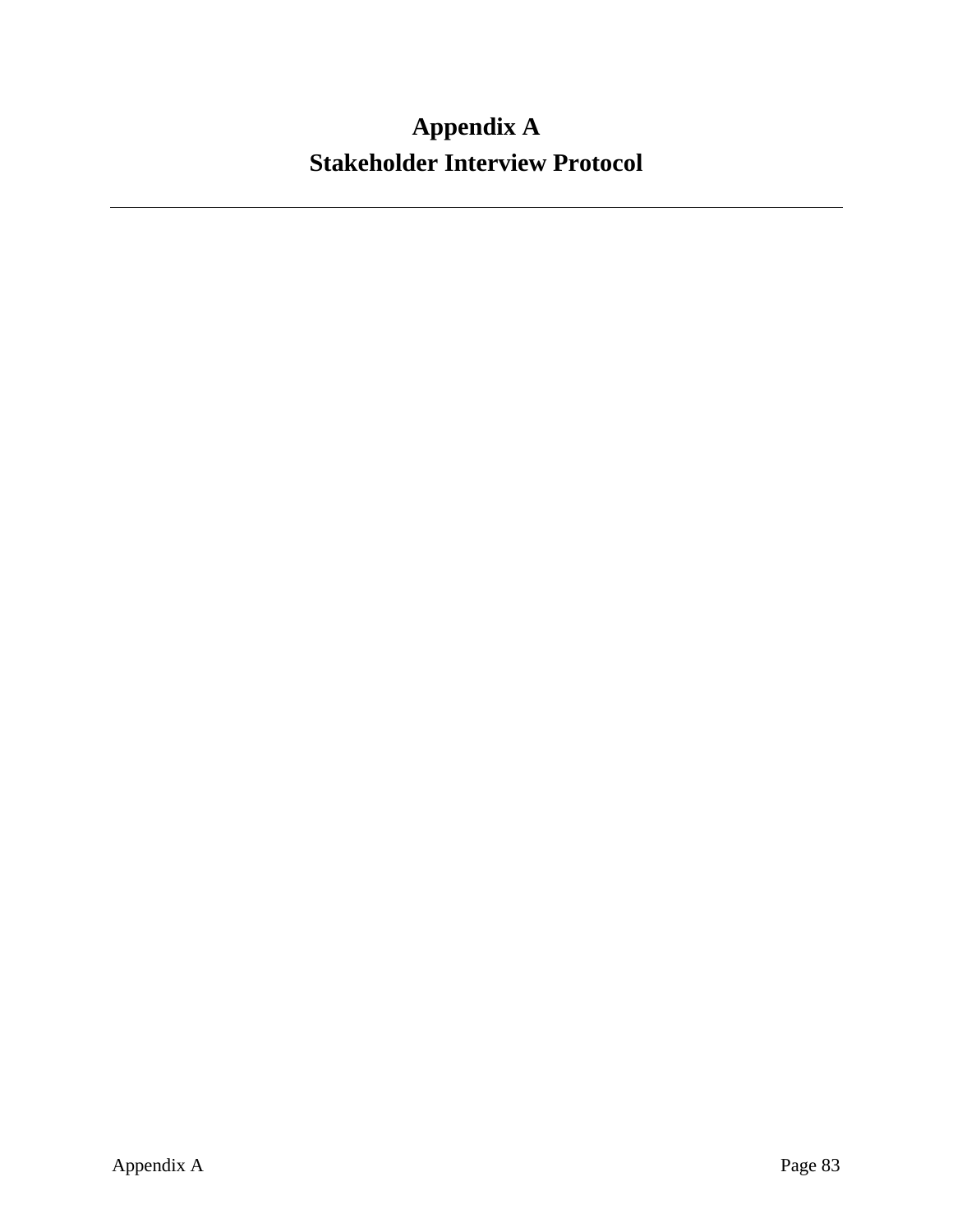# **Appendix A Stakeholder Interview Protocol**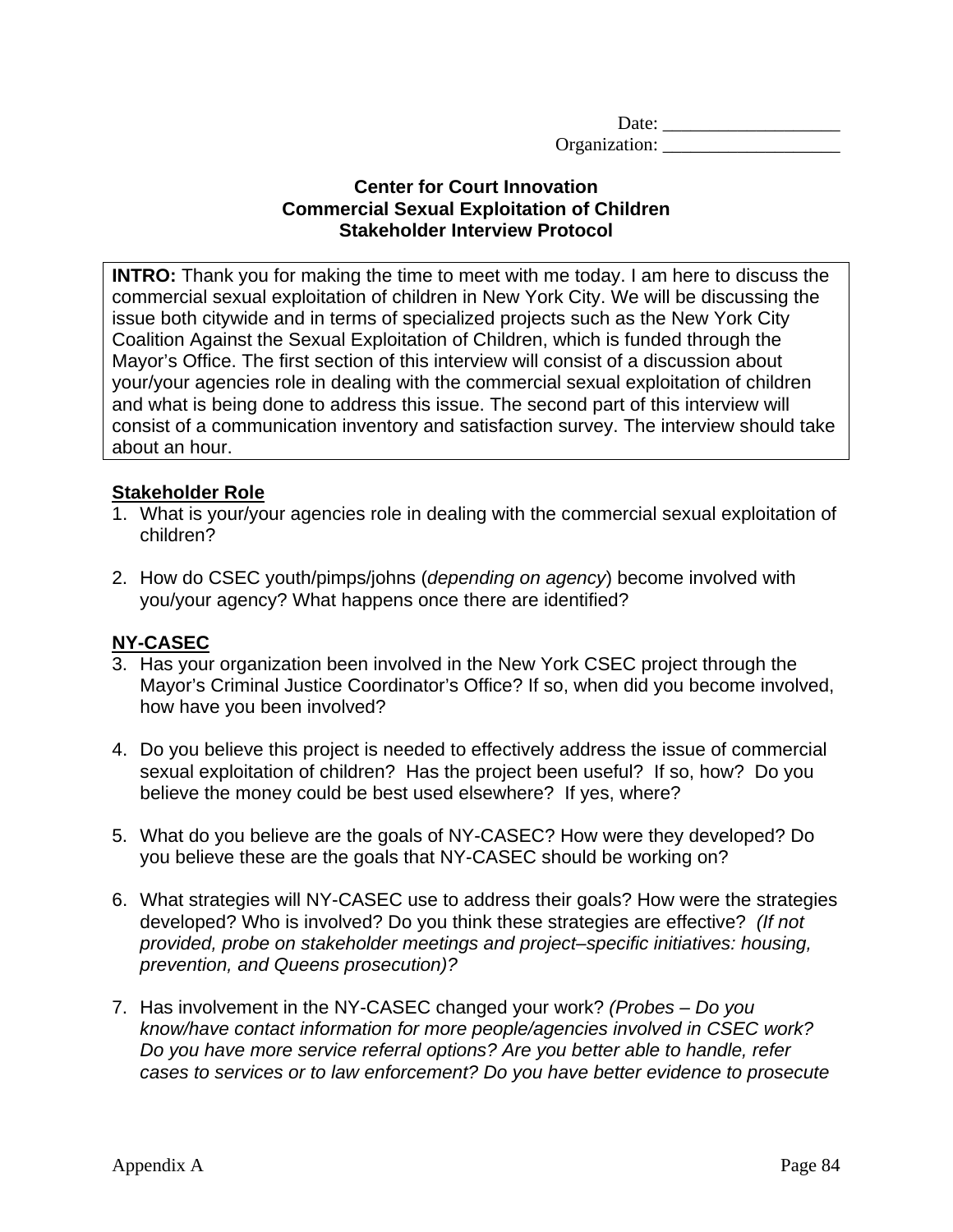Date: \_\_\_\_\_\_\_\_\_\_\_\_\_\_\_\_\_\_\_ Organization:

#### **Center for Court Innovation Commercial Sexual Exploitation of Children Stakeholder Interview Protocol**

**INTRO:** Thank you for making the time to meet with me today. I am here to discuss the commercial sexual exploitation of children in New York City. We will be discussing the issue both citywide and in terms of specialized projects such as the New York City Coalition Against the Sexual Exploitation of Children, which is funded through the Mayor's Office. The first section of this interview will consist of a discussion about your/your agencies role in dealing with the commercial sexual exploitation of children and what is being done to address this issue. The second part of this interview will consist of a communication inventory and satisfaction survey. The interview should take about an hour.

#### **Stakeholder Role**

- 1. What is your/your agencies role in dealing with the commercial sexual exploitation of children?
- 2. How do CSEC youth/pimps/johns (*depending on agency*) become involved with you/your agency? What happens once there are identified?

#### **NY-CASEC**

- 3. Has your organization been involved in the New York CSEC project through the Mayor's Criminal Justice Coordinator's Office? If so, when did you become involved, how have you been involved?
- 4. Do you believe this project is needed to effectively address the issue of commercial sexual exploitation of children? Has the project been useful? If so, how? Do you believe the money could be best used elsewhere? If yes, where?
- 5. What do you believe are the goals of NY-CASEC? How were they developed? Do you believe these are the goals that NY-CASEC should be working on?
- 6. What strategies will NY-CASEC use to address their goals? How were the strategies developed? Who is involved? Do you think these strategies are effective? *(If not provided, probe on stakeholder meetings and project–specific initiatives: housing, prevention, and Queens prosecution)?*
- 7. Has involvement in the NY-CASEC changed your work? *(Probes Do you know/have contact information for more people/agencies involved in CSEC work? Do you have more service referral options? Are you better able to handle, refer cases to services or to law enforcement? Do you have better evidence to prosecute*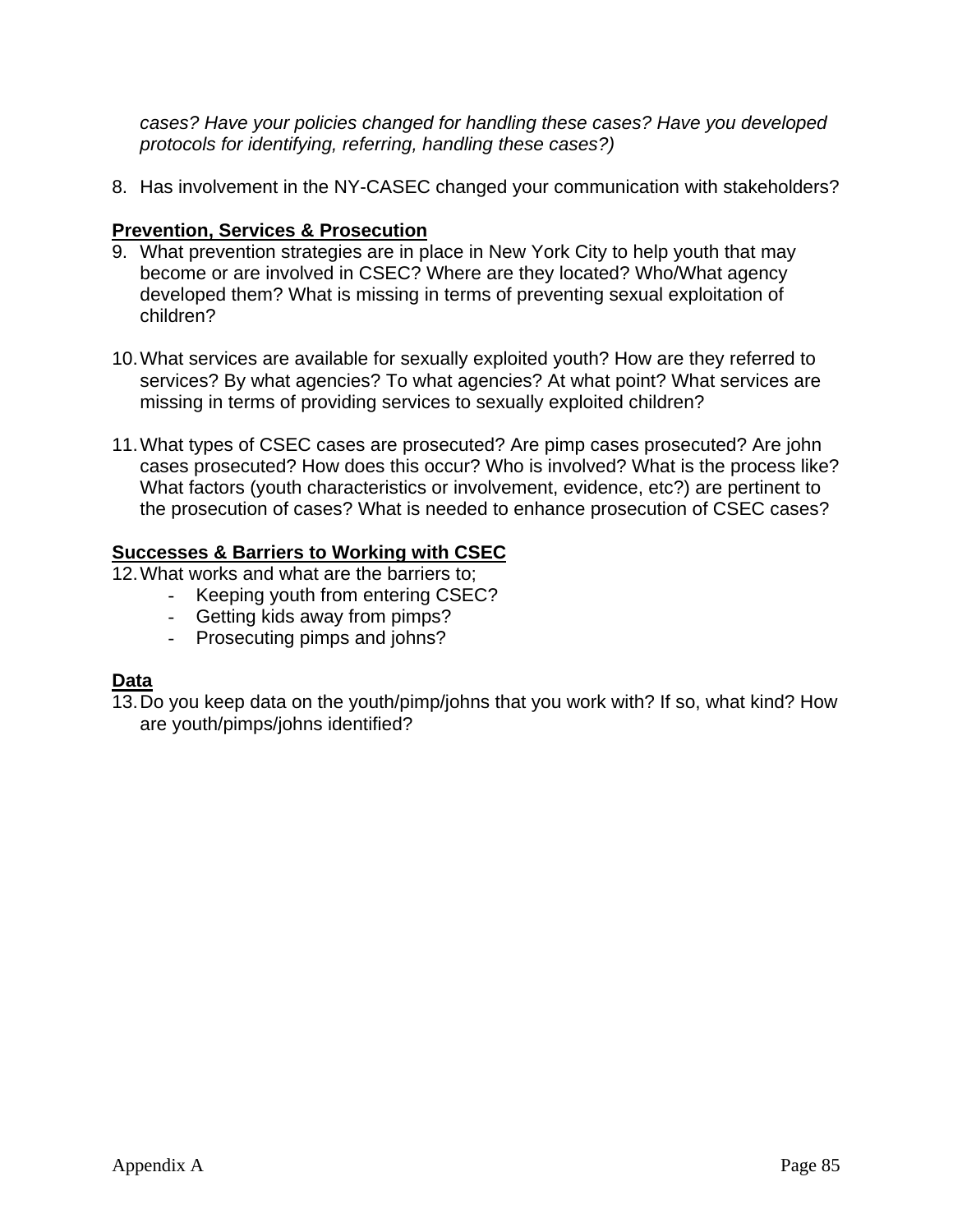*cases? Have your policies changed for handling these cases? Have you developed protocols for identifying, referring, handling these cases?)* 

8. Has involvement in the NY-CASEC changed your communication with stakeholders?

# **Prevention, Services & Prosecution**

- 9. What prevention strategies are in place in New York City to help youth that may become or are involved in CSEC? Where are they located? Who/What agency developed them? What is missing in terms of preventing sexual exploitation of children?
- 10. What services are available for sexually exploited youth? How are they referred to services? By what agencies? To what agencies? At what point? What services are missing in terms of providing services to sexually exploited children?
- 11. What types of CSEC cases are prosecuted? Are pimp cases prosecuted? Are john cases prosecuted? How does this occur? Who is involved? What is the process like? What factors (youth characteristics or involvement, evidence, etc?) are pertinent to the prosecution of cases? What is needed to enhance prosecution of CSEC cases?

#### **Successes & Barriers to Working with CSEC**

- 12. What works and what are the barriers to;
	- Keeping youth from entering CSEC?
	- Getting kids away from pimps?
	- Prosecuting pimps and johns?

# **Data**

13. Do you keep data on the youth/pimp/johns that you work with? If so, what kind? How are youth/pimps/johns identified?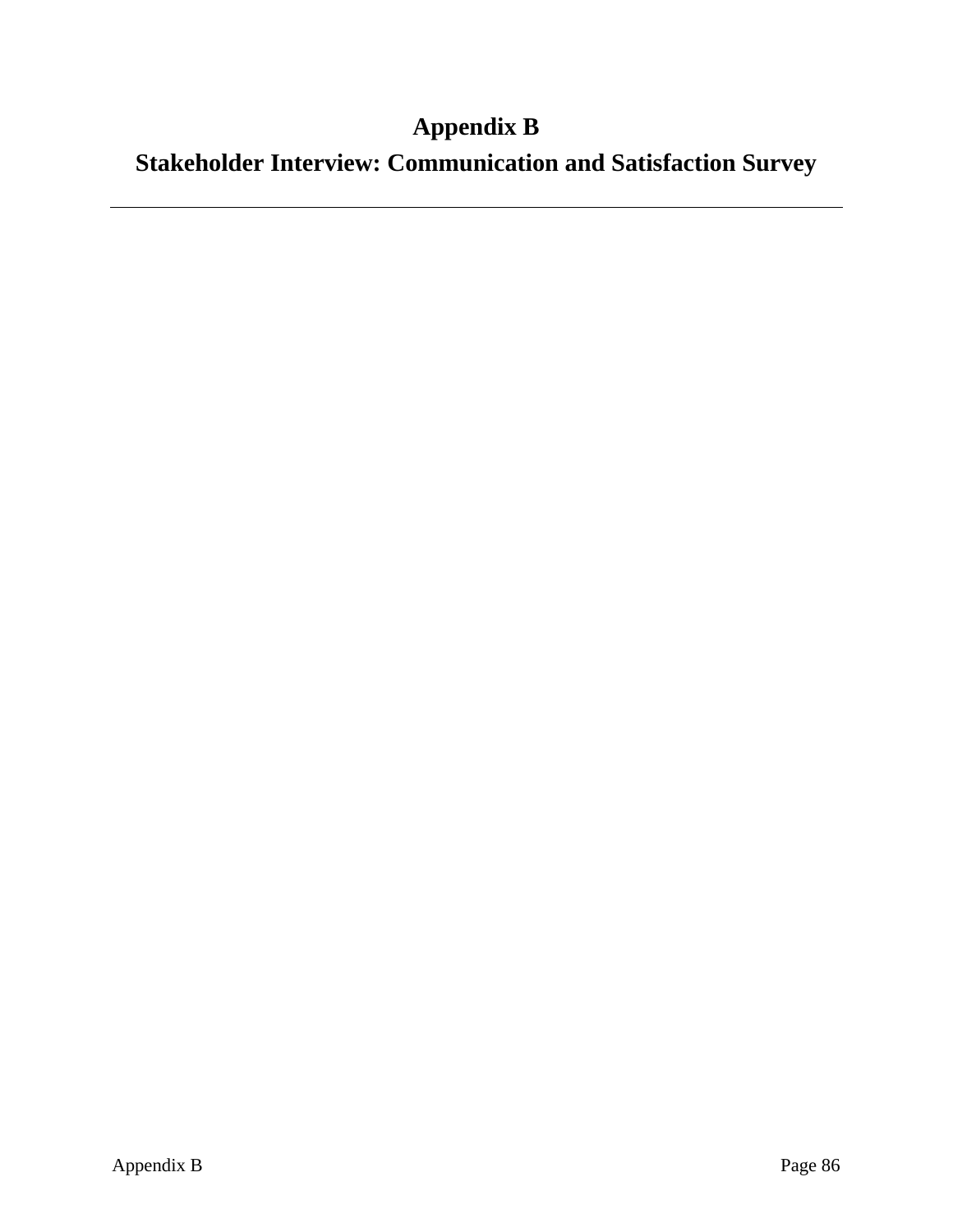# **Appendix B**

**Stakeholder Interview: Communication and Satisfaction Survey**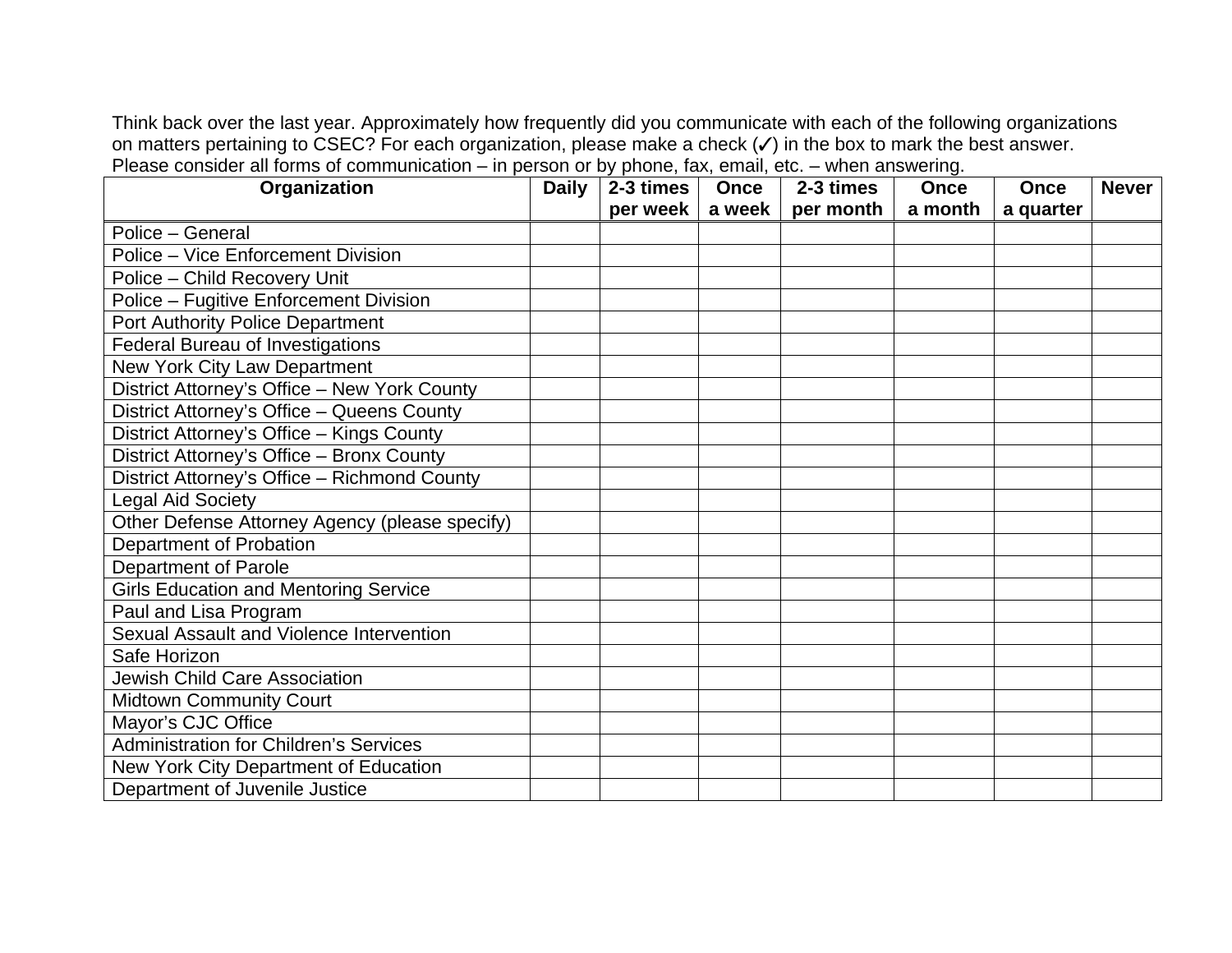Think back over the last year. Approximately how frequently did you communicate with each of the following organizations on matters pertaining to CSEC? For each organization, please make a check  $(\checkmark)$  in the box to mark the best answer. Please consider all forms of communication – in person or by phone, fax, email, etc. – when answering.

| Organization                                   | <b>Daily</b> | 2-3 times | <b>Once</b> | 2-3 times | <b>Once</b> | Once      | <b>Never</b> |
|------------------------------------------------|--------------|-----------|-------------|-----------|-------------|-----------|--------------|
|                                                |              | per week  | a week      | per month | a month     | a quarter |              |
| Police - General                               |              |           |             |           |             |           |              |
| Police - Vice Enforcement Division             |              |           |             |           |             |           |              |
| Police - Child Recovery Unit                   |              |           |             |           |             |           |              |
| Police - Fugitive Enforcement Division         |              |           |             |           |             |           |              |
| Port Authority Police Department               |              |           |             |           |             |           |              |
| <b>Federal Bureau of Investigations</b>        |              |           |             |           |             |           |              |
| New York City Law Department                   |              |           |             |           |             |           |              |
| District Attorney's Office - New York County   |              |           |             |           |             |           |              |
| District Attorney's Office - Queens County     |              |           |             |           |             |           |              |
| District Attorney's Office - Kings County      |              |           |             |           |             |           |              |
| District Attorney's Office - Bronx County      |              |           |             |           |             |           |              |
| District Attorney's Office - Richmond County   |              |           |             |           |             |           |              |
| <b>Legal Aid Society</b>                       |              |           |             |           |             |           |              |
| Other Defense Attorney Agency (please specify) |              |           |             |           |             |           |              |
| Department of Probation                        |              |           |             |           |             |           |              |
| Department of Parole                           |              |           |             |           |             |           |              |
| <b>Girls Education and Mentoring Service</b>   |              |           |             |           |             |           |              |
| Paul and Lisa Program                          |              |           |             |           |             |           |              |
| Sexual Assault and Violence Intervention       |              |           |             |           |             |           |              |
| Safe Horizon                                   |              |           |             |           |             |           |              |
| <b>Jewish Child Care Association</b>           |              |           |             |           |             |           |              |
| <b>Midtown Community Court</b>                 |              |           |             |           |             |           |              |
| Mayor's CJC Office                             |              |           |             |           |             |           |              |
| <b>Administration for Children's Services</b>  |              |           |             |           |             |           |              |
| New York City Department of Education          |              |           |             |           |             |           |              |
| Department of Juvenile Justice                 |              |           |             |           |             |           |              |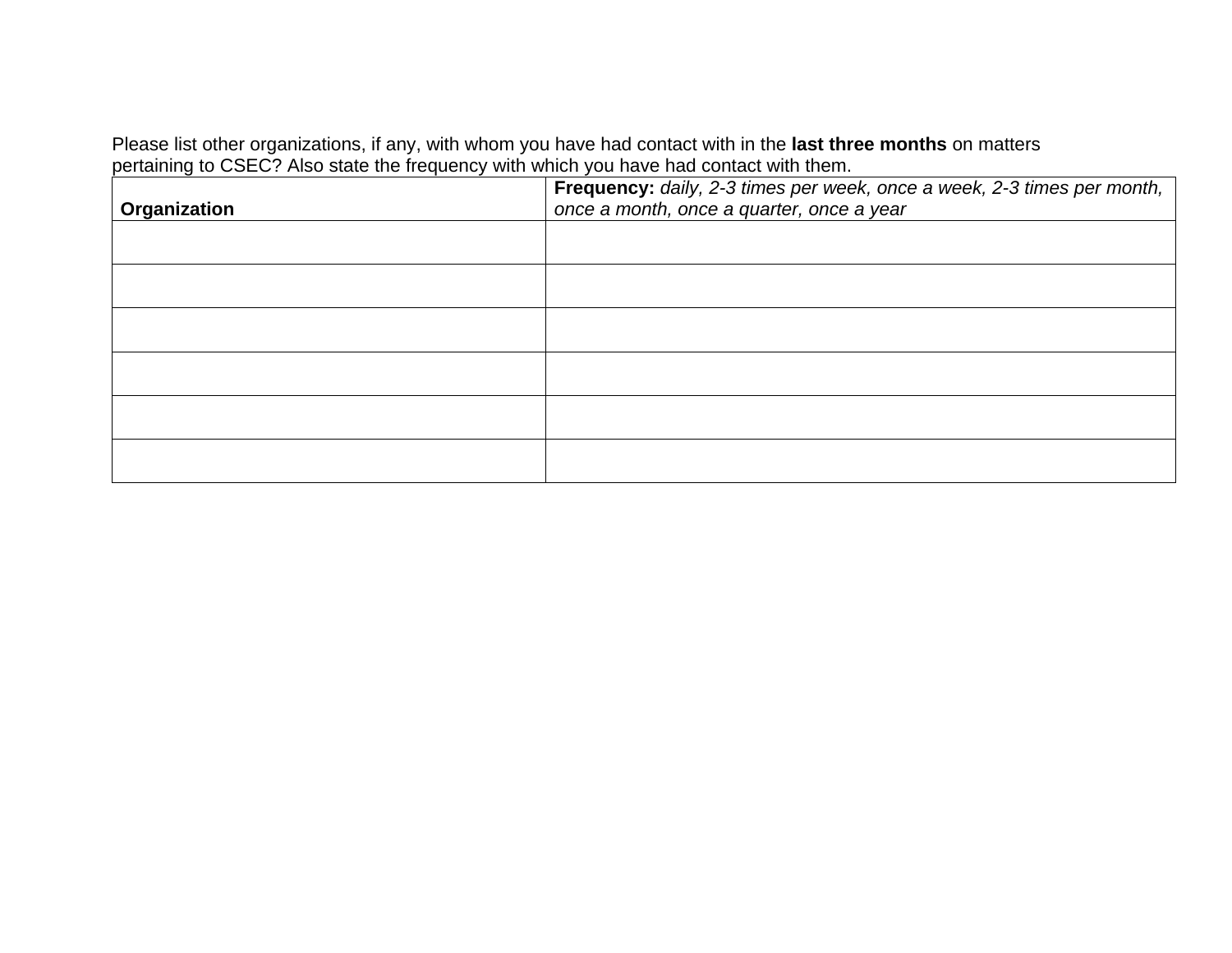Please list other organizations, if any, with whom you have had contact with in the **last three months** on matters pertaining to CSEC? Also state the frequency with which you have had contact with them.

| Organization | Frequency: daily, 2-3 times per week, once a week, 2-3 times per month,<br>once a month, once a quarter, once a year |  |  |
|--------------|----------------------------------------------------------------------------------------------------------------------|--|--|
|              |                                                                                                                      |  |  |
|              |                                                                                                                      |  |  |
|              |                                                                                                                      |  |  |
|              |                                                                                                                      |  |  |
|              |                                                                                                                      |  |  |
|              |                                                                                                                      |  |  |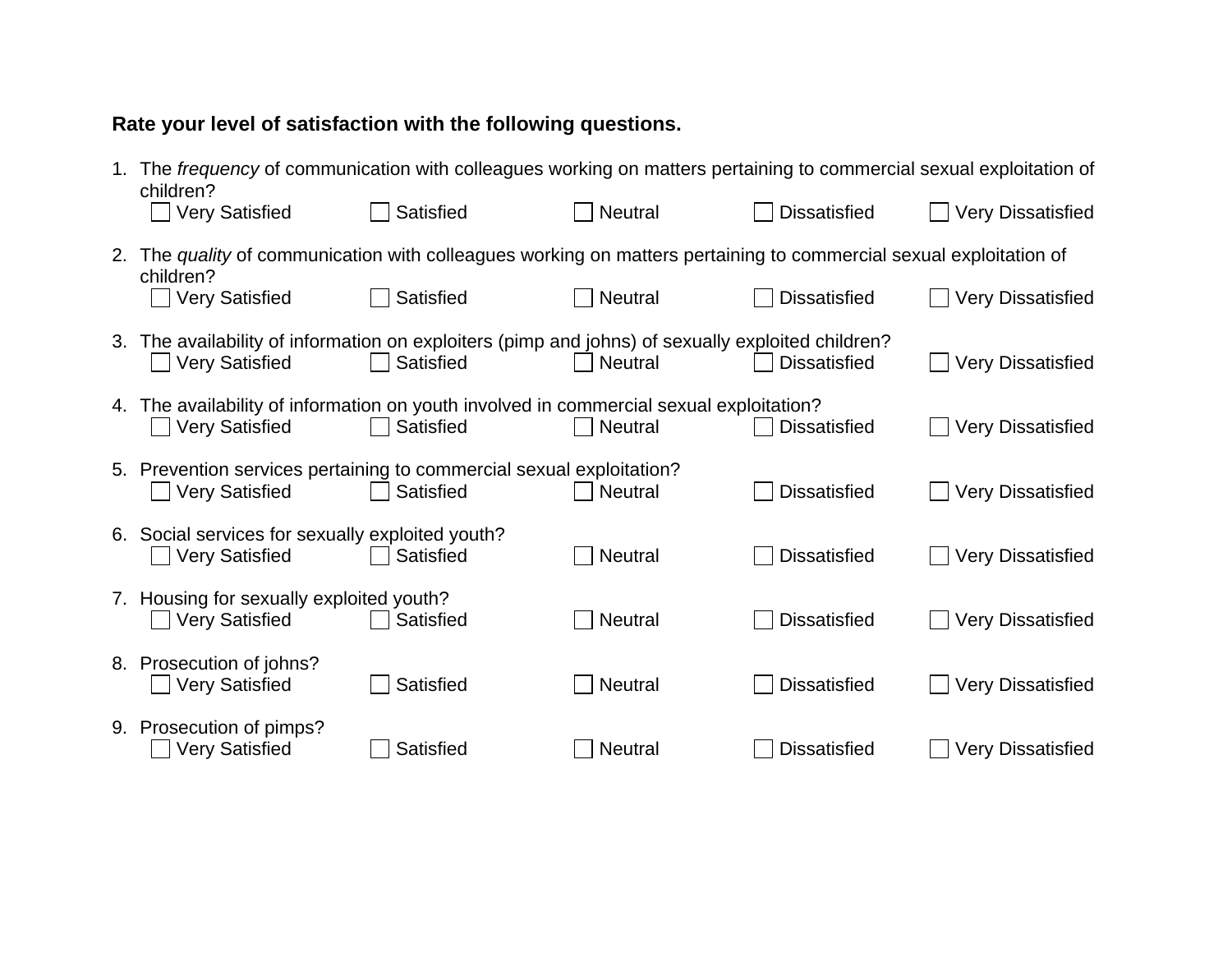# **Rate your level of satisfaction with the following questions.**

| 1. | The frequency of communication with colleagues working on matters pertaining to commercial sexual exploitation of<br>children? |           |                |                     |                          |
|----|--------------------------------------------------------------------------------------------------------------------------------|-----------|----------------|---------------------|--------------------------|
|    | ∪ Very Satisfied                                                                                                               | Satisfied | <b>Neutral</b> | <b>Dissatisfied</b> | <b>Very Dissatisfied</b> |
| 2. | The quality of communication with colleagues working on matters pertaining to commercial sexual exploitation of                |           |                |                     |                          |
|    | children?<br>□ Very Satisfied                                                                                                  | Satisfied | <b>Neutral</b> | <b>Dissatisfied</b> | <b>Very Dissatisfied</b> |
|    | 3. The availability of information on exploiters (pimp and johns) of sexually exploited children?<br><b>Very Satisfied</b>     | Satisfied | Neutral<br>I I | <b>Dissatisfied</b> | <b>Very Dissatisfied</b> |
|    |                                                                                                                                |           |                |                     |                          |
|    | 4. The availability of information on youth involved in commercial sexual exploitation?<br>    Very Satisfied                  | Satisfied | <b>Neutral</b> | <b>Dissatisfied</b> | <b>Very Dissatisfied</b> |
|    | 5. Prevention services pertaining to commercial sexual exploitation?<br><b>Very Satisfied</b>                                  | Satisfied | <b>Neutral</b> | <b>Dissatisfied</b> | <b>Very Dissatisfied</b> |
|    |                                                                                                                                |           |                |                     |                          |
|    | 6. Social services for sexually exploited youth?<br><b>Very Satisfied</b>                                                      | Satisfied | <b>Neutral</b> | <b>Dissatisfied</b> | <b>Very Dissatisfied</b> |
|    | 7. Housing for sexually exploited youth?<br><b>Very Satisfied</b>                                                              | Satisfied | <b>Neutral</b> | <b>Dissatisfied</b> | <b>Very Dissatisfied</b> |
|    |                                                                                                                                |           |                |                     |                          |
|    | 8. Prosecution of johns?<br><b>Very Satisfied</b>                                                                              | Satisfied | <b>Neutral</b> | <b>Dissatisfied</b> | <b>Very Dissatisfied</b> |
|    | 9. Prosecution of pimps?<br><b>Very Satisfied</b>                                                                              | Satisfied | <b>Neutral</b> | <b>Dissatisfied</b> | <b>Very Dissatisfied</b> |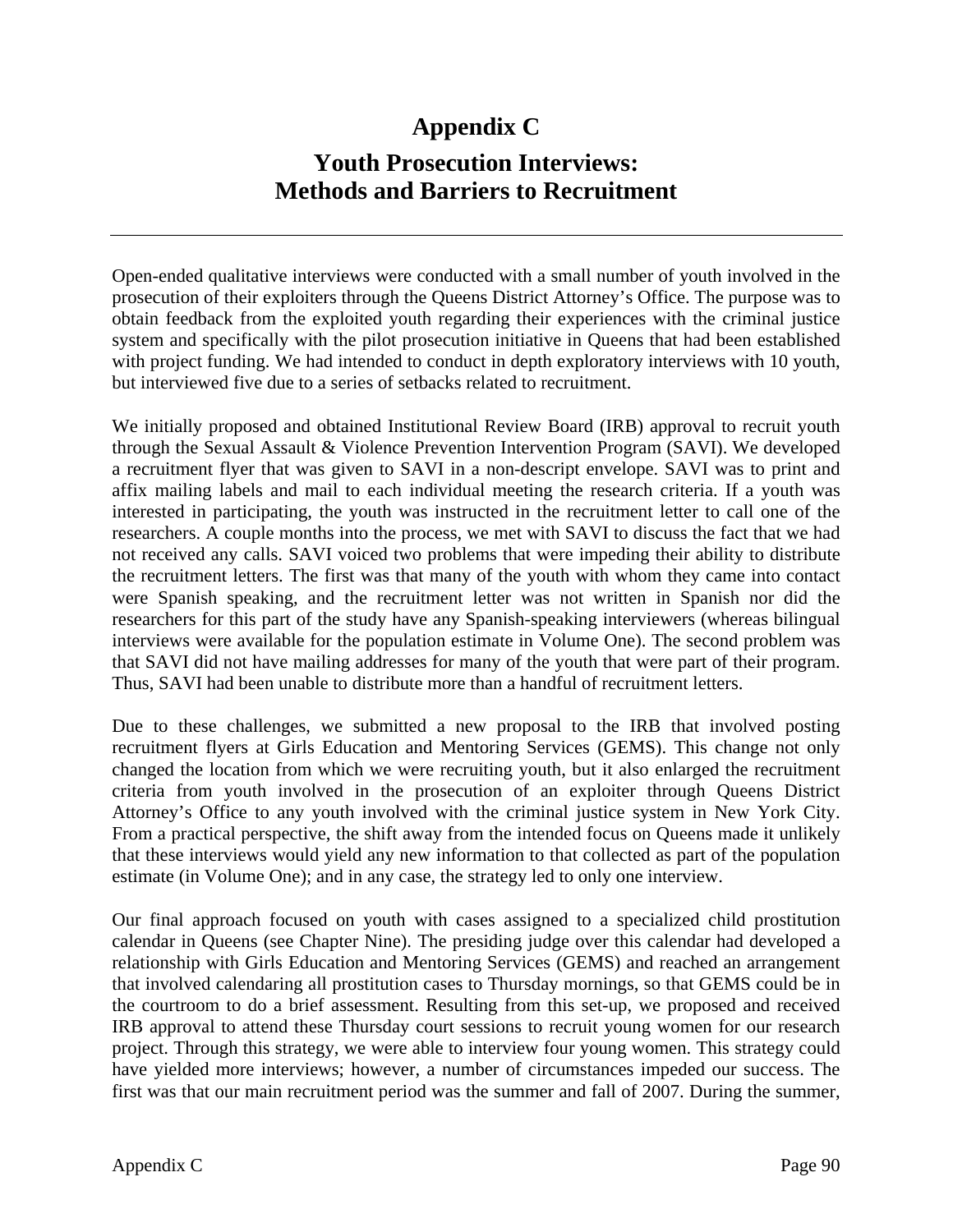# **Appendix C Youth Prosecution Interviews: Methods and Barriers to Recruitment**

Open-ended qualitative interviews were conducted with a small number of youth involved in the prosecution of their exploiters through the Queens District Attorney's Office. The purpose was to obtain feedback from the exploited youth regarding their experiences with the criminal justice system and specifically with the pilot prosecution initiative in Queens that had been established with project funding. We had intended to conduct in depth exploratory interviews with 10 youth, but interviewed five due to a series of setbacks related to recruitment.

We initially proposed and obtained Institutional Review Board (IRB) approval to recruit youth through the Sexual Assault & Violence Prevention Intervention Program (SAVI). We developed a recruitment flyer that was given to SAVI in a non-descript envelope. SAVI was to print and affix mailing labels and mail to each individual meeting the research criteria. If a youth was interested in participating, the youth was instructed in the recruitment letter to call one of the researchers. A couple months into the process, we met with SAVI to discuss the fact that we had not received any calls. SAVI voiced two problems that were impeding their ability to distribute the recruitment letters. The first was that many of the youth with whom they came into contact were Spanish speaking, and the recruitment letter was not written in Spanish nor did the researchers for this part of the study have any Spanish-speaking interviewers (whereas bilingual interviews were available for the population estimate in Volume One). The second problem was that SAVI did not have mailing addresses for many of the youth that were part of their program. Thus, SAVI had been unable to distribute more than a handful of recruitment letters.

Due to these challenges, we submitted a new proposal to the IRB that involved posting recruitment flyers at Girls Education and Mentoring Services (GEMS). This change not only changed the location from which we were recruiting youth, but it also enlarged the recruitment criteria from youth involved in the prosecution of an exploiter through Queens District Attorney's Office to any youth involved with the criminal justice system in New York City. From a practical perspective, the shift away from the intended focus on Queens made it unlikely that these interviews would yield any new information to that collected as part of the population estimate (in Volume One); and in any case, the strategy led to only one interview.

Our final approach focused on youth with cases assigned to a specialized child prostitution calendar in Queens (see Chapter Nine). The presiding judge over this calendar had developed a relationship with Girls Education and Mentoring Services (GEMS) and reached an arrangement that involved calendaring all prostitution cases to Thursday mornings, so that GEMS could be in the courtroom to do a brief assessment. Resulting from this set-up, we proposed and received IRB approval to attend these Thursday court sessions to recruit young women for our research project. Through this strategy, we were able to interview four young women. This strategy could have yielded more interviews; however, a number of circumstances impeded our success. The first was that our main recruitment period was the summer and fall of 2007. During the summer,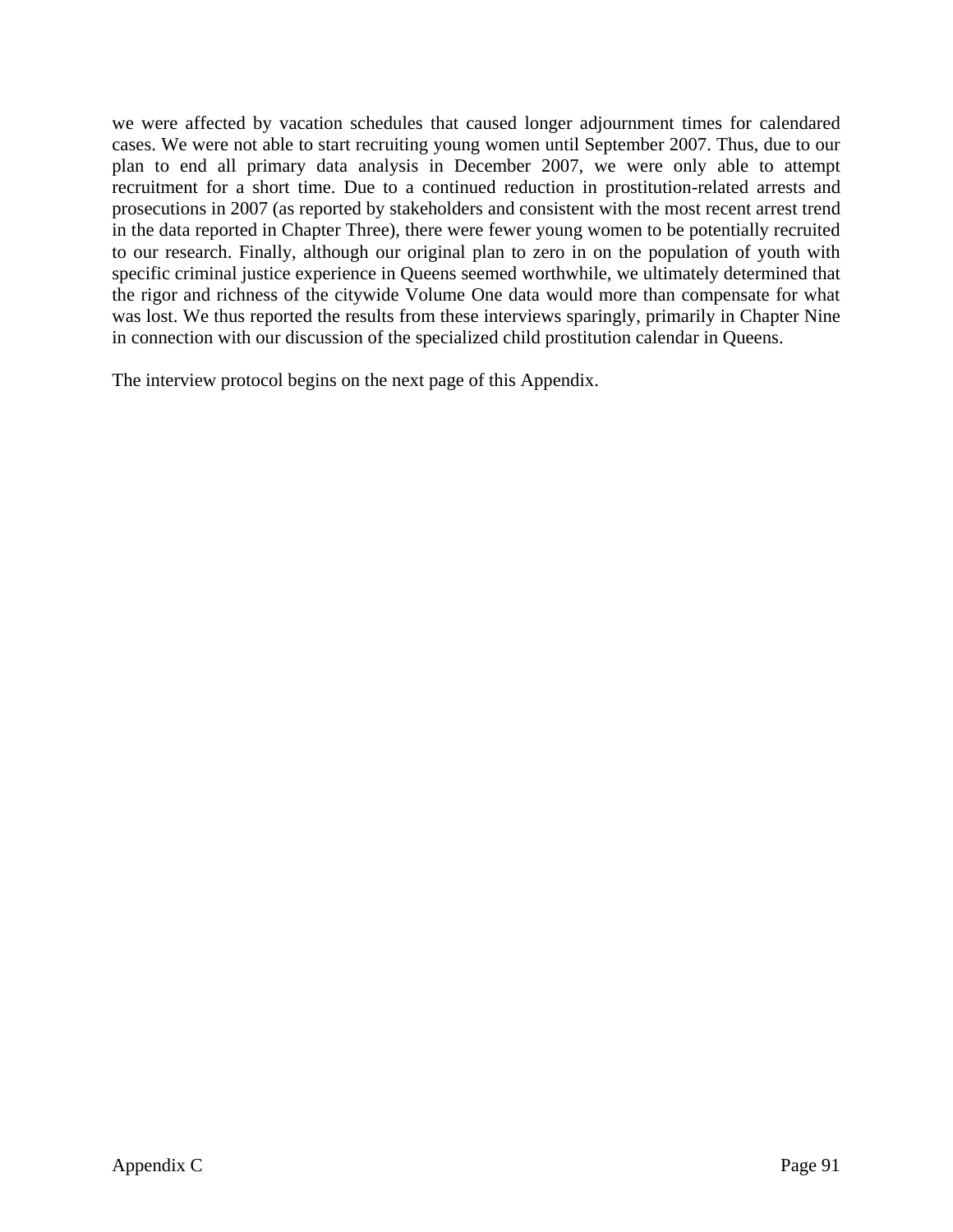we were affected by vacation schedules that caused longer adjournment times for calendared cases. We were not able to start recruiting young women until September 2007. Thus, due to our plan to end all primary data analysis in December 2007, we were only able to attempt recruitment for a short time. Due to a continued reduction in prostitution-related arrests and prosecutions in 2007 (as reported by stakeholders and consistent with the most recent arrest trend in the data reported in Chapter Three), there were fewer young women to be potentially recruited to our research. Finally, although our original plan to zero in on the population of youth with specific criminal justice experience in Queens seemed worthwhile, we ultimately determined that the rigor and richness of the citywide Volume One data would more than compensate for what was lost. We thus reported the results from these interviews sparingly, primarily in Chapter Nine in connection with our discussion of the specialized child prostitution calendar in Queens.

The interview protocol begins on the next page of this Appendix.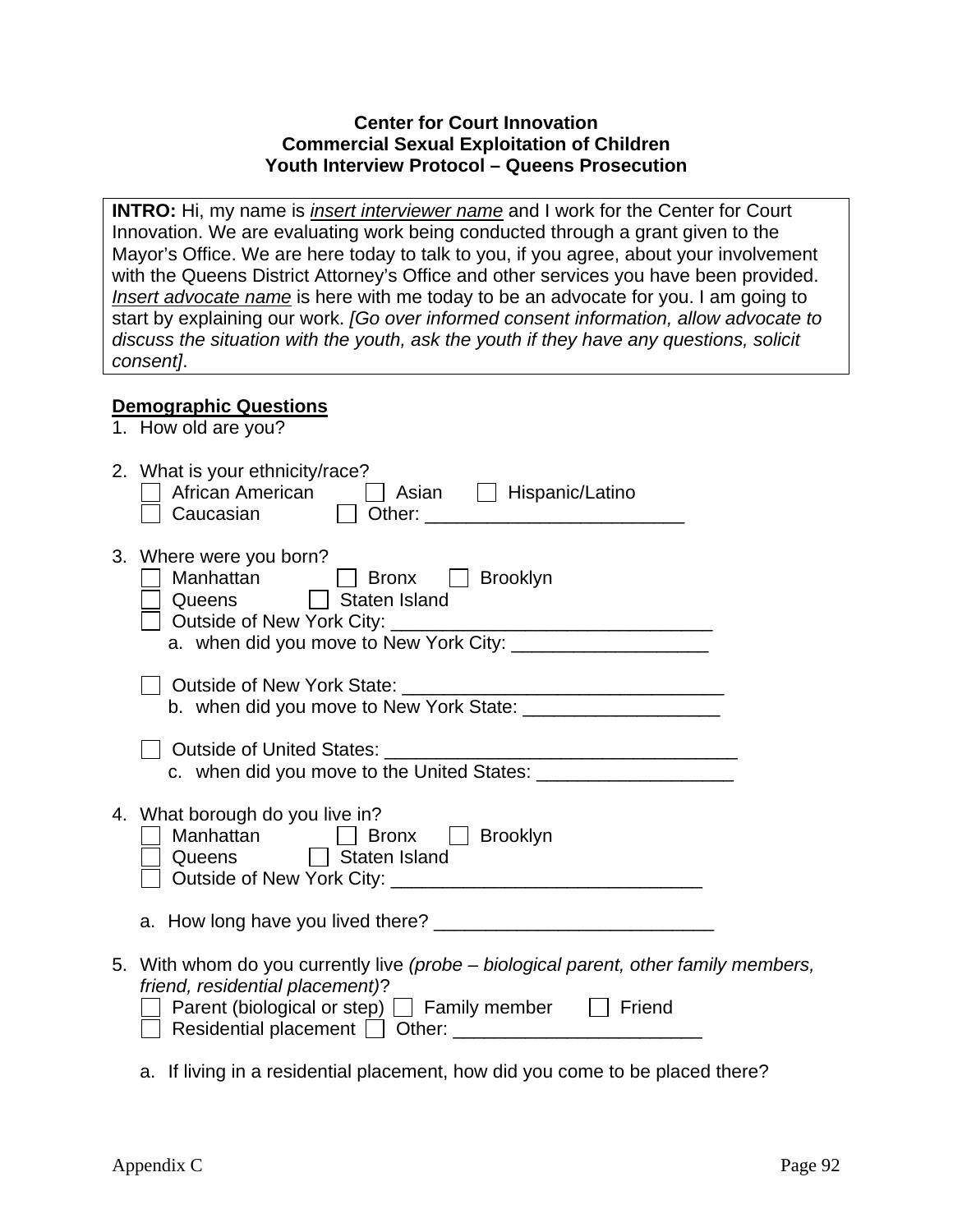#### **Center for Court Innovation Commercial Sexual Exploitation of Children Youth Interview Protocol – Queens Prosecution**

**INTRO:** Hi, my name is *insert interviewer name* and I work for the Center for Court Innovation. We are evaluating work being conducted through a grant given to the Mayor's Office. We are here today to talk to you, if you agree, about your involvement with the Queens District Attorney's Office and other services you have been provided. *Insert advocate name* is here with me today to be an advocate for you. I am going to start by explaining our work. *[Go over informed consent information, allow advocate to discuss the situation with the youth, ask the youth if they have any questions, solicit consent]*.

#### **Demographic Questions**

1. How old are you?

| 2. What is your ethnicity/race?<br>African American<br>Caucasian  Cother:  Caucasian  Cother:  Communication  Counter:  Communication  Communication  Communication  Communication  Communication  Communication  Communication  Communication  Communication  Com |
|--------------------------------------------------------------------------------------------------------------------------------------------------------------------------------------------------------------------------------------------------------------------|
| 3. Where were you born?<br>Manhattan<br>Bronx Brooklyn<br>$\mathbf{1}$<br>Queens   Staten Island                                                                                                                                                                   |
|                                                                                                                                                                                                                                                                    |
|                                                                                                                                                                                                                                                                    |
| 4. What borough do you live in?<br>Manhattan <b>D</b> Bronx <b>D</b> Brooklyn<br>Queens Staten Island                                                                                                                                                              |
|                                                                                                                                                                                                                                                                    |
| 5. With whom do you currently live (probe – biological parent, other family members,<br>friend, residential placement)?<br>Parent (biological or step) $\Box$ Family member $\Box$ Friend                                                                          |
| a. If living in a residential placement, how did you come to be placed there?                                                                                                                                                                                      |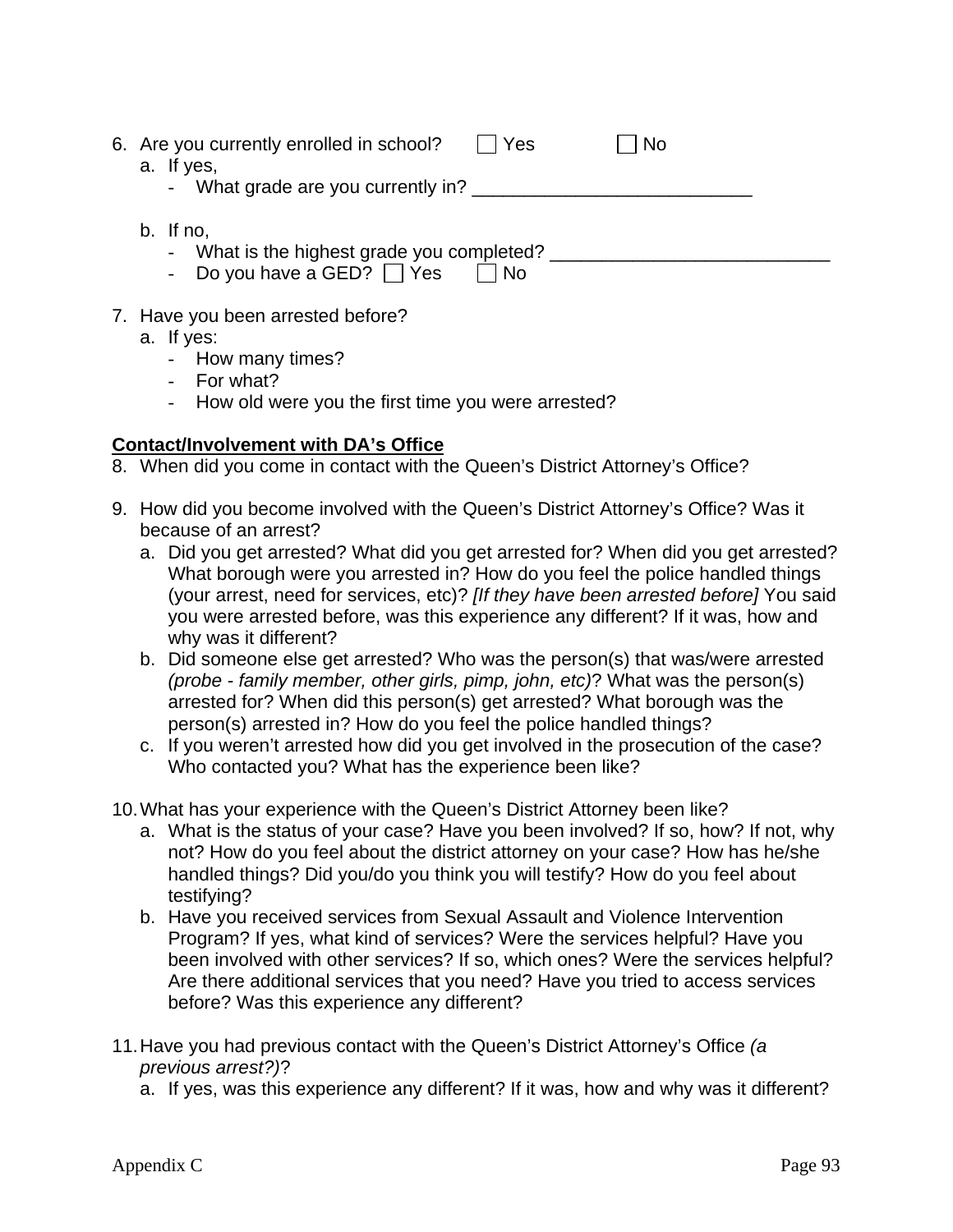| 6. Are you currently enrolled in school?   | Yes  | No |  |
|--------------------------------------------|------|----|--|
| a. If yes,                                 |      |    |  |
| - What grade are you currently in?         |      |    |  |
|                                            |      |    |  |
| b. If no,                                  |      |    |  |
| - What is the highest grade you completed? |      |    |  |
| - Do you have a GED? $\Box$ Yes            | l No |    |  |
|                                            |      |    |  |
| 7. Have you been arrested before?          |      |    |  |

- a. If yes:
	- How many times?
	- For what?
	- How old were you the first time you were arrested?

#### **Contact/Involvement with DA's Office**

- 8. When did you come in contact with the Queen's District Attorney's Office?
- 9. How did you become involved with the Queen's District Attorney's Office? Was it because of an arrest?
	- a. Did you get arrested? What did you get arrested for? When did you get arrested? What borough were you arrested in? How do you feel the police handled things (your arrest, need for services, etc)? *[If they have been arrested before]* You said you were arrested before, was this experience any different? If it was, how and why was it different?
	- b. Did someone else get arrested? Who was the person(s) that was/were arrested *(probe - family member, other girls, pimp, john, etc)*? What was the person(s) arrested for? When did this person(s) get arrested? What borough was the person(s) arrested in? How do you feel the police handled things?
	- c. If you weren't arrested how did you get involved in the prosecution of the case? Who contacted you? What has the experience been like?
- 10. What has your experience with the Queen's District Attorney been like?
	- a. What is the status of your case? Have you been involved? If so, how? If not, why not? How do you feel about the district attorney on your case? How has he/she handled things? Did you/do you think you will testify? How do you feel about testifying?
	- b. Have you received services from Sexual Assault and Violence Intervention Program? If yes, what kind of services? Were the services helpful? Have you been involved with other services? If so, which ones? Were the services helpful? Are there additional services that you need? Have you tried to access services before? Was this experience any different?
- 11. Have you had previous contact with the Queen's District Attorney's Office *(a previous arrest?)*?
	- a. If yes, was this experience any different? If it was, how and why was it different?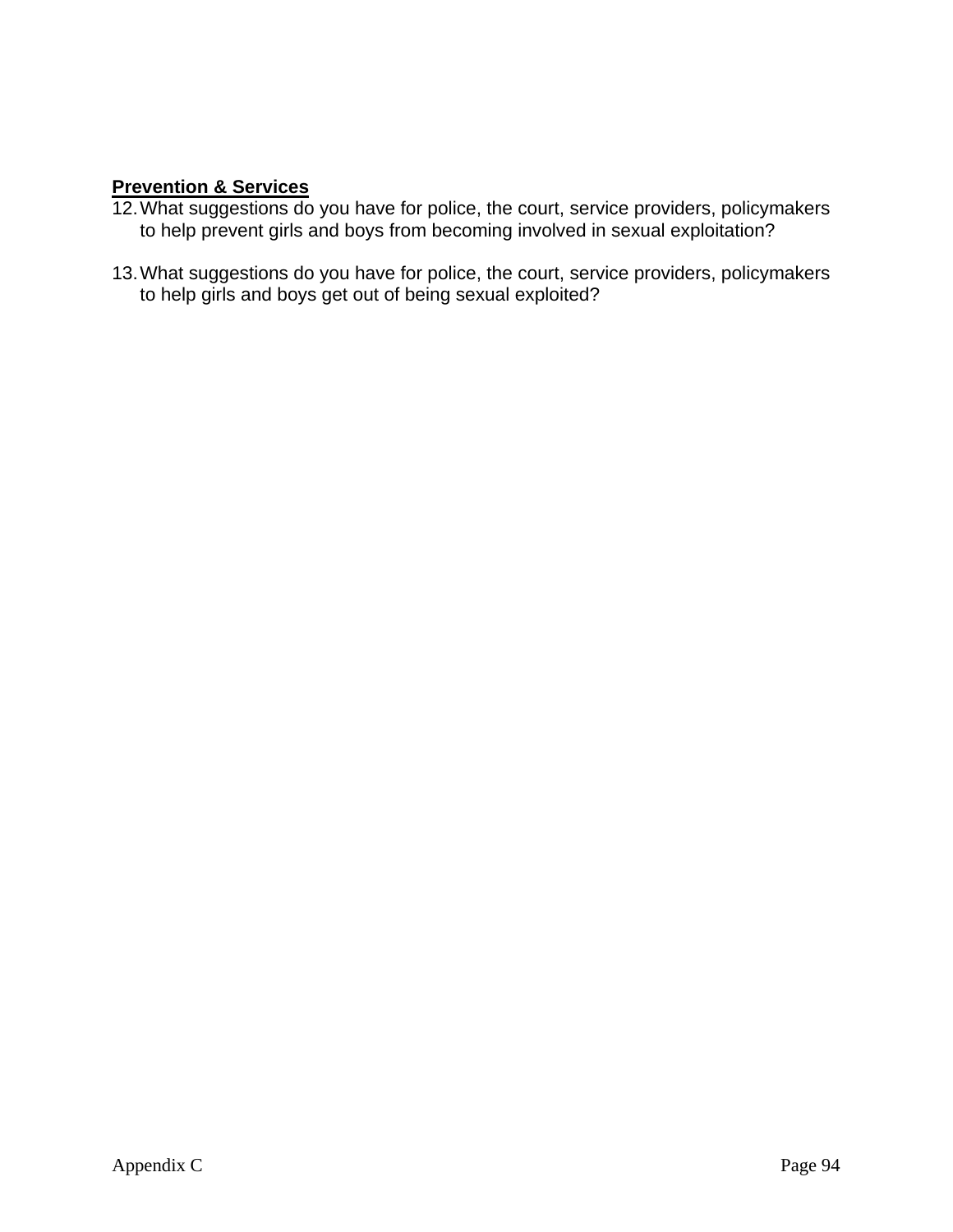### **Prevention & Services**

- 12. What suggestions do you have for police, the court, service providers, policymakers to help prevent girls and boys from becoming involved in sexual exploitation?
- 13. What suggestions do you have for police, the court, service providers, policymakers to help girls and boys get out of being sexual exploited?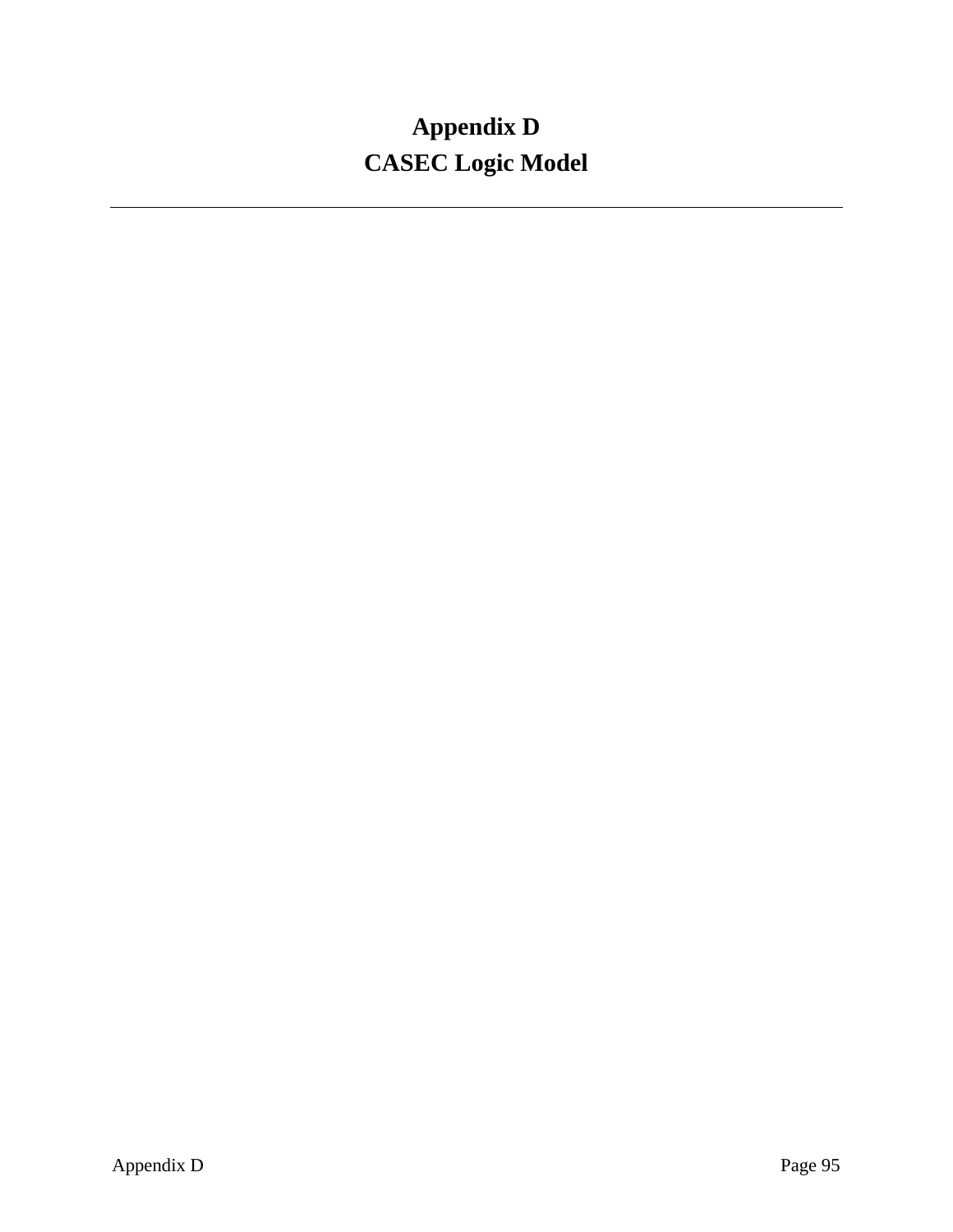# **Appendix D CASEC Logic Model**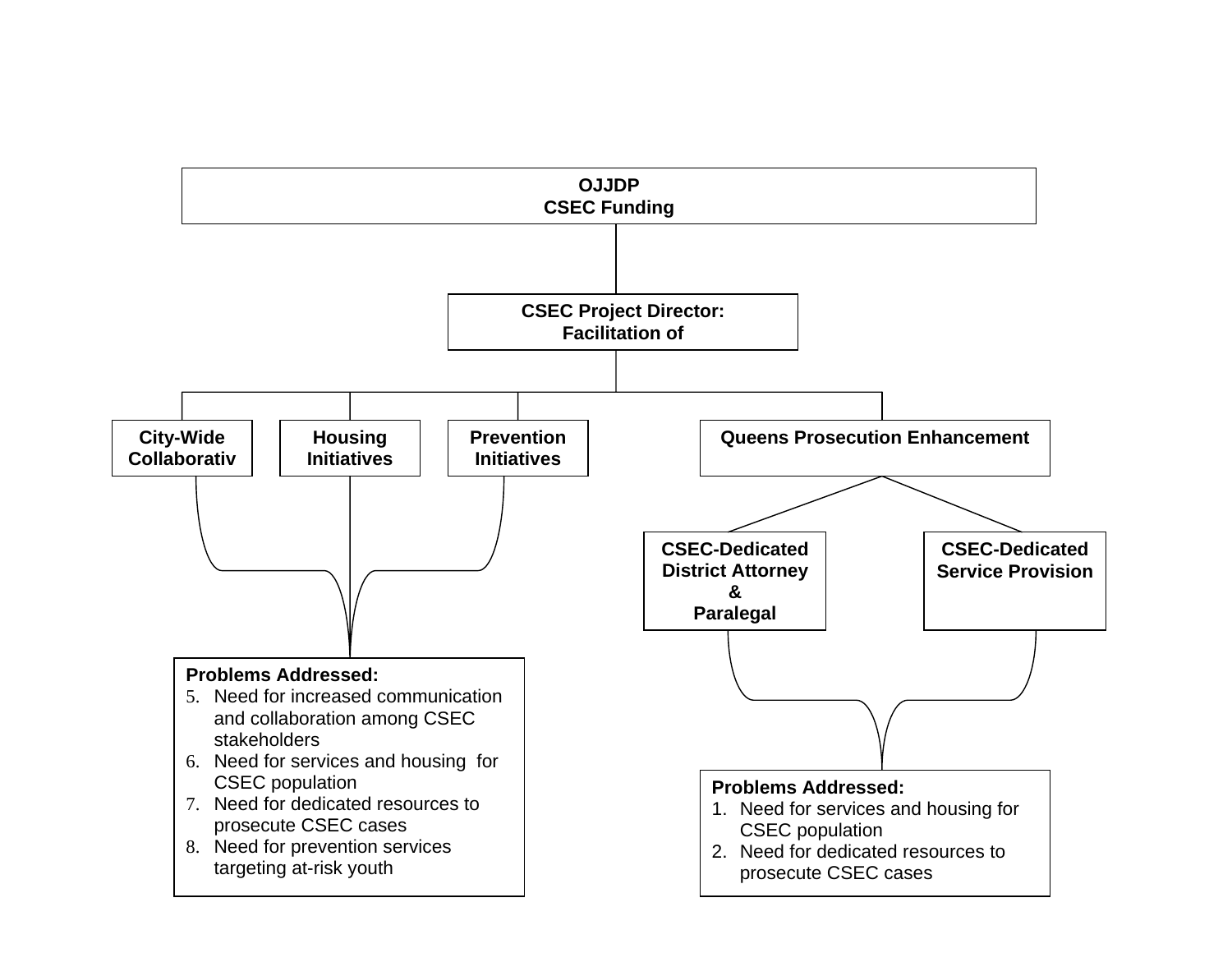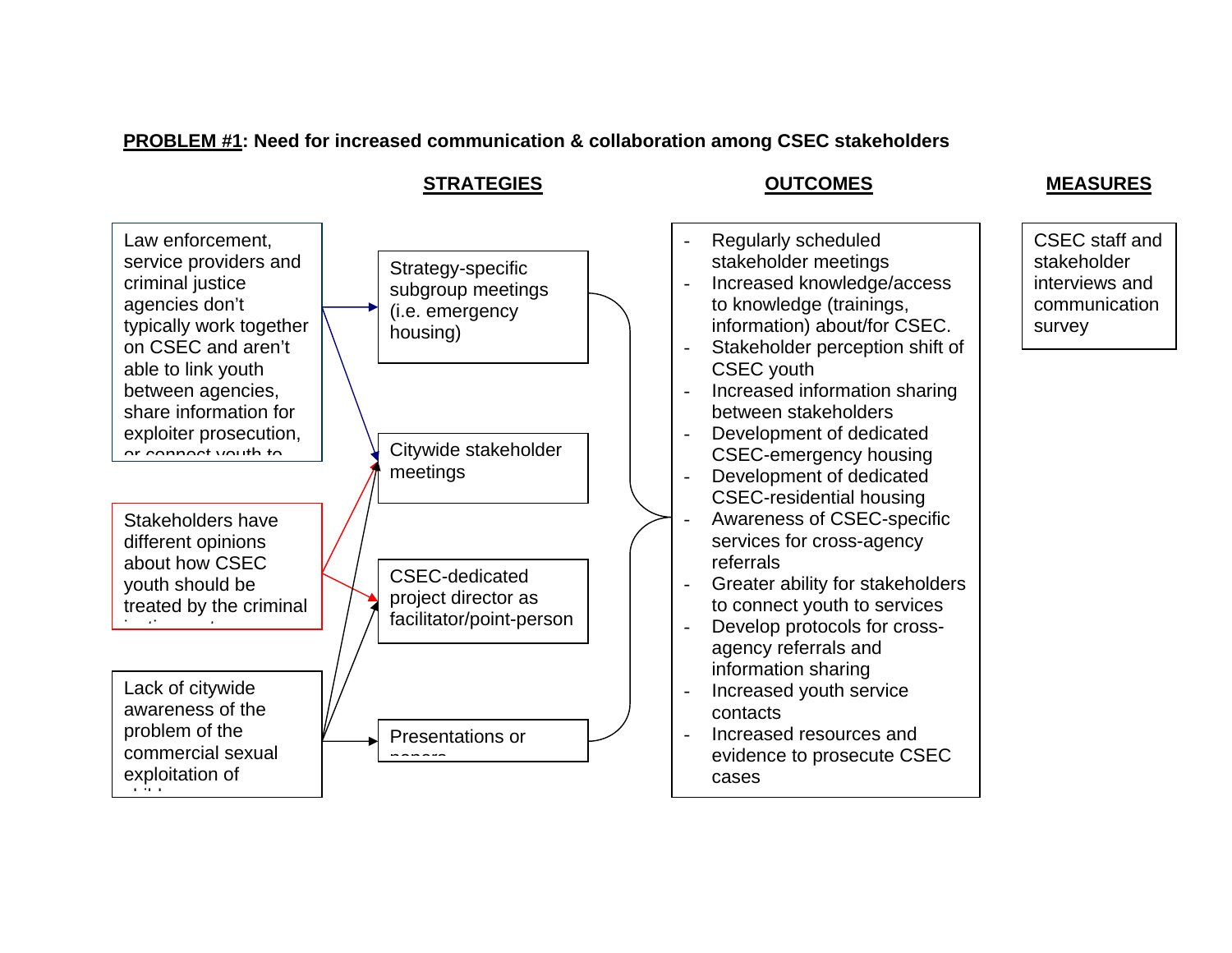# **PROBLEM #1: Need for increased communication & collaboration among CSEC stakeholders**



**STRATEGIES**

## **OUTCOMES**

**MEASURES**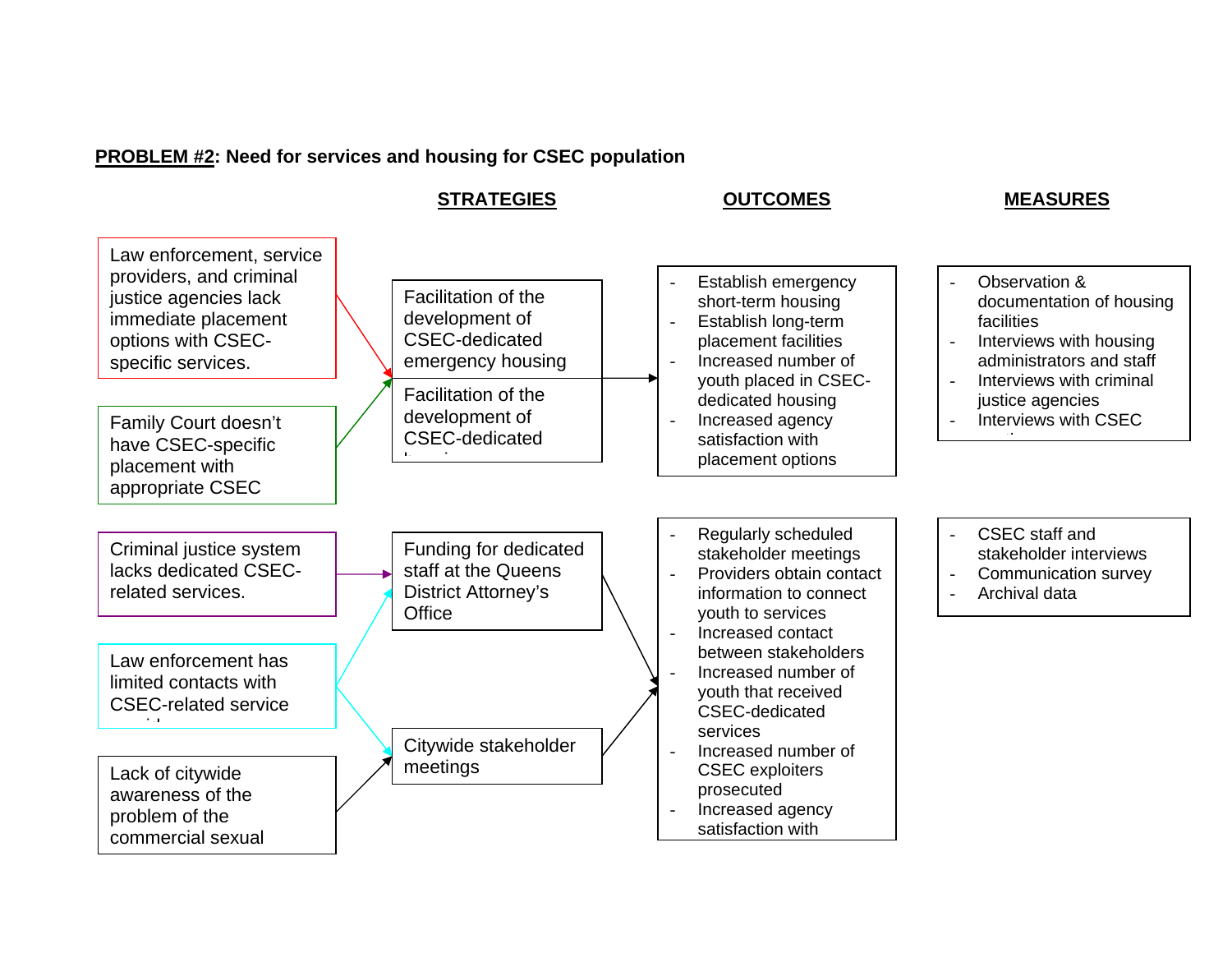# **PROBLEM #2: Need for services and housing for CSEC population**

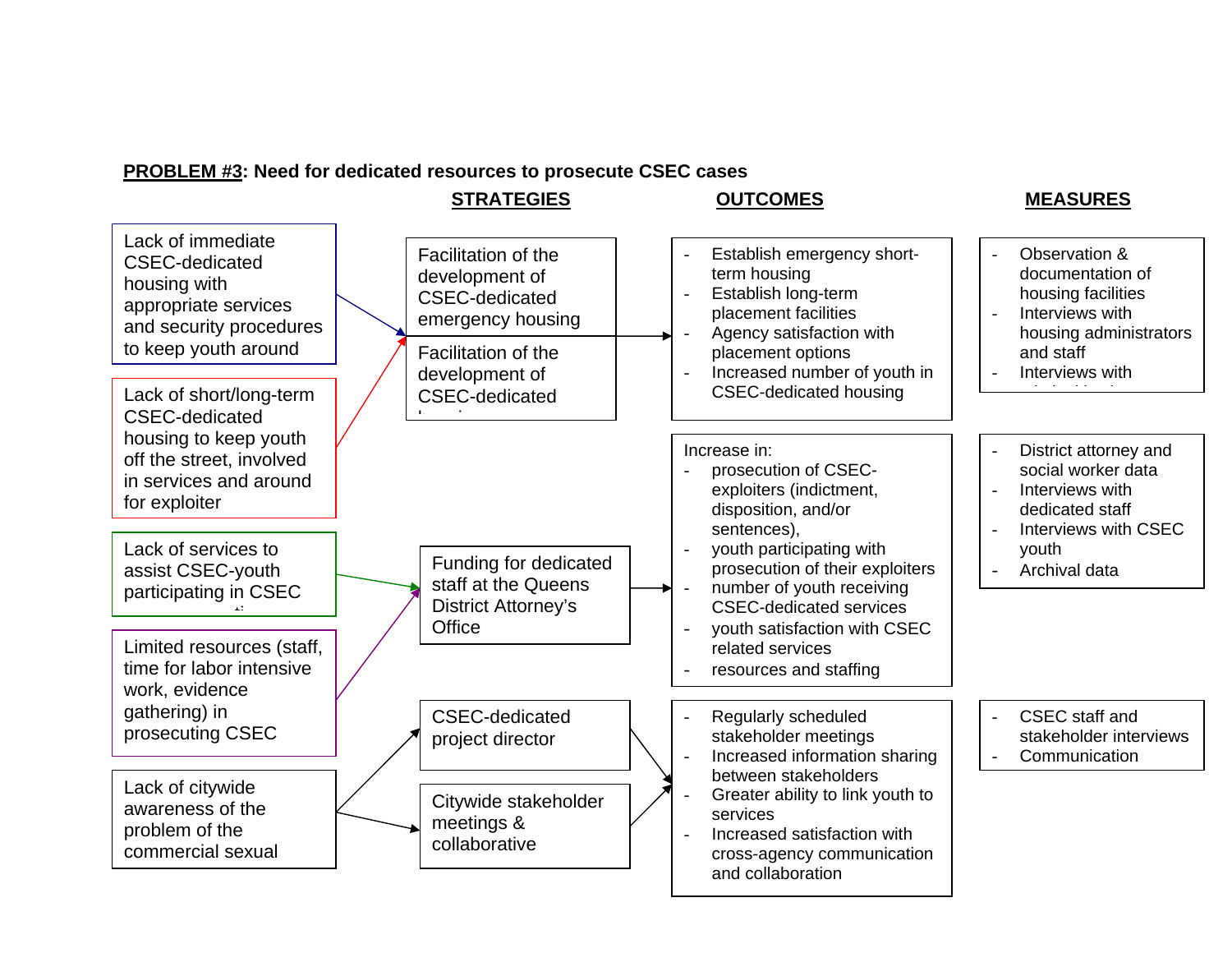#### **PROBLEM #3: Need for dedicated resources to prosecute CSEC cases**